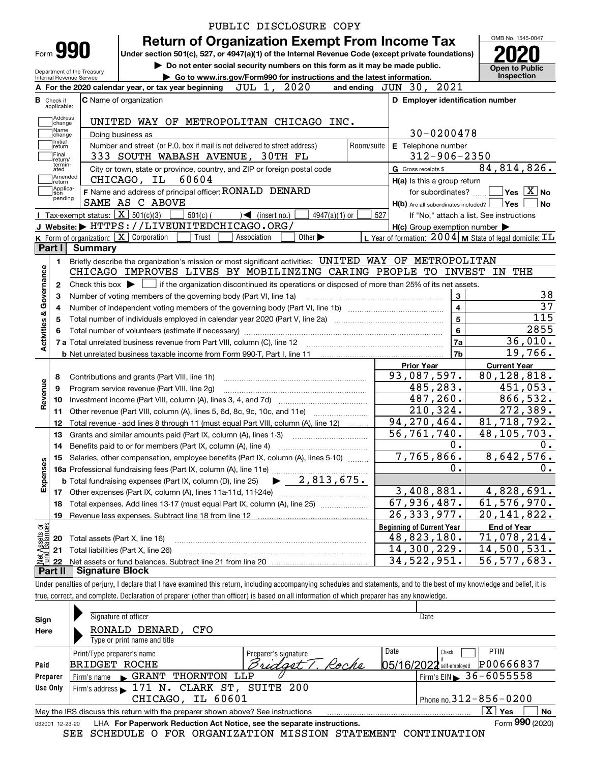|                           |                            |                                      | PUBLIC DISCLOSURE COPY                                                                                                                       |            |                                                     |                                                                          |  |  |
|---------------------------|----------------------------|--------------------------------------|----------------------------------------------------------------------------------------------------------------------------------------------|------------|-----------------------------------------------------|--------------------------------------------------------------------------|--|--|
|                           | Form 990                   |                                      | <b>Return of Organization Exempt From Income Tax</b>                                                                                         |            |                                                     | OMB No. 1545-0047                                                        |  |  |
|                           |                            |                                      | Under section 501(c), 527, or 4947(a)(1) of the Internal Revenue Code (except private foundations)                                           |            |                                                     |                                                                          |  |  |
|                           |                            | Department of the Treasury           | Do not enter social security numbers on this form as it may be made public.                                                                  |            |                                                     | <b>Open to Public</b><br>Inspection                                      |  |  |
|                           | Internal Revenue Service   |                                      | Go to www.irs.gov/Form990 for instructions and the latest information.<br>JUL 1, 2020<br>A For the 2020 calendar year, or tax year beginning |            | and ending JUN 30, 2021                             |                                                                          |  |  |
|                           | <b>B</b> Check if          |                                      | <b>C</b> Name of organization                                                                                                                |            | D Employer identification number                    |                                                                          |  |  |
|                           | applicable:                |                                      |                                                                                                                                              |            |                                                     |                                                                          |  |  |
|                           | Address<br>change<br>Name  |                                      | UNITED WAY OF METROPOLITAN CHICAGO INC.                                                                                                      |            |                                                     |                                                                          |  |  |
|                           | change<br>Initial          |                                      | Doing business as                                                                                                                            |            | 30-0200478                                          |                                                                          |  |  |
|                           | return<br>Final            |                                      | Number and street (or P.O. box if mail is not delivered to street address)<br>333 SOUTH WABASH AVENUE, 30TH FL                               | Room/suite | <b>E</b> Telephone number<br>$312 - 906 - 2350$     |                                                                          |  |  |
|                           | return/<br>termin-<br>ated |                                      | City or town, state or province, country, and ZIP or foreign postal code                                                                     |            | G Gross receipts \$                                 | 84,814,826.                                                              |  |  |
|                           | Amended<br>return          |                                      | 60604<br>CHICAGO, IL                                                                                                                         |            | H(a) Is this a group return                         |                                                                          |  |  |
|                           | Applica-<br>tion           |                                      | F Name and address of principal officer: RONALD DENARD                                                                                       |            | for subordinates?                                   | $\overline{\mathsf{Yes}}$ $\overline{\mathsf{X}}$ No                     |  |  |
|                           | pending                    |                                      | SAME AS C ABOVE                                                                                                                              |            | $H(b)$ Are all subordinates included? $\Box$ Yes    | No                                                                       |  |  |
|                           |                            |                                      | <b>Tax-exempt status:</b> $\boxed{\mathbf{X}}$ 501(c)(3)<br>$501(c)$ (<br>$4947(a)(1)$ or<br>$\leq$ (insert no.)                             | 527        |                                                     | If "No," attach a list. See instructions                                 |  |  |
|                           |                            |                                      | J Website: FITTPS: //LIVEUNITEDCHICAGO.ORG/                                                                                                  |            | $H(c)$ Group exemption number $\blacktriangleright$ |                                                                          |  |  |
|                           |                            |                                      | K Form of organization: X Corporation<br>Trust<br>Other $\blacktriangleright$<br>Association                                                 |            |                                                     | L Year of formation: $2004 \vert$ M State of legal domicile: $\text{IL}$ |  |  |
|                           | Part I                     | Summary                              |                                                                                                                                              |            |                                                     |                                                                          |  |  |
|                           | 1.                         |                                      | Briefly describe the organization's mission or most significant activities: UNITED WAY OF METROPOLITAN                                       |            |                                                     |                                                                          |  |  |
| Governance                |                            |                                      | CHICAGO IMPROVES LIVES BY MOBILINZING CARING PEOPLE TO INVEST                                                                                |            |                                                     | IN<br>THE                                                                |  |  |
|                           | $\mathbf{2}$               | Check this box $\blacktriangleright$ | if the organization discontinued its operations or disposed of more than 25% of its net assets.                                              |            |                                                     |                                                                          |  |  |
|                           | з                          |                                      | Number of voting members of the governing body (Part VI, line 1a)                                                                            |            | 3                                                   | 38                                                                       |  |  |
|                           | 4                          |                                      |                                                                                                                                              |            | $\overline{\mathbf{4}}$                             | $\overline{37}$<br>115                                                   |  |  |
|                           | 5                          | $\overline{\mathbf{5}}$              |                                                                                                                                              |            |                                                     |                                                                          |  |  |
|                           | 6                          |                                      | 2855                                                                                                                                         |            |                                                     |                                                                          |  |  |
| <b>Activities &amp;</b>   |                            |                                      |                                                                                                                                              |            | 7a                                                  | 36,010.                                                                  |  |  |
|                           |                            |                                      |                                                                                                                                              |            | 7b                                                  | 19,766.                                                                  |  |  |
|                           |                            |                                      |                                                                                                                                              |            | <b>Prior Year</b>                                   | <b>Current Year</b>                                                      |  |  |
|                           | 8                          |                                      | Contributions and grants (Part VIII, line 1h)                                                                                                |            | 93,087,597.                                         | 80,128,818.                                                              |  |  |
| Revenue                   | 9                          |                                      | Program service revenue (Part VIII, line 2g)                                                                                                 |            | 485,283.                                            | 451,053.                                                                 |  |  |
|                           | 10                         |                                      |                                                                                                                                              |            | 487,260.                                            | 866,532.                                                                 |  |  |
|                           | 11                         |                                      | Other revenue (Part VIII, column (A), lines 5, 6d, 8c, 9c, 10c, and 11e)                                                                     |            | 210, 324.                                           | $\overline{272}$ , 389.                                                  |  |  |
|                           | 12                         |                                      | Total revenue - add lines 8 through 11 (must equal Part VIII, column (A), line 12)                                                           |            | 94, 270, 464.                                       | 81,718,792.                                                              |  |  |
|                           | 13                         |                                      | Grants and similar amounts paid (Part IX, column (A), lines 1-3)                                                                             |            | 56,761,740.                                         | 48, 105, 703.                                                            |  |  |
|                           | 14                         |                                      | Benefits paid to or for members (Part IX, column (A), line 4)                                                                                |            | 0.                                                  | 0.                                                                       |  |  |
|                           | 15                         |                                      | Salaries, other compensation, employee benefits (Part IX, column (A), lines 5-10)                                                            |            | 7,765,866.                                          | 8,642,576.                                                               |  |  |
| Expenses                  |                            |                                      |                                                                                                                                              |            | 0.                                                  | 0.                                                                       |  |  |
|                           |                            |                                      |                                                                                                                                              |            |                                                     |                                                                          |  |  |
|                           | 17                         |                                      |                                                                                                                                              | 3,408,881. | 4,828,691.                                          |                                                                          |  |  |
|                           | 18                         |                                      | Total expenses. Add lines 13-17 (must equal Part IX, column (A), line 25)                                                                    |            | 67,936,487.                                         | 61,576,970.                                                              |  |  |
|                           | 19                         |                                      |                                                                                                                                              |            | $\overline{26}$ , 333, 977.                         | 20,141,822.                                                              |  |  |
|                           |                            |                                      |                                                                                                                                              |            | <b>Beginning of Current Year</b>                    | <b>End of Year</b>                                                       |  |  |
| t Assets or<br>d Balances | 20                         |                                      | Total assets (Part X, line 16)                                                                                                               |            | 48,823,180.                                         | 71,078,214.                                                              |  |  |
|                           | 21                         |                                      | Total liabilities (Part X, line 26)                                                                                                          |            | 14,300,229.                                         | 14,500,531.                                                              |  |  |
| 혏                         | 22                         |                                      |                                                                                                                                              |            | 34,522,951.                                         | 56, 577, 683.                                                            |  |  |
|                           | Part II                    | <b>Signature Block</b>               |                                                                                                                                              |            |                                                     |                                                                          |  |  |

| Sign     | Signature of officer                                                                                                 | Date                                   |  |  |  |  |  |  |  |  |  |  |
|----------|----------------------------------------------------------------------------------------------------------------------|----------------------------------------|--|--|--|--|--|--|--|--|--|--|
| Here     | RONALD DENARD,<br>CFO<br>Type or print name and title                                                                |                                        |  |  |  |  |  |  |  |  |  |  |
|          | Print/Type preparer's name<br>Preparer's signature                                                                   | <b>PTIN</b><br>Date<br>Check           |  |  |  |  |  |  |  |  |  |  |
| Paid     | Roche<br><b>BRIDGET ROCHE</b>                                                                                        | P00666837<br>05/16/2022 self-employed  |  |  |  |  |  |  |  |  |  |  |
| Preparer | THORNTON<br><b>GRANT</b><br>LLP<br>Firm's name                                                                       | Firm's EIN $\triangleright$ 36-6055558 |  |  |  |  |  |  |  |  |  |  |
| Use Only | Firm's address 171 N. CLARK ST, SUITE 200                                                                            |                                        |  |  |  |  |  |  |  |  |  |  |
|          | IL 60601<br>CHICAGO,                                                                                                 | Phone no. $312 - 856 - 0200$           |  |  |  |  |  |  |  |  |  |  |
|          | May the IRS discuss this return with the preparer shown above? See instructions                                      | x.<br>No<br><b>Yes</b>                 |  |  |  |  |  |  |  |  |  |  |
|          | Form 990 (2020)<br><b>I HA For Paperwork Reduction Act Notice, see the separate instructions.</b><br>032001 12-23-20 |                                        |  |  |  |  |  |  |  |  |  |  |

032001 12-23-20 LHA For Paperwork Reduction Act Notice, see the separate instructions.<br>SEE SCHEDULE O FOR ORGANIZATION MISSION STATEMENT CONTINUATION

true, correct, and complete. Declaration of preparer (other than officer) is based on all information of which preparer has any knowledge.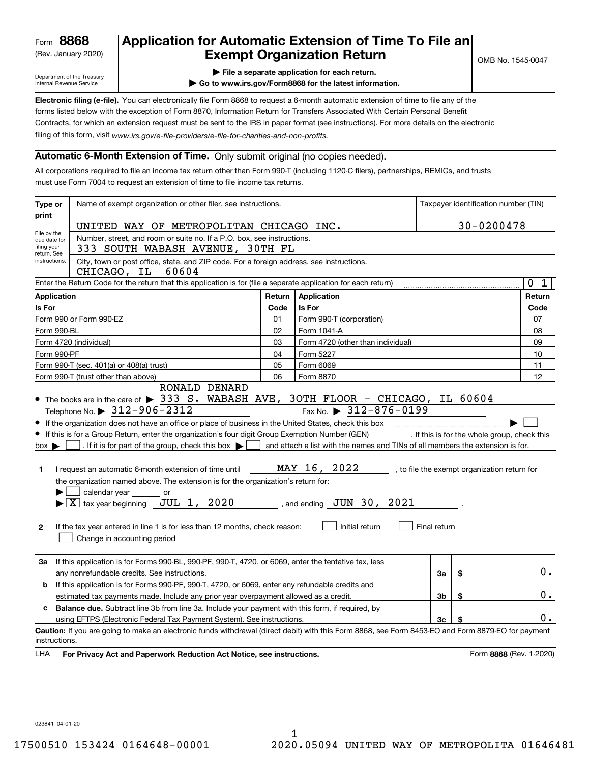(Rev. January 2020)

## **Application for Automatic Extension of Time To File an Exempt Organization Return**

Department of the Treasury Internal Revenue Service

**| File a separate application for each return.**

**| Go to www.irs.gov/Form8868 for the latest information.**

**Electronic filing (e-file).**  You can electronically file Form 8868 to request a 6-month automatic extension of time to file any of the filing of this form, visit www.irs.gov/e-file-providers/e-file-for-charities-and-non-profits. forms listed below with the exception of Form 8870, Information Return for Transfers Associated With Certain Personal Benefit Contracts, for which an extension request must be sent to the IRS in paper format (see instructions). For more details on the electronic

## **Automatic 6-Month Extension of Time.** Only submit original (no copies needed).

All corporations required to file an income tax return other than Form 990-T (including 1120-C filers), partnerships, REMICs, and trusts must use Form 7004 to request an extension of time to file income tax returns.

| Type or                                                                                                                                          | Name of exempt organization or other filer, see instructions.                                                                                                                                                                                                                                                                                                                                                                                                                                                                                                                                               |        | Taxpayer identification number (TIN)                                                                                                              |              |    |                                              |  |  |  |  |  |
|--------------------------------------------------------------------------------------------------------------------------------------------------|-------------------------------------------------------------------------------------------------------------------------------------------------------------------------------------------------------------------------------------------------------------------------------------------------------------------------------------------------------------------------------------------------------------------------------------------------------------------------------------------------------------------------------------------------------------------------------------------------------------|--------|---------------------------------------------------------------------------------------------------------------------------------------------------|--------------|----|----------------------------------------------|--|--|--|--|--|
| print                                                                                                                                            |                                                                                                                                                                                                                                                                                                                                                                                                                                                                                                                                                                                                             |        | 30-0200478                                                                                                                                        |              |    |                                              |  |  |  |  |  |
| File by the                                                                                                                                      | UNITED WAY OF METROPOLITAN CHICAGO INC.                                                                                                                                                                                                                                                                                                                                                                                                                                                                                                                                                                     |        |                                                                                                                                                   |              |    |                                              |  |  |  |  |  |
| due date for<br>filing your<br>return. See                                                                                                       | Number, street, and room or suite no. If a P.O. box, see instructions.<br>333 SOUTH WABASH AVENUE, 30TH FL                                                                                                                                                                                                                                                                                                                                                                                                                                                                                                  |        |                                                                                                                                                   |              |    |                                              |  |  |  |  |  |
| instructions.<br>City, town or post office, state, and ZIP code. For a foreign address, see instructions.<br>CHICAGO, IL<br>60604<br>$\mathbf 0$ |                                                                                                                                                                                                                                                                                                                                                                                                                                                                                                                                                                                                             |        |                                                                                                                                                   |              |    |                                              |  |  |  |  |  |
|                                                                                                                                                  | Enter the Return Code for the return that this application is for (file a separate application for each return)                                                                                                                                                                                                                                                                                                                                                                                                                                                                                             |        |                                                                                                                                                   |              |    |                                              |  |  |  |  |  |
| <b>Application</b>                                                                                                                               |                                                                                                                                                                                                                                                                                                                                                                                                                                                                                                                                                                                                             | Return | Application                                                                                                                                       |              |    | Return                                       |  |  |  |  |  |
| Is For                                                                                                                                           |                                                                                                                                                                                                                                                                                                                                                                                                                                                                                                                                                                                                             | Code   | <b>Is For</b>                                                                                                                                     |              |    | Code                                         |  |  |  |  |  |
|                                                                                                                                                  | Form 990 or Form 990-EZ                                                                                                                                                                                                                                                                                                                                                                                                                                                                                                                                                                                     | 01     | Form 990-T (corporation)                                                                                                                          |              |    | 07                                           |  |  |  |  |  |
| Form 990-BL                                                                                                                                      |                                                                                                                                                                                                                                                                                                                                                                                                                                                                                                                                                                                                             | 02     | Form 1041-A                                                                                                                                       |              |    | 08                                           |  |  |  |  |  |
|                                                                                                                                                  | Form 4720 (individual)                                                                                                                                                                                                                                                                                                                                                                                                                                                                                                                                                                                      | 03     | Form 4720 (other than individual)                                                                                                                 |              |    | 09                                           |  |  |  |  |  |
| Form 990-PF                                                                                                                                      |                                                                                                                                                                                                                                                                                                                                                                                                                                                                                                                                                                                                             | 04     | Form 5227                                                                                                                                         |              |    | 10                                           |  |  |  |  |  |
|                                                                                                                                                  | Form 990-T (sec. 401(a) or 408(a) trust)                                                                                                                                                                                                                                                                                                                                                                                                                                                                                                                                                                    | 05     | Form 6069                                                                                                                                         |              |    | 11                                           |  |  |  |  |  |
|                                                                                                                                                  | Form 990-T (trust other than above)                                                                                                                                                                                                                                                                                                                                                                                                                                                                                                                                                                         | 06     | Form 8870                                                                                                                                         |              |    | 12                                           |  |  |  |  |  |
| $box \blacktriangleright$<br>1.<br>$\mathbf{2}$                                                                                                  | If this is for a Group Return, enter the organization's four digit Group Exemption Number (GEN) _________. If this is for the whole group, check this<br>. If it is for part of the group, check this box $\blacktriangleright$<br>I request an automatic 6-month extension of time until<br>the organization named above. The extension is for the organization's return for:<br>calendar year<br>or<br>$\blacktriangleright$ $ \underline{X} $ tax year beginning $\underline{JUL}$ 1, 2020<br>If the tax year entered in line 1 is for less than 12 months, check reason:<br>Change in accounting period |        | and attach a list with the names and TINs of all members the extension is for.<br>MAY 16, 2022<br>, and ending $JUN$ 30, $2021$<br>Initial return | Final return |    | , to file the exempt organization return for |  |  |  |  |  |
| За                                                                                                                                               | If this application is for Forms 990-BL, 990-PF, 990-T, 4720, or 6069, enter the tentative tax, less<br>any nonrefundable credits. See instructions.                                                                                                                                                                                                                                                                                                                                                                                                                                                        |        |                                                                                                                                                   | За           | \$ | $0$ .                                        |  |  |  |  |  |
| b                                                                                                                                                | If this application is for Forms 990-PF, 990-T, 4720, or 6069, enter any refundable credits and                                                                                                                                                                                                                                                                                                                                                                                                                                                                                                             |        |                                                                                                                                                   |              |    |                                              |  |  |  |  |  |
|                                                                                                                                                  | estimated tax payments made. Include any prior year overpayment allowed as a credit.                                                                                                                                                                                                                                                                                                                                                                                                                                                                                                                        |        |                                                                                                                                                   | Зb           | \$ | 0.                                           |  |  |  |  |  |
| c                                                                                                                                                | <b>Balance due.</b> Subtract line 3b from line 3a. Include your payment with this form, if required, by                                                                                                                                                                                                                                                                                                                                                                                                                                                                                                     |        |                                                                                                                                                   |              |    |                                              |  |  |  |  |  |
|                                                                                                                                                  | using EFTPS (Electronic Federal Tax Payment System). See instructions.                                                                                                                                                                                                                                                                                                                                                                                                                                                                                                                                      |        |                                                                                                                                                   | 3c           | \$ | 0.                                           |  |  |  |  |  |
| instructions.<br>LHA                                                                                                                             | Caution: If you are going to make an electronic funds withdrawal (direct debit) with this Form 8868, see Form 8453-EO and Form 8879-EO for payment<br>For Privacy Act and Paperwork Reduction Act Notice, see instructions.                                                                                                                                                                                                                                                                                                                                                                                 |        |                                                                                                                                                   |              |    | Form 8868 (Rev. 1-2020)                      |  |  |  |  |  |

023841 04-01-20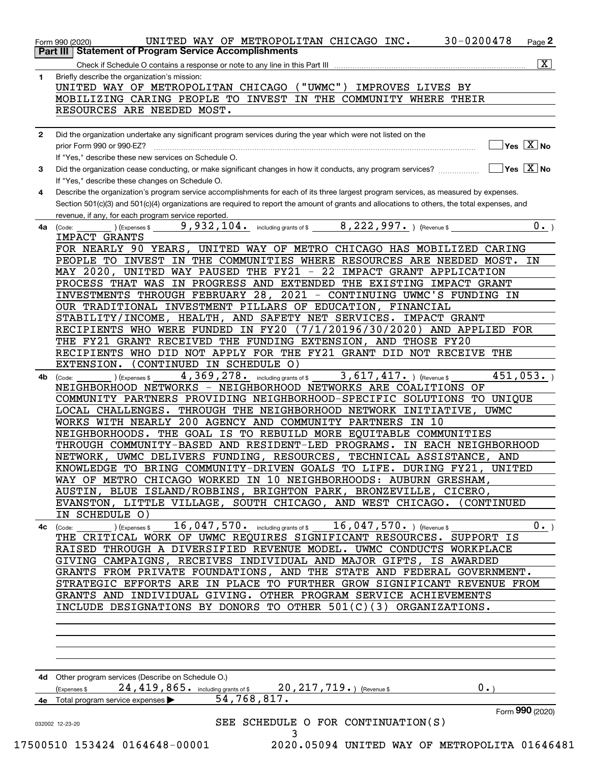| 1.           | Briefly describe the organization's mission:                                                                                                                        |
|--------------|---------------------------------------------------------------------------------------------------------------------------------------------------------------------|
|              | UNITED WAY OF METROPOLITAN CHICAGO ("UWMC") IMPROVES LIVES BY                                                                                                       |
|              | MOBILIZING CARING PEOPLE TO INVEST IN THE COMMUNITY WHERE THEIR                                                                                                     |
|              | RESOURCES ARE NEEDED MOST.                                                                                                                                          |
| $\mathbf{2}$ | Did the organization undertake any significant program services during the year which were not listed on the                                                        |
|              | $\blacksquare$ Yes $\boxed{\text{X}}$ No<br>prior Form 990 or 990-EZ?                                                                                               |
|              | If "Yes." describe these new services on Schedule O.                                                                                                                |
| 3            | Did the organization cease conducting, or make significant changes in how it conducts, any program services? $\ldots$ $\ldots$ $\ldots$ $\blacksquare$ Yes $[X]$ No |
|              | If "Yes," describe these changes on Schedule O.                                                                                                                     |
| 4            | Describe the organization's program service accomplishments for each of its three largest program services, as measured by expenses.                                |
|              | Section 501(c)(3) and 501(c)(4) organizations are required to report the amount of grants and allocations to others, the total expenses, and                        |
|              | revenue, if any, for each program service reported.                                                                                                                 |
| 4a           | $(10, 10)$ (Expenses \$ $\frac{9,932,104.}{2}$ including grants of \$ $\frac{8,222,997.}{2}$ ) (Revenue \$<br>$0 \cdot$ <sub>-</sub> )<br>(Code:                    |
|              | IMPACT GRANTS                                                                                                                                                       |
|              | FOR NEARLY 90 YEARS, UNITED WAY OF METRO CHICAGO HAS MOBILIZED CARING                                                                                               |
|              | PEOPLE TO INVEST IN THE COMMUNITIES WHERE RESOURCES ARE NEEDED MOST. IN                                                                                             |
|              | MAY 2020, UNITED WAY PAUSED THE FY21 - 22 IMPACT GRANT APPLICATION<br>PROCESS THAT WAS IN PROGRESS AND EXTENDED THE EXISTING IMPACT GRANT                           |
|              | INVESTMENTS THROUGH FEBRUARY 28, 2021 - CONTINUING UWMC'S FUNDING IN                                                                                                |
|              | OUR TRADITIONAL INVESTMENT PILLARS OF EDUCATION, FINANCIAL                                                                                                          |
|              | STABILITY/INCOME, HEALTH, AND SAFETY NET SERVICES. IMPACT GRANT                                                                                                     |
|              | RECIPIENTS WHO WERE FUNDED IN FY20 (7/1/20196/30/2020) AND APPLIED FOR                                                                                              |
|              | THE FY21 GRANT RECEIVED THE FUNDING EXTENSION, AND THOSE FY20                                                                                                       |
|              | RECIPIENTS WHO DID NOT APPLY FOR THE FY21 GRANT DID NOT RECEIVE THE                                                                                                 |
|              | EXTENSION.<br>(CONTINUED IN SCHEDULE O)                                                                                                                             |
| 4b           | 4, 369, 278. including grants of \$<br>451,053.<br>$3,617,417.$ ) (Revenue \$<br>) (Expenses \$<br>(Code:                                                           |
|              | NEIGHBORHOOD NETWORKS - NEIGHBORHOOD NETWORKS ARE COALITIONS OF                                                                                                     |
|              | COMMUNITY PARTNERS PROVIDING NEIGHBORHOOD-SPECIFIC SOLUTIONS TO UNIQUE                                                                                              |
|              | LOCAL CHALLENGES. THROUGH THE NEIGHBORHOOD NETWORK INITIATIVE, UWMC                                                                                                 |
|              | WORKS WITH NEARLY 200 AGENCY AND COMMUNITY PARTNERS IN 10                                                                                                           |
|              | NEIGHBORHOODS. THE GOAL IS TO REBUILD MORE EQUITABLE COMMUNITIES                                                                                                    |
|              | THROUGH COMMUNITY-BASED AND RESIDENT-LED PROGRAMS. IN EACH NEIGHBORHOOD                                                                                             |
|              | NETWORK, UWMC DELIVERS FUNDING, RESOURCES, TECHNICAL ASSISTANCE, AND                                                                                                |
|              | KNOWLEDGE TO BRING COMMUNITY-DRIVEN GOALS TO LIFE. DURING FY21, UNITED                                                                                              |
|              | WAY OF METRO CHICAGO WORKED IN 10 NEIGHBORHOODS: AUBURN GRESHAM,                                                                                                    |
|              | AUSTIN, BLUE ISLAND/ROBBINS, BRIGHTON PARK, BRONZEVILLE, CICERO,                                                                                                    |
|              | EVANSTON, LITTLE VILLAGE, SOUTH CHICAGO, AND WEST CHICAGO. (CONTINUED<br>IN SCHEDULE O)                                                                             |
|              | 16, 047, 570. including grants of \$ 16, 047, 570. ) (Revenue \$<br>0.                                                                                              |
| 4с           | (Expenses \$<br>(Code:<br>THE CRITICAL WORK OF UWMC REQUIRES SIGNIFICANT RESOURCES. SUPPORT IS                                                                      |
|              | RAISED THROUGH A DIVERSIFIED REVENUE MODEL. UWMC CONDUCTS WORKPLACE                                                                                                 |
|              | GIVING CAMPAIGNS, RECEIVES INDIVIDUAL AND MAJOR GIFTS, IS AWARDED                                                                                                   |
|              | GRANTS FROM PRIVATE FOUNDATIONS, AND THE STATE AND FEDERAL GOVERNMENT.                                                                                              |
|              | STRATEGIC EFFORTS ARE IN PLACE TO FURTHER GROW SIGNIFICANT REVENUE FROM                                                                                             |
|              | GRANTS AND INDIVIDUAL GIVING. OTHER PROGRAM SERVICE ACHIEVEMENTS                                                                                                    |
|              | INCLUDE DESIGNATIONS BY DONORS TO OTHER $501(C)(3)$ ORGANIZATIONS.                                                                                                  |
|              |                                                                                                                                                                     |
|              |                                                                                                                                                                     |
|              |                                                                                                                                                                     |
|              |                                                                                                                                                                     |
|              |                                                                                                                                                                     |
|              | 4d Other program services (Describe on Schedule O.)<br>0.                                                                                                           |
|              | 20, 217, 719. $($ Revenue \$<br>24,419,865. including grants of \$<br>Expenses \$<br>54,768,817.<br>4e Total program service expenses >                             |
|              | Form 990 (2020)                                                                                                                                                     |
|              | SEE SCHEDULE O FOR CONTINUATION(S)                                                                                                                                  |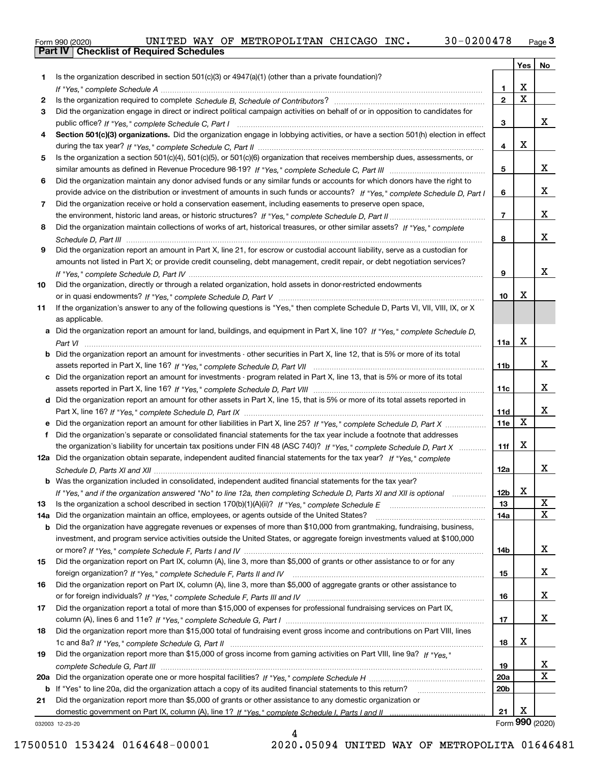|  | Form 990 (2020) |
|--|-----------------|

|     |                                                                                                                                       |                 | Yes                     | No                      |
|-----|---------------------------------------------------------------------------------------------------------------------------------------|-----------------|-------------------------|-------------------------|
| 1   | Is the organization described in section $501(c)(3)$ or $4947(a)(1)$ (other than a private foundation)?                               |                 |                         |                         |
|     |                                                                                                                                       | 1               | X                       |                         |
| 2   |                                                                                                                                       | $\overline{2}$  | $\overline{\mathbf{x}}$ |                         |
| 3   | Did the organization engage in direct or indirect political campaign activities on behalf of or in opposition to candidates for       |                 |                         |                         |
|     |                                                                                                                                       | 3               |                         | x                       |
| 4   | Section 501(c)(3) organizations. Did the organization engage in lobbying activities, or have a section 501(h) election in effect      |                 |                         |                         |
|     |                                                                                                                                       | 4               | X                       |                         |
| 5   | Is the organization a section 501(c)(4), 501(c)(5), or 501(c)(6) organization that receives membership dues, assessments, or          |                 |                         |                         |
|     |                                                                                                                                       | 5               |                         | x                       |
| 6   | Did the organization maintain any donor advised funds or any similar funds or accounts for which donors have the right to             |                 |                         |                         |
|     | provide advice on the distribution or investment of amounts in such funds or accounts? If "Yes," complete Schedule D, Part I          | 6               |                         | x                       |
| 7   | Did the organization receive or hold a conservation easement, including easements to preserve open space,                             |                 |                         | x                       |
|     |                                                                                                                                       | $\overline{7}$  |                         |                         |
| 8   | Did the organization maintain collections of works of art, historical treasures, or other similar assets? If "Yes," complete          |                 |                         | X                       |
|     |                                                                                                                                       | 8               |                         |                         |
| 9   | Did the organization report an amount in Part X, line 21, for escrow or custodial account liability, serve as a custodian for         |                 |                         |                         |
|     | amounts not listed in Part X; or provide credit counseling, debt management, credit repair, or debt negotiation services?             |                 |                         | x                       |
|     |                                                                                                                                       | 9               |                         |                         |
| 10  | Did the organization, directly or through a related organization, hold assets in donor-restricted endowments                          | 10              | х                       |                         |
| 11  | If the organization's answer to any of the following questions is "Yes," then complete Schedule D, Parts VI, VII, VIII, IX, or X      |                 |                         |                         |
|     | as applicable.                                                                                                                        |                 |                         |                         |
|     | a Did the organization report an amount for land, buildings, and equipment in Part X, line 10? If "Yes." complete Schedule D.         |                 |                         |                         |
|     |                                                                                                                                       | 11a             | X                       |                         |
|     | <b>b</b> Did the organization report an amount for investments - other securities in Part X, line 12, that is 5% or more of its total |                 |                         |                         |
|     |                                                                                                                                       | 11b             |                         | x                       |
|     | Did the organization report an amount for investments - program related in Part X, line 13, that is 5% or more of its total           |                 |                         |                         |
|     |                                                                                                                                       | 11c             |                         | x                       |
|     | d Did the organization report an amount for other assets in Part X, line 15, that is 5% or more of its total assets reported in       |                 |                         |                         |
|     |                                                                                                                                       | 11d             |                         | x                       |
|     | e Did the organization report an amount for other liabilities in Part X, line 25? If "Yes," complete Schedule D, Part X               | 11e             | X                       |                         |
| f   | Did the organization's separate or consolidated financial statements for the tax year include a footnote that addresses               |                 |                         |                         |
|     | the organization's liability for uncertain tax positions under FIN 48 (ASC 740)? If "Yes," complete Schedule D, Part X                | 11f             | X                       |                         |
|     | 12a Did the organization obtain separate, independent audited financial statements for the tax year? If "Yes," complete               |                 |                         |                         |
|     |                                                                                                                                       | 12a             |                         | x                       |
|     | <b>b</b> Was the organization included in consolidated, independent audited financial statements for the tax year?                    |                 |                         |                         |
|     | If "Yes," and if the organization answered "No" to line 12a, then completing Schedule D, Parts XI and XII is optional                 | 12 <sub>b</sub> | v<br>▵                  |                         |
| 13  |                                                                                                                                       | 13              |                         | X                       |
| 14a | Did the organization maintain an office, employees, or agents outside of the United States?                                           | 14a             |                         | $\mathbf X$             |
| b   | Did the organization have aggregate revenues or expenses of more than \$10,000 from grantmaking, fundraising, business,               |                 |                         |                         |
|     | investment, and program service activities outside the United States, or aggregate foreign investments valued at \$100,000            |                 |                         |                         |
|     |                                                                                                                                       | 14b             |                         | x                       |
| 15  | Did the organization report on Part IX, column (A), line 3, more than \$5,000 of grants or other assistance to or for any             |                 |                         |                         |
|     |                                                                                                                                       | 15              |                         | X                       |
| 16  | Did the organization report on Part IX, column (A), line 3, more than \$5,000 of aggregate grants or other assistance to              |                 |                         |                         |
|     |                                                                                                                                       | 16              |                         | X                       |
| 17  | Did the organization report a total of more than \$15,000 of expenses for professional fundraising services on Part IX,               |                 |                         |                         |
|     |                                                                                                                                       | 17              |                         | x                       |
| 18  | Did the organization report more than \$15,000 total of fundraising event gross income and contributions on Part VIII, lines          |                 |                         |                         |
|     |                                                                                                                                       | 18              | х                       |                         |
| 19  | Did the organization report more than \$15,000 of gross income from gaming activities on Part VIII, line 9a? If "Yes."                |                 |                         |                         |
|     |                                                                                                                                       | 19              |                         | X                       |
| 20a |                                                                                                                                       | 20a             |                         | $\overline{\mathbf{x}}$ |
|     | b If "Yes" to line 20a, did the organization attach a copy of its audited financial statements to this return?                        | 20 <sub>b</sub> |                         |                         |
| 21  | Did the organization report more than \$5,000 of grants or other assistance to any domestic organization or                           |                 |                         |                         |
|     |                                                                                                                                       | 21              | X                       |                         |
|     | 032003 12-23-20                                                                                                                       |                 |                         | Form 990 (2020)         |

4

032003 12-23-20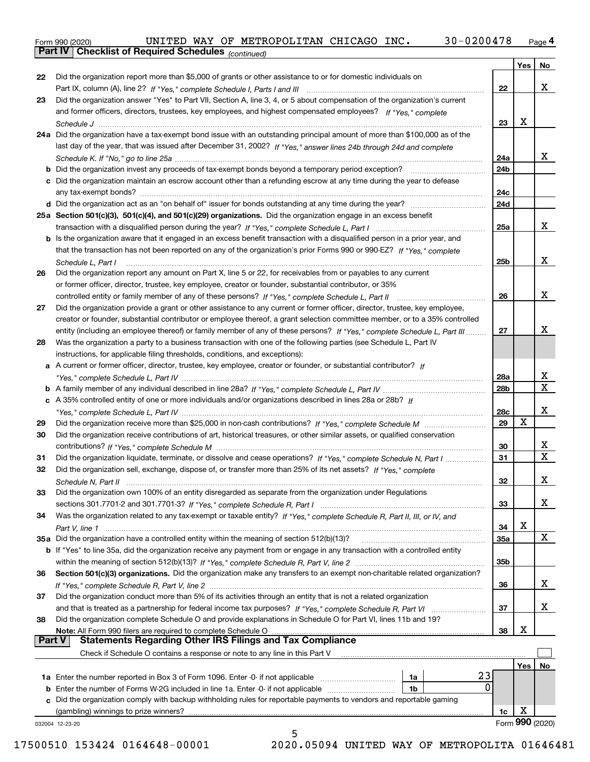*(continued)*

|               |                                                                                                                              |            | Yes | No                      |
|---------------|------------------------------------------------------------------------------------------------------------------------------|------------|-----|-------------------------|
| 22            | Did the organization report more than \$5,000 of grants or other assistance to or for domestic individuals on                |            |     |                         |
|               |                                                                                                                              | 22         |     | x                       |
| 23            | Did the organization answer "Yes" to Part VII, Section A, line 3, 4, or 5 about compensation of the organization's current   |            |     |                         |
|               | and former officers, directors, trustees, key employees, and highest compensated employees? If "Yes," complete               |            |     |                         |
|               |                                                                                                                              | 23         | X   |                         |
|               | 24a Did the organization have a tax-exempt bond issue with an outstanding principal amount of more than \$100,000 as of the  |            |     |                         |
|               | last day of the year, that was issued after December 31, 2002? If "Yes," answer lines 24b through 24d and complete           |            |     |                         |
|               |                                                                                                                              | 24a        |     | x                       |
|               | <b>b</b> Did the organization invest any proceeds of tax-exempt bonds beyond a temporary period exception?                   | 24b        |     |                         |
|               | c Did the organization maintain an escrow account other than a refunding escrow at any time during the year to defease       |            |     |                         |
|               |                                                                                                                              | 24c        |     |                         |
|               |                                                                                                                              | 24d        |     |                         |
|               | 25a Section 501(c)(3), 501(c)(4), and 501(c)(29) organizations. Did the organization engage in an excess benefit             |            |     |                         |
|               |                                                                                                                              | 25a        |     | x                       |
|               | b Is the organization aware that it engaged in an excess benefit transaction with a disqualified person in a prior year, and |            |     |                         |
|               | that the transaction has not been reported on any of the organization's prior Forms 990 or 990-EZ? If "Yes," complete        |            |     |                         |
|               |                                                                                                                              |            |     | X                       |
|               | Schedule L, Part I                                                                                                           | 25b        |     |                         |
| 26            | Did the organization report any amount on Part X, line 5 or 22, for receivables from or payables to any current              |            |     |                         |
|               | or former officer, director, trustee, key employee, creator or founder, substantial contributor, or 35%                      |            |     |                         |
|               | controlled entity or family member of any of these persons? If "Yes," complete Schedule L, Part II                           | 26         |     | x                       |
| 27            | Did the organization provide a grant or other assistance to any current or former officer, director, trustee, key employee,  |            |     |                         |
|               | creator or founder, substantial contributor or employee thereof, a grant selection committee member, or to a 35% controlled  |            |     |                         |
|               | entity (including an employee thereof) or family member of any of these persons? If "Yes," complete Schedule L, Part III     | 27         |     | x                       |
| 28            | Was the organization a party to a business transaction with one of the following parties (see Schedule L, Part IV            |            |     |                         |
|               | instructions, for applicable filing thresholds, conditions, and exceptions):                                                 |            |     |                         |
|               | a A current or former officer, director, trustee, key employee, creator or founder, or substantial contributor? If           |            |     |                         |
|               |                                                                                                                              | 28a        |     | x                       |
|               |                                                                                                                              | 28b        |     | $\overline{\mathtt{x}}$ |
|               | c A 35% controlled entity of one or more individuals and/or organizations described in lines 28a or 28b? If                  |            |     |                         |
|               |                                                                                                                              | 28c        |     | x                       |
| 29            |                                                                                                                              | 29         | X   |                         |
| 30            | Did the organization receive contributions of art, historical treasures, or other similar assets, or qualified conservation  |            |     |                         |
|               |                                                                                                                              | 30         |     | X                       |
| 31            | Did the organization liquidate, terminate, or dissolve and cease operations? If "Yes," complete Schedule N, Part I           | 31         |     | $\overline{\mathtt{x}}$ |
| 32            | Did the organization sell, exchange, dispose of, or transfer more than 25% of its net assets? If "Yes," complete             |            |     |                         |
|               |                                                                                                                              | 32         |     | x                       |
|               | Did the organization own 100% of an entity disregarded as separate from the organization under Regulations                   |            |     |                         |
|               |                                                                                                                              | 33         |     | x                       |
| 34            | Was the organization related to any tax-exempt or taxable entity? If "Yes," complete Schedule R, Part II, III, or IV, and    |            |     |                         |
|               |                                                                                                                              | 34         | x   |                         |
|               | 35a Did the organization have a controlled entity within the meaning of section 512(b)(13)?                                  | <b>35a</b> |     | X                       |
|               | b If "Yes" to line 35a, did the organization receive any payment from or engage in any transaction with a controlled entity  |            |     |                         |
|               |                                                                                                                              | 35b        |     |                         |
| 36            | Section 501(c)(3) organizations. Did the organization make any transfers to an exempt non-charitable related organization?   |            |     |                         |
|               |                                                                                                                              | 36         |     | x                       |
| 37            | Did the organization conduct more than 5% of its activities through an entity that is not a related organization             |            |     |                         |
|               |                                                                                                                              | 37         |     | x                       |
| 38            | Did the organization complete Schedule O and provide explanations in Schedule O for Part VI, lines 11b and 19?               |            |     |                         |
|               | Note: All Form 990 filers are required to complete Schedule O                                                                | 38         | x   |                         |
| <b>Part V</b> | <b>Statements Regarding Other IRS Filings and Tax Compliance</b>                                                             |            |     |                         |
|               | Check if Schedule O contains a response or note to any line in this Part V                                                   |            |     |                         |
|               |                                                                                                                              |            | Yes | No                      |
|               | 23<br>1a                                                                                                                     |            |     |                         |
|               | 0<br><b>b</b> Enter the number of Forms W-2G included in line 1a. Enter -0- if not applicable<br>1b                          |            |     |                         |
|               | c Did the organization comply with backup withholding rules for reportable payments to vendors and reportable gaming         |            |     |                         |
|               | (gambling) winnings to prize winners?                                                                                        | 1c         | Χ   |                         |
|               | 032004 12-23-20                                                                                                              |            |     | Form 990 (2020)         |
|               | 5                                                                                                                            |            |     |                         |

17500510 153424 0164648-00001 2020.05094 UNITED WAY OF METROPOLITA 01646481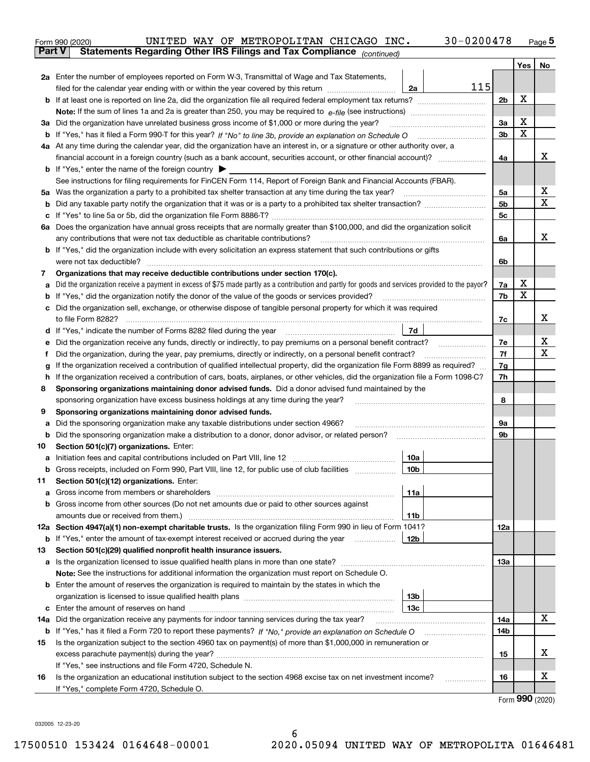|               | $30 - 0200478$<br>UNITED WAY OF METROPOLITAN CHICAGO INC.<br>Form 990 (2020)                                                                          |                |     | $Page$ <sup>5</sup> |  |  |  |  |  |  |  |
|---------------|-------------------------------------------------------------------------------------------------------------------------------------------------------|----------------|-----|---------------------|--|--|--|--|--|--|--|
| <b>Part V</b> | Statements Regarding Other IRS Filings and Tax Compliance (continued)                                                                                 |                |     |                     |  |  |  |  |  |  |  |
|               |                                                                                                                                                       |                | Yes | No                  |  |  |  |  |  |  |  |
|               | 2a Enter the number of employees reported on Form W-3, Transmittal of Wage and Tax Statements,                                                        |                |     |                     |  |  |  |  |  |  |  |
|               | 115<br>filed for the calendar year ending with or within the year covered by this return<br>2a                                                        |                |     |                     |  |  |  |  |  |  |  |
|               |                                                                                                                                                       | 2 <sub>b</sub> | х   |                     |  |  |  |  |  |  |  |
|               |                                                                                                                                                       |                |     |                     |  |  |  |  |  |  |  |
| За            | Did the organization have unrelated business gross income of \$1,000 or more during the year?                                                         | 3a             | Х   |                     |  |  |  |  |  |  |  |
| b             |                                                                                                                                                       | 3b             | X   |                     |  |  |  |  |  |  |  |
|               | 4a At any time during the calendar year, did the organization have an interest in, or a signature or other authority over, a                          |                |     |                     |  |  |  |  |  |  |  |
|               | financial account in a foreign country (such as a bank account, securities account, or other financial account)?                                      |                |     |                     |  |  |  |  |  |  |  |
|               | <b>b</b> If "Yes," enter the name of the foreign country $\blacktriangleright$                                                                        |                |     |                     |  |  |  |  |  |  |  |
|               | See instructions for filing requirements for FinCEN Form 114, Report of Foreign Bank and Financial Accounts (FBAR).                                   |                |     |                     |  |  |  |  |  |  |  |
|               | 5a Was the organization a party to a prohibited tax shelter transaction at any time during the tax year? <i>marrouummanners</i>                       | 5a             |     | х                   |  |  |  |  |  |  |  |
| b             |                                                                                                                                                       | 5b             |     | Χ                   |  |  |  |  |  |  |  |
| c             |                                                                                                                                                       | 5c             |     |                     |  |  |  |  |  |  |  |
|               | 6a Does the organization have annual gross receipts that are normally greater than \$100,000, and did the organization solicit                        |                |     |                     |  |  |  |  |  |  |  |
|               |                                                                                                                                                       | 6a             |     | х                   |  |  |  |  |  |  |  |
|               | <b>b</b> If "Yes," did the organization include with every solicitation an express statement that such contributions or gifts                         |                |     |                     |  |  |  |  |  |  |  |
|               |                                                                                                                                                       | 6b             |     |                     |  |  |  |  |  |  |  |
| 7             | Organizations that may receive deductible contributions under section 170(c).                                                                         |                |     |                     |  |  |  |  |  |  |  |
| a             | Did the organization receive a payment in excess of \$75 made partly as a contribution and partly for goods and services provided to the payor?       | 7a             | Х   |                     |  |  |  |  |  |  |  |
| b             | If "Yes," did the organization notify the donor of the value of the goods or services provided?                                                       | 7b             | х   |                     |  |  |  |  |  |  |  |
|               | c Did the organization sell, exchange, or otherwise dispose of tangible personal property for which it was required                                   |                |     |                     |  |  |  |  |  |  |  |
|               |                                                                                                                                                       | 7c             |     | х                   |  |  |  |  |  |  |  |
|               | 7d<br>d If "Yes," indicate the number of Forms 8282 filed during the year [11,111] The set response to the number of Forms 8282 filed during the year |                |     |                     |  |  |  |  |  |  |  |
| е             | Did the organization receive any funds, directly or indirectly, to pay premiums on a personal benefit contract?                                       | 7e             |     | х                   |  |  |  |  |  |  |  |
| f             | Did the organization, during the year, pay premiums, directly or indirectly, on a personal benefit contract?                                          | 7f             |     | х                   |  |  |  |  |  |  |  |
| g             | If the organization received a contribution of qualified intellectual property, did the organization file Form 8899 as required?                      | 7g             |     |                     |  |  |  |  |  |  |  |
| h             | If the organization received a contribution of cars, boats, airplanes, or other vehicles, did the organization file a Form 1098-C?                    | 7h             |     |                     |  |  |  |  |  |  |  |
| 8             | Sponsoring organizations maintaining donor advised funds. Did a donor advised fund maintained by the                                                  |                |     |                     |  |  |  |  |  |  |  |
|               | sponsoring organization have excess business holdings at any time during the year?                                                                    | 8              |     |                     |  |  |  |  |  |  |  |
| 9             | Sponsoring organizations maintaining donor advised funds.                                                                                             |                |     |                     |  |  |  |  |  |  |  |
| a             | Did the sponsoring organization make any taxable distributions under section 4966?                                                                    | 9а             |     |                     |  |  |  |  |  |  |  |
| b             | Did the sponsoring organization make a distribution to a donor, donor advisor, or related person?                                                     | 9b             |     |                     |  |  |  |  |  |  |  |
| 10            | Section 501(c)(7) organizations. Enter:                                                                                                               |                |     |                     |  |  |  |  |  |  |  |
| а             | 10a                                                                                                                                                   |                |     |                     |  |  |  |  |  |  |  |
|               | 10b <br>Gross receipts, included on Form 990, Part VIII, line 12, for public use of club facilities                                                   |                |     |                     |  |  |  |  |  |  |  |
| 11            | Section 501(c)(12) organizations. Enter:                                                                                                              |                |     |                     |  |  |  |  |  |  |  |
| а             | Gross income from members or shareholders<br>11a                                                                                                      |                |     |                     |  |  |  |  |  |  |  |
|               | b Gross income from other sources (Do not net amounts due or paid to other sources against                                                            |                |     |                     |  |  |  |  |  |  |  |
|               | amounts due or received from them.)<br>11b                                                                                                            |                |     |                     |  |  |  |  |  |  |  |
|               | 12a Section 4947(a)(1) non-exempt charitable trusts. Is the organization filing Form 990 in lieu of Form 1041?                                        | 12a            |     |                     |  |  |  |  |  |  |  |
| b             | 12b<br>If "Yes," enter the amount of tax-exempt interest received or accrued during the year                                                          |                |     |                     |  |  |  |  |  |  |  |
| 13            | Section 501(c)(29) qualified nonprofit health insurance issuers.                                                                                      |                |     |                     |  |  |  |  |  |  |  |
| a             | Is the organization licensed to issue qualified health plans in more than one state?                                                                  | 13а            |     |                     |  |  |  |  |  |  |  |
|               | Note: See the instructions for additional information the organization must report on Schedule O.                                                     |                |     |                     |  |  |  |  |  |  |  |
|               | <b>b</b> Enter the amount of reserves the organization is required to maintain by the states in which the                                             |                |     |                     |  |  |  |  |  |  |  |
|               | 13b                                                                                                                                                   |                |     |                     |  |  |  |  |  |  |  |
|               | 13с                                                                                                                                                   |                |     |                     |  |  |  |  |  |  |  |
| 14a           | Did the organization receive any payments for indoor tanning services during the tax year?                                                            | 14a            |     | x                   |  |  |  |  |  |  |  |
| b             | If "Yes," has it filed a Form 720 to report these payments? If "No," provide an explanation on Schedule O                                             | 14b            |     |                     |  |  |  |  |  |  |  |
| 15            | Is the organization subject to the section 4960 tax on payment(s) of more than \$1,000,000 in remuneration or                                         |                |     |                     |  |  |  |  |  |  |  |
|               |                                                                                                                                                       | 15             |     | X.                  |  |  |  |  |  |  |  |
|               | If "Yes," see instructions and file Form 4720, Schedule N.                                                                                            |                |     |                     |  |  |  |  |  |  |  |
| 16            | Is the organization an educational institution subject to the section 4968 excise tax on net investment income?                                       | 16             |     | х                   |  |  |  |  |  |  |  |
|               | If "Yes," complete Form 4720, Schedule O.                                                                                                             |                |     |                     |  |  |  |  |  |  |  |
|               |                                                                                                                                                       |                |     | $000 \times 000$    |  |  |  |  |  |  |  |

6

Form (2020) **990**

032005 12-23-20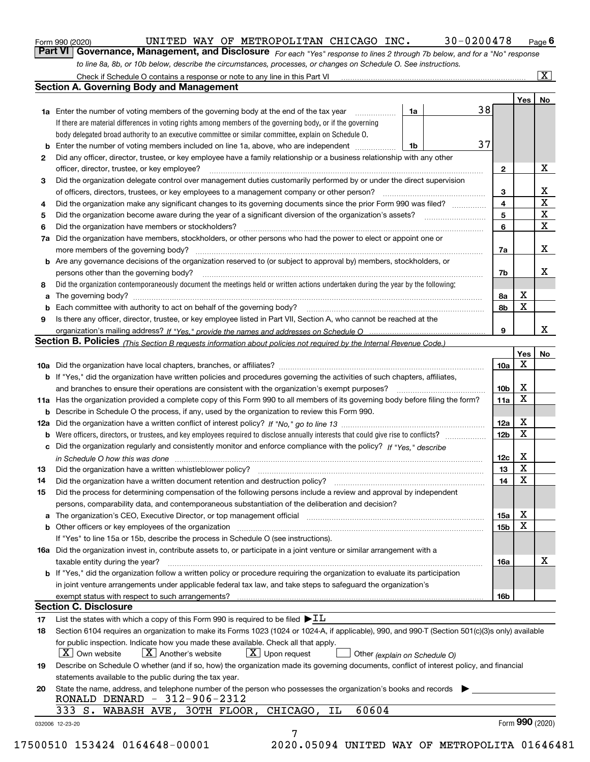|  | Form 990 (2020) |
|--|-----------------|
|  |                 |

*For each "Yes" response to lines 2 through 7b below, and for a "No" response to line 8a, 8b, or 10b below, describe the circumstances, processes, or changes on Schedule O. See instructions.* Form 990 (2020) **CONVICTED WAY OF METROPOLITAN CHICAGO INC.** 30-0200478 Page 6<br>**Part VI Governance, Management, and Disclosure** For each "Yes" response to lines 2 through 7b below, and for a "No" response

|    |                                                                                                                                                                                                                                 |    |  |                         | Yes <sub>1</sub> | No                      |
|----|---------------------------------------------------------------------------------------------------------------------------------------------------------------------------------------------------------------------------------|----|--|-------------------------|------------------|-------------------------|
|    | <b>1a</b> Enter the number of voting members of the governing body at the end of the tax year                                                                                                                                   | 1a |  | 38                      |                  |                         |
|    | If there are material differences in voting rights among members of the governing body, or if the governing                                                                                                                     |    |  |                         |                  |                         |
|    | body delegated broad authority to an executive committee or similar committee, explain on Schedule O.                                                                                                                           |    |  |                         |                  |                         |
| b  | Enter the number of voting members included on line 1a, above, who are independent                                                                                                                                              | 1b |  | 37                      |                  |                         |
| 2  | Did any officer, director, trustee, or key employee have a family relationship or a business relationship with any other                                                                                                        |    |  |                         |                  |                         |
|    | officer, director, trustee, or key employee?                                                                                                                                                                                    |    |  | $\mathbf{2}$            |                  | X                       |
| З  | Did the organization delegate control over management duties customarily performed by or under the direct supervision                                                                                                           |    |  |                         |                  |                         |
|    | of officers, directors, trustees, or key employees to a management company or other person?                                                                                                                                     |    |  | 3                       |                  | X                       |
| 4  | Did the organization make any significant changes to its governing documents since the prior Form 990 was filed?                                                                                                                |    |  | $\overline{\mathbf{4}}$ |                  | $\overline{\mathbf{x}}$ |
| 5  |                                                                                                                                                                                                                                 |    |  | 5                       |                  | $\overline{\mathbf{x}}$ |
| 6  | Did the organization have members or stockholders?                                                                                                                                                                              |    |  | 6                       |                  | $\mathbf X$             |
| 7a | Did the organization have members, stockholders, or other persons who had the power to elect or appoint one or                                                                                                                  |    |  |                         |                  |                         |
|    |                                                                                                                                                                                                                                 |    |  | 7a                      |                  | X                       |
|    | <b>b</b> Are any governance decisions of the organization reserved to (or subject to approval by) members, stockholders, or                                                                                                     |    |  |                         |                  |                         |
|    | persons other than the governing body?                                                                                                                                                                                          |    |  | 7b                      |                  | х                       |
| 8  | Did the organization contemporaneously document the meetings held or written actions undertaken during the year by the following:                                                                                               |    |  |                         |                  |                         |
| a  |                                                                                                                                                                                                                                 |    |  | 8а                      | X                |                         |
| b  |                                                                                                                                                                                                                                 |    |  | 8b                      | X                |                         |
| 9  | Is there any officer, director, trustee, or key employee listed in Part VII, Section A, who cannot be reached at the                                                                                                            |    |  |                         |                  |                         |
|    |                                                                                                                                                                                                                                 |    |  | 9                       |                  | X                       |
|    | Section B. Policies (This Section B requests information about policies not required by the Internal Revenue Code.)                                                                                                             |    |  |                         |                  |                         |
|    |                                                                                                                                                                                                                                 |    |  |                         | Yes<br>x         | No                      |
|    |                                                                                                                                                                                                                                 |    |  | 10a                     |                  |                         |
|    | <b>b</b> If "Yes," did the organization have written policies and procedures governing the activities of such chapters, affiliates,                                                                                             |    |  |                         | X                |                         |
|    |                                                                                                                                                                                                                                 |    |  | 10 <sub>b</sub>         | X                |                         |
|    | 11a Has the organization provided a complete copy of this Form 990 to all members of its governing body before filing the form?                                                                                                 |    |  | 11a                     |                  |                         |
|    | <b>b</b> Describe in Schedule O the process, if any, used by the organization to review this Form 990.                                                                                                                          |    |  |                         | X                |                         |
|    |                                                                                                                                                                                                                                 |    |  | 12a                     | х                |                         |
|    | <b>b</b> Were officers, directors, or trustees, and key employees required to disclose annually interests that could give rise to conflicts?                                                                                    |    |  | 12 <sub>b</sub>         |                  |                         |
|    | c Did the organization regularly and consistently monitor and enforce compliance with the policy? If "Yes," describe                                                                                                            |    |  | 12c                     | X                |                         |
| 13 | in Schedule O how this was done manufactured and continuum control of the Schedule O how this was done manufactured and continuum control of the Schedule O how this was done                                                   |    |  | 13                      | X                |                         |
| 14 |                                                                                                                                                                                                                                 |    |  | 14                      | X                |                         |
| 15 | Did the process for determining compensation of the following persons include a review and approval by independent                                                                                                              |    |  |                         |                  |                         |
|    | persons, comparability data, and contemporaneous substantiation of the deliberation and decision?                                                                                                                               |    |  |                         |                  |                         |
|    | a The organization's CEO, Executive Director, or top management official manufactured content content of the organization's CEO, Executive Director, or top management official manufactured content of the state of the conte  |    |  | 15a                     | х                |                         |
|    |                                                                                                                                                                                                                                 |    |  | 15b                     | X                |                         |
|    | If "Yes" to line 15a or 15b, describe the process in Schedule O (see instructions).                                                                                                                                             |    |  |                         |                  |                         |
|    | 16a Did the organization invest in, contribute assets to, or participate in a joint venture or similar arrangement with a                                                                                                       |    |  |                         |                  |                         |
|    | taxable entity during the year?                                                                                                                                                                                                 |    |  | 16a                     |                  | X                       |
|    | b If "Yes," did the organization follow a written policy or procedure requiring the organization to evaluate its participation                                                                                                  |    |  |                         |                  |                         |
|    | in joint venture arrangements under applicable federal tax law, and take steps to safequard the organization's                                                                                                                  |    |  |                         |                  |                         |
|    | exempt status with respect to such arrangements?                                                                                                                                                                                |    |  | 16b                     |                  |                         |
|    | <b>Section C. Disclosure</b>                                                                                                                                                                                                    |    |  |                         |                  |                         |
| 17 | List the states with which a copy of this Form 990 is required to be filed $\blacktriangleright$ IL                                                                                                                             |    |  |                         |                  |                         |
| 18 | Section 6104 requires an organization to make its Forms 1023 (1024 or 1024-A, if applicable), 990, and 990-T (Section 501(c)(3)s only) available                                                                                |    |  |                         |                  |                         |
|    | for public inspection. Indicate how you made these available. Check all that apply.<br>$\vert X \vert$ Another's website<br>$\lfloor x \rfloor$ Upon request<br>$\mid$ $\rm X\mid$ Own website<br>Other (explain on Schedule O) |    |  |                         |                  |                         |
| 19 | Describe on Schedule O whether (and if so, how) the organization made its governing documents, conflict of interest policy, and financial                                                                                       |    |  |                         |                  |                         |
|    | statements available to the public during the tax year.                                                                                                                                                                         |    |  |                         |                  |                         |
| 20 | State the name, address, and telephone number of the person who possesses the organization's books and records<br>RONALD DENARD - 312-906-2312                                                                                  |    |  |                         |                  |                         |
|    | 60604<br>333 S. WABASH AVE, 30TH FLOOR,<br>CHICAGO,<br>ΙL                                                                                                                                                                       |    |  |                         |                  |                         |
|    | 032006 12-23-20                                                                                                                                                                                                                 |    |  |                         | Form 990 (2020)  |                         |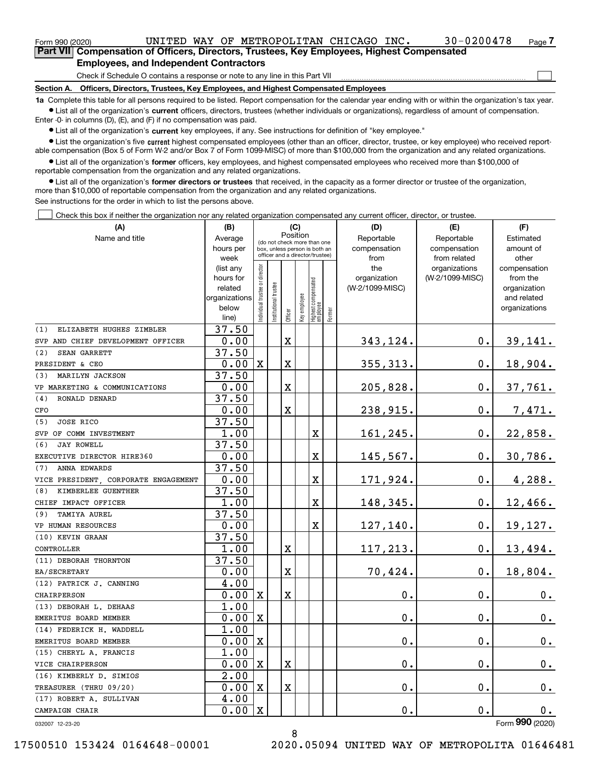## **Employees, and Independent Contractors**

Check if Schedule O contains a response or note to any line in this Part VII

**Section A. Officers, Directors, Trustees, Key Employees, and Highest Compensated Employees**

**1a**  Complete this table for all persons required to be listed. Report compensation for the calendar year ending with or within the organization's tax year. **•** List all of the organization's current officers, directors, trustees (whether individuals or organizations), regardless of amount of compensation.

Enter -0- in columns (D), (E), and (F) if no compensation was paid.

 $\bullet$  List all of the organization's  $\,$ current key employees, if any. See instructions for definition of "key employee."

**•** List the organization's five current highest compensated employees (other than an officer, director, trustee, or key employee) who received reportable compensation (Box 5 of Form W-2 and/or Box 7 of Form 1099-MISC) of more than \$100,000 from the organization and any related organizations.

**•** List all of the organization's former officers, key employees, and highest compensated employees who received more than \$100,000 of reportable compensation from the organization and any related organizations.

**former directors or trustees**  ¥ List all of the organization's that received, in the capacity as a former director or trustee of the organization, more than \$10,000 of reportable compensation from the organization and any related organizations.

See instructions for the order in which to list the persons above.

Check this box if neither the organization nor any related organization compensated any current officer, director, or trustee.  $\mathcal{L}^{\text{max}}$ 

| (A)                                 | (B)                    | (C)                                     |                                                                  |                       |              |                                 |        | (D)                 | (E)                              | (F)                      |
|-------------------------------------|------------------------|-----------------------------------------|------------------------------------------------------------------|-----------------------|--------------|---------------------------------|--------|---------------------|----------------------------------|--------------------------|
| Name and title                      | Average                | Position<br>(do not check more than one |                                                                  |                       |              |                                 |        | Reportable          | Reportable                       | Estimated                |
|                                     | hours per              |                                         | box, unless person is both an<br>officer and a director/trustee) |                       |              |                                 |        | compensation        | compensation                     | amount of                |
|                                     | week                   |                                         |                                                                  |                       |              |                                 |        | from                | from related                     | other                    |
|                                     | (list any<br>hours for |                                         |                                                                  |                       |              |                                 |        | the<br>organization | organizations<br>(W-2/1099-MISC) | compensation<br>from the |
|                                     | related                |                                         |                                                                  |                       |              |                                 |        | (W-2/1099-MISC)     |                                  | organization             |
|                                     | organizations          |                                         |                                                                  |                       |              |                                 |        |                     |                                  | and related              |
|                                     | below                  | ndividual trustee or director           | nstitutional trustee                                             |                       | key employee |                                 |        |                     |                                  | organizations            |
|                                     | line)                  |                                         |                                                                  | Officer               |              | Highest compensated<br>employee | Former |                     |                                  |                          |
| ELIZABETH HUGHES ZIMBLER<br>(1)     | 37.50                  |                                         |                                                                  |                       |              |                                 |        |                     |                                  |                          |
| SVP AND CHIEF DEVELOPMENT OFFICER   | 0.00                   |                                         |                                                                  | $\mathbf X$           |              |                                 |        | 343,124.            | 0.                               | 39,141.                  |
| <b>SEAN GARRETT</b><br>(2)          | 37.50                  |                                         |                                                                  |                       |              |                                 |        |                     |                                  |                          |
| PRESIDENT & CEO                     | 0.00                   | $\mathbf X$                             |                                                                  | X                     |              |                                 |        | 355, 313.           | 0.                               | 18,904.                  |
| MARILYN JACKSON<br>(3)              | 37.50                  |                                         |                                                                  |                       |              |                                 |        |                     |                                  |                          |
| VP MARKETING & COMMUNICATIONS       | 0.00                   |                                         |                                                                  | X                     |              |                                 |        | 205,828.            | 0.                               | 37,761.                  |
| (4)<br>RONALD DENARD                | 37.50                  |                                         |                                                                  |                       |              |                                 |        |                     |                                  |                          |
| CFO                                 | 0.00                   |                                         |                                                                  | $\mathbf X$           |              |                                 |        | 238,915.            | 0.                               | 7,471.                   |
| (5)<br><b>JOSE RICO</b>             | 37.50                  |                                         |                                                                  |                       |              |                                 |        |                     |                                  |                          |
| SVP OF COMM INVESTMENT              | 1.00                   |                                         |                                                                  |                       |              | X                               |        | 161,245.            | 0.                               | 22,858.                  |
| <b>JAY ROWELL</b><br>(6)            | 37.50                  |                                         |                                                                  |                       |              |                                 |        |                     |                                  |                          |
| EXECUTIVE DIRECTOR HIRE360          | 0.00                   |                                         |                                                                  |                       |              | X                               |        | 145,567.            | о.                               | 30,786.                  |
| ANNA EDWARDS<br>(7)                 | 37.50                  |                                         |                                                                  |                       |              |                                 |        |                     |                                  |                          |
| VICE PRESIDENT CORPORATE ENGAGEMENT | 0.00                   |                                         |                                                                  |                       |              | $\mathbf X$                     |        | 171,924.            | 0.                               | 4,288.                   |
| KIMBERLEE GUENTHER<br>(8)           | 37.50                  |                                         |                                                                  |                       |              |                                 |        |                     |                                  |                          |
| CHIEF IMPACT OFFICER                | 1.00                   |                                         |                                                                  |                       |              | X                               |        | 148,345.            | 0.                               | 12,466.                  |
| TAMIYA AUREL<br>(9)                 | 37.50                  |                                         |                                                                  |                       |              |                                 |        |                     |                                  |                          |
| VP HUMAN RESOURCES                  | 0.00                   |                                         |                                                                  |                       |              | х                               |        | 127,140.            | 0.                               | 19,127.                  |
| (10) KEVIN GRAAN                    | 37.50                  |                                         |                                                                  |                       |              |                                 |        |                     |                                  |                          |
| CONTROLLER                          | 1.00                   |                                         |                                                                  | X                     |              |                                 |        | 117,213.            | 0.                               | 13,494.                  |
| (11) DEBORAH THORNTON               | 37.50                  |                                         |                                                                  |                       |              |                                 |        |                     |                                  |                          |
| EA/SECRETARY                        | 0.00                   |                                         |                                                                  | X                     |              |                                 |        | 70,424.             | 0.                               | 18,804.                  |
| (12) PATRICK J. CANNING             | 4.00                   |                                         |                                                                  |                       |              |                                 |        |                     |                                  |                          |
| CHAIRPERSON                         | 0.00                   | $\mathbf x$                             |                                                                  | X                     |              |                                 |        | 0.                  | 0.                               | 0.                       |
| (13) DEBORAH L. DEHAAS              | 1.00                   |                                         |                                                                  |                       |              |                                 |        |                     |                                  |                          |
| EMERITUS BOARD MEMBER               | 0.00                   | X                                       |                                                                  |                       |              |                                 |        | 0.                  | 0.                               | $0_{.}$                  |
| (14) FEDERICK H. WADDELL            | 1.00                   |                                         |                                                                  |                       |              |                                 |        |                     |                                  |                          |
| EMERITUS BOARD MEMBER               | 0.00                   | X                                       |                                                                  |                       |              |                                 |        | 0.                  | 0.                               | 0.                       |
| (15) CHERYL A. FRANCIS              | 1.00                   |                                         |                                                                  |                       |              |                                 |        |                     |                                  |                          |
| VICE CHAIRPERSON                    | 0.00                   | $\mathbf X$                             |                                                                  | X                     |              |                                 |        | 0.                  | Ο.                               | 0.                       |
| (16) KIMBERLY D. SIMIOS             | 2.00                   |                                         |                                                                  |                       |              |                                 |        |                     |                                  |                          |
| TREASURER (THRU 09/20)              | 0.00                   | $\mathbf x$                             |                                                                  | $\overline{\text{X}}$ |              |                                 |        | 0.                  | 0.                               | 0.                       |
| (17) ROBERT A. SULLIVAN             | 4.00                   |                                         |                                                                  |                       |              |                                 |        |                     |                                  |                          |
| CAMPAIGN CHAIR                      | 0.00                   | $\mathbf x$                             |                                                                  |                       |              |                                 |        | 0.                  | 0.                               | 0.                       |
| 032007 12-23-20                     |                        |                                         |                                                                  |                       |              |                                 |        |                     |                                  | Form 990 (2020)          |

8

17500510 153424 0164648-00001 2020.05094 UNITED WAY OF METROPOLITA 01646481

 $\mathcal{L}^{\text{max}}$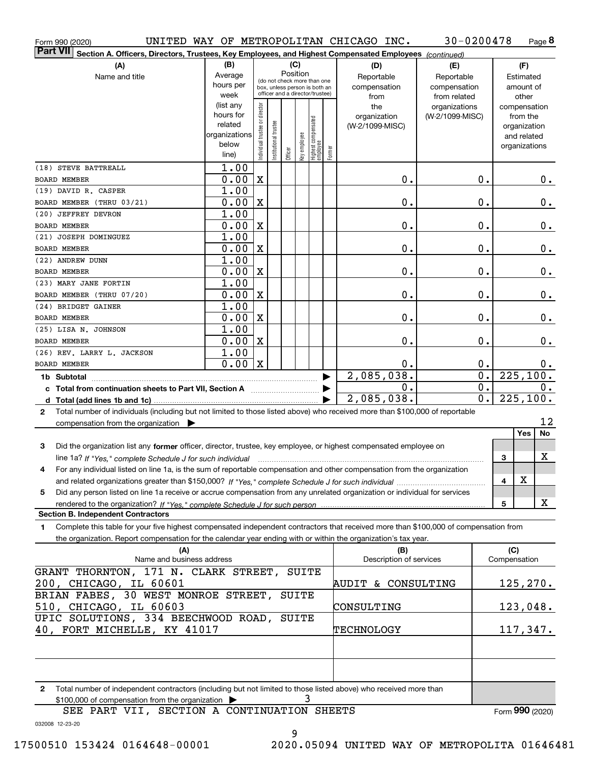| Form 990 (2020)                                                                                                                              |                               |                                |                       |                                                              |   |                                                 |        | UNITED WAY OF METROPOLITAN CHICAGO INC. | $30 - 0200478$  |                           |              |                              | Page 8    |
|----------------------------------------------------------------------------------------------------------------------------------------------|-------------------------------|--------------------------------|-----------------------|--------------------------------------------------------------|---|-------------------------------------------------|--------|-----------------------------------------|-----------------|---------------------------|--------------|------------------------------|-----------|
| <b>Part VII</b><br>Section A. Officers, Directors, Trustees, Key Employees, and Highest Compensated Employees (continued)                    |                               |                                |                       |                                                              |   |                                                 |        |                                         |                 |                           |              |                              |           |
| (A)                                                                                                                                          | (B)                           |                                |                       | (C)                                                          |   |                                                 |        | (D)                                     | (E)             |                           |              | (F)                          |           |
| Name and title                                                                                                                               | Average                       |                                |                       | Position                                                     |   |                                                 |        | Reportable                              | Reportable      |                           |              | Estimated                    |           |
|                                                                                                                                              | hours per                     |                                |                       | (do not check more than one<br>box, unless person is both an |   |                                                 |        | compensation                            | compensation    |                           |              | amount of                    |           |
|                                                                                                                                              | week                          |                                |                       | officer and a director/trustee)                              |   |                                                 |        | from                                    | from related    |                           |              | other                        |           |
|                                                                                                                                              | (list any                     |                                |                       |                                                              |   |                                                 |        | the                                     | organizations   |                           |              | compensation                 |           |
|                                                                                                                                              | hours for                     |                                |                       |                                                              |   |                                                 |        | organization                            | (W-2/1099-MISC) |                           |              | from the                     |           |
|                                                                                                                                              | related                       |                                |                       |                                                              |   |                                                 |        | (W-2/1099-MISC)                         |                 |                           |              | organization                 |           |
|                                                                                                                                              | organizations<br>below        |                                |                       |                                                              |   |                                                 |        |                                         |                 |                           |              | and related<br>organizations |           |
|                                                                                                                                              | line)                         | Individual trustee or director | Institutional trustee | Officer                                                      |   | key employee<br>Highest compensated<br>employee | Former |                                         |                 |                           |              |                              |           |
| (18) STEVE BATTREALL                                                                                                                         | 1.00                          |                                |                       |                                                              |   |                                                 |        |                                         |                 |                           |              |                              |           |
| <b>BOARD MEMBER</b>                                                                                                                          | 0.00                          | $\mathbf X$                    |                       |                                                              |   |                                                 |        | 0.                                      |                 | 0.                        |              |                              | 0.        |
| (19) DAVID R. CASPER                                                                                                                         | 1.00                          |                                |                       |                                                              |   |                                                 |        |                                         |                 |                           |              |                              |           |
| BOARD MEMBER (THRU 03/21)                                                                                                                    | 0.00                          | $\mathbf X$                    |                       |                                                              |   |                                                 |        | 0.                                      |                 | 0.                        |              |                              | $0$ .     |
| (20) JEFFREY DEVRON                                                                                                                          | 1.00                          |                                |                       |                                                              |   |                                                 |        |                                         |                 |                           |              |                              |           |
| <b>BOARD MEMBER</b>                                                                                                                          | 0.00                          | $\mathbf X$                    |                       |                                                              |   |                                                 |        | 0.                                      |                 | 0.                        |              |                              | $0$ .     |
| (21) JOSEPH DOMINGUEZ                                                                                                                        | 1.00                          |                                |                       |                                                              |   |                                                 |        |                                         |                 |                           |              |                              |           |
| <b>BOARD MEMBER</b>                                                                                                                          | 0.00                          | $\mathbf X$                    |                       |                                                              |   |                                                 |        | 0.                                      |                 | 0.                        |              |                              | $0$ .     |
| (22) ANDREW DUNN                                                                                                                             | 1.00                          |                                |                       |                                                              |   |                                                 |        |                                         |                 |                           |              |                              |           |
| BOARD MEMBER                                                                                                                                 | 0.00                          | $\mathbf X$                    |                       |                                                              |   |                                                 |        | 0.                                      |                 | 0.                        |              |                              | $0$ .     |
| (23) MARY JANE FORTIN                                                                                                                        | 1.00                          |                                |                       |                                                              |   |                                                 |        |                                         |                 |                           |              |                              |           |
| BOARD MEMBER (THRU 07/20)                                                                                                                    | 0.00                          | $\mathbf X$                    |                       |                                                              |   |                                                 |        | 0.                                      |                 | 0.                        |              |                              | $0$ .     |
| (24) BRIDGET GAINER                                                                                                                          | 1.00                          |                                |                       |                                                              |   |                                                 |        |                                         |                 |                           |              |                              |           |
| <b>BOARD MEMBER</b>                                                                                                                          | 0.00                          | X                              |                       |                                                              |   |                                                 |        | 0.                                      |                 | 0.                        |              |                              | $0\,.$    |
| (25) LISA N. JOHNSON                                                                                                                         | 1.00                          |                                |                       |                                                              |   |                                                 |        |                                         |                 |                           |              |                              |           |
| <b>BOARD MEMBER</b>                                                                                                                          | 0.00                          | X                              |                       |                                                              |   |                                                 |        | 0.                                      |                 | 0.                        |              |                              | $0$ .     |
| (26) REV. LARRY L. JACKSON                                                                                                                   | 1.00                          |                                |                       |                                                              |   |                                                 |        |                                         |                 |                           |              |                              |           |
| <b>BOARD MEMBER</b>                                                                                                                          | 0.00                          | $\mathbf X$                    |                       |                                                              |   |                                                 |        | 0.                                      |                 | 0.                        |              |                              | 0.        |
|                                                                                                                                              |                               |                                |                       |                                                              |   |                                                 |        | 2,085,038.                              |                 | $\overline{\mathbf{0}}$ . |              |                              | 225, 100. |
| c Total from continuation sheets to Part VII, Section A                                                                                      |                               |                                |                       |                                                              |   |                                                 |        | 0.                                      |                 | $\overline{0}$ .          |              |                              | 0.        |
|                                                                                                                                              |                               |                                |                       |                                                              |   |                                                 |        | 2,085,038.                              |                 | $\overline{0}$ .          | 225, 100.    |                              |           |
| Total number of individuals (including but not limited to those listed above) who received more than \$100,000 of reportable<br>$\mathbf{2}$ |                               |                                |                       |                                                              |   |                                                 |        |                                         |                 |                           |              |                              |           |
| compensation from the organization $\blacktriangleright$                                                                                     |                               |                                |                       |                                                              |   |                                                 |        |                                         |                 |                           |              |                              | 12        |
|                                                                                                                                              |                               |                                |                       |                                                              |   |                                                 |        |                                         |                 |                           |              | Yes                          | No        |
| 3<br>Did the organization list any former officer, director, trustee, key employee, or highest compensated employee on                       |                               |                                |                       |                                                              |   |                                                 |        |                                         |                 |                           |              |                              |           |
| line 1a? If "Yes," complete Schedule J for such individual manufactured contained and the Ves," complete Schedule J for such individual      |                               |                                |                       |                                                              |   |                                                 |        |                                         |                 |                           | З            |                              | X         |
| For any individual listed on line 1a, is the sum of reportable compensation and other compensation from the organization                     |                               |                                |                       |                                                              |   |                                                 |        |                                         |                 |                           |              |                              |           |
|                                                                                                                                              |                               |                                |                       |                                                              |   |                                                 |        |                                         |                 |                           | 4            | X                            |           |
| Did any person listed on line 1a receive or accrue compensation from any unrelated organization or individual for services<br>5              |                               |                                |                       |                                                              |   |                                                 |        |                                         |                 |                           |              |                              |           |
| rendered to the organization? If "Yes." complete Schedule J for such person                                                                  |                               |                                |                       |                                                              |   |                                                 |        |                                         |                 |                           | 5            |                              | X         |
| <b>Section B. Independent Contractors</b>                                                                                                    |                               |                                |                       |                                                              |   |                                                 |        |                                         |                 |                           |              |                              |           |
| Complete this table for your five highest compensated independent contractors that received more than \$100,000 of compensation from<br>1    |                               |                                |                       |                                                              |   |                                                 |        |                                         |                 |                           |              |                              |           |
| the organization. Report compensation for the calendar year ending with or within the organization's tax year.                               |                               |                                |                       |                                                              |   |                                                 |        |                                         |                 |                           |              |                              |           |
| (A)                                                                                                                                          |                               |                                |                       |                                                              |   |                                                 |        | (B)                                     |                 |                           | (C)          |                              |           |
| Name and business address                                                                                                                    |                               |                                |                       |                                                              |   |                                                 |        | Description of services                 |                 |                           | Compensation |                              |           |
| GRANT THORNTON, 171 N. CLARK STREET,                                                                                                         |                               |                                |                       |                                                              |   | SUITE                                           |        |                                         |                 |                           |              |                              |           |
| 200, CHICAGO, IL 60601                                                                                                                       |                               |                                |                       |                                                              |   |                                                 |        | AUDIT & CONSULTING                      |                 |                           |              | 125, 270.                    |           |
| BRIAN FABES, 30 WEST MONROE STREET,                                                                                                          |                               |                                |                       | SUITE                                                        |   |                                                 |        |                                         |                 |                           |              |                              |           |
| 510, CHICAGO, IL 60603                                                                                                                       |                               |                                |                       |                                                              |   |                                                 |        | CONSULTING                              |                 |                           |              | 123,048.                     |           |
| UPIC SOLUTIONS, 334 BEECHWOOD ROAD, SUITE                                                                                                    |                               |                                |                       |                                                              |   |                                                 |        |                                         |                 |                           |              |                              |           |
| 40, FORT MICHELLE, KY 41017                                                                                                                  |                               |                                |                       |                                                              |   |                                                 |        | TECHNOLOGY                              |                 |                           |              | 117,347.                     |           |
|                                                                                                                                              |                               |                                |                       |                                                              |   |                                                 |        |                                         |                 |                           |              |                              |           |
|                                                                                                                                              |                               |                                |                       |                                                              |   |                                                 |        |                                         |                 |                           |              |                              |           |
|                                                                                                                                              |                               |                                |                       |                                                              |   |                                                 |        |                                         |                 |                           |              |                              |           |
| Total number of independent contractors (including but not limited to those listed above) who received more than<br>2                        |                               |                                |                       |                                                              |   |                                                 |        |                                         |                 |                           |              |                              |           |
| \$100,000 of compensation from the organization                                                                                              |                               |                                |                       |                                                              | 3 |                                                 |        |                                         |                 |                           |              |                              |           |
| דדזו חסגם ססט                                                                                                                                | CECULON A CONTINUATION CUEFUC |                                |                       |                                                              |   |                                                 |        |                                         |                 |                           |              | $000 \; \text{mass}$         |           |

SEE PART VII, SECTION A CONTINUATION SHEETS

Form (2020) **990**

032008 12-23-20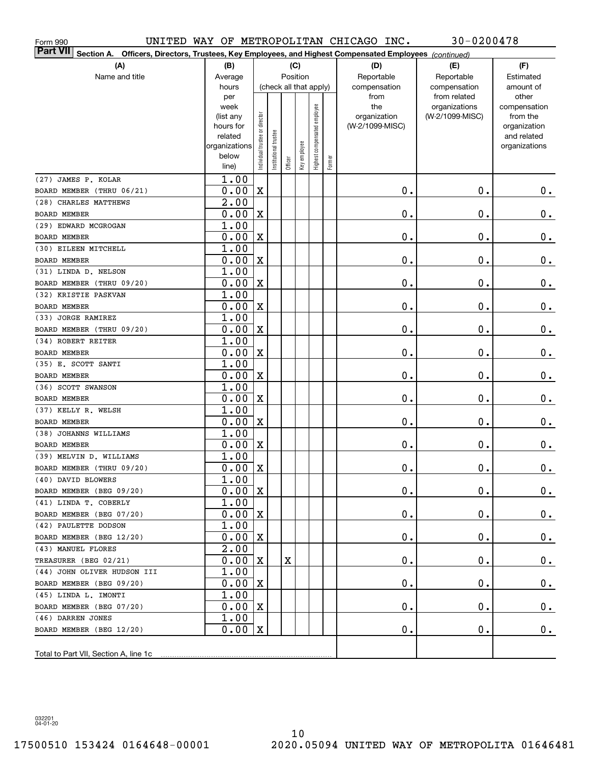| Form 990                                                                                                                            | $30 - 0200478$<br>UNITED WAY OF METROPOLITAN CHICAGO INC. |                                |                       |         |                        |                              |        |                     |                                  |                          |  |  |
|-------------------------------------------------------------------------------------------------------------------------------------|-----------------------------------------------------------|--------------------------------|-----------------------|---------|------------------------|------------------------------|--------|---------------------|----------------------------------|--------------------------|--|--|
| Part VII<br>Officers, Directors, Trustees, Key Employees, and Highest Compensated Employees (continued)<br>Section A.<br>(B)<br>(C) |                                                           |                                |                       |         |                        |                              |        |                     |                                  |                          |  |  |
| (A)                                                                                                                                 |                                                           | (D)                            | (E)                   | (F)     |                        |                              |        |                     |                                  |                          |  |  |
| Name and title                                                                                                                      | Average                                                   |                                |                       |         | Position               |                              |        | Reportable          | Reportable                       | Estimated                |  |  |
|                                                                                                                                     | hours                                                     |                                |                       |         | (check all that apply) |                              |        | compensation        | compensation                     | amount of                |  |  |
|                                                                                                                                     | per                                                       |                                |                       |         |                        |                              |        | from                | from related                     | other                    |  |  |
|                                                                                                                                     | week<br>(list any                                         |                                |                       |         |                        |                              |        | the<br>organization | organizations<br>(W-2/1099-MISC) | compensation<br>from the |  |  |
|                                                                                                                                     | hours for                                                 |                                |                       |         |                        |                              |        | (W-2/1099-MISC)     |                                  | organization             |  |  |
|                                                                                                                                     | related                                                   |                                |                       |         |                        |                              |        |                     |                                  | and related              |  |  |
|                                                                                                                                     | organizations                                             |                                |                       |         |                        |                              |        |                     |                                  | organizations            |  |  |
|                                                                                                                                     | below                                                     | Individual trustee or director | Institutional trustee | Officer | Key employee           | Highest compensated employee | Former |                     |                                  |                          |  |  |
|                                                                                                                                     | line)                                                     |                                |                       |         |                        |                              |        |                     |                                  |                          |  |  |
| (27) JAMES P. KOLAR                                                                                                                 | 1.00                                                      |                                |                       |         |                        |                              |        |                     |                                  |                          |  |  |
| BOARD MEMBER (THRU 06/21)                                                                                                           | 0.00                                                      | $\mathbf X$                    |                       |         |                        |                              |        | $\mathbf 0$ .       | 0.                               | $0_{.}$                  |  |  |
| (28) CHARLES MATTHEWS                                                                                                               | 2.00                                                      |                                |                       |         |                        |                              |        |                     |                                  |                          |  |  |
| <b>BOARD MEMBER</b>                                                                                                                 | 0.00                                                      | $\mathbf X$                    |                       |         |                        |                              |        | Ο.                  | $\mathbf 0$ .                    | $\mathbf 0$ .            |  |  |
| (29) EDWARD MCGROGAN                                                                                                                | 1.00                                                      |                                |                       |         |                        |                              |        |                     |                                  |                          |  |  |
| <b>BOARD MEMBER</b>                                                                                                                 | 0.00                                                      | $\mathbf X$                    |                       |         |                        |                              |        | 0.                  | 0.                               | $\mathbf 0$ .            |  |  |
| (30) EILEEN MITCHELL                                                                                                                | 1.00                                                      |                                |                       |         |                        |                              |        |                     |                                  |                          |  |  |
| <b>BOARD MEMBER</b>                                                                                                                 | 0.00                                                      | $\mathbf X$                    |                       |         |                        |                              |        | 0.                  | 0.                               | $\mathbf 0$ .            |  |  |
| (31) LINDA D. NELSON                                                                                                                | 1.00                                                      |                                |                       |         |                        |                              |        |                     |                                  |                          |  |  |
| BOARD MEMBER (THRU 09/20)                                                                                                           | 0.00                                                      | $\mathbf X$                    |                       |         |                        |                              |        | 0.                  | 0.                               | $\mathbf 0$ .            |  |  |
| (32) KRISTIE PASKVAN                                                                                                                | 1.00                                                      |                                |                       |         |                        |                              |        |                     |                                  |                          |  |  |
| <b>BOARD MEMBER</b><br>(33) JORGE RAMIREZ                                                                                           | 0.00<br>1.00                                              | $\mathbf X$                    |                       |         |                        |                              |        | 0.                  | 0.                               | $\mathbf 0$ .            |  |  |
| BOARD MEMBER (THRU 09/20)                                                                                                           | 0.00                                                      | $\mathbf X$                    |                       |         |                        |                              |        | 0.                  | 0.                               | $\mathbf 0$ .            |  |  |
| (34) ROBERT REITER                                                                                                                  | 1.00                                                      |                                |                       |         |                        |                              |        |                     |                                  |                          |  |  |
| <b>BOARD MEMBER</b>                                                                                                                 | 0.00                                                      | $\mathbf X$                    |                       |         |                        |                              |        | 0.                  | 0.                               | $0_{.}$                  |  |  |
| (35) E. SCOTT SANTI                                                                                                                 | 1.00                                                      |                                |                       |         |                        |                              |        |                     |                                  |                          |  |  |
| <b>BOARD MEMBER</b>                                                                                                                 | 0.00                                                      | $\mathbf X$                    |                       |         |                        |                              |        | 0.                  | 0.                               | $\mathbf 0$ .            |  |  |
| (36) SCOTT SWANSON                                                                                                                  | 1.00                                                      |                                |                       |         |                        |                              |        |                     |                                  |                          |  |  |
| <b>BOARD MEMBER</b>                                                                                                                 | 0.00                                                      | $\mathbf X$                    |                       |         |                        |                              |        | 0.                  | 0.                               | $\mathbf 0$ .            |  |  |
| (37) KELLY R. WELSH                                                                                                                 | 1.00                                                      |                                |                       |         |                        |                              |        |                     |                                  |                          |  |  |
| <b>BOARD MEMBER</b>                                                                                                                 | 0.00                                                      | $\mathbf X$                    |                       |         |                        |                              |        | 0.                  | 0.                               | 0.                       |  |  |
| (38) JOHANNS WILLIAMS                                                                                                               | 1.00                                                      |                                |                       |         |                        |                              |        |                     |                                  |                          |  |  |
| <b>BOARD MEMBER</b>                                                                                                                 | 0.00                                                      | $\mathbf X$                    |                       |         |                        |                              |        | 0.                  | 0.                               | 0.                       |  |  |
| (39) MELVIN D. WILLIAMS                                                                                                             | 1.00                                                      |                                |                       |         |                        |                              |        |                     |                                  |                          |  |  |
| BOARD MEMBER (THRU 09/20)                                                                                                           | $0.00$ X                                                  |                                |                       |         |                        |                              |        | $\pmb{0}$ .         | $\mathbf 0$ .                    | $\pmb{0}$ .              |  |  |
| (40) DAVID BLOWERS                                                                                                                  | 1.00                                                      |                                |                       |         |                        |                              |        |                     |                                  |                          |  |  |
| BOARD MEMBER (BEG 09/20)                                                                                                            | 0.00                                                      | X                              |                       |         |                        |                              |        | Ο.                  | $\mathbf 0$ .                    | $0_{.}$                  |  |  |
| (41) LINDA T. COBERLY                                                                                                               | 1.00                                                      |                                |                       |         |                        |                              |        |                     |                                  |                          |  |  |
| BOARD MEMBER (BEG 07/20)                                                                                                            | 0.00                                                      | X                              |                       |         |                        |                              |        | 0.                  | $\mathbf 0$ .                    | $0 \cdot$                |  |  |
| (42) PAULETTE DODSON                                                                                                                | 1.00                                                      |                                |                       |         |                        |                              |        |                     |                                  |                          |  |  |
| BOARD MEMBER (BEG 12/20)                                                                                                            | 0.00                                                      | X                              |                       |         |                        |                              |        | 0.                  | $\mathbf 0$ .                    | $0 \cdot$                |  |  |
| (43) MANUEL FLORES                                                                                                                  | 2.00                                                      |                                |                       |         |                        |                              |        |                     |                                  |                          |  |  |
| TREASURER (BEG 02/21)                                                                                                               | 0.00                                                      | х                              |                       | X       |                        |                              |        | 0.                  | $\mathbf 0$ .                    | $0 \cdot$                |  |  |
| (44) JOHN OLIVER HUDSON III                                                                                                         | 1.00                                                      |                                |                       |         |                        |                              |        |                     |                                  |                          |  |  |
| BOARD MEMBER (BEG 09/20)                                                                                                            | 0.00                                                      | х                              |                       |         |                        |                              |        | 0.                  | $\mathbf 0$ .                    | $0 \cdot$                |  |  |
| (45) LINDA L. IMONTI                                                                                                                | 1.00                                                      |                                |                       |         |                        |                              |        |                     |                                  |                          |  |  |
| BOARD MEMBER (BEG 07/20)                                                                                                            | 0.00                                                      | X                              |                       |         |                        |                              |        | 0.                  | $\mathbf 0$ .                    | $0_{.}$                  |  |  |
| (46) DARREN JONES                                                                                                                   | 1.00                                                      |                                |                       |         |                        |                              |        |                     |                                  |                          |  |  |
| BOARD MEMBER (BEG 12/20)                                                                                                            | 0.00                                                      | х                              |                       |         |                        |                              |        | Ο.                  | $\mathbf 0$ .                    | 0.                       |  |  |
|                                                                                                                                     |                                                           |                                |                       |         |                        |                              |        |                     |                                  |                          |  |  |
| Total to Part VII, Section A, line 1c                                                                                               |                                                           |                                |                       |         |                        |                              |        |                     |                                  |                          |  |  |

032201 04-01-20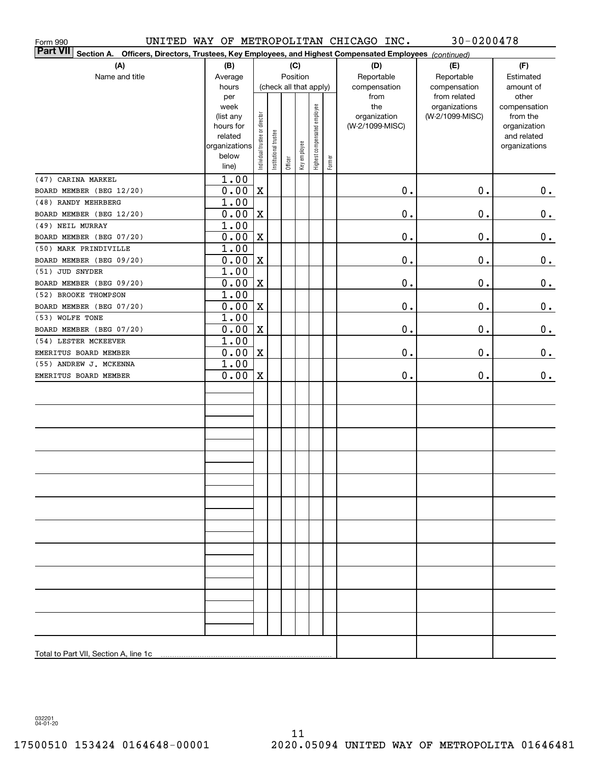| Form 990                                                                                                                     |                                                                                     |                                |                       |         |              |                                                        |        | UNITED WAY OF METROPOLITAN CHICAGO INC.                        | $30 - 0200478$                                                   |                                                                                                |
|------------------------------------------------------------------------------------------------------------------------------|-------------------------------------------------------------------------------------|--------------------------------|-----------------------|---------|--------------|--------------------------------------------------------|--------|----------------------------------------------------------------|------------------------------------------------------------------|------------------------------------------------------------------------------------------------|
| <b>Part VII</b><br>Section A.<br>Officers, Directors, Trustees, Key Employees, and Highest Compensated Employees (continued) |                                                                                     |                                |                       |         |              |                                                        |        |                                                                |                                                                  |                                                                                                |
| (A)                                                                                                                          | (B)                                                                                 |                                |                       |         | (C)          |                                                        |        | (D)                                                            | (E)                                                              | (F)                                                                                            |
| Name and title                                                                                                               | Average                                                                             |                                |                       |         | Position     |                                                        |        | Reportable                                                     | Reportable                                                       | Estimated                                                                                      |
|                                                                                                                              | hours<br>per<br>week<br>(list any<br>hours for<br>related<br>organizations<br>below | Individual trustee or director | Institutional trustee |         | Key employee | (check all that apply)<br>Highest compensated employee |        | compensation<br>from<br>the<br>organization<br>(W-2/1099-MISC) | compensation<br>from related<br>organizations<br>(W-2/1099-MISC) | amount of<br>other<br>compensation<br>from the<br>organization<br>and related<br>organizations |
|                                                                                                                              | line)                                                                               |                                |                       | Officer |              |                                                        | Former |                                                                |                                                                  |                                                                                                |
| (47) CARINA MARKEL                                                                                                           | 1.00                                                                                |                                |                       |         |              |                                                        |        |                                                                |                                                                  |                                                                                                |
| BOARD MEMBER (BEG 12/20)                                                                                                     | 0.00                                                                                | $\mathbf X$                    |                       |         |              |                                                        |        | $\mathbf 0$ .                                                  | 0.                                                               | 0.                                                                                             |
| (48) RANDY MEHRBERG                                                                                                          | 1.00                                                                                |                                |                       |         |              |                                                        |        |                                                                |                                                                  |                                                                                                |
| BOARD MEMBER (BEG 12/20)                                                                                                     | 0.00                                                                                | X                              |                       |         |              |                                                        |        | $\mathbf 0$ .                                                  | 0.                                                               | $\mathbf 0$ .                                                                                  |
| (49) NEIL MURRAY                                                                                                             | 1.00                                                                                |                                |                       |         |              |                                                        |        |                                                                |                                                                  |                                                                                                |
| BOARD MEMBER (BEG 07/20)                                                                                                     | 0.00                                                                                | $\mathbf X$                    |                       |         |              |                                                        |        | $\mathbf 0$ .                                                  | 0.                                                               | $\mathbf 0$ .                                                                                  |
| (50) MARK PRINDIVILLE                                                                                                        | 1.00                                                                                |                                |                       |         |              |                                                        |        |                                                                |                                                                  |                                                                                                |
| BOARD MEMBER (BEG 09/20)                                                                                                     | 0.00                                                                                | $\mathbf X$                    |                       |         |              |                                                        |        | $\mathbf 0$ .                                                  | 0.                                                               | $\mathbf 0$ .                                                                                  |
| (51) JUD SNYDER                                                                                                              | 1.00                                                                                |                                |                       |         |              |                                                        |        |                                                                |                                                                  |                                                                                                |
| BOARD MEMBER (BEG 09/20)                                                                                                     | 0.00                                                                                | $\mathbf X$                    |                       |         |              |                                                        |        | $\mathbf 0$ .                                                  | 0.                                                               | $\mathbf 0$ .                                                                                  |
| (52) BROOKE THOMPSON                                                                                                         | 1.00                                                                                |                                |                       |         |              |                                                        |        |                                                                |                                                                  |                                                                                                |
| BOARD MEMBER (BEG 07/20)                                                                                                     | 0.00                                                                                | $\mathbf X$                    |                       |         |              |                                                        |        | $\mathfrak o$ .                                                | 0.                                                               | $\mathbf 0$ .                                                                                  |
| (53) WOLFE TONE                                                                                                              | 1.00                                                                                |                                |                       |         |              |                                                        |        |                                                                |                                                                  |                                                                                                |
| BOARD MEMBER (BEG 07/20)                                                                                                     | 0.00                                                                                | $\mathbf X$                    |                       |         |              |                                                        |        | $\mathfrak o$ .                                                | 0.                                                               | $\mathbf 0$ .                                                                                  |
| (54) LESTER MCKEEVER                                                                                                         | 1.00                                                                                |                                |                       |         |              |                                                        |        |                                                                |                                                                  |                                                                                                |
| EMERITUS BOARD MEMBER                                                                                                        | 0.00                                                                                | $\mathbf X$                    |                       |         |              |                                                        |        | $\mathbf 0$ .                                                  | 0.                                                               | $0_{.}$                                                                                        |
| (55) ANDREW J. MCKENNA                                                                                                       | 1.00                                                                                |                                |                       |         |              |                                                        |        |                                                                |                                                                  |                                                                                                |
| EMERITUS BOARD MEMBER                                                                                                        | 0.00                                                                                | X                              |                       |         |              |                                                        |        | $\mathbf 0$ .                                                  | 0.                                                               | 0.                                                                                             |
|                                                                                                                              |                                                                                     |                                |                       |         |              |                                                        |        |                                                                |                                                                  |                                                                                                |
|                                                                                                                              |                                                                                     |                                |                       |         |              |                                                        |        |                                                                |                                                                  |                                                                                                |
|                                                                                                                              |                                                                                     |                                |                       |         |              |                                                        |        |                                                                |                                                                  |                                                                                                |
|                                                                                                                              |                                                                                     |                                |                       |         |              |                                                        |        |                                                                |                                                                  |                                                                                                |
|                                                                                                                              |                                                                                     |                                |                       |         |              |                                                        |        |                                                                |                                                                  |                                                                                                |
|                                                                                                                              |                                                                                     |                                |                       |         |              |                                                        |        |                                                                |                                                                  |                                                                                                |
|                                                                                                                              |                                                                                     |                                |                       |         |              |                                                        |        |                                                                |                                                                  |                                                                                                |
|                                                                                                                              |                                                                                     |                                |                       |         |              |                                                        |        |                                                                |                                                                  |                                                                                                |
|                                                                                                                              |                                                                                     |                                |                       |         |              |                                                        |        |                                                                |                                                                  |                                                                                                |
|                                                                                                                              |                                                                                     |                                |                       |         |              |                                                        |        |                                                                |                                                                  |                                                                                                |
|                                                                                                                              |                                                                                     |                                |                       |         |              |                                                        |        |                                                                |                                                                  |                                                                                                |
|                                                                                                                              |                                                                                     |                                |                       |         |              |                                                        |        |                                                                |                                                                  |                                                                                                |
|                                                                                                                              |                                                                                     |                                |                       |         |              |                                                        |        |                                                                |                                                                  |                                                                                                |
|                                                                                                                              |                                                                                     |                                |                       |         |              |                                                        |        |                                                                |                                                                  |                                                                                                |
|                                                                                                                              |                                                                                     |                                |                       |         |              |                                                        |        |                                                                |                                                                  |                                                                                                |
|                                                                                                                              |                                                                                     |                                |                       |         |              |                                                        |        |                                                                |                                                                  |                                                                                                |
|                                                                                                                              |                                                                                     |                                |                       |         |              |                                                        |        |                                                                |                                                                  |                                                                                                |
| Total to Part VII, Section A, line 1c                                                                                        |                                                                                     |                                |                       |         |              |                                                        |        |                                                                |                                                                  |                                                                                                |

032201 04-01-20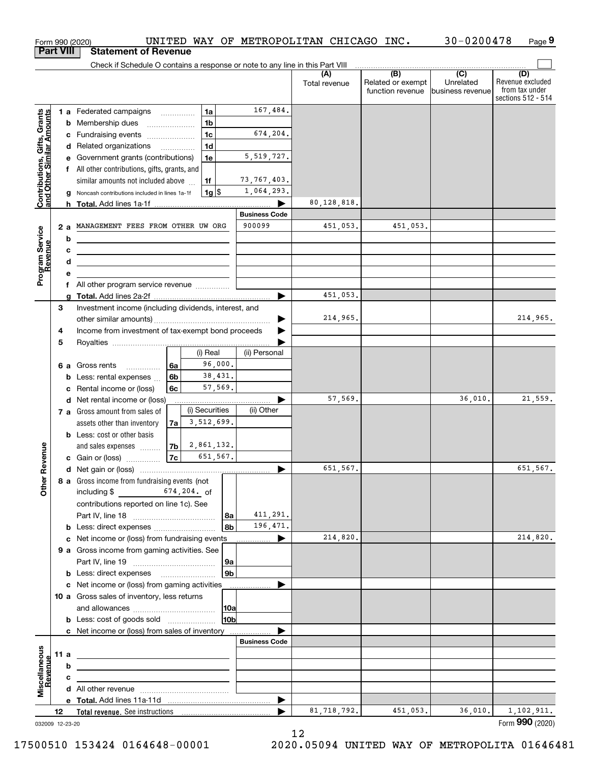|                                                           |                                                    |         | Form 990 (2020)                                                                     |                          |                |         |                           | UNITED WAY OF METROPOLITAN CHICAGO INC. |                                       | 30-0200478                    | Page 9                                                   |
|-----------------------------------------------------------|----------------------------------------------------|---------|-------------------------------------------------------------------------------------|--------------------------|----------------|---------|---------------------------|-----------------------------------------|---------------------------------------|-------------------------------|----------------------------------------------------------|
|                                                           | <b>Part VIII</b>                                   |         | <b>Statement of Revenue</b>                                                         |                          |                |         |                           |                                         |                                       |                               |                                                          |
|                                                           |                                                    |         | Check if Schedule O contains a response or note to any line in this Part VIII       |                          |                |         |                           | (A)                                     | (B)                                   | (C)                           | (D)                                                      |
|                                                           |                                                    |         |                                                                                     |                          |                |         |                           | Total revenue                           | Related or exempt<br>function revenue | Unrelated<br>business revenue | Revenue excluded<br>from tax under<br>sections 512 - 514 |
|                                                           |                                                    |         | 1 a Federated campaigns                                                             |                          | 1a             |         | 167,484.                  |                                         |                                       |                               |                                                          |
| Contributions, Gifts, Grants<br>and Other Similar Amounts |                                                    |         | <b>b</b> Membership dues<br>$\ldots \ldots \ldots \ldots \ldots$                    |                          | 1 <sub>b</sub> |         |                           |                                         |                                       |                               |                                                          |
|                                                           |                                                    |         | c Fundraising events                                                                |                          | 1 <sub>c</sub> |         | 674,204.                  |                                         |                                       |                               |                                                          |
|                                                           |                                                    |         | d Related organizations                                                             | $\overline{\phantom{a}}$ | 1 <sub>d</sub> |         |                           |                                         |                                       |                               |                                                          |
|                                                           |                                                    |         | e Government grants (contributions)                                                 |                          | 1e             |         | 5, 519, 727.              |                                         |                                       |                               |                                                          |
|                                                           |                                                    |         | f All other contributions, gifts, grants, and                                       |                          |                |         |                           |                                         |                                       |                               |                                                          |
|                                                           |                                                    |         | similar amounts not included above                                                  |                          | 1f             |         | 73,767,403.               |                                         |                                       |                               |                                                          |
|                                                           |                                                    |         | Noncash contributions included in lines 1a-1f                                       |                          | 1g             |         | 1,064,293.                |                                         |                                       |                               |                                                          |
|                                                           |                                                    |         |                                                                                     |                          |                |         | .<br><b>Business Code</b> | 80,128,818.                             |                                       |                               |                                                          |
|                                                           |                                                    |         | MANAGEMENT FEES FROM OTHER UW ORG                                                   |                          |                |         | 900099                    | 451,053.                                | 451,053.                              |                               |                                                          |
|                                                           |                                                    | 2а<br>b |                                                                                     |                          |                |         |                           |                                         |                                       |                               |                                                          |
|                                                           |                                                    | с       |                                                                                     |                          |                |         |                           |                                         |                                       |                               |                                                          |
|                                                           |                                                    | d       |                                                                                     |                          |                |         |                           |                                         |                                       |                               |                                                          |
| Program Service<br>Revenue                                | е                                                  |         |                                                                                     |                          |                |         |                           |                                         |                                       |                               |                                                          |
|                                                           |                                                    | f       | All other program service revenue                                                   |                          |                |         |                           |                                         |                                       |                               |                                                          |
|                                                           |                                                    | a       |                                                                                     |                          |                |         |                           | 451,053.                                |                                       |                               |                                                          |
|                                                           | 3                                                  |         | Investment income (including dividends, interest, and                               |                          |                |         |                           |                                         |                                       |                               |                                                          |
|                                                           | Income from investment of tax-exempt bond proceeds |         |                                                                                     |                          |                |         |                           | 214,965.                                |                                       |                               | 214,965.                                                 |
|                                                           | 4                                                  |         |                                                                                     |                          |                |         |                           |                                         |                                       |                               |                                                          |
|                                                           | 5                                                  |         |                                                                                     |                          | (i) Real       |         |                           |                                         |                                       |                               |                                                          |
|                                                           |                                                    |         |                                                                                     |                          |                | 96,000. | (ii) Personal             |                                         |                                       |                               |                                                          |
|                                                           |                                                    |         | 6 a Gross rents<br>.<br><b>b</b> Less: rental expenses                              | 6а<br>6b                 |                | 38,431. |                           |                                         |                                       |                               |                                                          |
|                                                           |                                                    | с       | Rental income or (loss)                                                             | 6с                       |                | 57,569. |                           |                                         |                                       |                               |                                                          |
|                                                           |                                                    |         | d Net rental income or (loss)                                                       |                          |                |         |                           | 57,569.                                 |                                       | 36,010.                       | 21,559.                                                  |
|                                                           |                                                    |         | 7 a Gross amount from sales of                                                      |                          | (i) Securities |         | (ii) Other                |                                         |                                       |                               |                                                          |
|                                                           |                                                    |         | assets other than inventory                                                         | 7a                       | 3,512,699.     |         |                           |                                         |                                       |                               |                                                          |
|                                                           |                                                    |         | <b>b</b> Less: cost or other basis                                                  |                          |                |         |                           |                                         |                                       |                               |                                                          |
|                                                           |                                                    |         | and sales expenses                                                                  | 7b                       | 2,861,132.     |         |                           |                                         |                                       |                               |                                                          |
| venue                                                     |                                                    |         | c Gain or (loss)                                                                    | 7c                       | 651,567.       |         |                           |                                         |                                       |                               |                                                          |
|                                                           |                                                    |         |                                                                                     |                          |                |         |                           | 651,567.                                |                                       |                               | 651,567.                                                 |
| Other Re                                                  |                                                    |         | 8 a Gross income from fundraising events (not                                       |                          |                |         |                           |                                         |                                       |                               |                                                          |
|                                                           |                                                    |         | $674, 204.$ of<br>including \$<br>contributions reported on line 1c). See           |                          |                |         |                           |                                         |                                       |                               |                                                          |
|                                                           |                                                    |         |                                                                                     |                          |                | 8a      | 411,291.                  |                                         |                                       |                               |                                                          |
|                                                           |                                                    |         | <b>b</b> Less: direct expenses                                                      |                          |                | 8b      | 196,471.                  |                                         |                                       |                               |                                                          |
|                                                           |                                                    |         | Net income or (loss) from fundraising events                                        |                          |                |         | .                         | 214,820.                                |                                       |                               | 214,820.                                                 |
|                                                           |                                                    |         | 9 a Gross income from gaming activities. See                                        |                          |                |         |                           |                                         |                                       |                               |                                                          |
|                                                           |                                                    |         |                                                                                     |                          |                | 9a      |                           |                                         |                                       |                               |                                                          |
|                                                           |                                                    |         |                                                                                     |                          |                | 9b      |                           |                                         |                                       |                               |                                                          |
|                                                           |                                                    |         | c Net income or (loss) from gaming activities                                       |                          |                |         |                           |                                         |                                       |                               |                                                          |
|                                                           |                                                    |         | 10 a Gross sales of inventory, less returns                                         |                          |                |         |                           |                                         |                                       |                               |                                                          |
|                                                           |                                                    |         |                                                                                     |                          |                | 10a     |                           |                                         |                                       |                               |                                                          |
|                                                           |                                                    |         | <b>b</b> Less: cost of goods sold<br>c Net income or (loss) from sales of inventory |                          |                | 10b     |                           |                                         |                                       |                               |                                                          |
|                                                           |                                                    |         |                                                                                     |                          |                |         | <b>Business Code</b>      |                                         |                                       |                               |                                                          |
|                                                           | 11 a                                               |         |                                                                                     |                          |                |         |                           |                                         |                                       |                               |                                                          |
|                                                           |                                                    | b       |                                                                                     |                          |                |         |                           |                                         |                                       |                               |                                                          |
|                                                           |                                                    | с       |                                                                                     |                          |                |         |                           |                                         |                                       |                               |                                                          |
| Miscellaneous                                             |                                                    |         |                                                                                     |                          |                |         |                           |                                         |                                       |                               |                                                          |
|                                                           |                                                    |         |                                                                                     |                          |                |         | ▶                         |                                         |                                       |                               |                                                          |
|                                                           | 12                                                 |         |                                                                                     |                          |                |         |                           | 81,718,792.                             | 451,053.                              | 36,010.                       | 1,102,911.                                               |
| 032009 12-23-20                                           |                                                    |         |                                                                                     |                          |                |         |                           |                                         |                                       |                               | Form 990 (2020)                                          |

<sup>032009 12-23-20</sup>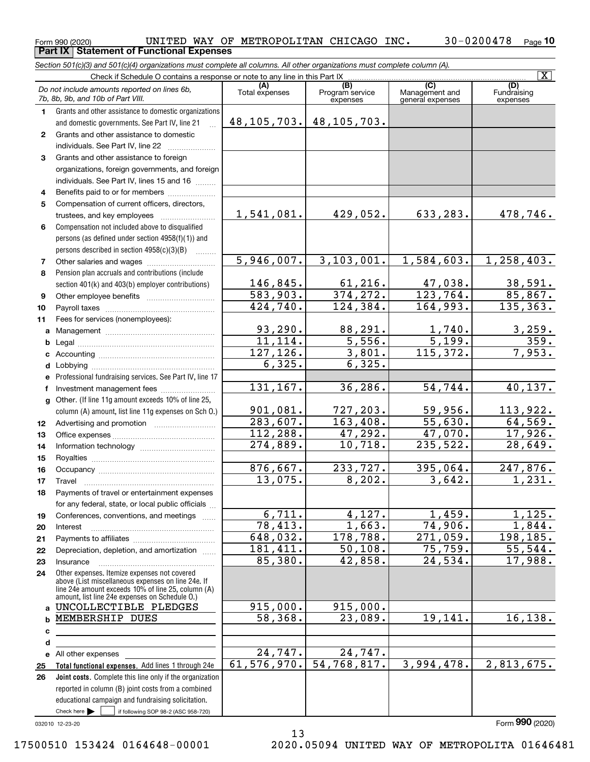### $_{\rm Form}$ 990 (2020) UNITED WAY OF METROPOLITAN CHICAGO INC.  $_{\rm 30-0200478$   $_{\rm Page}$ **10 Part IX Statement of Functional Expenses**

*Section 501(c)(3) and 501(c)(4) organizations must complete all columns. All other organizations must complete column (A).*

|                |                                                                                                                                                                                                            |                       |                                    |                                                      | $\overline{\mathbf{x}}$        |  |  |  |
|----------------|------------------------------------------------------------------------------------------------------------------------------------------------------------------------------------------------------------|-----------------------|------------------------------------|------------------------------------------------------|--------------------------------|--|--|--|
|                | Do not include amounts reported on lines 6b,<br>7b, 8b, 9b, and 10b of Part VIII.                                                                                                                          | (A)<br>Total expenses | (B)<br>Program service<br>expenses | $\overline{C}$<br>Management and<br>general expenses | (D)<br>Fundraising<br>expenses |  |  |  |
| $\mathbf{1}$   | Grants and other assistance to domestic organizations                                                                                                                                                      |                       |                                    |                                                      |                                |  |  |  |
|                | and domestic governments. See Part IV, line 21                                                                                                                                                             | 48, 105, 703.         | 48, 105, 703.                      |                                                      |                                |  |  |  |
| $\mathbf{2}$   | Grants and other assistance to domestic                                                                                                                                                                    |                       |                                    |                                                      |                                |  |  |  |
|                | individuals. See Part IV, line 22                                                                                                                                                                          |                       |                                    |                                                      |                                |  |  |  |
| 3              | Grants and other assistance to foreign                                                                                                                                                                     |                       |                                    |                                                      |                                |  |  |  |
|                | organizations, foreign governments, and foreign                                                                                                                                                            |                       |                                    |                                                      |                                |  |  |  |
|                | individuals. See Part IV, lines 15 and 16                                                                                                                                                                  |                       |                                    |                                                      |                                |  |  |  |
| 4              | Benefits paid to or for members                                                                                                                                                                            |                       |                                    |                                                      |                                |  |  |  |
| 5              | Compensation of current officers, directors,                                                                                                                                                               |                       |                                    |                                                      |                                |  |  |  |
|                | trustees, and key employees                                                                                                                                                                                | 1,541,081.            | 429,052.                           | 633,283.                                             | 478,746.                       |  |  |  |
| 6              | Compensation not included above to disqualified                                                                                                                                                            |                       |                                    |                                                      |                                |  |  |  |
|                | persons (as defined under section 4958(f)(1)) and                                                                                                                                                          |                       |                                    |                                                      |                                |  |  |  |
|                | persons described in section 4958(c)(3)(B)                                                                                                                                                                 |                       |                                    |                                                      |                                |  |  |  |
| $\overline{7}$ |                                                                                                                                                                                                            | 5,946,007.            | 3,103,001.                         | 1,584,603.                                           | 1,258,403.                     |  |  |  |
| 8              | Pension plan accruals and contributions (include                                                                                                                                                           |                       |                                    |                                                      |                                |  |  |  |
|                | section 401(k) and 403(b) employer contributions)                                                                                                                                                          | 146,845.              | 61, 216.                           | 47,038.                                              | 38,591.                        |  |  |  |
| 9              |                                                                                                                                                                                                            | 583,903.<br>424,740.  | 374, 272.<br>124, 384.             | $\overline{123,764}$ .<br>164,993.                   | 85,867.<br>135, 363.           |  |  |  |
| 10             |                                                                                                                                                                                                            |                       |                                    |                                                      |                                |  |  |  |
| 11             | Fees for services (nonemployees):                                                                                                                                                                          | 93, 290.              | 88,291.                            |                                                      |                                |  |  |  |
| a              |                                                                                                                                                                                                            | 11, 114.              | 5,556.                             | 1,740.<br>$\overline{5,199}$ .                       | $\frac{3,259}{359}$ .          |  |  |  |
| b              |                                                                                                                                                                                                            | 127, 126.             | 3,801.                             | 115,372.                                             | 7,953.                         |  |  |  |
| с              |                                                                                                                                                                                                            | $\overline{6,325}$ .  | 6,325.                             |                                                      |                                |  |  |  |
| d<br>е         | Professional fundraising services. See Part IV, line 17                                                                                                                                                    |                       |                                    |                                                      |                                |  |  |  |
| f              | Investment management fees                                                                                                                                                                                 | 131,167.              | 36, 286.                           | 54,744.                                              | 40, 137.                       |  |  |  |
| $\mathbf{q}$   | Other. (If line 11g amount exceeds 10% of line 25,                                                                                                                                                         |                       |                                    |                                                      |                                |  |  |  |
|                | column (A) amount, list line 11g expenses on Sch O.)                                                                                                                                                       | 901,081.              | 727,203.                           | 59,956.                                              | 113,922.                       |  |  |  |
| 12             |                                                                                                                                                                                                            | 283,607.              | 163,408.                           | 55,630.                                              | 64,569.                        |  |  |  |
| 13             |                                                                                                                                                                                                            | 112, 288.             | 47,292.                            | 47,070.                                              | 17,926.                        |  |  |  |
| 14             |                                                                                                                                                                                                            | 274,889.              | 10,718.                            | 235,522.                                             | 28,649.                        |  |  |  |
| 15             |                                                                                                                                                                                                            |                       |                                    |                                                      |                                |  |  |  |
| 16             |                                                                                                                                                                                                            | 876,667.              | 233,727.                           | 395,064.                                             | 247,876.                       |  |  |  |
| 17             | Travel                                                                                                                                                                                                     | 13,075.               | 8,202.                             | 3,642.                                               | 1,231.                         |  |  |  |
| 18             | Payments of travel or entertainment expenses                                                                                                                                                               |                       |                                    |                                                      |                                |  |  |  |
|                | for any federal, state, or local public officials                                                                                                                                                          |                       |                                    |                                                      |                                |  |  |  |
| 19             | Conferences, conventions, and meetings                                                                                                                                                                     | 6,711.                | 4,127.                             | 1,459.                                               | 1,125.                         |  |  |  |
| 20             | Interest                                                                                                                                                                                                   | 78,413.               | 1,663.                             | 74,906.                                              | 1,844.                         |  |  |  |
| 21             |                                                                                                                                                                                                            | 648,032.              | 178, 788.                          | 271,059.                                             | 198,185.                       |  |  |  |
| 22             | Depreciation, depletion, and amortization                                                                                                                                                                  | 181,411.              | 50,108.                            | 75,759.                                              | 55,544.                        |  |  |  |
| 23             | Insurance                                                                                                                                                                                                  | 85,380.               | 42,858.                            | 24,534.                                              | 17,988.                        |  |  |  |
| 24             | Other expenses. Itemize expenses not covered<br>above (List miscellaneous expenses on line 24e. If<br>line 24e amount exceeds 10% of line 25, column (A)<br>amount, list line 24e expenses on Schedule O.) |                       |                                    |                                                      |                                |  |  |  |
| a              | UNCOLLECTIBLE PLEDGES                                                                                                                                                                                      | 915,000.              | 915,000.                           |                                                      |                                |  |  |  |
| b              | MEMBERSHIP DUES                                                                                                                                                                                            | 58,368.               | 23,089.                            | 19,141.                                              | 16, 138.                       |  |  |  |
| с              |                                                                                                                                                                                                            |                       |                                    |                                                      |                                |  |  |  |
| d              |                                                                                                                                                                                                            |                       |                                    |                                                      |                                |  |  |  |
| е              | All other expenses                                                                                                                                                                                         | 24,747.               | 24,747.                            |                                                      |                                |  |  |  |
| 25             | Total functional expenses. Add lines 1 through 24e                                                                                                                                                         | 61, 576, 970.         | 54,768,817.                        | 3,994,478.                                           | 2,813,675.                     |  |  |  |
| 26             | Joint costs. Complete this line only if the organization                                                                                                                                                   |                       |                                    |                                                      |                                |  |  |  |
|                | reported in column (B) joint costs from a combined                                                                                                                                                         |                       |                                    |                                                      |                                |  |  |  |
|                | educational campaign and fundraising solicitation.                                                                                                                                                         |                       |                                    |                                                      |                                |  |  |  |
|                | Check here $\blacktriangleright$<br>if following SOP 98-2 (ASC 958-720)                                                                                                                                    |                       |                                    |                                                      | מחח                            |  |  |  |

032010 12-23-20

## 17500510 153424 0164648-00001 2020.05094 UNITED WAY OF METROPOLITA 01646481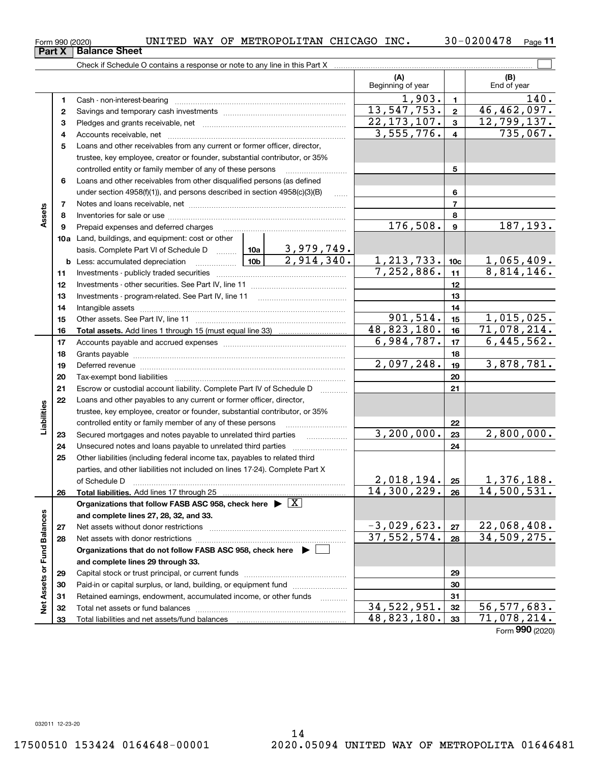Total liabilities and net assets/fund balances

## $_{\rm Form}$ 990 (2020) UNITED WAY OF METROPOLITAN CHICAGO INC.  $_{\rm 30-0200478$   $_{\rm Page}$ Check if Schedule O contains a response or note to any line in this Part X **Part X** | Balance Sheet

**11**

 $\mathcal{L}^{\text{max}}$ 

|                             |              |                                                                                                                                                                 |            |               | (A)<br>Beginning of year |                 | (B)<br>End of year              |
|-----------------------------|--------------|-----------------------------------------------------------------------------------------------------------------------------------------------------------------|------------|---------------|--------------------------|-----------------|---------------------------------|
|                             | 1            | Cash - non-interest-bearing                                                                                                                                     |            |               | 1,903.                   | $\mathbf{1}$    | 140.                            |
|                             | $\mathbf{2}$ |                                                                                                                                                                 |            |               | 13,547,753.              | $\bf 2$         | 46,462,097.                     |
|                             | з            |                                                                                                                                                                 |            |               | 22, 173, 107.            | 3               | 12,799,137.                     |
|                             | 4            |                                                                                                                                                                 |            |               | 3,555,776.               | $\overline{4}$  | 735,067.                        |
|                             | 5            | Loans and other receivables from any current or former officer, director,                                                                                       |            |               |                          |                 |                                 |
|                             |              | trustee, key employee, creator or founder, substantial contributor, or 35%                                                                                      |            |               |                          |                 |                                 |
|                             |              | controlled entity or family member of any of these persons                                                                                                      |            |               |                          | 5               |                                 |
|                             | 6            | Loans and other receivables from other disqualified persons (as defined                                                                                         |            |               |                          |                 |                                 |
|                             |              | under section 4958(f)(1)), and persons described in section 4958(c)(3)(B)                                                                                       |            | .             |                          | 6               |                                 |
|                             | 7            |                                                                                                                                                                 |            |               | $\overline{\phantom{a}}$ |                 |                                 |
| Assets                      | 8            |                                                                                                                                                                 |            |               | 8                        |                 |                                 |
|                             | 9            | Prepaid expenses and deferred charges                                                                                                                           |            | 176,508.      | 9                        | 187,193.        |                                 |
|                             |              | 10a Land, buildings, and equipment: cost or other                                                                                                               |            |               |                          |                 |                                 |
|                             |              | basis. Complete Part VI of Schedule D $\begin{array}{ c c c c c }\n\hline\n10a & 3,979,749. \text{Less: accumulated depreciation} & & & \\ \hline\n\end{array}$ |            |               |                          |                 |                                 |
|                             |              | <b>b</b> Less: accumulated depreciation                                                                                                                         |            |               | 1, 213, 733.             | 10 <sub>c</sub> | $\frac{1,065,409.}{8,814,146.}$ |
|                             | 11           |                                                                                                                                                                 |            | 7,252,886.    | 11                       |                 |                                 |
|                             | 12           |                                                                                                                                                                 |            | 12            |                          |                 |                                 |
|                             | 13           | Investments - program-related. See Part IV, line 11                                                                                                             |            | 13            |                          |                 |                                 |
|                             | 14           |                                                                                                                                                                 |            |               |                          | 14              |                                 |
|                             | 15           |                                                                                                                                                                 |            |               | 901, 514.                | 15              | 1,015,025.                      |
|                             | 16           |                                                                                                                                                                 |            |               | 48,823,180.              | 16              | 71,078,214.                     |
|                             | 17           |                                                                                                                                                                 |            | 6,984,787.    | 17                       | 6,445,562.      |                                 |
|                             | 18           |                                                                                                                                                                 | 2,097,248. | 18            | 3,878,781.               |                 |                                 |
|                             | 19           | Deferred revenue manual contracts and contracts are all the manual contracts and contracts are all the contracts of                                             |            | 19            |                          |                 |                                 |
|                             | 20           |                                                                                                                                                                 |            |               |                          | 20              |                                 |
|                             | 21<br>22     | Escrow or custodial account liability. Complete Part IV of Schedule D                                                                                           |            |               |                          | 21              |                                 |
|                             |              | Loans and other payables to any current or former officer, director,<br>trustee, key employee, creator or founder, substantial contributor, or 35%              |            |               |                          |                 |                                 |
| Liabilities                 |              | controlled entity or family member of any of these persons                                                                                                      |            |               |                          | 22              |                                 |
|                             | 23           | Secured mortgages and notes payable to unrelated third parties                                                                                                  |            |               | 3,200,000.               | 23              | 2,800,000.                      |
|                             | 24           | Unsecured notes and loans payable to unrelated third parties                                                                                                    |            | .             |                          | 24              |                                 |
|                             | 25           | Other liabilities (including federal income tax, payables to related third                                                                                      |            |               |                          |                 |                                 |
|                             |              | parties, and other liabilities not included on lines 17-24). Complete Part X                                                                                    |            |               |                          |                 |                                 |
|                             |              | of Schedule D                                                                                                                                                   |            |               | 2,018,194.               | 25              | 1,376,188.                      |
|                             | 26           |                                                                                                                                                                 |            |               | 14,300,229.              | 26              | 14,500,531.                     |
|                             |              | Organizations that follow FASB ASC 958, check here $\blacktriangleright \boxed{X}$                                                                              |            |               |                          |                 |                                 |
|                             |              | and complete lines 27, 28, 32, and 33.                                                                                                                          |            |               |                          |                 |                                 |
|                             | 27           | Net assets without donor restrictions                                                                                                                           |            |               | $-3,029,623.$            | ${\bf 27}$      | 22,068,408.                     |
|                             | 28           |                                                                                                                                                                 |            |               | 37,552,574.              | 28              | 34,509,275.                     |
|                             |              | Organizations that do not follow FASB ASC 958, check here $\blacktriangleright$                                                                                 |            |               |                          |                 |                                 |
| Net Assets or Fund Balances |              | and complete lines 29 through 33.                                                                                                                               |            |               |                          |                 |                                 |
|                             | 29           |                                                                                                                                                                 |            |               |                          | 29              |                                 |
|                             | 30           | Paid-in or capital surplus, or land, building, or equipment fund                                                                                                |            |               |                          | 30              |                                 |
|                             | 31           | Retained earnings, endowment, accumulated income, or other funds                                                                                                |            | .             |                          | 31              |                                 |
|                             | 32           |                                                                                                                                                                 |            | 34, 522, 951. | 32                       | 56, 577, 683.   |                                 |

Form (2020) **990**

 $34,522,951.$   $32$  56,577,683. 48,823,180. 71,078,214.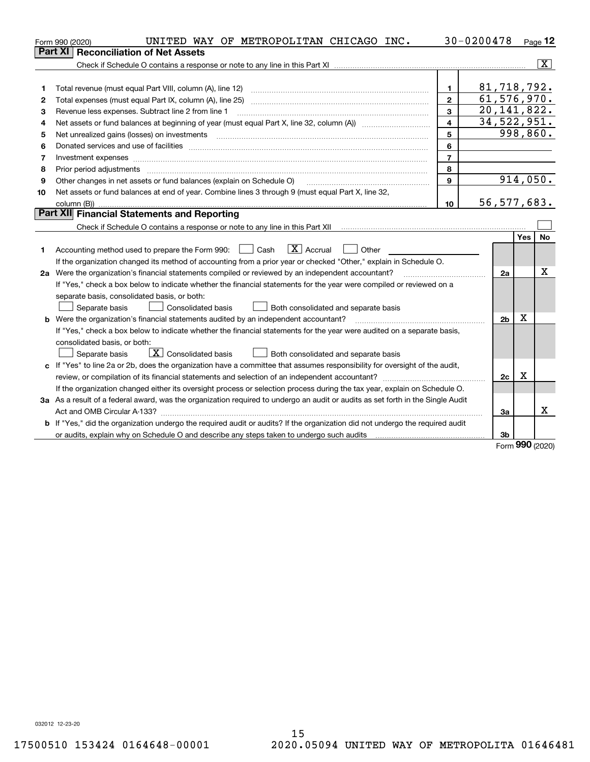|    | UNITED WAY OF METROPOLITAN CHICAGO INC.<br>Form 990 (2020)                                                                                                                                                                                                                                                                                                                                                                                                              |                         | 30-0200478     |     | $Page$ 12      |
|----|-------------------------------------------------------------------------------------------------------------------------------------------------------------------------------------------------------------------------------------------------------------------------------------------------------------------------------------------------------------------------------------------------------------------------------------------------------------------------|-------------------------|----------------|-----|----------------|
|    | <b>Reconciliation of Net Assets</b><br><b>Part XI</b>                                                                                                                                                                                                                                                                                                                                                                                                                   |                         |                |     |                |
|    |                                                                                                                                                                                                                                                                                                                                                                                                                                                                         |                         |                |     | $ \mathbf{X} $ |
|    |                                                                                                                                                                                                                                                                                                                                                                                                                                                                         |                         |                |     |                |
| 1  | Total revenue (must equal Part VIII, column (A), line 12)                                                                                                                                                                                                                                                                                                                                                                                                               | 1.                      | 81,718,792.    |     |                |
| 2  |                                                                                                                                                                                                                                                                                                                                                                                                                                                                         | $\overline{2}$          | 61, 576, 970.  |     |                |
| 3  | Revenue less expenses. Subtract line 2 from line 1                                                                                                                                                                                                                                                                                                                                                                                                                      | $\overline{\mathbf{3}}$ | 20, 141, 822.  |     |                |
| 4  |                                                                                                                                                                                                                                                                                                                                                                                                                                                                         | $\overline{\mathbf{4}}$ | 34,522,951.    |     |                |
| 5  | Net unrealized gains (losses) on investments with an annumerous contract and a set of the set of the set of the                                                                                                                                                                                                                                                                                                                                                         | 5                       |                |     | 998,860.       |
| 6  | Donated services and use of facilities [111] Donated and the service of facilities [11] Donated services and use of facilities [11] Donated and the service of the service of the service of the service of the service of the                                                                                                                                                                                                                                          | 6                       |                |     |                |
| 7  | Investment expenses www.communication.com/www.communication.com/www.communication.com/www.communication.com                                                                                                                                                                                                                                                                                                                                                             | $\overline{7}$          |                |     |                |
| 8  | Prior period adjustments<br>$\begin{minipage}{0.5\textwidth} \begin{tabular}{ l l l } \hline \multicolumn{1}{ l l l } \hline \multicolumn{1}{ l l } \multicolumn{1}{ l } \multicolumn{1}{ l } \multicolumn{1}{ l } \multicolumn{1}{ l } \multicolumn{1}{ l } \multicolumn{1}{ l } \multicolumn{1}{ l } \multicolumn{1}{ l } \multicolumn{1}{ l } \multicolumn{1}{ l } \multicolumn{1}{ l } \multicolumn{1}{ l } \multicolumn{1}{ l } \multicolumn{1}{ l } \multicolumn$ | 8                       |                |     |                |
| 9  | Other changes in net assets or fund balances (explain on Schedule O)                                                                                                                                                                                                                                                                                                                                                                                                    | 9                       |                |     | 914,050.       |
| 10 | Net assets or fund balances at end of year. Combine lines 3 through 9 (must equal Part X, line 32,                                                                                                                                                                                                                                                                                                                                                                      |                         |                |     |                |
|    |                                                                                                                                                                                                                                                                                                                                                                                                                                                                         | 10                      | 56, 577, 683.  |     |                |
|    | Part XII Financial Statements and Reporting                                                                                                                                                                                                                                                                                                                                                                                                                             |                         |                |     |                |
|    |                                                                                                                                                                                                                                                                                                                                                                                                                                                                         |                         |                |     |                |
|    |                                                                                                                                                                                                                                                                                                                                                                                                                                                                         |                         |                | Yes | No             |
| 1  | $\boxed{\mathbf{X}}$ Accrual<br>Accounting method used to prepare the Form 990: <u>June</u> Cash<br>Other                                                                                                                                                                                                                                                                                                                                                               |                         |                |     |                |
|    | If the organization changed its method of accounting from a prior year or checked "Other," explain in Schedule O.                                                                                                                                                                                                                                                                                                                                                       |                         |                |     |                |
|    | 2a Were the organization's financial statements compiled or reviewed by an independent accountant?                                                                                                                                                                                                                                                                                                                                                                      |                         | 2a             |     | x              |
|    | If "Yes," check a box below to indicate whether the financial statements for the year were compiled or reviewed on a                                                                                                                                                                                                                                                                                                                                                    |                         |                |     |                |
|    | separate basis, consolidated basis, or both:                                                                                                                                                                                                                                                                                                                                                                                                                            |                         |                |     |                |
|    | Separate basis<br><b>Consolidated basis</b><br>Both consolidated and separate basis                                                                                                                                                                                                                                                                                                                                                                                     |                         |                |     |                |
|    | <b>b</b> Were the organization's financial statements audited by an independent accountant?                                                                                                                                                                                                                                                                                                                                                                             |                         | 2 <sub>b</sub> | X   |                |
|    | If "Yes," check a box below to indicate whether the financial statements for the year were audited on a separate basis,                                                                                                                                                                                                                                                                                                                                                 |                         |                |     |                |
|    | consolidated basis, or both:                                                                                                                                                                                                                                                                                                                                                                                                                                            |                         |                |     |                |
|    | $\mathbf{X}$ Consolidated basis<br>Separate basis<br>Both consolidated and separate basis                                                                                                                                                                                                                                                                                                                                                                               |                         |                |     |                |
|    | c If "Yes" to line 2a or 2b, does the organization have a committee that assumes responsibility for oversight of the audit,                                                                                                                                                                                                                                                                                                                                             |                         |                |     |                |
|    |                                                                                                                                                                                                                                                                                                                                                                                                                                                                         |                         | 2c             | x   |                |
|    | If the organization changed either its oversight process or selection process during the tax year, explain on Schedule O.                                                                                                                                                                                                                                                                                                                                               |                         |                |     |                |
|    | 3a As a result of a federal award, was the organization required to undergo an audit or audits as set forth in the Single Audit                                                                                                                                                                                                                                                                                                                                         |                         |                |     |                |
|    |                                                                                                                                                                                                                                                                                                                                                                                                                                                                         |                         | 3a             |     | X              |
|    | b If "Yes," did the organization undergo the required audit or audits? If the organization did not undergo the required audit                                                                                                                                                                                                                                                                                                                                           |                         |                |     |                |
|    |                                                                                                                                                                                                                                                                                                                                                                                                                                                                         |                         | 3b             | ההה |                |

Form (2020) **990**

032012 12-23-20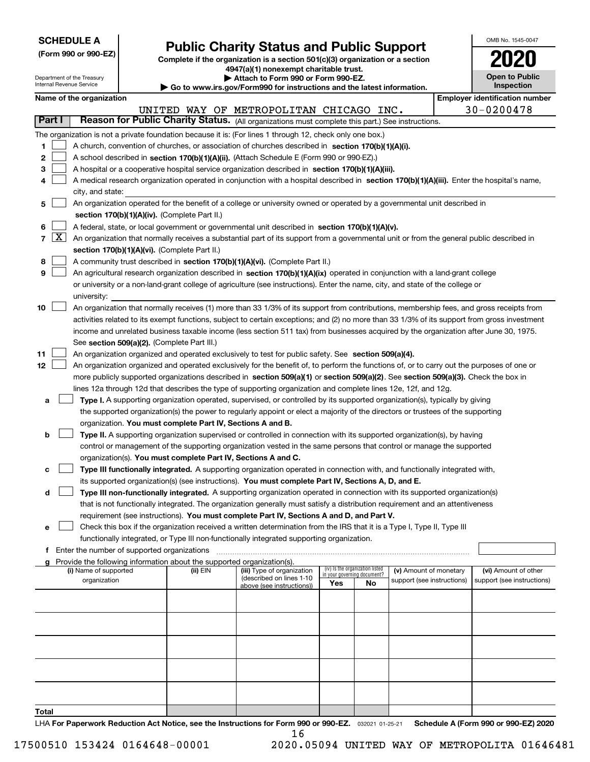| <b>SCHEDULE A</b> |  |
|-------------------|--|
|-------------------|--|

Department of the Treasury

**(Form 990 or 990-EZ)**

## **Public Charity Status and Public Support**

**Complete if the organization is a section 501(c)(3) organization or a section 4947(a)(1) nonexempt charitable trust. | Attach to Form 990 or Form 990-EZ.** 

| OMB No. 1545-0047                   |
|-------------------------------------|
| 2020                                |
| <b>Open to Public</b><br>Inspection |

|       |                     | Internal Revenue Service                    |                                                                        | Go to www.irs.gov/Form990 for instructions and the latest information.                                                                       |                             |                                 |                            |            | Inspection                            |
|-------|---------------------|---------------------------------------------|------------------------------------------------------------------------|----------------------------------------------------------------------------------------------------------------------------------------------|-----------------------------|---------------------------------|----------------------------|------------|---------------------------------------|
|       |                     | Name of the organization                    |                                                                        |                                                                                                                                              |                             |                                 |                            |            | <b>Employer identification number</b> |
|       |                     |                                             |                                                                        | UNITED WAY OF METROPOLITAN CHICAGO INC.                                                                                                      |                             |                                 |                            | 30-0200478 |                                       |
|       | Part I              |                                             |                                                                        | Reason for Public Charity Status. (All organizations must complete this part.) See instructions.                                             |                             |                                 |                            |            |                                       |
|       |                     |                                             |                                                                        | The organization is not a private foundation because it is: (For lines 1 through 12, check only one box.)                                    |                             |                                 |                            |            |                                       |
| 1     |                     |                                             |                                                                        | A church, convention of churches, or association of churches described in section $170(b)(1)(A)(i)$ .                                        |                             |                                 |                            |            |                                       |
| 2     |                     |                                             |                                                                        | A school described in section 170(b)(1)(A)(ii). (Attach Schedule E (Form 990 or 990-EZ).)                                                    |                             |                                 |                            |            |                                       |
| з     |                     |                                             |                                                                        | A hospital or a cooperative hospital service organization described in section 170(b)(1)(A)(iii).                                            |                             |                                 |                            |            |                                       |
|       |                     |                                             |                                                                        | A medical research organization operated in conjunction with a hospital described in section 170(b)(1)(A)(iii). Enter the hospital's name,   |                             |                                 |                            |            |                                       |
|       |                     | city, and state:                            |                                                                        |                                                                                                                                              |                             |                                 |                            |            |                                       |
| 5     |                     |                                             |                                                                        | An organization operated for the benefit of a college or university owned or operated by a governmental unit described in                    |                             |                                 |                            |            |                                       |
|       |                     |                                             | section 170(b)(1)(A)(iv). (Complete Part II.)                          |                                                                                                                                              |                             |                                 |                            |            |                                       |
| 6     |                     |                                             |                                                                        | A federal, state, or local government or governmental unit described in section 170(b)(1)(A)(v).                                             |                             |                                 |                            |            |                                       |
| 7     | $\lfloor x \rfloor$ |                                             |                                                                        | An organization that normally receives a substantial part of its support from a governmental unit or from the general public described in    |                             |                                 |                            |            |                                       |
|       |                     |                                             | section 170(b)(1)(A)(vi). (Complete Part II.)                          |                                                                                                                                              |                             |                                 |                            |            |                                       |
| 8     |                     |                                             |                                                                        | A community trust described in section 170(b)(1)(A)(vi). (Complete Part II.)                                                                 |                             |                                 |                            |            |                                       |
| 9     |                     |                                             |                                                                        | An agricultural research organization described in section 170(b)(1)(A)(ix) operated in conjunction with a land-grant college                |                             |                                 |                            |            |                                       |
|       |                     |                                             |                                                                        | or university or a non-land-grant college of agriculture (see instructions). Enter the name, city, and state of the college or               |                             |                                 |                            |            |                                       |
|       |                     | university:                                 |                                                                        |                                                                                                                                              |                             |                                 |                            |            |                                       |
| 10    |                     |                                             |                                                                        | An organization that normally receives (1) more than 33 1/3% of its support from contributions, membership fees, and gross receipts from     |                             |                                 |                            |            |                                       |
|       |                     |                                             |                                                                        | activities related to its exempt functions, subject to certain exceptions; and (2) no more than 33 1/3% of its support from gross investment |                             |                                 |                            |            |                                       |
|       |                     |                                             |                                                                        | income and unrelated business taxable income (less section 511 tax) from businesses acquired by the organization after June 30, 1975.        |                             |                                 |                            |            |                                       |
|       |                     |                                             | See section 509(a)(2). (Complete Part III.)                            |                                                                                                                                              |                             |                                 |                            |            |                                       |
| 11    |                     |                                             |                                                                        | An organization organized and operated exclusively to test for public safety. See section 509(a)(4).                                         |                             |                                 |                            |            |                                       |
| 12    |                     |                                             |                                                                        | An organization organized and operated exclusively for the benefit of, to perform the functions of, or to carry out the purposes of one or   |                             |                                 |                            |            |                                       |
|       |                     |                                             |                                                                        | more publicly supported organizations described in section 509(a)(1) or section 509(a)(2). See section 509(a)(3). Check the box in           |                             |                                 |                            |            |                                       |
|       |                     |                                             |                                                                        | lines 12a through 12d that describes the type of supporting organization and complete lines 12e, 12f, and 12g.                               |                             |                                 |                            |            |                                       |
| а     |                     |                                             |                                                                        | Type I. A supporting organization operated, supervised, or controlled by its supported organization(s), typically by giving                  |                             |                                 |                            |            |                                       |
|       |                     |                                             |                                                                        | the supported organization(s) the power to regularly appoint or elect a majority of the directors or trustees of the supporting              |                             |                                 |                            |            |                                       |
|       |                     |                                             | organization. You must complete Part IV, Sections A and B.             |                                                                                                                                              |                             |                                 |                            |            |                                       |
| b     |                     |                                             |                                                                        | Type II. A supporting organization supervised or controlled in connection with its supported organization(s), by having                      |                             |                                 |                            |            |                                       |
|       |                     |                                             |                                                                        | control or management of the supporting organization vested in the same persons that control or manage the supported                         |                             |                                 |                            |            |                                       |
|       |                     |                                             | organization(s). You must complete Part IV, Sections A and C.          |                                                                                                                                              |                             |                                 |                            |            |                                       |
| с     |                     |                                             |                                                                        | Type III functionally integrated. A supporting organization operated in connection with, and functionally integrated with,                   |                             |                                 |                            |            |                                       |
|       |                     |                                             |                                                                        | its supported organization(s) (see instructions). You must complete Part IV, Sections A, D, and E.                                           |                             |                                 |                            |            |                                       |
| d     |                     |                                             |                                                                        | Type III non-functionally integrated. A supporting organization operated in connection with its supported organization(s)                    |                             |                                 |                            |            |                                       |
|       |                     |                                             |                                                                        | that is not functionally integrated. The organization generally must satisfy a distribution requirement and an attentiveness                 |                             |                                 |                            |            |                                       |
|       |                     |                                             |                                                                        | requirement (see instructions). You must complete Part IV, Sections A and D, and Part V.                                                     |                             |                                 |                            |            |                                       |
| е     |                     |                                             |                                                                        | Check this box if the organization received a written determination from the IRS that it is a Type I, Type II, Type III                      |                             |                                 |                            |            |                                       |
|       |                     |                                             |                                                                        | functionally integrated, or Type III non-functionally integrated supporting organization.                                                    |                             |                                 |                            |            |                                       |
|       |                     | Enter the number of supported organizations |                                                                        |                                                                                                                                              |                             |                                 |                            |            |                                       |
|       |                     |                                             | Provide the following information about the supported organization(s). |                                                                                                                                              |                             |                                 |                            |            |                                       |
|       |                     | (i) Name of supported                       | (ii) EIN                                                               | (iii) Type of organization                                                                                                                   | in your governing document? | (iv) Is the organization listed | (v) Amount of monetary     |            | (vi) Amount of other                  |
|       |                     | organization                                |                                                                        | (described on lines 1-10<br>above (see instructions))                                                                                        | Yes                         | No                              | support (see instructions) |            | support (see instructions)            |
|       |                     |                                             |                                                                        |                                                                                                                                              |                             |                                 |                            |            |                                       |
|       |                     |                                             |                                                                        |                                                                                                                                              |                             |                                 |                            |            |                                       |
|       |                     |                                             |                                                                        |                                                                                                                                              |                             |                                 |                            |            |                                       |
|       |                     |                                             |                                                                        |                                                                                                                                              |                             |                                 |                            |            |                                       |
|       |                     |                                             |                                                                        |                                                                                                                                              |                             |                                 |                            |            |                                       |
|       |                     |                                             |                                                                        |                                                                                                                                              |                             |                                 |                            |            |                                       |
|       |                     |                                             |                                                                        |                                                                                                                                              |                             |                                 |                            |            |                                       |
|       |                     |                                             |                                                                        |                                                                                                                                              |                             |                                 |                            |            |                                       |
|       |                     |                                             |                                                                        |                                                                                                                                              |                             |                                 |                            |            |                                       |
|       |                     |                                             |                                                                        |                                                                                                                                              |                             |                                 |                            |            |                                       |
| Total |                     |                                             |                                                                        |                                                                                                                                              |                             |                                 |                            |            |                                       |

LHA For Paperwork Reduction Act Notice, see the Instructions for Form 990 or 990-EZ. <sub>032021</sub> o1-25-21 Schedule A (Form 990 or 990-EZ) 2020 16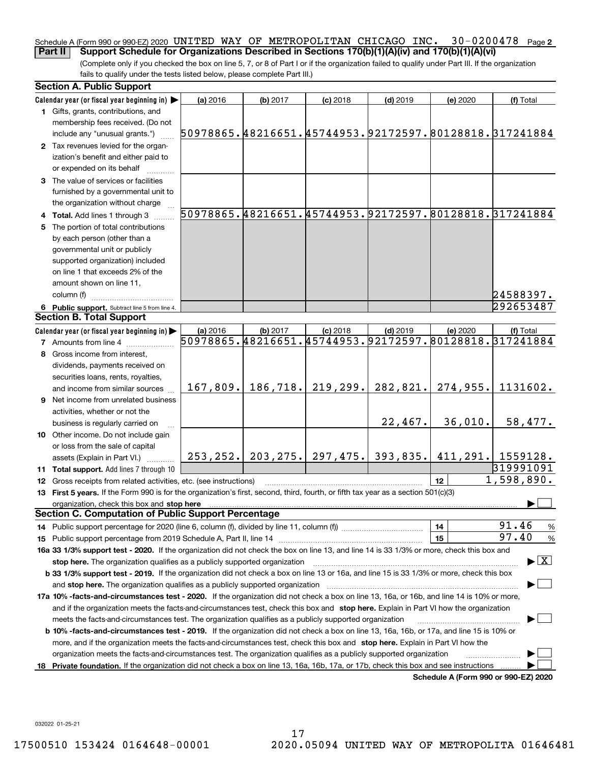### Schedule A (Form 990 or 990-EZ) 2020 <code>UNITED WAY OF METROPOLITAN CHICAGO INC. 30–0200478 Page 2</code> **Part II Support Schedule for Organizations Described in Sections 170(b)(1)(A)(iv) and 170(b)(1)(A)(vi)**

(Complete only if you checked the box on line 5, 7, or 8 of Part I or if the organization failed to qualify under Part III. If the organization fails to qualify under the tests listed below, please complete Part III.)

|    | <b>Section A. Public Support</b>                                                                                                               |                                                        |           |                                 |            |                                      |                                                        |
|----|------------------------------------------------------------------------------------------------------------------------------------------------|--------------------------------------------------------|-----------|---------------------------------|------------|--------------------------------------|--------------------------------------------------------|
|    | Calendar year (or fiscal year beginning in)                                                                                                    | (a) 2016                                               | (b) 2017  | $(c)$ 2018                      | $(d)$ 2019 | (e) 2020                             | (f) Total                                              |
|    | 1 Gifts, grants, contributions, and                                                                                                            |                                                        |           |                                 |            |                                      |                                                        |
|    | membership fees received. (Do not                                                                                                              |                                                        |           |                                 |            |                                      |                                                        |
|    | include any "unusual grants.")                                                                                                                 |                                                        |           |                                 |            |                                      | 50978865.48216651.45744953.92172597.80128818.317241884 |
|    | 2 Tax revenues levied for the organ-                                                                                                           |                                                        |           |                                 |            |                                      |                                                        |
|    | ization's benefit and either paid to                                                                                                           |                                                        |           |                                 |            |                                      |                                                        |
|    | or expended on its behalf                                                                                                                      |                                                        |           |                                 |            |                                      |                                                        |
|    | 3 The value of services or facilities                                                                                                          |                                                        |           |                                 |            |                                      |                                                        |
|    | furnished by a governmental unit to                                                                                                            |                                                        |           |                                 |            |                                      |                                                        |
|    | the organization without charge                                                                                                                |                                                        |           |                                 |            |                                      |                                                        |
|    | 4 Total. Add lines 1 through 3                                                                                                                 |                                                        |           |                                 |            |                                      | 50978865.48216651.45744953.92172597.80128818.317241884 |
|    | 5 The portion of total contributions                                                                                                           |                                                        |           |                                 |            |                                      |                                                        |
|    | by each person (other than a                                                                                                                   |                                                        |           |                                 |            |                                      |                                                        |
|    | governmental unit or publicly                                                                                                                  |                                                        |           |                                 |            |                                      |                                                        |
|    | supported organization) included                                                                                                               |                                                        |           |                                 |            |                                      |                                                        |
|    | on line 1 that exceeds 2% of the                                                                                                               |                                                        |           |                                 |            |                                      |                                                        |
|    | amount shown on line 11,                                                                                                                       |                                                        |           |                                 |            |                                      |                                                        |
|    | column (f)                                                                                                                                     |                                                        |           |                                 |            |                                      | 24588397.                                              |
|    | 6 Public support. Subtract line 5 from line 4.                                                                                                 |                                                        |           |                                 |            |                                      | 292653487                                              |
|    | <b>Section B. Total Support</b>                                                                                                                |                                                        |           |                                 |            |                                      |                                                        |
|    | Calendar year (or fiscal year beginning in)                                                                                                    | (a) 2016                                               | (b) 2017  | $(c)$ 2018                      | $(d)$ 2019 | (e) 2020                             | (f) Total                                              |
|    | <b>7</b> Amounts from line 4                                                                                                                   | 50978865.48216651.45744953.92172597.80128818.317241884 |           |                                 |            |                                      |                                                        |
|    | 8 Gross income from interest,                                                                                                                  |                                                        |           |                                 |            |                                      |                                                        |
|    | dividends, payments received on                                                                                                                |                                                        |           |                                 |            |                                      |                                                        |
|    | securities loans, rents, royalties,                                                                                                            |                                                        |           |                                 |            |                                      |                                                        |
|    | and income from similar sources                                                                                                                | 167,809.                                               | 186, 718. | 219,299.                        | 282,821.   | 274,955.                             | 1131602.                                               |
|    | 9 Net income from unrelated business                                                                                                           |                                                        |           |                                 |            |                                      |                                                        |
|    | activities, whether or not the                                                                                                                 |                                                        |           |                                 |            |                                      |                                                        |
|    | business is regularly carried on                                                                                                               |                                                        |           |                                 | 22,467.    | 36,010.                              | 58,477.                                                |
|    | 10 Other income. Do not include gain                                                                                                           |                                                        |           |                                 |            |                                      |                                                        |
|    | or loss from the sale of capital                                                                                                               |                                                        |           |                                 |            |                                      |                                                        |
|    | assets (Explain in Part VI.)                                                                                                                   |                                                        |           | $253, 252.$ 203, 275. 297, 475. | 393,835.   |                                      | $411, 291.$ 1559128.                                   |
|    | 11 Total support. Add lines 7 through 10                                                                                                       |                                                        |           |                                 |            |                                      | 319991091                                              |
|    | 12 Gross receipts from related activities, etc. (see instructions)                                                                             |                                                        |           |                                 |            | 12                                   | 1,598,890.                                             |
|    | 13 First 5 years. If the Form 990 is for the organization's first, second, third, fourth, or fifth tax year as a section 501(c)(3)             |                                                        |           |                                 |            |                                      |                                                        |
|    | organization, check this box and stop here<br><b>Section C. Computation of Public Support Percentage</b>                                       |                                                        |           |                                 |            |                                      |                                                        |
|    |                                                                                                                                                |                                                        |           |                                 |            | 14                                   | 91.46                                                  |
|    |                                                                                                                                                |                                                        |           |                                 |            | 15                                   | $\%$<br>97.40<br>$\%$                                  |
|    | 16a 33 1/3% support test - 2020. If the organization did not check the box on line 13, and line 14 is 33 1/3% or more, check this box and      |                                                        |           |                                 |            |                                      |                                                        |
|    | stop here. The organization qualifies as a publicly supported organization                                                                     |                                                        |           |                                 |            |                                      | $\blacktriangleright$ $\boxed{\text{X}}$               |
|    | b 33 1/3% support test - 2019. If the organization did not check a box on line 13 or 16a, and line 15 is 33 1/3% or more, check this box       |                                                        |           |                                 |            |                                      |                                                        |
|    | and stop here. The organization qualifies as a publicly supported organization                                                                 |                                                        |           |                                 |            |                                      |                                                        |
|    | 17a 10% -facts-and-circumstances test - 2020. If the organization did not check a box on line 13, 16a, or 16b, and line 14 is 10% or more,     |                                                        |           |                                 |            |                                      |                                                        |
|    | and if the organization meets the facts-and-circumstances test, check this box and stop here. Explain in Part VI how the organization          |                                                        |           |                                 |            |                                      |                                                        |
|    | meets the facts-and-circumstances test. The organization qualifies as a publicly supported organization                                        |                                                        |           |                                 |            |                                      |                                                        |
|    | <b>b 10% -facts-and-circumstances test - 2019.</b> If the organization did not check a box on line 13, 16a, 16b, or 17a, and line 15 is 10% or |                                                        |           |                                 |            |                                      |                                                        |
|    | more, and if the organization meets the facts-and-circumstances test, check this box and stop here. Explain in Part VI how the                 |                                                        |           |                                 |            |                                      |                                                        |
|    | organization meets the facts-and-circumstances test. The organization qualifies as a publicly supported organization                           |                                                        |           |                                 |            |                                      |                                                        |
| 18 | Private foundation. If the organization did not check a box on line 13, 16a, 16b, 17a, or 17b, check this box and see instructions             |                                                        |           |                                 |            |                                      |                                                        |
|    |                                                                                                                                                |                                                        |           |                                 |            | Schedule A (Form 990 or 990-EZ) 2020 |                                                        |

**Schedule A (Form 990 or 990-EZ) 2020**

032022 01-25-21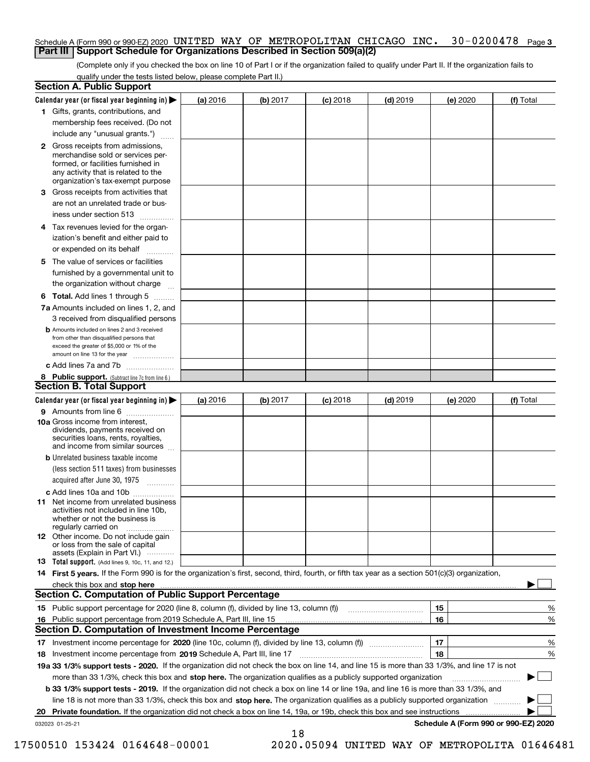### Schedule A (Form 990 or 990-EZ) 2020 <code>UNITED WAY OF METROPOLITAN CHICAGO INC. 30–0200478 Page 3</code> **Part III Support Schedule for Organizations Described in Section 509(a)(2)**

(Complete only if you checked the box on line 10 of Part I or if the organization failed to qualify under Part II. If the organization fails to qualify under the tests listed below, please complete Part II.)

| <b>Section A. Public Support</b>                                                                                                                                                                                               |          |          |            |            |          |                                      |
|--------------------------------------------------------------------------------------------------------------------------------------------------------------------------------------------------------------------------------|----------|----------|------------|------------|----------|--------------------------------------|
| Calendar year (or fiscal year beginning in)                                                                                                                                                                                    | (a) 2016 | (b) 2017 | $(c)$ 2018 | $(d)$ 2019 | (e) 2020 | (f) Total                            |
| 1 Gifts, grants, contributions, and                                                                                                                                                                                            |          |          |            |            |          |                                      |
| membership fees received. (Do not                                                                                                                                                                                              |          |          |            |            |          |                                      |
| include any "unusual grants.")                                                                                                                                                                                                 |          |          |            |            |          |                                      |
| <b>2</b> Gross receipts from admissions,<br>merchandise sold or services per-<br>formed, or facilities furnished in<br>any activity that is related to the<br>organization's tax-exempt purpose                                |          |          |            |            |          |                                      |
| 3 Gross receipts from activities that<br>are not an unrelated trade or bus-                                                                                                                                                    |          |          |            |            |          |                                      |
| iness under section 513                                                                                                                                                                                                        |          |          |            |            |          |                                      |
| 4 Tax revenues levied for the organ-                                                                                                                                                                                           |          |          |            |            |          |                                      |
| ization's benefit and either paid to<br>or expended on its behalf                                                                                                                                                              |          |          |            |            |          |                                      |
| 5 The value of services or facilities                                                                                                                                                                                          |          |          |            |            |          |                                      |
| furnished by a governmental unit to                                                                                                                                                                                            |          |          |            |            |          |                                      |
| the organization without charge                                                                                                                                                                                                |          |          |            |            |          |                                      |
| <b>6 Total.</b> Add lines 1 through 5                                                                                                                                                                                          |          |          |            |            |          |                                      |
| 7a Amounts included on lines 1, 2, and<br>3 received from disqualified persons                                                                                                                                                 |          |          |            |            |          |                                      |
| <b>b</b> Amounts included on lines 2 and 3 received<br>from other than disqualified persons that<br>exceed the greater of \$5,000 or 1% of the<br>amount on line 13 for the year                                               |          |          |            |            |          |                                      |
| c Add lines 7a and 7b                                                                                                                                                                                                          |          |          |            |            |          |                                      |
| 8 Public support. (Subtract line 7c from line 6.)                                                                                                                                                                              |          |          |            |            |          |                                      |
| <b>Section B. Total Support</b>                                                                                                                                                                                                |          |          |            |            |          |                                      |
| Calendar year (or fiscal year beginning in) >                                                                                                                                                                                  | (a) 2016 | (b) 2017 | $(c)$ 2018 | $(d)$ 2019 | (e) 2020 | (f) Total                            |
| <b>9</b> Amounts from line 6<br>$\overline{\phantom{a}}$                                                                                                                                                                       |          |          |            |            |          |                                      |
| 10a Gross income from interest,<br>dividends, payments received on<br>securities loans, rents, royalties,<br>and income from similar sources                                                                                   |          |          |            |            |          |                                      |
| <b>b</b> Unrelated business taxable income<br>(less section 511 taxes) from businesses                                                                                                                                         |          |          |            |            |          |                                      |
| acquired after June 30, 1975<br>1.1.1.1.1.1.1.1.1.1                                                                                                                                                                            |          |          |            |            |          |                                      |
| c Add lines 10a and 10b<br>11 Net income from unrelated business<br>activities not included in line 10b,<br>whether or not the business is                                                                                     |          |          |            |            |          |                                      |
| regularly carried on<br><b>12</b> Other income. Do not include gain<br>or loss from the sale of capital                                                                                                                        |          |          |            |            |          |                                      |
| assets (Explain in Part VI.)                                                                                                                                                                                                   |          |          |            |            |          |                                      |
| <b>13</b> Total support. (Add lines 9, 10c, 11, and 12.)                                                                                                                                                                       |          |          |            |            |          |                                      |
| 14 First 5 years. If the Form 990 is for the organization's first, second, third, fourth, or fifth tax year as a section 501(c)(3) organization,                                                                               |          |          |            |            |          |                                      |
| check this box and stop here manufactured and control the state of the state of the state of the state of the state of the state of the state of the state of the state of the state of the state of the state of the state of |          |          |            |            |          |                                      |
| Section C. Computation of Public Support Percentage                                                                                                                                                                            |          |          |            |            |          |                                      |
| 15 Public support percentage for 2020 (line 8, column (f), divided by line 13, column (f))                                                                                                                                     |          |          |            |            | 15       | %                                    |
| 16 Public support percentage from 2019 Schedule A, Part III, line 15                                                                                                                                                           |          |          |            |            | 16       | %                                    |
| <b>Section D. Computation of Investment Income Percentage</b>                                                                                                                                                                  |          |          |            |            |          |                                      |
| 17 Investment income percentage for 2020 (line 10c, column (f), divided by line 13, column (f))<br>18 Investment income percentage from 2019 Schedule A, Part III, line 17                                                     |          |          |            |            | 17<br>18 | %<br>%                               |
| 19a 33 1/3% support tests - 2020. If the organization did not check the box on line 14, and line 15 is more than 33 1/3%, and line 17 is not                                                                                   |          |          |            |            |          |                                      |
| more than 33 1/3%, check this box and stop here. The organization qualifies as a publicly supported organization                                                                                                               |          |          |            |            |          |                                      |
| b 33 1/3% support tests - 2019. If the organization did not check a box on line 14 or line 19a, and line 16 is more than 33 1/3%, and                                                                                          |          |          |            |            |          |                                      |
| line 18 is not more than 33 1/3%, check this box and stop here. The organization qualifies as a publicly supported organization                                                                                                |          |          |            |            |          |                                      |
| 20 Private foundation. If the organization did not check a box on line 14, 19a, or 19b, check this box and see instructions                                                                                                    |          |          |            |            |          |                                      |
| 032023 01-25-21                                                                                                                                                                                                                |          |          |            |            |          | Schedule A (Form 990 or 990-EZ) 2020 |
|                                                                                                                                                                                                                                |          | 18       |            |            |          |                                      |

17500510 153424 0164648-00001 2020.05094 UNITED WAY OF METROPOLITA 01646481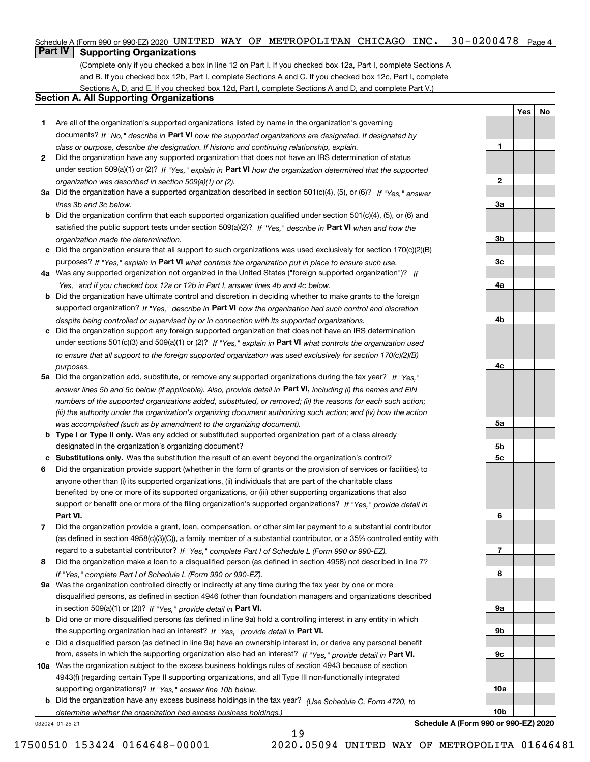### Schedule A (Form 990 or 990-EZ) 2020 <code>UNITED WAY OF METROPOLITAN CHICAGO INC. 30-0200478 Page 4</code>

## **Part IV Supporting Organizations**

(Complete only if you checked a box in line 12 on Part I. If you checked box 12a, Part I, complete Sections A and B. If you checked box 12b, Part I, complete Sections A and C. If you checked box 12c, Part I, complete Sections A, D, and E. If you checked box 12d, Part I, complete Sections A and D, and complete Part V.)

## **Section A. All Supporting Organizations**

- **1** Are all of the organization's supported organizations listed by name in the organization's governing documents? If "No," describe in **Part VI** how the supported organizations are designated. If designated by *class or purpose, describe the designation. If historic and continuing relationship, explain.*
- **2** Did the organization have any supported organization that does not have an IRS determination of status under section 509(a)(1) or (2)? If "Yes," explain in Part VI how the organization determined that the supported *organization was described in section 509(a)(1) or (2).*
- **3a** Did the organization have a supported organization described in section 501(c)(4), (5), or (6)? If "Yes," answer *lines 3b and 3c below.*
- **b** Did the organization confirm that each supported organization qualified under section 501(c)(4), (5), or (6) and satisfied the public support tests under section 509(a)(2)? If "Yes," describe in **Part VI** when and how the *organization made the determination.*
- **c**Did the organization ensure that all support to such organizations was used exclusively for section 170(c)(2)(B) purposes? If "Yes," explain in **Part VI** what controls the organization put in place to ensure such use.
- **4a***If* Was any supported organization not organized in the United States ("foreign supported organization")? *"Yes," and if you checked box 12a or 12b in Part I, answer lines 4b and 4c below.*
- **b** Did the organization have ultimate control and discretion in deciding whether to make grants to the foreign supported organization? If "Yes," describe in **Part VI** how the organization had such control and discretion *despite being controlled or supervised by or in connection with its supported organizations.*
- **c** Did the organization support any foreign supported organization that does not have an IRS determination under sections 501(c)(3) and 509(a)(1) or (2)? If "Yes," explain in **Part VI** what controls the organization used *to ensure that all support to the foreign supported organization was used exclusively for section 170(c)(2)(B) purposes.*
- **5a** Did the organization add, substitute, or remove any supported organizations during the tax year? If "Yes," answer lines 5b and 5c below (if applicable). Also, provide detail in **Part VI,** including (i) the names and EIN *numbers of the supported organizations added, substituted, or removed; (ii) the reasons for each such action; (iii) the authority under the organization's organizing document authorizing such action; and (iv) how the action was accomplished (such as by amendment to the organizing document).*
- **b** Type I or Type II only. Was any added or substituted supported organization part of a class already designated in the organization's organizing document?
- **cSubstitutions only.**  Was the substitution the result of an event beyond the organization's control?
- **6** Did the organization provide support (whether in the form of grants or the provision of services or facilities) to **Part VI.** *If "Yes," provide detail in* support or benefit one or more of the filing organization's supported organizations? anyone other than (i) its supported organizations, (ii) individuals that are part of the charitable class benefited by one or more of its supported organizations, or (iii) other supporting organizations that also
- **7**Did the organization provide a grant, loan, compensation, or other similar payment to a substantial contributor *If "Yes," complete Part I of Schedule L (Form 990 or 990-EZ).* regard to a substantial contributor? (as defined in section 4958(c)(3)(C)), a family member of a substantial contributor, or a 35% controlled entity with
- **8** Did the organization make a loan to a disqualified person (as defined in section 4958) not described in line 7? *If "Yes," complete Part I of Schedule L (Form 990 or 990-EZ).*
- **9a** Was the organization controlled directly or indirectly at any time during the tax year by one or more in section 509(a)(1) or (2))? If "Yes," *provide detail in* <code>Part VI.</code> disqualified persons, as defined in section 4946 (other than foundation managers and organizations described
- **b** Did one or more disqualified persons (as defined in line 9a) hold a controlling interest in any entity in which the supporting organization had an interest? If "Yes," provide detail in P**art VI**.
- **c**Did a disqualified person (as defined in line 9a) have an ownership interest in, or derive any personal benefit from, assets in which the supporting organization also had an interest? If "Yes," provide detail in P**art VI.**
- **10a** Was the organization subject to the excess business holdings rules of section 4943 because of section supporting organizations)? If "Yes," answer line 10b below. 4943(f) (regarding certain Type II supporting organizations, and all Type III non-functionally integrated
- **b** Did the organization have any excess business holdings in the tax year? (Use Schedule C, Form 4720, to *determine whether the organization had excess business holdings.)*

19

032024 01-25-21

**Schedule A (Form 990 or 990-EZ) 2020**

**YesNo**

**1**

**2**

**3a**

**3b**

**3c**

**4a**

**4b**

**4c**

**5a**

**5b5c**

**6**

**7**

**8**

**9a**

**9b**

**9c**

**10a**

**10b**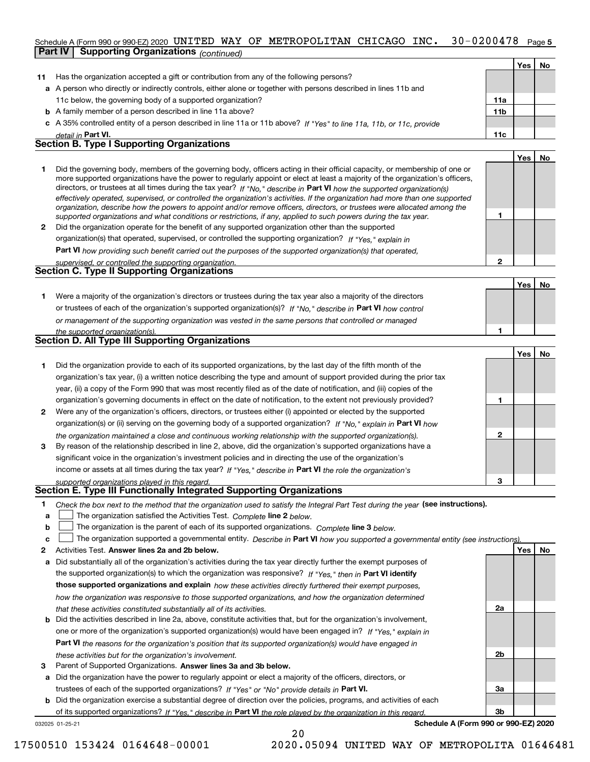#### 30-0200478 Page 5 Schedule A (Form 990 or 990-EZ) 2020 <code>UNITED WAY OF METROPOLITAN CHICAGO INC. 30-0200478 Page</code> **Part IV Supporting Organizations** *(continued)*

|    |                                                                                                                                                                                                                                                                                                                                                                                                      |                 | Yes l | No.       |
|----|------------------------------------------------------------------------------------------------------------------------------------------------------------------------------------------------------------------------------------------------------------------------------------------------------------------------------------------------------------------------------------------------------|-----------------|-------|-----------|
| 11 | Has the organization accepted a gift or contribution from any of the following persons?                                                                                                                                                                                                                                                                                                              |                 |       |           |
|    | a A person who directly or indirectly controls, either alone or together with persons described in lines 11b and                                                                                                                                                                                                                                                                                     |                 |       |           |
|    | 11c below, the governing body of a supported organization?                                                                                                                                                                                                                                                                                                                                           | 11a             |       |           |
|    | <b>b</b> A family member of a person described in line 11a above?                                                                                                                                                                                                                                                                                                                                    | 11 <sub>b</sub> |       |           |
|    | c A 35% controlled entity of a person described in line 11a or 11b above? If "Yes" to line 11a, 11b, or 11c, provide                                                                                                                                                                                                                                                                                 |                 |       |           |
|    | detail in Part VI.                                                                                                                                                                                                                                                                                                                                                                                   | 11c             |       |           |
|    | <b>Section B. Type I Supporting Organizations</b>                                                                                                                                                                                                                                                                                                                                                    |                 |       |           |
|    |                                                                                                                                                                                                                                                                                                                                                                                                      |                 | Yes   | <b>No</b> |
|    | Did the governing body, members of the governing body, officers acting in their official capacity, or membership of one or<br>more supported organizations have the power to regularly appoint or elect at least a majority of the organization's officers,<br>directors or trustees at all times during the tay year? If $\mathbb{R}$ describe in <b>Dart VI</b> bout the cunnected expenientian(e) |                 |       |           |

|              | directors, or trustees at all times during the tax year? If "No," describe in Part VI how the supported organization(s)        |
|--------------|--------------------------------------------------------------------------------------------------------------------------------|
|              | effectively operated, supervised, or controlled the organization's activities. If the organization had more than one supported |
|              | organization, describe how the powers to appoint and/or remove officers, directors, or trustees were allocated among the       |
|              | supported organizations and what conditions or restrictions, if any, applied to such powers during the tax year.               |
| $\mathbf{2}$ | Did the organization operate for the benefit of any supported organization other than the supported                            |
|              | organization(s) that operated, supervised, or controlled the supporting organization? If "Yes," explain in                     |
|              |                                                                                                                                |

**Part VI**  *how providing such benefit carried out the purposes of the supported organization(s) that operated,*

| supervised, or controlled the supporting organization. |  |
|--------------------------------------------------------|--|
| <b>Section C. Type II Supporting Organizations</b>     |  |
|                                                        |  |

**1**or trustees of each of the organization's supported organization(s)? If "No," describe in **Part VI** how control *or management of the supporting organization was vested in the same persons that controlled or managed the supported organization(s).* Were a majority of the organization's directors or trustees during the tax year also a majority of the directors

| <b>Section D. All Type III Supporting Organizations</b> |  |
|---------------------------------------------------------|--|
|---------------------------------------------------------|--|

|              |                                                                                                                        |   | Yes l | No |
|--------------|------------------------------------------------------------------------------------------------------------------------|---|-------|----|
|              | Did the organization provide to each of its supported organizations, by the last day of the fifth month of the         |   |       |    |
|              | organization's tax year, (i) a written notice describing the type and amount of support provided during the prior tax  |   |       |    |
|              | year, (ii) a copy of the Form 990 that was most recently filed as of the date of notification, and (iii) copies of the |   |       |    |
|              | organization's governing documents in effect on the date of notification, to the extent not previously provided?       |   |       |    |
| $\mathbf{2}$ | Were any of the organization's officers, directors, or trustees either (i) appointed or elected by the supported       |   |       |    |
|              | organization(s) or (ii) serving on the governing body of a supported organization? If "No," explain in Part VI how     |   |       |    |
|              | the organization maintained a close and continuous working relationship with the supported organization(s).            | 2 |       |    |
| 3            | By reason of the relationship described in line 2, above, did the organization's supported organizations have a        |   |       |    |
|              | significant voice in the organization's investment policies and in directing the use of the organization's             |   |       |    |
|              | income or assets at all times during the tax year? If "Yes," describe in Part VI the role the organization's           |   |       |    |
|              | supported organizations played in this regard.                                                                         | з |       |    |

# *supported organizations played in this regard.* **Section E. Type III Functionally Integrated Supporting Organizations**

- **1**Check the box next to the method that the organization used to satisfy the Integral Part Test during the year (see instructions).
- **alinupy** The organization satisfied the Activities Test. Complete line 2 below.
- **bThe organization is the parent of each of its supported organizations. Complete line 3 below.**

|  |  |  | The organization supported a governmental entity. Describe in Part VI how you supported a governmental entity (see instructions). |  |
|--|--|--|-----------------------------------------------------------------------------------------------------------------------------------|--|
|--|--|--|-----------------------------------------------------------------------------------------------------------------------------------|--|

20

- **2Answer lines 2a and 2b below. Yes No** Activities Test.
- **a** Did substantially all of the organization's activities during the tax year directly further the exempt purposes of the supported organization(s) to which the organization was responsive? If "Yes," then in **Part VI identify those supported organizations and explain**  *how these activities directly furthered their exempt purposes, how the organization was responsive to those supported organizations, and how the organization determined that these activities constituted substantially all of its activities.*
- **b** Did the activities described in line 2a, above, constitute activities that, but for the organization's involvement, **Part VI**  *the reasons for the organization's position that its supported organization(s) would have engaged in* one or more of the organization's supported organization(s) would have been engaged in? If "Yes," e*xplain in these activities but for the organization's involvement.*
- **3** Parent of Supported Organizations. Answer lines 3a and 3b below.

**a** Did the organization have the power to regularly appoint or elect a majority of the officers, directors, or trustees of each of the supported organizations? If "Yes" or "No" provide details in **Part VI.** 

**b** Did the organization exercise a substantial degree of direction over the policies, programs, and activities of each of its supported organizations? If "Yes," describe in Part VI the role played by the organization in this regard.

032025 01-25-21

**Schedule A (Form 990 or 990-EZ) 2020**

**2a**

**2b**

**3a**

**3b**

**1**

**2**

**1**

**YesNo**

17500510 153424 0164648-00001 2020.05094 UNITED WAY OF METROPOLITA 01646481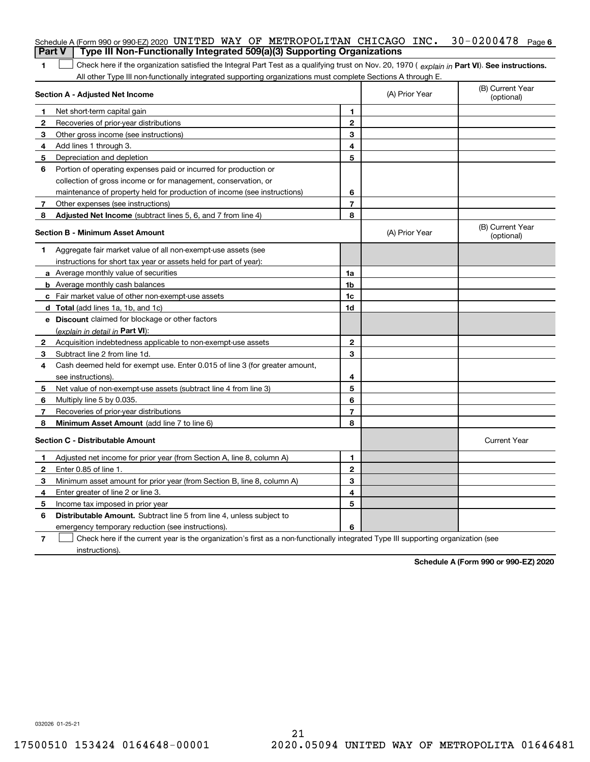|               | Schedule A (Form 990 or 990-EZ) 2020 UNITED WAY OF METROPOLITAN CHICAGO INC.                                                                          |                |                | $30 - 0200478$ Page 6          |
|---------------|-------------------------------------------------------------------------------------------------------------------------------------------------------|----------------|----------------|--------------------------------|
| <b>Part V</b> | Type III Non-Functionally Integrated 509(a)(3) Supporting Organizations                                                                               |                |                |                                |
| 1             | Check here if the organization satisfied the Integral Part Test as a qualifying trust on Nov. 20, 1970 (explain in Part VI). See instructions.        |                |                |                                |
|               | All other Type III non-functionally integrated supporting organizations must complete Sections A through E.<br><b>Section A - Adjusted Net Income</b> |                | (A) Prior Year | (B) Current Year<br>(optional) |
|               |                                                                                                                                                       | 1.             |                |                                |
| 1<br>2        | Net short-term capital gain<br>Recoveries of prior-year distributions                                                                                 | $\overline{2}$ |                |                                |
| З             | Other gross income (see instructions)                                                                                                                 | 3              |                |                                |
| 4             | Add lines 1 through 3.                                                                                                                                | 4              |                |                                |
| 5             | Depreciation and depletion                                                                                                                            | 5              |                |                                |
| 6             | Portion of operating expenses paid or incurred for production or                                                                                      |                |                |                                |
|               |                                                                                                                                                       |                |                |                                |
|               | collection of gross income or for management, conservation, or                                                                                        |                |                |                                |
|               | maintenance of property held for production of income (see instructions)                                                                              | 6              |                |                                |
| 7             | Other expenses (see instructions)                                                                                                                     | $\overline{7}$ |                |                                |
| 8             | Adjusted Net Income (subtract lines 5, 6, and 7 from line 4)                                                                                          | 8              |                |                                |
|               | <b>Section B - Minimum Asset Amount</b>                                                                                                               |                | (A) Prior Year | (B) Current Year<br>(optional) |
| 1             | Aggregate fair market value of all non-exempt-use assets (see                                                                                         |                |                |                                |
|               | instructions for short tax year or assets held for part of year):                                                                                     |                |                |                                |
|               | <b>a</b> Average monthly value of securities                                                                                                          | 1a             |                |                                |
|               | <b>b</b> Average monthly cash balances                                                                                                                | 1b             |                |                                |
|               | c Fair market value of other non-exempt-use assets                                                                                                    | 1c             |                |                                |
|               | <b>d</b> Total (add lines 1a, 1b, and 1c)                                                                                                             | 1d             |                |                                |
|               | <b>e</b> Discount claimed for blockage or other factors                                                                                               |                |                |                                |
|               | (explain in detail in Part VI):                                                                                                                       |                |                |                                |
| 2             | Acquisition indebtedness applicable to non-exempt-use assets                                                                                          | $\mathbf{2}$   |                |                                |
| 3             | Subtract line 2 from line 1d.                                                                                                                         | 3              |                |                                |
| 4             | Cash deemed held for exempt use. Enter 0.015 of line 3 (for greater amount,                                                                           |                |                |                                |
|               | see instructions).                                                                                                                                    | 4              |                |                                |
| 5             | Net value of non-exempt-use assets (subtract line 4 from line 3)                                                                                      | 5              |                |                                |
| 6             | Multiply line 5 by 0.035.                                                                                                                             | 6              |                |                                |
| 7             | Recoveries of prior-year distributions                                                                                                                | $\overline{7}$ |                |                                |
| 8             | Minimum Asset Amount (add line 7 to line 6)                                                                                                           | 8              |                |                                |
|               | <b>Section C - Distributable Amount</b>                                                                                                               |                |                | <b>Current Year</b>            |
|               | Adjusted net income for prior year (from Section A, line 8, column A)                                                                                 | 1              |                |                                |
|               | Enter 0.85 of line 1.                                                                                                                                 | 2              |                |                                |
| 3             | Minimum asset amount for prior year (from Section B, line 8, column A)                                                                                | 3              |                |                                |
| 4             | Enter greater of line 2 or line 3.                                                                                                                    | 4              |                |                                |
|               | 5 Income tax imposed in prior year                                                                                                                    | 5              |                |                                |
| 6             | <b>Distributable Amount.</b> Subtract line 5 from line 4, unless subject to                                                                           |                |                |                                |
|               | emergency temporary reduction (see instructions).                                                                                                     | 6              |                |                                |
| 7             | Check here if the current year is the organization's first as a non-functionally integrated Type III supporting organization (see                     |                |                |                                |

instructions).

**Schedule A (Form 990 or 990-EZ) 2020**

032026 01-25-21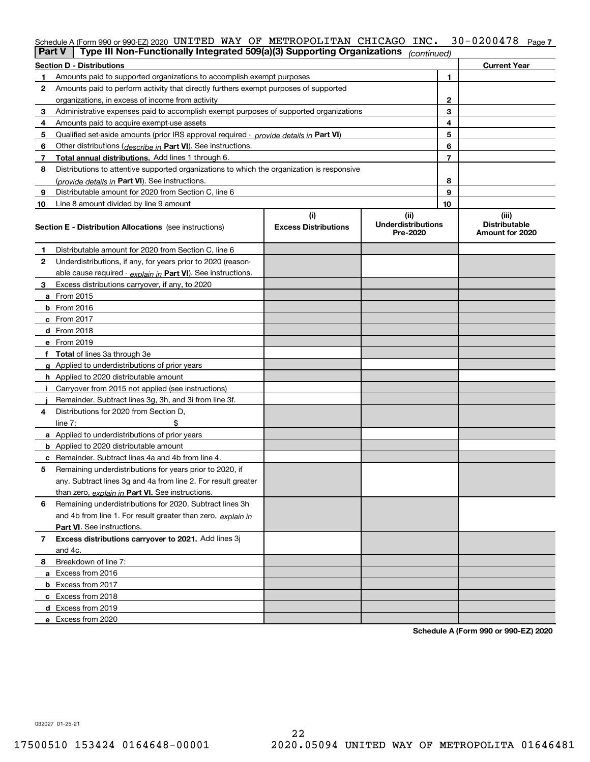| Part V | Type III Non-Functionally Integrated 509(a)(3) Supporting Organizations                    |                             | (continued)                           |    |                                         |  |  |  |  |
|--------|--------------------------------------------------------------------------------------------|-----------------------------|---------------------------------------|----|-----------------------------------------|--|--|--|--|
|        | <b>Section D - Distributions</b>                                                           |                             |                                       |    | <b>Current Year</b>                     |  |  |  |  |
|        | Amounts paid to supported organizations to accomplish exempt purposes                      |                             | 1                                     |    |                                         |  |  |  |  |
| 2      | Amounts paid to perform activity that directly furthers exempt purposes of supported       |                             |                                       |    |                                         |  |  |  |  |
|        | organizations, in excess of income from activity                                           |                             | 2                                     |    |                                         |  |  |  |  |
| 3      | Administrative expenses paid to accomplish exempt purposes of supported organizations      |                             |                                       | 3  |                                         |  |  |  |  |
| 4      | Amounts paid to acquire exempt-use assets                                                  |                             |                                       | 4  |                                         |  |  |  |  |
| 5      | Qualified set aside amounts (prior IRS approval required - provide details in Part VI)     |                             |                                       | 5  |                                         |  |  |  |  |
| 6      | Other distributions ( <i>describe in</i> Part VI). See instructions.                       |                             |                                       | 6  |                                         |  |  |  |  |
| 7      | Total annual distributions. Add lines 1 through 6.                                         |                             |                                       | 7  |                                         |  |  |  |  |
| 8      | Distributions to attentive supported organizations to which the organization is responsive |                             |                                       |    |                                         |  |  |  |  |
|        | (provide details in Part VI). See instructions.                                            |                             |                                       | 8  |                                         |  |  |  |  |
| 9      | Distributable amount for 2020 from Section C, line 6                                       |                             |                                       | 9  |                                         |  |  |  |  |
| 10     | Line 8 amount divided by line 9 amount                                                     |                             |                                       | 10 |                                         |  |  |  |  |
|        |                                                                                            | (i)                         | (ii)                                  |    | (iii)                                   |  |  |  |  |
|        | <b>Section E - Distribution Allocations</b> (see instructions)                             | <b>Excess Distributions</b> | <b>Underdistributions</b><br>Pre-2020 |    | <b>Distributable</b><br>Amount for 2020 |  |  |  |  |
| 1      | Distributable amount for 2020 from Section C, line 6                                       |                             |                                       |    |                                         |  |  |  |  |
| 2      | Underdistributions, if any, for years prior to 2020 (reason-                               |                             |                                       |    |                                         |  |  |  |  |
|        | able cause required - explain in Part VI). See instructions.                               |                             |                                       |    |                                         |  |  |  |  |
| 3      | Excess distributions carryover, if any, to 2020                                            |                             |                                       |    |                                         |  |  |  |  |
|        | a From 2015                                                                                |                             |                                       |    |                                         |  |  |  |  |
|        | $b$ From 2016                                                                              |                             |                                       |    |                                         |  |  |  |  |
|        | $c$ From 2017                                                                              |                             |                                       |    |                                         |  |  |  |  |
|        | <b>d</b> From 2018                                                                         |                             |                                       |    |                                         |  |  |  |  |
|        | e From 2019                                                                                |                             |                                       |    |                                         |  |  |  |  |
|        | f Total of lines 3a through 3e                                                             |                             |                                       |    |                                         |  |  |  |  |
|        | g Applied to underdistributions of prior years                                             |                             |                                       |    |                                         |  |  |  |  |
|        | <b>h</b> Applied to 2020 distributable amount                                              |                             |                                       |    |                                         |  |  |  |  |
|        | Carryover from 2015 not applied (see instructions)                                         |                             |                                       |    |                                         |  |  |  |  |
|        | Remainder. Subtract lines 3g, 3h, and 3i from line 3f.                                     |                             |                                       |    |                                         |  |  |  |  |
| 4      | Distributions for 2020 from Section D.                                                     |                             |                                       |    |                                         |  |  |  |  |
|        | line $7:$                                                                                  |                             |                                       |    |                                         |  |  |  |  |
|        | a Applied to underdistributions of prior years                                             |                             |                                       |    |                                         |  |  |  |  |
|        | <b>b</b> Applied to 2020 distributable amount                                              |                             |                                       |    |                                         |  |  |  |  |
|        | <b>c</b> Remainder. Subtract lines 4a and 4b from line 4.                                  |                             |                                       |    |                                         |  |  |  |  |
| 5      | Remaining underdistributions for years prior to 2020, if                                   |                             |                                       |    |                                         |  |  |  |  |
|        | any. Subtract lines 3g and 4a from line 2. For result greater                              |                             |                                       |    |                                         |  |  |  |  |
|        | than zero, explain in Part VI. See instructions.                                           |                             |                                       |    |                                         |  |  |  |  |
| 6      | Remaining underdistributions for 2020. Subtract lines 3h                                   |                             |                                       |    |                                         |  |  |  |  |
|        | and 4b from line 1. For result greater than zero, explain in                               |                             |                                       |    |                                         |  |  |  |  |
|        | <b>Part VI.</b> See instructions.                                                          |                             |                                       |    |                                         |  |  |  |  |
| 7      | Excess distributions carryover to 2021. Add lines 3j                                       |                             |                                       |    |                                         |  |  |  |  |
|        | and 4c.                                                                                    |                             |                                       |    |                                         |  |  |  |  |
| 8      | Breakdown of line 7:                                                                       |                             |                                       |    |                                         |  |  |  |  |
|        | a Excess from 2016                                                                         |                             |                                       |    |                                         |  |  |  |  |
|        |                                                                                            |                             |                                       |    |                                         |  |  |  |  |
|        | <b>b</b> Excess from 2017                                                                  |                             |                                       |    |                                         |  |  |  |  |
|        | c Excess from 2018                                                                         |                             |                                       |    |                                         |  |  |  |  |
|        |                                                                                            | d Excess from 2019          |                                       |    |                                         |  |  |  |  |
|        | e Excess from 2020                                                                         |                             |                                       |    |                                         |  |  |  |  |

**Schedule A (Form 990 or 990-EZ) 2020**

032027 01-25-21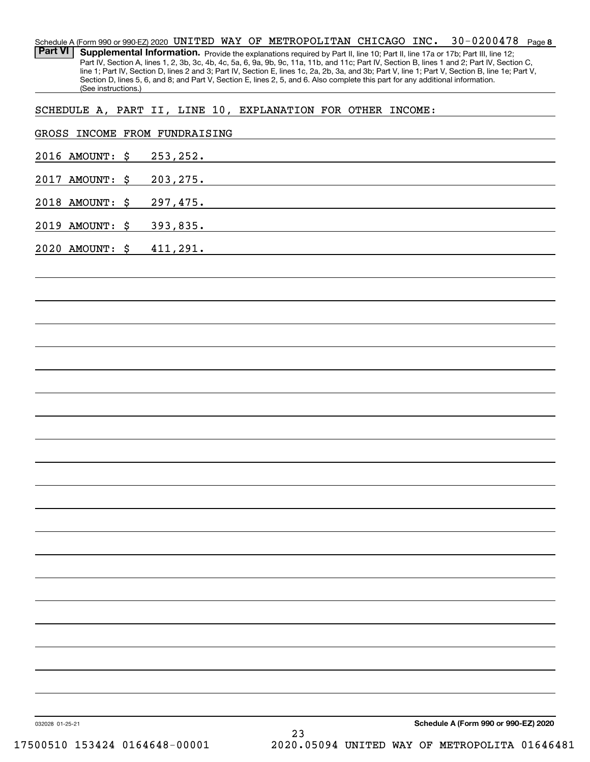**8** 30-0200478 Schedule A (Form 990 or 990-EZ) 2020 Page UNITED WAY OF METROPOLITAN CHICAGO INC. Part VI | Supplemental Information. Provide the explanations required by Part II, line 10; Part II, line 17a or 17b; Part III, line 12; Part IV, Section A, lines 1, 2, 3b, 3c, 4b, 4c, 5a, 6, 9a, 9b, 9c, 11a, 11b, and 11c; Part IV, Section B, lines 1 and 2; Part IV, Section C, line 1; Part IV, Section D, lines 2 and 3; Part IV, Section E, lines 1c, 2a, 2b, 3a, and 3b; Part V, line 1; Part V, Section B, line 1e; Part V, Section D, lines 5, 6, and 8; and Part V, Section E, lines 2, 5, and 6. Also complete this part for any additional information. (See instructions.)

SCHEDULE A, PART II, LINE 10, EXPLANATION FOR OTHER INCOME:

| 2016 AMOUNT: \$ | 253, 252.                                                                                                                    |
|-----------------|------------------------------------------------------------------------------------------------------------------------------|
| 2017 AMOUNT: \$ | 203, 275.                                                                                                                    |
| 2018 AMOUNT: \$ | 297,475.                                                                                                                     |
| 2019 AMOUNT: \$ | 393,835.<br><u> 1989 - Johann Stein, mars an deus Amerikaansk kommunister (* 1950)</u>                                       |
| 2020 AMOUNT: \$ | 411,291.<br>and the control of the control of the control of the control of the control of the control of the control of the |
|                 |                                                                                                                              |
|                 |                                                                                                                              |
|                 |                                                                                                                              |
|                 |                                                                                                                              |
|                 |                                                                                                                              |
|                 |                                                                                                                              |
|                 |                                                                                                                              |
|                 |                                                                                                                              |
|                 |                                                                                                                              |
|                 |                                                                                                                              |
|                 |                                                                                                                              |
|                 |                                                                                                                              |
|                 |                                                                                                                              |
|                 |                                                                                                                              |
|                 |                                                                                                                              |
|                 |                                                                                                                              |
|                 |                                                                                                                              |
|                 |                                                                                                                              |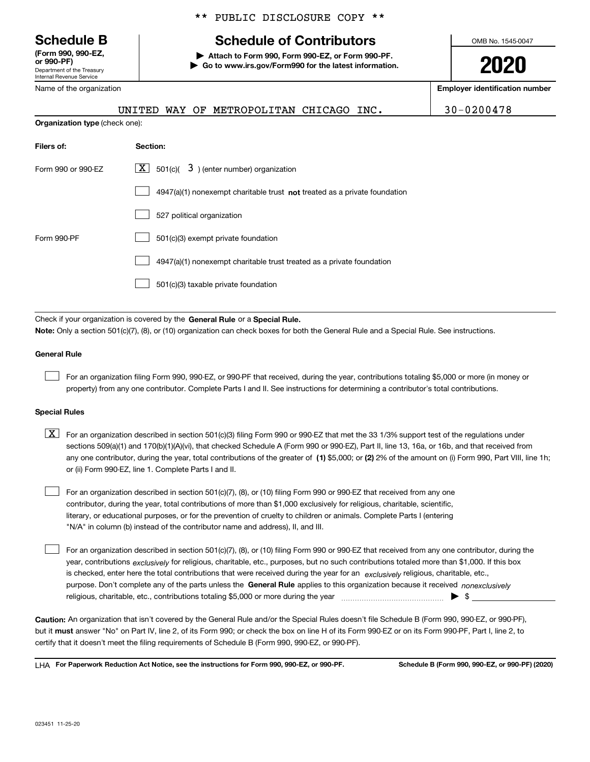Department of the Treasury Internal Revenue Service **(Form 990, 990-EZ, or 990-PF)**

Name of the organization

**Organization type** (check one):

## \*\* PUBLIC DISCLOSURE COPY \*\*

# **Schedule B Schedule of Contributors**

**| Attach to Form 990, Form 990-EZ, or Form 990-PF. | Go to www.irs.gov/Form990 for the latest information.** OMB No. 1545-0047

**2020**

**Employer identification number**

|  | UNITED WAY OF METROPOLITAN CHICAGO INC. |  | $30 - 0200478$ |
|--|-----------------------------------------|--|----------------|
|  |                                         |  |                |

| Filers of:         | Section:                                                                           |
|--------------------|------------------------------------------------------------------------------------|
| Form 990 or 990-EZ | $\lfloor x \rfloor$ 501(c)( 3) (enter number) organization                         |
|                    | $4947(a)(1)$ nonexempt charitable trust <b>not</b> treated as a private foundation |
|                    | 527 political organization                                                         |
| Form 990-PF        | 501(c)(3) exempt private foundation                                                |
|                    | 4947(a)(1) nonexempt charitable trust treated as a private foundation              |
|                    | 501(c)(3) taxable private foundation                                               |

Check if your organization is covered by the **General Rule** or a **Special Rule. Note:**  Only a section 501(c)(7), (8), or (10) organization can check boxes for both the General Rule and a Special Rule. See instructions.

### **General Rule**

 $\mathcal{L}^{\text{max}}$ 

For an organization filing Form 990, 990-EZ, or 990-PF that received, during the year, contributions totaling \$5,000 or more (in money or property) from any one contributor. Complete Parts I and II. See instructions for determining a contributor's total contributions.

### **Special Rules**

any one contributor, during the year, total contributions of the greater of  $\,$  (1) \$5,000; or **(2)** 2% of the amount on (i) Form 990, Part VIII, line 1h;  $\boxed{\textbf{X}}$  For an organization described in section 501(c)(3) filing Form 990 or 990-EZ that met the 33 1/3% support test of the regulations under sections 509(a)(1) and 170(b)(1)(A)(vi), that checked Schedule A (Form 990 or 990-EZ), Part II, line 13, 16a, or 16b, and that received from or (ii) Form 990-EZ, line 1. Complete Parts I and II.

For an organization described in section 501(c)(7), (8), or (10) filing Form 990 or 990-EZ that received from any one contributor, during the year, total contributions of more than \$1,000 exclusively for religious, charitable, scientific, literary, or educational purposes, or for the prevention of cruelty to children or animals. Complete Parts I (entering "N/A" in column (b) instead of the contributor name and address), II, and III.  $\mathcal{L}^{\text{max}}$ 

purpose. Don't complete any of the parts unless the **General Rule** applies to this organization because it received *nonexclusively* year, contributions <sub>exclusively</sub> for religious, charitable, etc., purposes, but no such contributions totaled more than \$1,000. If this box is checked, enter here the total contributions that were received during the year for an  $\;$ exclusively religious, charitable, etc., For an organization described in section 501(c)(7), (8), or (10) filing Form 990 or 990-EZ that received from any one contributor, during the religious, charitable, etc., contributions totaling \$5,000 or more during the year  $\Box$ — $\Box$   $\Box$  $\mathcal{L}^{\text{max}}$ 

**Caution:**  An organization that isn't covered by the General Rule and/or the Special Rules doesn't file Schedule B (Form 990, 990-EZ, or 990-PF),  **must** but it answer "No" on Part IV, line 2, of its Form 990; or check the box on line H of its Form 990-EZ or on its Form 990-PF, Part I, line 2, to certify that it doesn't meet the filing requirements of Schedule B (Form 990, 990-EZ, or 990-PF).

**For Paperwork Reduction Act Notice, see the instructions for Form 990, 990-EZ, or 990-PF. Schedule B (Form 990, 990-EZ, or 990-PF) (2020)** LHA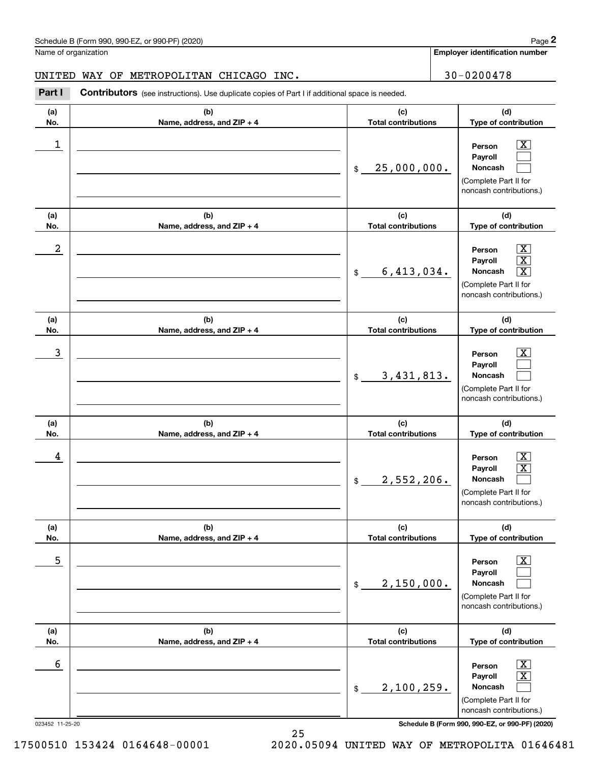Name of organization

**Employer identification number**

UNITED WAY OF METROPOLITAN CHICAGO INC.  $\vert$  30-0200478

#### **(a)No.(b)Name, address, and ZIP + 4 (c)Total contributions (d)Type of contribution PersonPayrollNoncash (a)No.(b)Name, address, and ZIP + 4 (c)Total contributions (d)Type of contribution PersonPayrollNoncash (a)No.(b)Name, address, and ZIP + 4 (c)Total contributions (d)Type of contribution PersonPayrollNoncash (a) No.(b) Name, address, and ZIP + 4 (c) Total contributions (d) Type of contribution PersonPayrollNoncash (a) No.(b) Name, address, and ZIP + 4 (c) Total contributions (d) Type of contribution PersonPayrollNoncash(a) No.(b)Name, address, and ZIP + 4 (c) Total contributions (d)Type of contribution PersonPayrollNoncash** Contributors (see instructions). Use duplicate copies of Part I if additional space is needed. \$(Complete Part II for noncash contributions.) \$(Complete Part II for noncash contributions.) \$(Complete Part II for noncash contributions.) \$(Complete Part II for noncash contributions.) \$(Complete Part II for noncash contributions.) \$(Complete Part II for noncash contributions.) Chedule B (Form 990, 990-EZ, or 990-PF) (2020)<br>Iame of organization<br>**2Part I 2Part I Contributors** (see instructions). Use duplicate copies of Part I if additional space is needed.  $\begin{array}{c|c|c|c|c|c} 1 & \hspace{1.5cm} & \hspace{1.5cm} & \hspace{1.5cm} & \hspace{1.5cm} & \hspace{1.5cm} & \hspace{1.5cm} & \hspace{1.5cm} & \hspace{1.5cm} & \hspace{1.5cm} & \hspace{1.5cm} & \hspace{1.5cm} & \hspace{1.5cm} & \hspace{1.5cm} & \hspace{1.5cm} & \hspace{1.5cm} & \hspace{1.5cm} & \hspace{1.5cm} & \hspace{1.5cm} & \hspace{1.5cm} & \hspace{1.5cm} &$ 25,000,000.  $2$  | Person  $\overline{\text{X}}$ 6,413,034. X  $\overline{3}$  | Person  $\overline{X}$ 3,431,813.  $4$  | Person  $\overline{\text{X}}$ 2,552,206.  $\sim$  5 | Person X 2,150,000.  $\sim$  6 | Person X 2,100,259.

 $|X|$  $\mathcal{L}^{\text{max}}$  $\mathcal{L}^{\text{max}}$ 

 $\boxed{\text{X}}$  X  $\boxed{\text{X}}$ 

 $|X|$  $\mathcal{L}^{\text{max}}$  $\mathcal{L}^{\text{max}}$ 

 $|X|$  X  $\mathcal{L}^{\text{max}}$ 

 $\boxed{\text{X}}$  $\mathcal{L}^{\text{max}}$  $\mathcal{L}^{\text{max}}$ 

 $|X|$  X  $\mathcal{L}^{\text{max}}$ 

023452 11-25-20 **Schedule B (Form 990, 990-EZ, or 990-PF) (2020)**

17500510 153424 0164648-00001 2020.05094 UNITED WAY OF METROPOLITA 01646481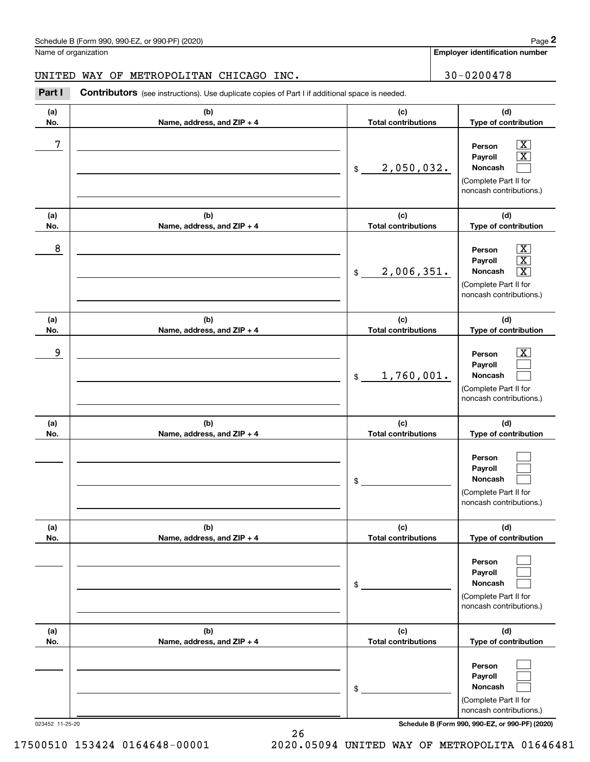Name of organization

**Employer identification number**

**(d)**

 $|X|$  X  $\mathcal{L}^{\text{max}}$ 

 $\boxed{\text{X}}$  X  $\boxed{\text{X}}$ 

 $|X|$  $\mathcal{L}^{\text{max}}$  $\mathcal{L}^{\text{max}}$ 

 $\mathcal{L}^{\text{max}}$  $\mathcal{L}^{\text{max}}$  $\mathcal{L}^{\text{max}}$ 

 $\mathcal{L}^{\text{max}}$  $\mathcal{L}^{\text{max}}$  $\mathcal{L}^{\text{max}}$ 

 $\mathcal{L}^{\text{max}}$  $\mathcal{L}^{\text{max}}$  $\mathcal{L}^{\text{max}}$ 

**(d)**

**(d)**

**(d)**

**(d)**

**(d)**

### **(a)No.(b)Name, address, and ZIP + 4 (c)Total contributions Type of contribution PersonPayrollNoncash (a)No.(b)Name, address, and ZIP + 4 (c)Total contributions Type of contribution PersonPayrollNoncash (a)No.(b)Name, address, and ZIP + 4 (c)Total contributions Type of contribution PersonPayrollNoncash (a) No.(b)Name, address, and ZIP + 4 (c) Total contributions Type of contribution PersonPayrollNoncash(a) No.(b)Name, address, and ZIP + 4 (c) Total contributions Type of contribution PersonPayrollNoncash(a) No.(b)Name, address, and ZIP + 4 (c) Total contributions Type of contribution PersonPayrollNoncash** Contributors (see instructions). Use duplicate copies of Part I if additional space is needed. \$(Complete Part II for noncash contributions.) \$(Complete Part II for noncash contributions.) \$(Complete Part II for noncash contributions.) \$(Complete Part II for noncash contributions.) \$(Complete Part II for noncash contributions.) \$(Complete Part II for noncash contributions.) Chedule B (Form 990, 990-EZ, or 990-PF) (2020)<br>Iame of organization<br>**2Part I 2Part I Contributors** (see instructions). Use duplicate copies of Part I if additional space is needed. 7 X 2,050,032. 8 X 2,006,351. X example and the set of the set of the set of the set of the set of the set of the set of the set of the set of 1,760,001. UNITED WAY OF METROPOLITAN CHICAGO INC.  $\vert$  30-0200478

023452 11-25-20 **Schedule B (Form 990, 990-EZ, or 990-PF) (2020)**

17500510 153424 0164648-00001 2020.05094 UNITED WAY OF METROPOLITA 01646481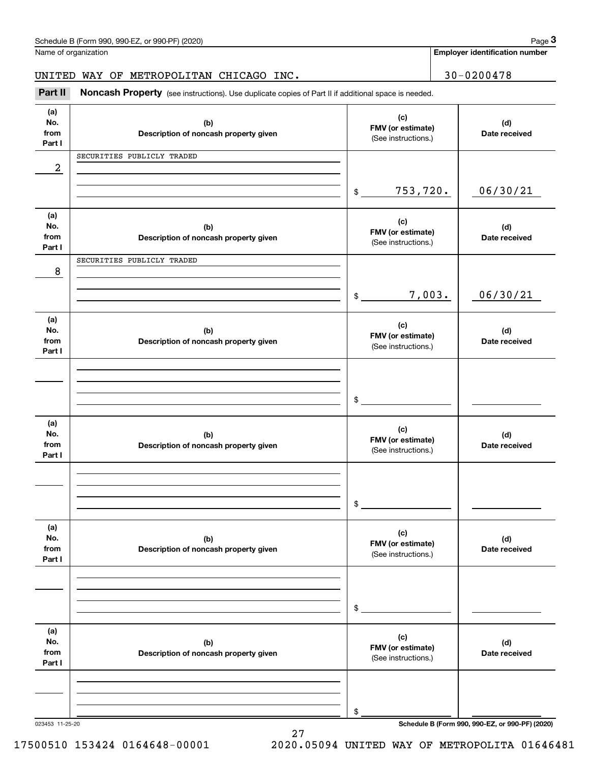| Schedule B (Form 990. 990-EZ. or 990-PF) (2020) | Page |
|-------------------------------------------------|------|
|-------------------------------------------------|------|

|                              | Schedule B (Form 990, 990-EZ, or 990-PF) (2020)                                                     |                                                 |                                          | Page 3                                |  |
|------------------------------|-----------------------------------------------------------------------------------------------------|-------------------------------------------------|------------------------------------------|---------------------------------------|--|
|                              | Name of organization                                                                                |                                                 |                                          | <b>Employer identification number</b> |  |
|                              | UNITED WAY OF METROPOLITAN CHICAGO INC.                                                             |                                                 | $30 - 0200478$                           |                                       |  |
| Part II                      | Noncash Property (see instructions). Use duplicate copies of Part II if additional space is needed. |                                                 |                                          |                                       |  |
| (a)<br>No.<br>from<br>Part I | (b)<br>Description of noncash property given                                                        | (c)<br>FMV (or estimate)<br>(See instructions.) |                                          | (d)<br>Date received                  |  |
| $\boldsymbol{2}$             | SECURITIES PUBLICLY TRADED                                                                          |                                                 |                                          |                                       |  |
|                              |                                                                                                     | 753,720.<br>\$                                  |                                          | 06/30/21                              |  |
| (a)<br>No.<br>from<br>Part I | (b)<br>Description of noncash property given                                                        | (c)<br>FMV (or estimate)<br>(See instructions.) |                                          | (d)<br>Date received                  |  |
| 8                            | SECURITIES PUBLICLY TRADED                                                                          |                                                 |                                          |                                       |  |
|                              |                                                                                                     | \$                                              | 7,003.                                   | 06/30/21                              |  |
| (a)<br>No.<br>from<br>Part I | (b)<br>Description of noncash property given                                                        | (c)                                             | FMV (or estimate)<br>(See instructions.) |                                       |  |
|                              |                                                                                                     |                                                 |                                          |                                       |  |
|                              |                                                                                                     | \$                                              |                                          |                                       |  |
| (a)<br>No.<br>from<br>Part I | (b)<br>Description of noncash property given                                                        | (c)<br>FMV (or estimate)<br>(See instructions.) |                                          | (d)<br>Date received                  |  |
|                              |                                                                                                     |                                                 |                                          |                                       |  |
|                              |                                                                                                     | \$                                              |                                          |                                       |  |
| (a)<br>No.<br>from<br>Part I | (b)<br>Description of noncash property given                                                        | (c)<br>FMV (or estimate)<br>(See instructions.) |                                          | (d)<br>Date received                  |  |
|                              |                                                                                                     |                                                 |                                          |                                       |  |
|                              |                                                                                                     | \$                                              |                                          |                                       |  |
| (a)<br>No.<br>from<br>Part I | (b)<br>Description of noncash property given                                                        | (c)<br>FMV (or estimate)<br>(See instructions.) |                                          | (d)<br>Date received                  |  |
|                              |                                                                                                     |                                                 |                                          |                                       |  |
|                              |                                                                                                     | \$                                              |                                          |                                       |  |

023453 11-25-20 **Schedule B (Form 990, 990-EZ, or 990-PF) (2020)**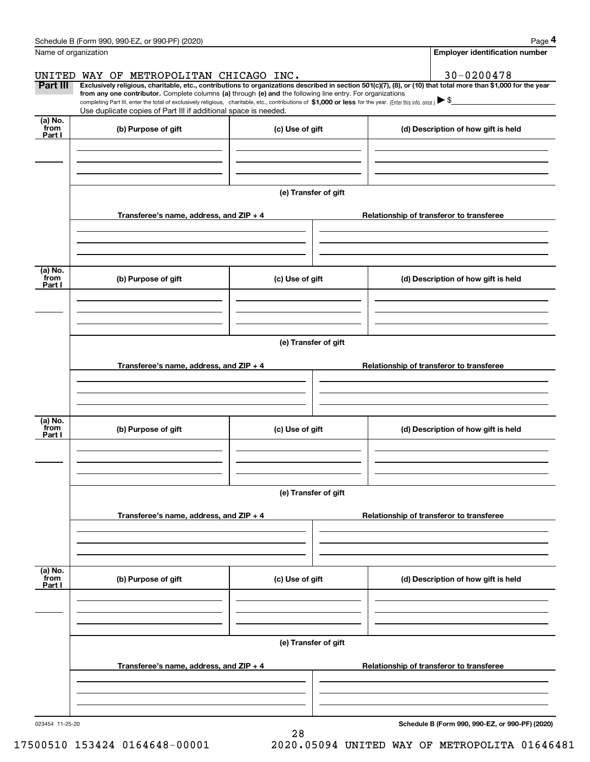|                           | Schedule B (Form 990, 990-EZ, or 990-PF) (2020)                                                                                                                                                                                                                              |                      |  | Page 4                                          |  |  |  |
|---------------------------|------------------------------------------------------------------------------------------------------------------------------------------------------------------------------------------------------------------------------------------------------------------------------|----------------------|--|-------------------------------------------------|--|--|--|
| Name of organization      |                                                                                                                                                                                                                                                                              |                      |  | <b>Employer identification number</b>           |  |  |  |
|                           | UNITED WAY OF METROPOLITAN CHICAGO INC.                                                                                                                                                                                                                                      |                      |  | $30 - 0200478$                                  |  |  |  |
| <b>Part III</b>           | Exclusively religious, charitable, etc., contributions to organizations described in section 501(c)(7), (8), or (10) that total more than \$1,000 for the year<br>from any one contributor. Complete columns (a) through (e) and the following line entry. For organizations |                      |  |                                                 |  |  |  |
|                           | completing Part III, enter the total of exclusively religious, charitable, etc., contributions of \$1,000 or less for the year. (Enter this info. once.) $\blacktriangleright$ \$<br>Use duplicate copies of Part III if additional space is needed.                         |                      |  |                                                 |  |  |  |
| (a) No.<br>from           |                                                                                                                                                                                                                                                                              |                      |  |                                                 |  |  |  |
| Part I                    | (b) Purpose of gift                                                                                                                                                                                                                                                          | (c) Use of gift      |  | (d) Description of how gift is held             |  |  |  |
|                           |                                                                                                                                                                                                                                                                              |                      |  |                                                 |  |  |  |
|                           |                                                                                                                                                                                                                                                                              |                      |  |                                                 |  |  |  |
|                           |                                                                                                                                                                                                                                                                              | (e) Transfer of gift |  |                                                 |  |  |  |
|                           |                                                                                                                                                                                                                                                                              |                      |  |                                                 |  |  |  |
|                           | Transferee's name, address, and ZIP + 4                                                                                                                                                                                                                                      |                      |  | Relationship of transferor to transferee        |  |  |  |
|                           |                                                                                                                                                                                                                                                                              |                      |  |                                                 |  |  |  |
|                           |                                                                                                                                                                                                                                                                              |                      |  |                                                 |  |  |  |
| (a) No.                   |                                                                                                                                                                                                                                                                              |                      |  |                                                 |  |  |  |
| from<br>Part I            | (b) Purpose of gift                                                                                                                                                                                                                                                          | (c) Use of gift      |  | (d) Description of how gift is held             |  |  |  |
|                           |                                                                                                                                                                                                                                                                              |                      |  |                                                 |  |  |  |
|                           |                                                                                                                                                                                                                                                                              |                      |  |                                                 |  |  |  |
|                           |                                                                                                                                                                                                                                                                              |                      |  |                                                 |  |  |  |
|                           | (e) Transfer of gift                                                                                                                                                                                                                                                         |                      |  |                                                 |  |  |  |
|                           | Transferee's name, address, and ZIP + 4                                                                                                                                                                                                                                      |                      |  | Relationship of transferor to transferee        |  |  |  |
|                           |                                                                                                                                                                                                                                                                              |                      |  |                                                 |  |  |  |
|                           |                                                                                                                                                                                                                                                                              |                      |  |                                                 |  |  |  |
| (a) No.                   |                                                                                                                                                                                                                                                                              |                      |  |                                                 |  |  |  |
| from<br>Part I            | (b) Purpose of gift                                                                                                                                                                                                                                                          | (c) Use of gift      |  | (d) Description of how gift is held             |  |  |  |
|                           |                                                                                                                                                                                                                                                                              |                      |  |                                                 |  |  |  |
|                           |                                                                                                                                                                                                                                                                              |                      |  |                                                 |  |  |  |
|                           |                                                                                                                                                                                                                                                                              |                      |  |                                                 |  |  |  |
|                           | (e) Transfer of gift                                                                                                                                                                                                                                                         |                      |  |                                                 |  |  |  |
|                           | Transferee's name, address, and $ZIP + 4$                                                                                                                                                                                                                                    |                      |  | Relationship of transferor to transferee        |  |  |  |
|                           |                                                                                                                                                                                                                                                                              |                      |  |                                                 |  |  |  |
|                           |                                                                                                                                                                                                                                                                              |                      |  |                                                 |  |  |  |
|                           |                                                                                                                                                                                                                                                                              |                      |  |                                                 |  |  |  |
| (a) No.<br>from<br>Part I | (b) Purpose of gift                                                                                                                                                                                                                                                          | (c) Use of gift      |  | (d) Description of how gift is held             |  |  |  |
|                           |                                                                                                                                                                                                                                                                              |                      |  |                                                 |  |  |  |
|                           |                                                                                                                                                                                                                                                                              |                      |  |                                                 |  |  |  |
|                           |                                                                                                                                                                                                                                                                              |                      |  |                                                 |  |  |  |
|                           | (e) Transfer of gift                                                                                                                                                                                                                                                         |                      |  |                                                 |  |  |  |
|                           | Transferee's name, address, and $ZIP + 4$                                                                                                                                                                                                                                    |                      |  | Relationship of transferor to transferee        |  |  |  |
|                           |                                                                                                                                                                                                                                                                              |                      |  |                                                 |  |  |  |
|                           |                                                                                                                                                                                                                                                                              |                      |  |                                                 |  |  |  |
|                           |                                                                                                                                                                                                                                                                              |                      |  |                                                 |  |  |  |
| 023454 11-25-20           |                                                                                                                                                                                                                                                                              | 28                   |  | Schedule B (Form 990, 990-EZ, or 990-PF) (2020) |  |  |  |

17500510 153424 0164648-00001 2020.05094 UNITED WAY OF METROPOLITA 01646481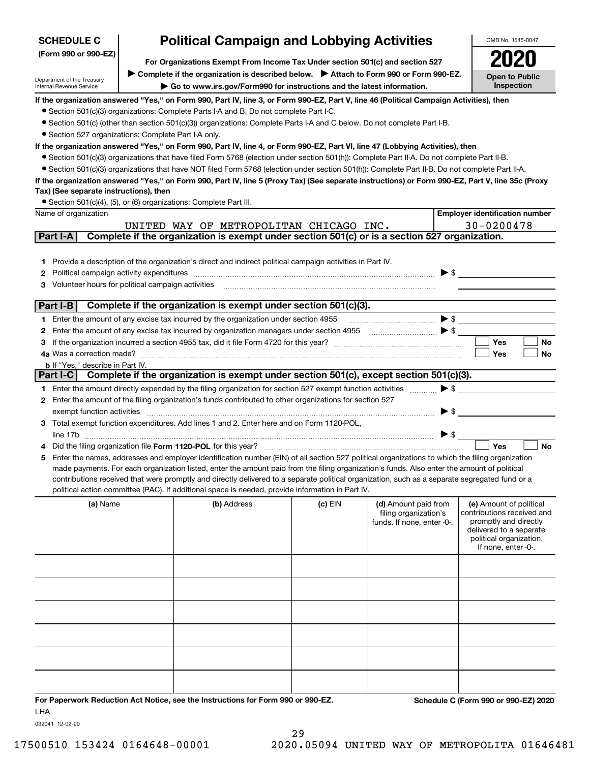| <b>SCHEDULE C</b>                                      |  | <b>Political Campaign and Lobbying Activities</b>                                                                                                                 |           |                                               | OMB No. 1545-0047                                     |
|--------------------------------------------------------|--|-------------------------------------------------------------------------------------------------------------------------------------------------------------------|-----------|-----------------------------------------------|-------------------------------------------------------|
| (Form 990 or 990-EZ)                                   |  |                                                                                                                                                                   |           |                                               |                                                       |
|                                                        |  | For Organizations Exempt From Income Tax Under section 501(c) and section 527                                                                                     |           |                                               |                                                       |
| Department of the Treasury<br>Internal Revenue Service |  | ▶ Complete if the organization is described below. ▶ Attach to Form 990 or Form 990-EZ.<br>Go to www.irs.gov/Form990 for instructions and the latest information. |           |                                               | <b>Open to Public</b><br>Inspection                   |
|                                                        |  | If the organization answered "Yes," on Form 990, Part IV, line 3, or Form 990-EZ, Part V, line 46 (Political Campaign Activities), then                           |           |                                               |                                                       |
|                                                        |  | • Section 501(c)(3) organizations: Complete Parts I-A and B. Do not complete Part I-C.                                                                            |           |                                               |                                                       |
|                                                        |  | • Section 501(c) (other than section 501(c)(3)) organizations: Complete Parts I-A and C below. Do not complete Part I-B.                                          |           |                                               |                                                       |
| • Section 527 organizations: Complete Part I-A only.   |  |                                                                                                                                                                   |           |                                               |                                                       |
|                                                        |  | If the organization answered "Yes," on Form 990, Part IV, line 4, or Form 990-EZ, Part VI, line 47 (Lobbying Activities), then                                    |           |                                               |                                                       |
|                                                        |  | • Section 501(c)(3) organizations that have filed Form 5768 (election under section 501(h)): Complete Part II-A. Do not complete Part II-B.                       |           |                                               |                                                       |
|                                                        |  | • Section 501(c)(3) organizations that have NOT filed Form 5768 (election under section 501(h)): Complete Part II-B. Do not complete Part II-A.                   |           |                                               |                                                       |
| Tax) (See separate instructions), then                 |  | If the organization answered "Yes," on Form 990, Part IV, line 5 (Proxy Tax) (See separate instructions) or Form 990-EZ, Part V, line 35c (Proxy                  |           |                                               |                                                       |
|                                                        |  | • Section 501(c)(4), (5), or (6) organizations: Complete Part III.                                                                                                |           |                                               |                                                       |
| Name of organization                                   |  |                                                                                                                                                                   |           |                                               | <b>Employer identification number</b>                 |
|                                                        |  | UNITED WAY OF METROPOLITAN CHICAGO INC.                                                                                                                           |           |                                               | $30 - 0200478$                                        |
| Part I-A                                               |  | Complete if the organization is exempt under section 501(c) or is a section 527 organization.                                                                     |           |                                               |                                                       |
|                                                        |  |                                                                                                                                                                   |           |                                               |                                                       |
|                                                        |  | 1 Provide a description of the organization's direct and indirect political campaign activities in Part IV.                                                       |           |                                               |                                                       |
| Political campaign activity expenditures<br>2          |  |                                                                                                                                                                   |           |                                               | $\triangleright$ \$                                   |
| Volunteer hours for political campaign activities<br>3 |  |                                                                                                                                                                   |           |                                               |                                                       |
|                                                        |  |                                                                                                                                                                   |           |                                               |                                                       |
| Part I-B                                               |  | Complete if the organization is exempt under section 501(c)(3).                                                                                                   |           |                                               |                                                       |
|                                                        |  | 1 Enter the amount of any excise tax incurred by the organization under section 4955                                                                              |           | $\bullet \mathsf{s} \_\_$                     |                                                       |
| 2                                                      |  | Enter the amount of any excise tax incurred by organization managers under section 4955                                                                           |           |                                               |                                                       |
| З                                                      |  |                                                                                                                                                                   |           |                                               | Yes<br>No                                             |
|                                                        |  |                                                                                                                                                                   |           |                                               | Yes<br>No                                             |
| <b>b</b> If "Yes," describe in Part IV.<br>Part I-C    |  | Complete if the organization is exempt under section 501(c), except section 501(c)(3).                                                                            |           |                                               |                                                       |
|                                                        |  | 1 Enter the amount directly expended by the filing organization for section 527 exempt function activities                                                        |           | $\blacktriangleright$ \$                      |                                                       |
|                                                        |  | 2 Enter the amount of the filing organization's funds contributed to other organizations for section 527                                                          |           |                                               |                                                       |
| exempt function activities                             |  |                                                                                                                                                                   |           | $\blacktriangleright$ \$                      |                                                       |
|                                                        |  | 3 Total exempt function expenditures. Add lines 1 and 2. Enter here and on Form 1120-POL,                                                                         |           |                                               |                                                       |
|                                                        |  |                                                                                                                                                                   |           |                                               |                                                       |
|                                                        |  |                                                                                                                                                                   |           |                                               | Yes<br><b>No</b>                                      |
|                                                        |  | 5 Enter the names, addresses and employer identification number (EIN) of all section 527 political organizations to which the filing organization                 |           |                                               |                                                       |
|                                                        |  | made payments. For each organization listed, enter the amount paid from the filing organization's funds. Also enter the amount of political                       |           |                                               |                                                       |
|                                                        |  | contributions received that were promptly and directly delivered to a separate political organization, such as a separate segregated fund or a                    |           |                                               |                                                       |
|                                                        |  | political action committee (PAC). If additional space is needed, provide information in Part IV.                                                                  |           |                                               |                                                       |
| (a) Name                                               |  | (b) Address                                                                                                                                                       | $(c)$ EIN | (d) Amount paid from<br>filing organization's | (e) Amount of political<br>contributions received and |
|                                                        |  |                                                                                                                                                                   |           | funds. If none, enter -0-.                    | promptly and directly                                 |
|                                                        |  |                                                                                                                                                                   |           |                                               | delivered to a separate                               |
|                                                        |  |                                                                                                                                                                   |           |                                               | political organization.<br>If none, enter -0-.        |
|                                                        |  |                                                                                                                                                                   |           |                                               |                                                       |
|                                                        |  |                                                                                                                                                                   |           |                                               |                                                       |
|                                                        |  |                                                                                                                                                                   |           |                                               |                                                       |
|                                                        |  |                                                                                                                                                                   |           |                                               |                                                       |
|                                                        |  |                                                                                                                                                                   |           |                                               |                                                       |
|                                                        |  |                                                                                                                                                                   |           |                                               |                                                       |
|                                                        |  |                                                                                                                                                                   |           |                                               |                                                       |
|                                                        |  |                                                                                                                                                                   |           |                                               |                                                       |
|                                                        |  |                                                                                                                                                                   |           |                                               |                                                       |
|                                                        |  |                                                                                                                                                                   |           |                                               |                                                       |
|                                                        |  |                                                                                                                                                                   |           |                                               |                                                       |
|                                                        |  | For Paperwork Reduction Act Notice, see the Instructions for Form 990 or 990-EZ.                                                                                  |           |                                               | Schedule C (Form 990 or 990-EZ) 2020                  |

LHA

032041 12-02-20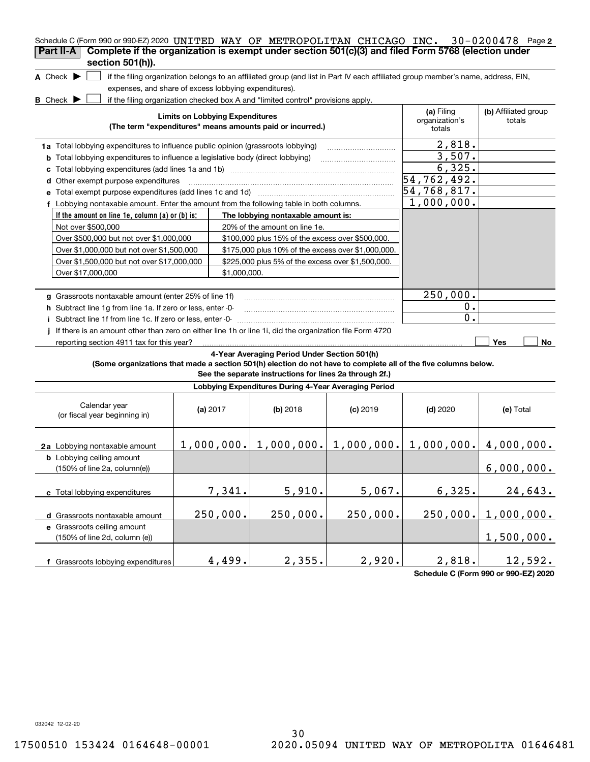| Schedule C (Form 990 or 990-EZ) 2020 UNITED WAY OF METROPOLITAN CHICAGO INC. 30-0200478 Page 2<br>Complete if the organization is exempt under section 501(c)(3) and filed Form 5768 (election under<br>Part II-A |                                                       |                                                                                                                                               |            |                                                                                                                                   |                                |
|-------------------------------------------------------------------------------------------------------------------------------------------------------------------------------------------------------------------|-------------------------------------------------------|-----------------------------------------------------------------------------------------------------------------------------------------------|------------|-----------------------------------------------------------------------------------------------------------------------------------|--------------------------------|
| section 501(h)).<br>A Check $\blacktriangleright$                                                                                                                                                                 |                                                       |                                                                                                                                               |            | if the filing organization belongs to an affiliated group (and list in Part IV each affiliated group member's name, address, EIN, |                                |
|                                                                                                                                                                                                                   | expenses, and share of excess lobbying expenditures). |                                                                                                                                               |            |                                                                                                                                   |                                |
| <b>B</b> Check D                                                                                                                                                                                                  | <b>Limits on Lobbying Expenditures</b>                | if the filing organization checked box A and "limited control" provisions apply.<br>(The term "expenditures" means amounts paid or incurred.) |            | (a) Filing<br>organization's<br>totals                                                                                            | (b) Affiliated group<br>totals |
| 1a Total lobbying expenditures to influence public opinion (grassroots lobbying)                                                                                                                                  |                                                       |                                                                                                                                               |            | 2,818.                                                                                                                            |                                |
| Total lobbying expenditures to influence a legislative body (direct lobbying)<br>b                                                                                                                                |                                                       |                                                                                                                                               |            | 3,507.                                                                                                                            |                                |
| с                                                                                                                                                                                                                 |                                                       |                                                                                                                                               |            | 6,325.                                                                                                                            |                                |
| Other exempt purpose expenditures<br>d                                                                                                                                                                            |                                                       |                                                                                                                                               |            | 54,762,492.                                                                                                                       |                                |
|                                                                                                                                                                                                                   |                                                       |                                                                                                                                               |            | 54,768,817.                                                                                                                       |                                |
| f Lobbying nontaxable amount. Enter the amount from the following table in both columns.                                                                                                                          |                                                       |                                                                                                                                               |            | 1,000,000.                                                                                                                        |                                |
| If the amount on line 1e, column $(a)$ or $(b)$ is:                                                                                                                                                               |                                                       | The lobbying nontaxable amount is:                                                                                                            |            |                                                                                                                                   |                                |
| Not over \$500,000                                                                                                                                                                                                |                                                       | 20% of the amount on line 1e.                                                                                                                 |            |                                                                                                                                   |                                |
| Over \$500,000 but not over \$1,000,000                                                                                                                                                                           |                                                       | \$100,000 plus 15% of the excess over \$500,000.                                                                                              |            |                                                                                                                                   |                                |
| Over \$1,000,000 but not over \$1,500,000                                                                                                                                                                         |                                                       | \$175,000 plus 10% of the excess over \$1,000,000.                                                                                            |            |                                                                                                                                   |                                |
| Over \$1,500,000 but not over \$17,000,000                                                                                                                                                                        |                                                       | \$225,000 plus 5% of the excess over \$1,500,000.                                                                                             |            |                                                                                                                                   |                                |
| Over \$17,000,000                                                                                                                                                                                                 | \$1,000,000.                                          |                                                                                                                                               |            |                                                                                                                                   |                                |
|                                                                                                                                                                                                                   |                                                       |                                                                                                                                               |            |                                                                                                                                   |                                |
| g Grassroots nontaxable amount (enter 25% of line 1f)                                                                                                                                                             |                                                       |                                                                                                                                               |            | 250,000.                                                                                                                          |                                |
| h Subtract line 1g from line 1a. If zero or less, enter -0-                                                                                                                                                       |                                                       |                                                                                                                                               |            | ο.                                                                                                                                |                                |
| i Subtract line 1f from line 1c. If zero or less, enter -0-                                                                                                                                                       |                                                       |                                                                                                                                               |            | $\mathbf 0$ .                                                                                                                     |                                |
| If there is an amount other than zero on either line 1h or line 1i, did the organization file Form 4720                                                                                                           |                                                       |                                                                                                                                               |            |                                                                                                                                   |                                |
| reporting section 4911 tax for this year?                                                                                                                                                                         |                                                       |                                                                                                                                               |            |                                                                                                                                   | Yes<br>No                      |
| (Some organizations that made a section 501(h) election do not have to complete all of the five columns below.                                                                                                    |                                                       | 4-Year Averaging Period Under Section 501(h)<br>See the separate instructions for lines 2a through 2f.)                                       |            |                                                                                                                                   |                                |
|                                                                                                                                                                                                                   |                                                       | Lobbying Expenditures During 4-Year Averaging Period                                                                                          |            |                                                                                                                                   |                                |
| Calendar year<br>(or fiscal year beginning in)                                                                                                                                                                    | (a) $2017$                                            | $(b)$ 2018                                                                                                                                    | $(c)$ 2019 | $(d)$ 2020                                                                                                                        | (e) Total                      |
| 2a Lobbying nontaxable amount                                                                                                                                                                                     |                                                       |                                                                                                                                               |            | $1,000,000$ , $1,000,000$ , $1,000,000$ , $1,000$ , $000$ , $1,000,000$ , $4,000,000$ .                                           |                                |
| <b>b</b> Lobbying ceiling amount<br>(150% of line 2a, column(e))                                                                                                                                                  |                                                       |                                                                                                                                               |            |                                                                                                                                   | 6,000,000.                     |
| c Total lobbying expenditures                                                                                                                                                                                     | 7,341.                                                | 5,910.                                                                                                                                        | 5,067.     | 6,325.                                                                                                                            | 24,643.                        |
| d Grassroots nontaxable amount                                                                                                                                                                                    | 250,000.                                              | 250,000.                                                                                                                                      | 250,000.   | 250,000.                                                                                                                          | 1,000,000.                     |
| e Grassroots ceiling amount                                                                                                                                                                                       |                                                       |                                                                                                                                               |            |                                                                                                                                   |                                |
| (150% of line 2d, column (e))                                                                                                                                                                                     |                                                       |                                                                                                                                               |            |                                                                                                                                   | 1,500,000.                     |
|                                                                                                                                                                                                                   |                                                       |                                                                                                                                               |            |                                                                                                                                   |                                |
| f Grassroots lobbying expenditures                                                                                                                                                                                | 4,499.                                                | 2,355.                                                                                                                                        | 2,920.     | 2,818.                                                                                                                            | 12,592.                        |

**Schedule C (Form 990 or 990-EZ) 2020**

032042 12-02-20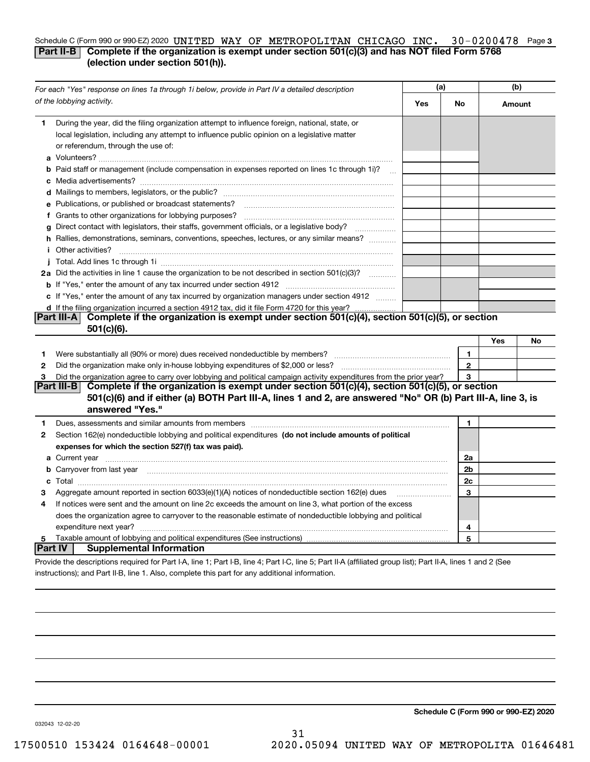## Schedule C (Form 990 or 990-EZ) 2020 UNITED WAY OF METROPOLITAN CHICAGO INC. 30-0200478 Page 3 **Part II-B** Complete if the organization is exempt under section 501(c)(3) and has NOT filed Form 5768 **(election under section 501(h)).**

|              | For each "Yes" response on lines 1a through 1i below, provide in Part IV a detailed description                                                                                                                                           | (a) |              | (b)    |    |
|--------------|-------------------------------------------------------------------------------------------------------------------------------------------------------------------------------------------------------------------------------------------|-----|--------------|--------|----|
|              | of the lobbying activity.                                                                                                                                                                                                                 | Yes | No           | Amount |    |
| 1.           | During the year, did the filing organization attempt to influence foreign, national, state, or<br>local legislation, including any attempt to influence public opinion on a legislative matter<br>or referendum, through the use of:      |     |              |        |    |
|              | b Paid staff or management (include compensation in expenses reported on lines 1c through 1i)?                                                                                                                                            |     |              |        |    |
|              |                                                                                                                                                                                                                                           |     |              |        |    |
|              | e Publications, or published or broadcast statements?                                                                                                                                                                                     |     |              |        |    |
|              | f Grants to other organizations for lobbying purposes?                                                                                                                                                                                    |     |              |        |    |
|              | g Direct contact with legislators, their staffs, government officials, or a legislative body?                                                                                                                                             |     |              |        |    |
|              | h Rallies, demonstrations, seminars, conventions, speeches, lectures, or any similar means?                                                                                                                                               |     |              |        |    |
|              | <i>i</i> Other activities?                                                                                                                                                                                                                |     |              |        |    |
|              |                                                                                                                                                                                                                                           |     |              |        |    |
|              | 2a Did the activities in line 1 cause the organization to be not described in section 501(c)(3)?                                                                                                                                          |     |              |        |    |
|              |                                                                                                                                                                                                                                           |     |              |        |    |
|              | c If "Yes," enter the amount of any tax incurred by organization managers under section 4912                                                                                                                                              |     |              |        |    |
|              | d If the filing organization incurred a section 4912 tax, did it file Form 4720 for this year?                                                                                                                                            |     |              |        |    |
|              | Part III-A Complete if the organization is exempt under section 501(c)(4), section 501(c)(5), or section                                                                                                                                  |     |              |        |    |
|              | 501(c)(6).                                                                                                                                                                                                                                |     |              |        |    |
|              |                                                                                                                                                                                                                                           |     |              | Yes    | No |
| 1            | Were substantially all (90% or more) dues received nondeductible by members?                                                                                                                                                              |     | $\mathbf{1}$ |        |    |
| $\mathbf{2}$ |                                                                                                                                                                                                                                           |     | $\mathbf{2}$ |        |    |
| 3            | Did the organization agree to carry over lobbying and political campaign activity expenditures from the prior year?                                                                                                                       |     | 3            |        |    |
|              | Part III-B<br>Complete if the organization is exempt under section 501(c)(4), section 501(c)(5), or section                                                                                                                               |     |              |        |    |
|              | 501(c)(6) and if either (a) BOTH Part III-A, lines 1 and 2, are answered "No" OR (b) Part III-A, line 3, is                                                                                                                               |     |              |        |    |
|              | answered "Yes."                                                                                                                                                                                                                           |     |              |        |    |
| 1            | Dues, assessments and similar amounts from members [111] www.community.community.community.community                                                                                                                                      |     | 1.           |        |    |
| 2            | Section 162(e) nondeductible lobbying and political expenditures (do not include amounts of political                                                                                                                                     |     |              |        |    |
|              | expenses for which the section 527(f) tax was paid).                                                                                                                                                                                      |     |              |        |    |
|              | <b>a</b> Current year <u>maail is a communicate of the contract of the contract of the contract of the contract of the contract of the contract of the contract of the contract of the contract of the contract of the contract of th</u> |     | 2a           |        |    |
|              | b Carryover from last year manufactured and contain a series of the contract of the contract of the contract of the contract of the contract of the contract of the contract of the contract of the contract of the contract o            |     | 2b           |        |    |
|              |                                                                                                                                                                                                                                           |     | 2c           |        |    |
| з            |                                                                                                                                                                                                                                           |     | 3            |        |    |
| 4            | If notices were sent and the amount on line 2c exceeds the amount on line 3, what portion of the excess                                                                                                                                   |     |              |        |    |
|              | does the organization agree to carryover to the reasonable estimate of nondeductible lobbying and political                                                                                                                               |     |              |        |    |
|              | expenditure next year?                                                                                                                                                                                                                    |     | 4            |        |    |
| 5            |                                                                                                                                                                                                                                           |     | 5            |        |    |
|              | <b>Part IV</b><br><b>Supplemental Information</b>                                                                                                                                                                                         |     |              |        |    |
|              | Provide the descriptions required for Part I-A, line 1; Part I-B, line 4; Part I-C, line 5; Part II-A (affiliated group list); Part II-A, lines 1 and 2 (See                                                                              |     |              |        |    |

31

instructions); and Part II-B, line 1. Also, complete this part for any additional information.

**Schedule C (Form 990 or 990-EZ) 2020**

032043 12-02-20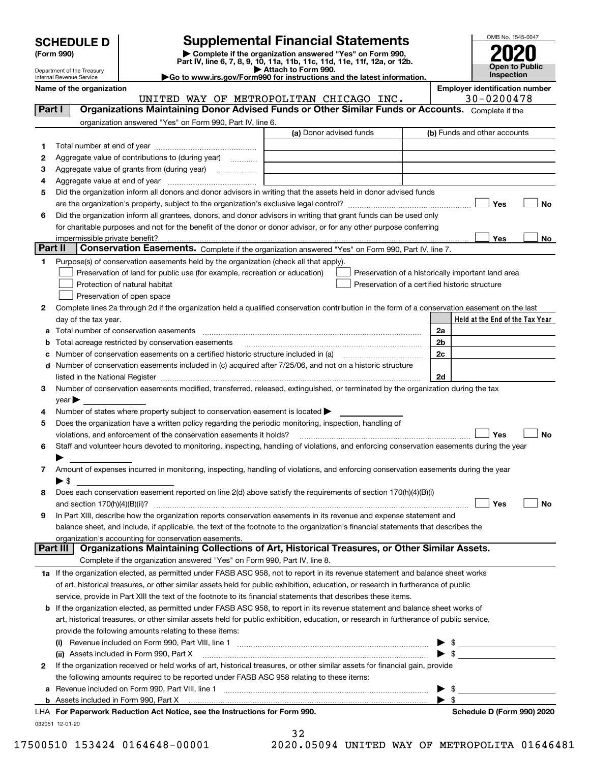| <b>SCHEDULE D</b> |  |
|-------------------|--|
|-------------------|--|

| (Form 990) |  |
|------------|--|
|------------|--|

## **Supplemental Financial Statements**

(Form 990)<br>
Pepartment of the Treasury<br>
Department of the Treasury<br>
Department of the Treasury<br>
Department of the Treasury<br> **Co to www.irs.gov/Form990 for instructions and the latest information.**<br> **Co to www.irs.gov/Form9** 



Department of the Treasury Internal Revenue Service

**Name of the organization Employer identification number** UNITED WAY OF METROPOLITAN CHICAGO INC. | 30-0200478

| Part I | Organizations Maintaining Donor Advised Funds or Other Similar Funds or Accounts. Complete if the                                                                                                                             |                         |                                                    |
|--------|-------------------------------------------------------------------------------------------------------------------------------------------------------------------------------------------------------------------------------|-------------------------|----------------------------------------------------|
|        | organization answered "Yes" on Form 990, Part IV, line 6.                                                                                                                                                                     |                         |                                                    |
|        |                                                                                                                                                                                                                               | (a) Donor advised funds | (b) Funds and other accounts                       |
| 1.     |                                                                                                                                                                                                                               |                         |                                                    |
| 2      | Aggregate value of contributions to (during year)                                                                                                                                                                             |                         |                                                    |
| з      | Aggregate value of grants from (during year)                                                                                                                                                                                  |                         |                                                    |
| 4      |                                                                                                                                                                                                                               |                         |                                                    |
| 5      | Did the organization inform all donors and donor advisors in writing that the assets held in donor advised funds                                                                                                              |                         |                                                    |
|        |                                                                                                                                                                                                                               |                         | Yes<br>No                                          |
| 6      | Did the organization inform all grantees, donors, and donor advisors in writing that grant funds can be used only                                                                                                             |                         |                                                    |
|        | for charitable purposes and not for the benefit of the donor or donor advisor, or for any other purpose conferring                                                                                                            |                         |                                                    |
|        | impermissible private benefit?                                                                                                                                                                                                |                         | Yes<br>No                                          |
|        | Part II<br>Conservation Easements. Complete if the organization answered "Yes" on Form 990, Part IV, line 7.                                                                                                                  |                         |                                                    |
| 1      | Purpose(s) of conservation easements held by the organization (check all that apply).                                                                                                                                         |                         |                                                    |
|        | Preservation of land for public use (for example, recreation or education)                                                                                                                                                    |                         | Preservation of a historically important land area |
|        | Protection of natural habitat                                                                                                                                                                                                 |                         | Preservation of a certified historic structure     |
|        | Preservation of open space                                                                                                                                                                                                    |                         |                                                    |
| 2      | Complete lines 2a through 2d if the organization held a qualified conservation contribution in the form of a conservation easement on the last                                                                                |                         |                                                    |
|        | day of the tax year.                                                                                                                                                                                                          |                         | Held at the End of the Tax Year                    |
|        |                                                                                                                                                                                                                               |                         | 2a                                                 |
| b      | Total acreage restricted by conservation easements                                                                                                                                                                            |                         | 2 <sub>b</sub>                                     |
| с      | Number of conservation easements on a certified historic structure included in (a) <i>mummumumumum</i>                                                                                                                        |                         | 2c                                                 |
| d      | Number of conservation easements included in (c) acquired after 7/25/06, and not on a historic structure                                                                                                                      |                         |                                                    |
|        | listed in the National Register [11, 1200] [12] The National Register [11, 1200] [12] The National Register [11, 1200] [12] The National Register [11, 1200] [12] The National Register [11, 1200] [12] The National Register |                         | 2d                                                 |
| 3      | Number of conservation easements modified, transferred, released, extinguished, or terminated by the organization during the tax                                                                                              |                         |                                                    |
|        | $year \blacktriangleright$                                                                                                                                                                                                    |                         |                                                    |
| 4      | Number of states where property subject to conservation easement is located >                                                                                                                                                 |                         |                                                    |
| 5      | Does the organization have a written policy regarding the periodic monitoring, inspection, handling of                                                                                                                        |                         |                                                    |
|        | violations, and enforcement of the conservation easements it holds?                                                                                                                                                           |                         | Yes<br>No                                          |
| 6      | Staff and volunteer hours devoted to monitoring, inspecting, handling of violations, and enforcing conservation easements during the year                                                                                     |                         |                                                    |
|        |                                                                                                                                                                                                                               |                         |                                                    |
| 7      | Amount of expenses incurred in monitoring, inspecting, handling of violations, and enforcing conservation easements during the year                                                                                           |                         |                                                    |
|        | $\blacktriangleright$ \$                                                                                                                                                                                                      |                         |                                                    |
| 8      | Does each conservation easement reported on line 2(d) above satisfy the requirements of section 170(h)(4)(B)(i)                                                                                                               |                         |                                                    |
| 9      | In Part XIII, describe how the organization reports conservation easements in its revenue and expense statement and                                                                                                           |                         | Yes<br>No                                          |
|        | balance sheet, and include, if applicable, the text of the footnote to the organization's financial statements that describes the                                                                                             |                         |                                                    |
|        | organization's accounting for conservation easements.                                                                                                                                                                         |                         |                                                    |
|        | Organizations Maintaining Collections of Art, Historical Treasures, or Other Similar Assets.<br>Part III                                                                                                                      |                         |                                                    |
|        | Complete if the organization answered "Yes" on Form 990, Part IV, line 8.                                                                                                                                                     |                         |                                                    |
|        | 1a If the organization elected, as permitted under FASB ASC 958, not to report in its revenue statement and balance sheet works                                                                                               |                         |                                                    |
|        | of art, historical treasures, or other similar assets held for public exhibition, education, or research in furtherance of public                                                                                             |                         |                                                    |
|        | service, provide in Part XIII the text of the footnote to its financial statements that describes these items.                                                                                                                |                         |                                                    |
|        | <b>b</b> If the organization elected, as permitted under FASB ASC 958, to report in its revenue statement and balance sheet works of                                                                                          |                         |                                                    |
|        | art, historical treasures, or other similar assets held for public exhibition, education, or research in furtherance of public service,                                                                                       |                         |                                                    |
|        | provide the following amounts relating to these items:                                                                                                                                                                        |                         |                                                    |
|        | (i)                                                                                                                                                                                                                           |                         |                                                    |
|        | (ii) Assets included in Form 990, Part X                                                                                                                                                                                      |                         | $\frac{1}{2}$                                      |
| 2      | If the organization received or held works of art, historical treasures, or other similar assets for financial gain, provide                                                                                                  |                         |                                                    |
|        | the following amounts required to be reported under FASB ASC 958 relating to these items:                                                                                                                                     |                         |                                                    |
|        |                                                                                                                                                                                                                               |                         | \$                                                 |
|        |                                                                                                                                                                                                                               |                         | \$                                                 |
|        | LHA For Paperwork Reduction Act Notice, see the Instructions for Form 990.                                                                                                                                                    |                         | Schedule D (Form 990) 2020                         |
|        | 032051 12-01-20                                                                                                                                                                                                               |                         |                                                    |

|  |   | 2 |  |
|--|---|---|--|
|  | . |   |  |

17500510 153424 0164648-00001 2020.05094 UNITED WAY OF METROPOLITA 01646481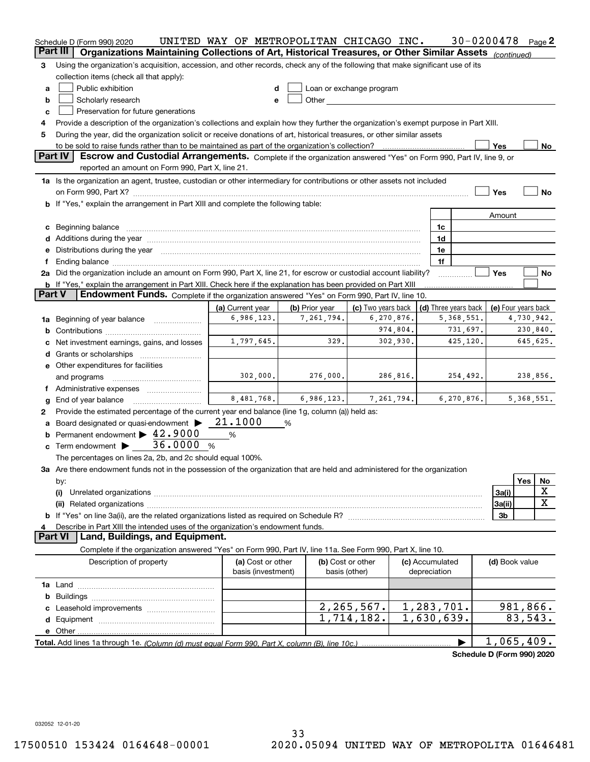|        | Schedule D (Form 990) 2020                                                                                                                                                                                                        | UNITED WAY OF METROPOLITAN CHICAGO INC. |                |                                                                                                                                                                                                                                |                                            |              | $30 - 0200478$             | Page 2       |    |
|--------|-----------------------------------------------------------------------------------------------------------------------------------------------------------------------------------------------------------------------------------|-----------------------------------------|----------------|--------------------------------------------------------------------------------------------------------------------------------------------------------------------------------------------------------------------------------|--------------------------------------------|--------------|----------------------------|--------------|----|
|        | Part III<br>Organizations Maintaining Collections of Art, Historical Treasures, or Other Similar Assets (continued)                                                                                                               |                                         |                |                                                                                                                                                                                                                                |                                            |              |                            |              |    |
| 3      | Using the organization's acquisition, accession, and other records, check any of the following that make significant use of its                                                                                                   |                                         |                |                                                                                                                                                                                                                                |                                            |              |                            |              |    |
|        | collection items (check all that apply):                                                                                                                                                                                          |                                         |                |                                                                                                                                                                                                                                |                                            |              |                            |              |    |
| а      | Public exhibition                                                                                                                                                                                                                 | d                                       |                | Loan or exchange program                                                                                                                                                                                                       |                                            |              |                            |              |    |
| b      | Scholarly research                                                                                                                                                                                                                | e                                       |                | Other and the control of the control of the control of the control of the control of the control of the control of the control of the control of the control of the control of the control of the control of the control of th |                                            |              |                            |              |    |
| c      | Preservation for future generations                                                                                                                                                                                               |                                         |                |                                                                                                                                                                                                                                |                                            |              |                            |              |    |
| 4      | Provide a description of the organization's collections and explain how they further the organization's exempt purpose in Part XIII.                                                                                              |                                         |                |                                                                                                                                                                                                                                |                                            |              |                            |              |    |
| 5      | During the year, did the organization solicit or receive donations of art, historical treasures, or other similar assets                                                                                                          |                                         |                |                                                                                                                                                                                                                                |                                            |              |                            |              |    |
|        |                                                                                                                                                                                                                                   |                                         |                |                                                                                                                                                                                                                                |                                            |              | Yes                        |              | No |
|        | Part IV<br>Escrow and Custodial Arrangements. Complete if the organization answered "Yes" on Form 990, Part IV, line 9, or                                                                                                        |                                         |                |                                                                                                                                                                                                                                |                                            |              |                            |              |    |
|        | reported an amount on Form 990, Part X, line 21.                                                                                                                                                                                  |                                         |                |                                                                                                                                                                                                                                |                                            |              |                            |              |    |
|        | 1a Is the organization an agent, trustee, custodian or other intermediary for contributions or other assets not included                                                                                                          |                                         |                |                                                                                                                                                                                                                                |                                            |              |                            |              |    |
|        |                                                                                                                                                                                                                                   |                                         |                |                                                                                                                                                                                                                                |                                            |              | Yes                        |              | No |
|        | b If "Yes," explain the arrangement in Part XIII and complete the following table:                                                                                                                                                |                                         |                |                                                                                                                                                                                                                                |                                            |              |                            |              |    |
|        |                                                                                                                                                                                                                                   |                                         |                |                                                                                                                                                                                                                                |                                            |              | Amount                     |              |    |
|        | c Beginning balance manufactured and the contract of Beginning balance manufactured and the contract of the contract of the contract of the contract of the contract of the contract of the contract of the contract of the co    |                                         |                |                                                                                                                                                                                                                                | 1c                                         |              |                            |              |    |
|        |                                                                                                                                                                                                                                   |                                         |                |                                                                                                                                                                                                                                | 1d                                         |              |                            |              |    |
|        | d Additions during the year measurement contains and a state of the year measurement of the year measurement of<br>e Distributions during the year manufactured and continuum and contract the year manufactured and contract the |                                         |                | 1e                                                                                                                                                                                                                             |                                            |              |                            |              |    |
|        |                                                                                                                                                                                                                                   |                                         |                | 1f                                                                                                                                                                                                                             |                                            |              |                            |              |    |
|        | 2a Did the organization include an amount on Form 990, Part X, line 21, for escrow or custodial account liability?                                                                                                                |                                         |                |                                                                                                                                                                                                                                |                                            |              | Yes                        |              | No |
|        | <b>b</b> If "Yes," explain the arrangement in Part XIII. Check here if the explanation has been provided on Part XIII                                                                                                             |                                         |                |                                                                                                                                                                                                                                |                                            |              |                            |              |    |
| Part V | Endowment Funds. Complete if the organization answered "Yes" on Form 990, Part IV, line 10.                                                                                                                                       |                                         |                |                                                                                                                                                                                                                                |                                            |              |                            |              |    |
|        |                                                                                                                                                                                                                                   | (a) Current year                        | (b) Prior year | (c) Two years back                                                                                                                                                                                                             | (d) Three years back   (e) Four years back |              |                            |              |    |
|        | <b>1a</b> Beginning of year balance <i>manumumum</i>                                                                                                                                                                              | 6,986,123.                              | 7,261,794.     | 6,270,876.                                                                                                                                                                                                                     |                                            | 5, 368, 551. |                            | 4,730,942.   |    |
| b      |                                                                                                                                                                                                                                   |                                         |                | 974,804.                                                                                                                                                                                                                       |                                            | 731,697.     |                            | 230,840.     |    |
|        |                                                                                                                                                                                                                                   | 1,797,645.                              | 329.           | 302,930.                                                                                                                                                                                                                       |                                            | 425,120.     |                            | 645,625.     |    |
| c      | Net investment earnings, gains, and losses                                                                                                                                                                                        |                                         |                |                                                                                                                                                                                                                                |                                            |              |                            |              |    |
|        |                                                                                                                                                                                                                                   |                                         |                |                                                                                                                                                                                                                                |                                            |              |                            |              |    |
|        | e Other expenditures for facilities                                                                                                                                                                                               | 302,000.                                | 276,000.       | 286,816.                                                                                                                                                                                                                       |                                            | 254,492.     |                            | 238,856.     |    |
|        | and programs                                                                                                                                                                                                                      |                                         |                |                                                                                                                                                                                                                                |                                            |              |                            |              |    |
|        | f Administrative expenses                                                                                                                                                                                                         | 8,481,768.                              | 6,986,123.     | 7,261,794.                                                                                                                                                                                                                     |                                            | 6,270,876.   |                            | 5, 368, 551. |    |
| g      | End of year balance                                                                                                                                                                                                               |                                         |                |                                                                                                                                                                                                                                |                                            |              |                            |              |    |
| 2      | Provide the estimated percentage of the current year end balance (line 1g, column (a)) held as:                                                                                                                                   | 21.1000                                 |                |                                                                                                                                                                                                                                |                                            |              |                            |              |    |
|        | a Board designated or quasi-endowment ><br><b>b</b> Permanent endowment $\blacktriangleright$ 42.9000                                                                                                                             |                                         | %              |                                                                                                                                                                                                                                |                                            |              |                            |              |    |
|        |                                                                                                                                                                                                                                   | $\%$                                    |                |                                                                                                                                                                                                                                |                                            |              |                            |              |    |
|        | c Term endowment $\triangleright$ 36.0000 %                                                                                                                                                                                       |                                         |                |                                                                                                                                                                                                                                |                                            |              |                            |              |    |
|        | The percentages on lines 2a, 2b, and 2c should equal 100%.                                                                                                                                                                        |                                         |                |                                                                                                                                                                                                                                |                                            |              |                            |              |    |
|        | 3a Are there endowment funds not in the possession of the organization that are held and administered for the organization                                                                                                        |                                         |                |                                                                                                                                                                                                                                |                                            |              |                            |              |    |
|        | by:                                                                                                                                                                                                                               |                                         |                |                                                                                                                                                                                                                                |                                            |              |                            | Yes<br>X     | No |
|        | (i)                                                                                                                                                                                                                               |                                         |                |                                                                                                                                                                                                                                |                                            |              | 3a(i)                      |              | X  |
|        |                                                                                                                                                                                                                                   |                                         |                |                                                                                                                                                                                                                                |                                            |              | 3a(ii)                     |              |    |
|        |                                                                                                                                                                                                                                   |                                         |                |                                                                                                                                                                                                                                |                                            |              | 3b                         |              |    |
| 4      | Describe in Part XIII the intended uses of the organization's endowment funds.<br>Land, Buildings, and Equipment.<br><b>Part VI</b>                                                                                               |                                         |                |                                                                                                                                                                                                                                |                                            |              |                            |              |    |
|        |                                                                                                                                                                                                                                   |                                         |                |                                                                                                                                                                                                                                |                                            |              |                            |              |    |
|        | Complete if the organization answered "Yes" on Form 990, Part IV, line 11a. See Form 990, Part X, line 10.                                                                                                                        |                                         |                |                                                                                                                                                                                                                                |                                            |              |                            |              |    |
|        | Description of property                                                                                                                                                                                                           | (a) Cost or other                       |                | (b) Cost or other                                                                                                                                                                                                              | (c) Accumulated                            |              | (d) Book value             |              |    |
|        |                                                                                                                                                                                                                                   | basis (investment)                      |                | basis (other)                                                                                                                                                                                                                  | depreciation                               |              |                            |              |    |
|        |                                                                                                                                                                                                                                   |                                         |                |                                                                                                                                                                                                                                |                                            |              |                            |              |    |
|        |                                                                                                                                                                                                                                   |                                         |                |                                                                                                                                                                                                                                |                                            |              |                            |              |    |
|        |                                                                                                                                                                                                                                   |                                         |                | 2, 265, 567.                                                                                                                                                                                                                   | 1,283,701.                                 |              |                            | 981,866.     |    |
|        |                                                                                                                                                                                                                                   |                                         |                | 1,714,182.                                                                                                                                                                                                                     | 1,630,639.                                 |              |                            | 83,543.      |    |
|        |                                                                                                                                                                                                                                   |                                         |                |                                                                                                                                                                                                                                |                                            |              |                            |              |    |
|        |                                                                                                                                                                                                                                   |                                         |                |                                                                                                                                                                                                                                |                                            |              | $\overline{1,065,409}$ .   |              |    |
|        |                                                                                                                                                                                                                                   |                                         |                |                                                                                                                                                                                                                                |                                            |              | Schedule D (Form 990) 2020 |              |    |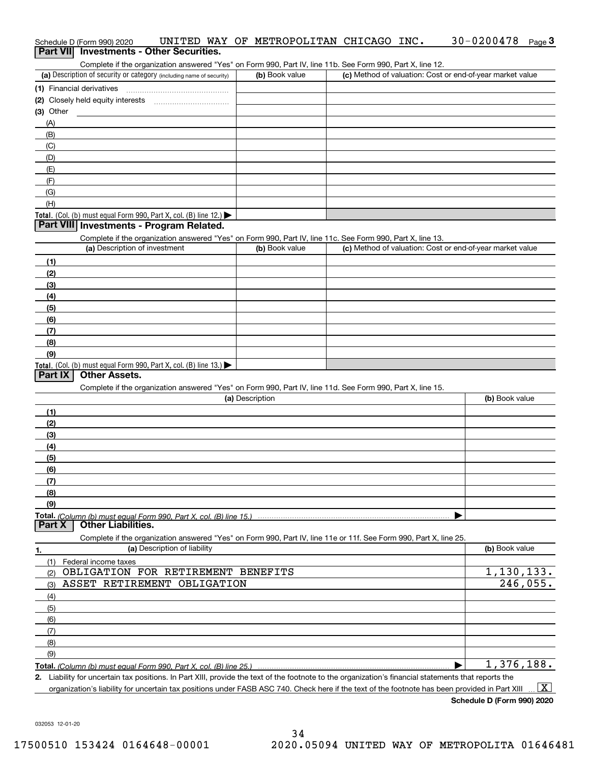| Schedule D (Form 990) 2020                                                                                                                           |                 | UNITED WAY OF METROPOLITAN CHICAGO INC. | $30 - 0200478$<br>Page $3$                                |
|------------------------------------------------------------------------------------------------------------------------------------------------------|-----------------|-----------------------------------------|-----------------------------------------------------------|
| Part VII Investments - Other Securities.                                                                                                             |                 |                                         |                                                           |
| Complete if the organization answered "Yes" on Form 990, Part IV, line 11b. See Form 990, Part X, line 12.                                           |                 |                                         |                                                           |
| (a) Description of security or category (including name of security)                                                                                 | (b) Book value  |                                         | (c) Method of valuation: Cost or end-of-year market value |
| (1) Financial derivatives                                                                                                                            |                 |                                         |                                                           |
| (2) Closely held equity interests                                                                                                                    |                 |                                         |                                                           |
| $(3)$ Other                                                                                                                                          |                 |                                         |                                                           |
| (A)                                                                                                                                                  |                 |                                         |                                                           |
| (B)<br>(C)                                                                                                                                           |                 |                                         |                                                           |
| (D)                                                                                                                                                  |                 |                                         |                                                           |
| (E)                                                                                                                                                  |                 |                                         |                                                           |
| (F)                                                                                                                                                  |                 |                                         |                                                           |
| (G)                                                                                                                                                  |                 |                                         |                                                           |
| (H)                                                                                                                                                  |                 |                                         |                                                           |
| Total. (Col. (b) must equal Form 990, Part X, col. (B) line 12.) $\blacktriangleright$                                                               |                 |                                         |                                                           |
| Part VIII Investments - Program Related.                                                                                                             |                 |                                         |                                                           |
| Complete if the organization answered "Yes" on Form 990, Part IV, line 11c. See Form 990, Part X, line 13.                                           |                 |                                         |                                                           |
| (a) Description of investment                                                                                                                        | (b) Book value  |                                         | (c) Method of valuation: Cost or end-of-year market value |
| (1)                                                                                                                                                  |                 |                                         |                                                           |
| (2)                                                                                                                                                  |                 |                                         |                                                           |
| (3)                                                                                                                                                  |                 |                                         |                                                           |
| (4)                                                                                                                                                  |                 |                                         |                                                           |
| (5)                                                                                                                                                  |                 |                                         |                                                           |
| (6)                                                                                                                                                  |                 |                                         |                                                           |
| (7)                                                                                                                                                  |                 |                                         |                                                           |
| (8)                                                                                                                                                  |                 |                                         |                                                           |
| (9)                                                                                                                                                  |                 |                                         |                                                           |
| Total. (Col. (b) must equal Form 990, Part X, col. (B) line 13.)<br><b>Other Assets.</b><br>Part IX                                                  |                 |                                         |                                                           |
|                                                                                                                                                      |                 |                                         |                                                           |
| Complete if the organization answered "Yes" on Form 990, Part IV, line 11d. See Form 990, Part X, line 15.                                           | (a) Description |                                         | (b) Book value                                            |
| (1)                                                                                                                                                  |                 |                                         |                                                           |
| (2)                                                                                                                                                  |                 |                                         |                                                           |
| (3)                                                                                                                                                  |                 |                                         |                                                           |
| (4)                                                                                                                                                  |                 |                                         |                                                           |
| (5)                                                                                                                                                  |                 |                                         |                                                           |
| (6)                                                                                                                                                  |                 |                                         |                                                           |
| (7)                                                                                                                                                  |                 |                                         |                                                           |
| (8)                                                                                                                                                  |                 |                                         |                                                           |
| (9)                                                                                                                                                  |                 |                                         |                                                           |
|                                                                                                                                                      |                 |                                         |                                                           |
| <b>Other Liabilities.</b><br>Part X                                                                                                                  |                 |                                         |                                                           |
| Complete if the organization answered "Yes" on Form 990, Part IV, line 11e or 11f. See Form 990, Part X, line 25.                                    |                 |                                         |                                                           |
| (a) Description of liability<br>1.                                                                                                                   |                 |                                         | (b) Book value                                            |
| (1)<br>Federal income taxes                                                                                                                          |                 |                                         |                                                           |
| OBLIGATION FOR RETIREMENT BENEFITS<br>(2)                                                                                                            |                 |                                         | $\overline{1,}$ 130, 133.                                 |
| ASSET RETIREMENT OBLIGATION<br>(3)                                                                                                                   |                 |                                         | 246,055.                                                  |
| (4)                                                                                                                                                  |                 |                                         |                                                           |
| (5)                                                                                                                                                  |                 |                                         |                                                           |
| (6)                                                                                                                                                  |                 |                                         |                                                           |
| (7)                                                                                                                                                  |                 |                                         |                                                           |
| (8)                                                                                                                                                  |                 |                                         |                                                           |
| (9)                                                                                                                                                  |                 |                                         | $\overline{1,376},188.$                                   |
|                                                                                                                                                      |                 |                                         |                                                           |
| 2. Liability for uncertain tax positions. In Part XIII, provide the text of the footnote to the organization's financial statements that reports the |                 |                                         |                                                           |

organization's liability for uncertain tax positions under FASB ASC 740. Check here if the text of the footnote has been provided in Part XIII.  $\boxed{\text{X}}$ 

**Schedule D (Form 990) 2020**

30-0200478 Page 3

032053 12-01-20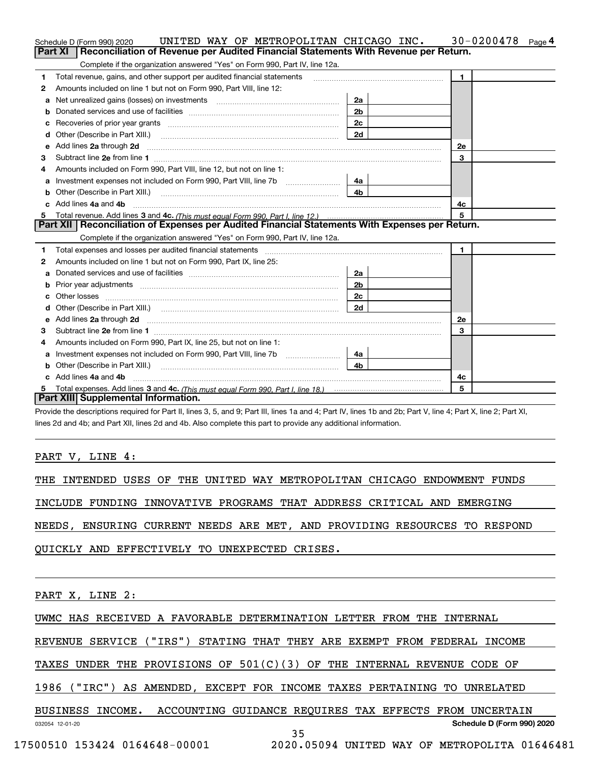|    | UNITED WAY OF METROPOLITAN CHICAGO INC.<br>Schedule D (Form 990) 2020                                                                                                                                                          |                | $30 - 0200478$<br>Page <sup>4</sup> |
|----|--------------------------------------------------------------------------------------------------------------------------------------------------------------------------------------------------------------------------------|----------------|-------------------------------------|
|    | <b>Part XI</b><br>Reconciliation of Revenue per Audited Financial Statements With Revenue per Return.                                                                                                                          |                |                                     |
|    | Complete if the organization answered "Yes" on Form 990, Part IV, line 12a.                                                                                                                                                    |                |                                     |
| 1  | Total revenue, gains, and other support per audited financial statements                                                                                                                                                       |                | $\mathbf{1}$                        |
| 2  | Amounts included on line 1 but not on Form 990, Part VIII, line 12:                                                                                                                                                            |                |                                     |
| a  |                                                                                                                                                                                                                                | 2a             |                                     |
|    |                                                                                                                                                                                                                                | 2 <sub>b</sub> |                                     |
|    | Recoveries of prior year grants [11] matter contracts and prior year grants [11] matter contracts and all the contracts and all the contracts and all the contracts and all the contracts and all the contracts and all the co | 2c             |                                     |
| d  |                                                                                                                                                                                                                                | 2d             |                                     |
| е  | Add lines 2a through 2d <b>must be a constructed as the constant of the constant of the constant of the construction</b>                                                                                                       |                | 2e                                  |
| з  |                                                                                                                                                                                                                                |                | 3                                   |
| 4  | Amounts included on Form 990, Part VIII, line 12, but not on line 1:                                                                                                                                                           |                |                                     |
|    | Investment expenses not included on Form 990, Part VIII, line 7b [100] [100] [100] [100] [100] [100] [100] [100] [100] [100] [100] [100] [100] [100] [100] [100] [100] [100] [100] [100] [100] [100] [100] [100] [100] [100] [ | 4a             |                                     |
| b  | Other (Describe in Part XIII.) <b>Construction Contract Construction</b> Chemistry Chemistry Chemistry Chemistry Chemistry                                                                                                     | 4 <sub>b</sub> |                                     |
| c. | Add lines 4a and 4b                                                                                                                                                                                                            |                | 4c                                  |
|    |                                                                                                                                                                                                                                |                | 5                                   |
|    | Part XII   Reconciliation of Expenses per Audited Financial Statements With Expenses per Return.                                                                                                                               |                |                                     |
|    | Complete if the organization answered "Yes" on Form 990, Part IV, line 12a.                                                                                                                                                    |                |                                     |
| 1. | Total expenses and losses per audited financial statements [111] [12] contain an interview and losses per audited financial statements [11] [12] contain an interview and the statements of the statements of the statements a |                | $\mathbf{1}$                        |
| 2  | Amounts included on line 1 but not on Form 990, Part IX, line 25:                                                                                                                                                              |                |                                     |
| a  |                                                                                                                                                                                                                                | 2a             |                                     |
| b  |                                                                                                                                                                                                                                | 2 <sub>b</sub> |                                     |
|    |                                                                                                                                                                                                                                | 2c             |                                     |
|    |                                                                                                                                                                                                                                | 2d             |                                     |
|    |                                                                                                                                                                                                                                |                | <b>2e</b>                           |
| 3  |                                                                                                                                                                                                                                |                | 3                                   |
| 4  | Amounts included on Form 990, Part IX, line 25, but not on line 1:                                                                                                                                                             |                |                                     |
|    |                                                                                                                                                                                                                                | 4a l           |                                     |
| b  |                                                                                                                                                                                                                                | 4b             |                                     |
|    | Add lines 4a and 4b                                                                                                                                                                                                            |                | 4с                                  |
|    |                                                                                                                                                                                                                                |                | 5                                   |
|    | Part XIII Supplemental Information.                                                                                                                                                                                            |                |                                     |

Provide the descriptions required for Part II, lines 3, 5, and 9; Part III, lines 1a and 4; Part IV, lines 1b and 2b; Part V, line 4; Part X, line 2; Part XI, lines 2d and 4b; and Part XII, lines 2d and 4b. Also complete this part to provide any additional information.

PART V, LINE 4:

THE INTENDED USES OF THE UNITED WAY METROPOLITAN CHICAGO ENDOWMENT FUNDS

INCLUDE FUNDING INNOVATIVE PROGRAMS THAT ADDRESS CRITICAL AND EMERGING

NEEDS, ENSURING CURRENT NEEDS ARE MET, AND PROVIDING RESOURCES TO RESPOND

QUICKLY AND EFFECTIVELY TO UNEXPECTED CRISES.

PART X, LINE 2:

UWMC HAS RECEIVED A FAVORABLE DETERMINATION LETTER FROM THE INTERNAL

REVENUE SERVICE ("IRS") STATING THAT THEY ARE EXEMPT FROM FEDERAL INCOME

TAXES UNDER THE PROVISIONS OF  $501(C)(3)$  OF THE INTERNAL REVENUE CODE OF

1986 ("IRC") AS AMENDED, EXCEPT FOR INCOME TAXES PERTAINING TO UNRELATED

## BUSINESS INCOME. ACCOUNTING GUIDANCE REQUIRES TAX EFFECTS FROM UNCERTAIN

032054 12-01-20

35

17500510 153424 0164648-00001 2020.05094 UNITED WAY OF METROPOLITA 01646481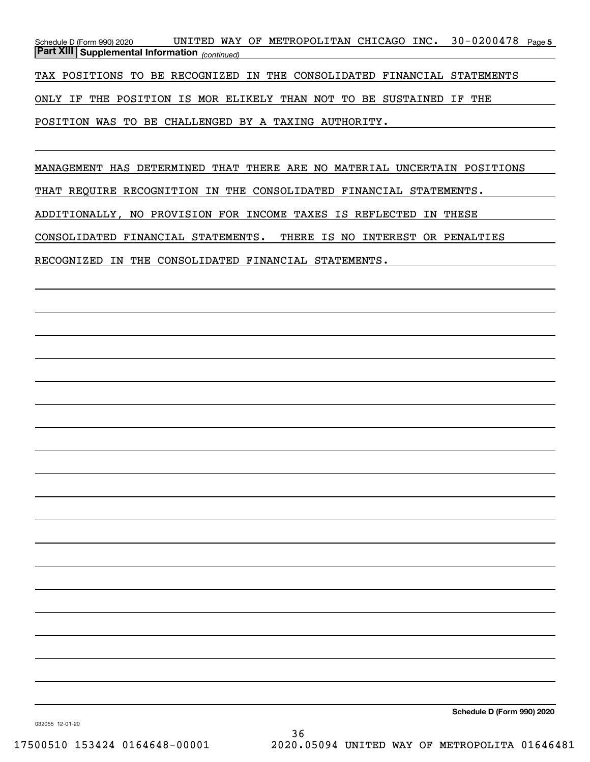Schedule D (Form 990) 2020 UNITED WAY OF METROPOLITAN CHICAGO INC。 30-0200478 page 5 *(continued)* **Part XIII Supplemental Information** 

TAX POSITIONS TO BE RECOGNIZED IN THE CONSOLIDATED FINANCIAL STATEMENTS

ONLY IF THE POSITION IS MOR ELIKELY THAN NOT TO BE SUSTAINED IF THE

POSITION WAS TO BE CHALLENGED BY A TAXING AUTHORITY.

MANAGEMENT HAS DETERMINED THAT THERE ARE NO MATERIAL UNCERTAIN POSITIONS

THAT REQUIRE RECOGNITION IN THE CONSOLIDATED FINANCIAL STATEMENTS.

ADDITIONALLY, NO PROVISION FOR INCOME TAXES IS REFLECTED IN THESE

CONSOLIDATED FINANCIAL STATEMENTS. THERE IS NO INTEREST OR PENALTIES

RECOGNIZED IN THE CONSOLIDATED FINANCIAL STATEMENTS.

**Schedule D (Form 990) 2020**

032055 12-01-20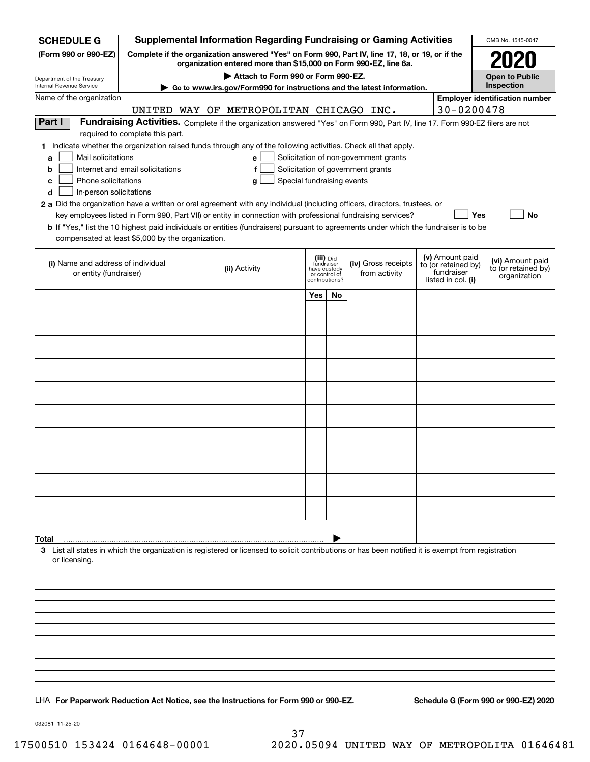| <b>SCHEDULE G</b>                                                                                                                                           |                                  |               |                                         |                         |                                                 | <b>Supplemental Information Regarding Fundraising or Gaming Activities</b>                                                                                          |                                        | OMB No. 1545-0047                     |
|-------------------------------------------------------------------------------------------------------------------------------------------------------------|----------------------------------|---------------|-----------------------------------------|-------------------------|-------------------------------------------------|---------------------------------------------------------------------------------------------------------------------------------------------------------------------|----------------------------------------|---------------------------------------|
| (Form 990 or 990-EZ)                                                                                                                                        |                                  |               |                                         |                         |                                                 | Complete if the organization answered "Yes" on Form 990, Part IV, line 17, 18, or 19, or if the<br>organization entered more than \$15,000 on Form 990-EZ, line 6a. |                                        |                                       |
| Department of the Treasury                                                                                                                                  |                                  |               | Attach to Form 990 or Form 990-EZ.      |                         |                                                 |                                                                                                                                                                     |                                        | <b>Open to Public</b>                 |
| <b>Internal Revenue Service</b>                                                                                                                             |                                  |               |                                         |                         |                                                 | ► Go to www.irs.gov/Form990 for instructions and the latest information.                                                                                            |                                        | Inspection                            |
| Name of the organization                                                                                                                                    |                                  |               | UNITED WAY OF METROPOLITAN CHICAGO INC. |                         |                                                 |                                                                                                                                                                     | 30-0200478                             | <b>Employer identification number</b> |
| Part I                                                                                                                                                      |                                  |               |                                         |                         |                                                 | Fundraising Activities. Complete if the organization answered "Yes" on Form 990, Part IV, line 17. Form 990-EZ filers are not                                       |                                        |                                       |
| 1 Indicate whether the organization raised funds through any of the following activities. Check all that apply.                                             | required to complete this part.  |               |                                         |                         |                                                 |                                                                                                                                                                     |                                        |                                       |
| Mail solicitations<br>a                                                                                                                                     |                                  |               | $\mathbf{e}$                            |                         |                                                 | Solicitation of non-government grants                                                                                                                               |                                        |                                       |
| b                                                                                                                                                           | Internet and email solicitations |               | f                                       |                         |                                                 | Solicitation of government grants                                                                                                                                   |                                        |                                       |
| Phone solicitations<br>c                                                                                                                                    |                                  |               | Special fundraising events<br>g         |                         |                                                 |                                                                                                                                                                     |                                        |                                       |
| In-person solicitations<br>d<br>2 a Did the organization have a written or oral agreement with any individual (including officers, directors, trustees, or  |                                  |               |                                         |                         |                                                 |                                                                                                                                                                     |                                        |                                       |
|                                                                                                                                                             |                                  |               |                                         |                         |                                                 | key employees listed in Form 990, Part VII) or entity in connection with professional fundraising services?                                                         | Yes                                    | No                                    |
| <b>b</b> If "Yes," list the 10 highest paid individuals or entities (fundraisers) pursuant to agreements under which the fundraiser is to be                |                                  |               |                                         |                         |                                                 |                                                                                                                                                                     |                                        |                                       |
| compensated at least \$5,000 by the organization.                                                                                                           |                                  |               |                                         |                         |                                                 |                                                                                                                                                                     |                                        |                                       |
| (i) Name and address of individual                                                                                                                          |                                  |               |                                         | (iii) Did<br>fundraiser |                                                 | (iv) Gross receipts                                                                                                                                                 | (v) Amount paid<br>to (or retained by) | (vi) Amount paid                      |
| or entity (fundraiser)                                                                                                                                      |                                  | (ii) Activity |                                         |                         | have custody<br>or control of<br>contributions? | from activity                                                                                                                                                       | fundraiser<br>listed in col. (i)       | to (or retained by)<br>organization   |
|                                                                                                                                                             |                                  |               |                                         | Yes                     | No                                              |                                                                                                                                                                     |                                        |                                       |
|                                                                                                                                                             |                                  |               |                                         |                         |                                                 |                                                                                                                                                                     |                                        |                                       |
|                                                                                                                                                             |                                  |               |                                         |                         |                                                 |                                                                                                                                                                     |                                        |                                       |
|                                                                                                                                                             |                                  |               |                                         |                         |                                                 |                                                                                                                                                                     |                                        |                                       |
|                                                                                                                                                             |                                  |               |                                         |                         |                                                 |                                                                                                                                                                     |                                        |                                       |
|                                                                                                                                                             |                                  |               |                                         |                         |                                                 |                                                                                                                                                                     |                                        |                                       |
|                                                                                                                                                             |                                  |               |                                         |                         |                                                 |                                                                                                                                                                     |                                        |                                       |
|                                                                                                                                                             |                                  |               |                                         |                         |                                                 |                                                                                                                                                                     |                                        |                                       |
|                                                                                                                                                             |                                  |               |                                         |                         |                                                 |                                                                                                                                                                     |                                        |                                       |
|                                                                                                                                                             |                                  |               |                                         |                         |                                                 |                                                                                                                                                                     |                                        |                                       |
|                                                                                                                                                             |                                  |               |                                         |                         |                                                 |                                                                                                                                                                     |                                        |                                       |
|                                                                                                                                                             |                                  |               |                                         |                         |                                                 |                                                                                                                                                                     |                                        |                                       |
|                                                                                                                                                             |                                  |               |                                         |                         |                                                 |                                                                                                                                                                     |                                        |                                       |
|                                                                                                                                                             |                                  |               |                                         |                         |                                                 |                                                                                                                                                                     |                                        |                                       |
| Total<br>3 List all states in which the organization is registered or licensed to solicit contributions or has been notified it is exempt from registration |                                  |               |                                         |                         |                                                 |                                                                                                                                                                     |                                        |                                       |
| or licensing.                                                                                                                                               |                                  |               |                                         |                         |                                                 |                                                                                                                                                                     |                                        |                                       |
|                                                                                                                                                             |                                  |               |                                         |                         |                                                 |                                                                                                                                                                     |                                        |                                       |
|                                                                                                                                                             |                                  |               |                                         |                         |                                                 |                                                                                                                                                                     |                                        |                                       |
|                                                                                                                                                             |                                  |               |                                         |                         |                                                 |                                                                                                                                                                     |                                        |                                       |
|                                                                                                                                                             |                                  |               |                                         |                         |                                                 |                                                                                                                                                                     |                                        |                                       |
|                                                                                                                                                             |                                  |               |                                         |                         |                                                 |                                                                                                                                                                     |                                        |                                       |
|                                                                                                                                                             |                                  |               |                                         |                         |                                                 |                                                                                                                                                                     |                                        |                                       |
|                                                                                                                                                             |                                  |               |                                         |                         |                                                 |                                                                                                                                                                     |                                        |                                       |
|                                                                                                                                                             |                                  |               |                                         |                         |                                                 |                                                                                                                                                                     |                                        |                                       |
| LHA For Paperwork Reduction Act Notice, see the Instructions for Form 990 or 990-EZ.                                                                        |                                  |               |                                         |                         |                                                 |                                                                                                                                                                     |                                        | Schedule G (Form 990 or 990-EZ) 2020  |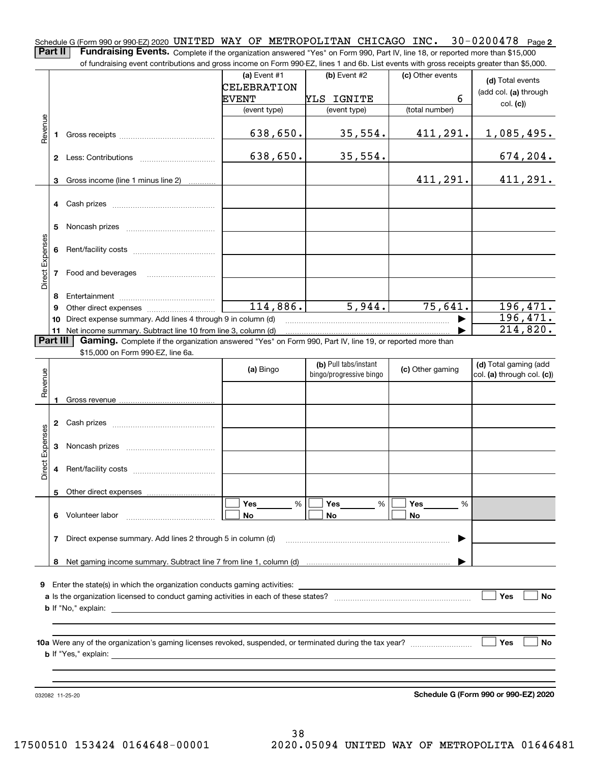Schedule G (Form 990 or 990-EZ) 2020 <code>UNITED WAY OF METROPOLITAN CHICAGO INC. 30–0200478 Page 2</code> **Part II** | Fundraising Events. Complete if the organization answered "Yes" on Form 990, Part IV, line 18, or reported more than \$15,000 of fundraising event contributions and gross income on Form 990-EZ, lines 1 and 6b. List events with gross receipts greater than \$5,000.

|                 |          | or iuridraising event contributions and gross income on Form 990-EZ, lines T and 6D. Elst events with gross receipts greater than \$5,000. |                             |                         |                  |                                      |
|-----------------|----------|--------------------------------------------------------------------------------------------------------------------------------------------|-----------------------------|-------------------------|------------------|--------------------------------------|
|                 |          |                                                                                                                                            | (a) Event $#1$              | $(b)$ Event #2          | (c) Other events | (d) Total events                     |
|                 |          |                                                                                                                                            | CELEBRATION<br><b>EVENT</b> | YLS IGNITE              | 6                | (add col. (a) through                |
|                 |          |                                                                                                                                            | (event type)                | (event type)            | (total number)   | col. (c)                             |
|                 |          |                                                                                                                                            |                             |                         |                  |                                      |
| Revenue         | 1.       |                                                                                                                                            | 638,650.                    | 35,554.                 | 411,291.         | 1,085,495.                           |
|                 |          |                                                                                                                                            | 638,650.                    | 35,554.                 |                  | 674, 204.                            |
|                 | 3        | Gross income (line 1 minus line 2)                                                                                                         |                             |                         | 411,291.         | 411,291.                             |
|                 |          |                                                                                                                                            |                             |                         |                  |                                      |
|                 | 5        |                                                                                                                                            |                             |                         |                  |                                      |
| Direct Expenses | 6        |                                                                                                                                            |                             |                         |                  |                                      |
|                 |          | 7 Food and beverages                                                                                                                       |                             |                         |                  |                                      |
|                 | 8        |                                                                                                                                            |                             |                         |                  |                                      |
|                 | 9        |                                                                                                                                            | 114,886.                    | 5,944.                  | 75,641.          | 196,471.                             |
|                 | 10       | Direct expense summary. Add lines 4 through 9 in column (d)                                                                                |                             |                         |                  | 196,471.                             |
|                 |          | 11 Net income summary. Subtract line 10 from line 3, column (d)                                                                            |                             |                         |                  | 214,820.                             |
|                 | Part III | Gaming. Complete if the organization answered "Yes" on Form 990, Part IV, line 19, or reported more than                                   |                             |                         |                  |                                      |
|                 |          | \$15,000 on Form 990-EZ, line 6a.                                                                                                          |                             | (b) Pull tabs/instant   |                  | (d) Total gaming (add                |
| Revenue         |          |                                                                                                                                            | (a) Bingo                   | bingo/progressive bingo | (c) Other gaming | col. (a) through col. (c))           |
|                 |          |                                                                                                                                            |                             |                         |                  |                                      |
|                 | 1.       |                                                                                                                                            |                             |                         |                  |                                      |
|                 | 2        |                                                                                                                                            |                             |                         |                  |                                      |
|                 | 3        |                                                                                                                                            |                             |                         |                  |                                      |
| Direct Expenses | 4        |                                                                                                                                            |                             |                         |                  |                                      |
|                 |          | 5 Other direct expenses                                                                                                                    |                             |                         |                  |                                      |
|                 |          |                                                                                                                                            | Yes<br>%                    | Yes<br>%                | Yes<br>%         |                                      |
|                 | 6        | Volunteer labor                                                                                                                            | No                          | No                      | No               |                                      |
|                 | 7        | Direct expense summary. Add lines 2 through 5 in column (d)                                                                                |                             |                         | ▶                |                                      |
|                 | 8        |                                                                                                                                            |                             |                         |                  |                                      |
|                 |          |                                                                                                                                            |                             |                         |                  |                                      |
| 9               |          | Enter the state(s) in which the organization conducts gaming activities:                                                                   |                             |                         |                  |                                      |
|                 |          |                                                                                                                                            |                             |                         |                  | Yes<br>No                            |
|                 |          |                                                                                                                                            |                             |                         |                  |                                      |
|                 |          |                                                                                                                                            |                             |                         |                  |                                      |
|                 |          |                                                                                                                                            |                             |                         |                  | Yes<br>No                            |
|                 |          |                                                                                                                                            |                             |                         |                  |                                      |
|                 |          |                                                                                                                                            |                             |                         |                  |                                      |
|                 |          |                                                                                                                                            |                             |                         |                  |                                      |
|                 |          | 032082 11-25-20                                                                                                                            |                             |                         |                  | Schedule G (Form 990 or 990-EZ) 2020 |

38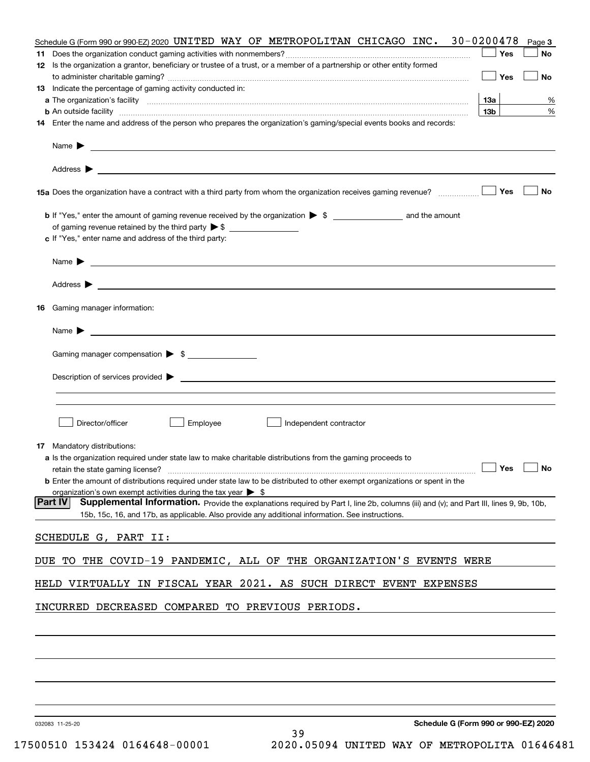| Schedule G (Form 990 or 990-EZ) 2020 UNITED WAY OF METROPOLITAN CHICAGO INC. 30-0200478                                                                                                                                                   | Page 3                               |
|-------------------------------------------------------------------------------------------------------------------------------------------------------------------------------------------------------------------------------------------|--------------------------------------|
| 11                                                                                                                                                                                                                                        | Yes<br>No                            |
| 12 Is the organization a grantor, beneficiary or trustee of a trust, or a member of a partnership or other entity formed                                                                                                                  |                                      |
|                                                                                                                                                                                                                                           | Yes<br>No                            |
| 13 Indicate the percentage of gaming activity conducted in:                                                                                                                                                                               | 1За<br>%                             |
| <b>b</b> An outside facility <b>contract and the contract of the contract of the contract of the contract of the contract of the contract of the contract of the contract of the contract of the contract of the contract of the cont</b> | 13 <sub>b</sub><br>%                 |
| 14 Enter the name and address of the person who prepares the organization's gaming/special events books and records:                                                                                                                      |                                      |
| Name $\blacktriangleright$<br><u> 1989 - Johann Barn, fransk politik (d. 1989)</u>                                                                                                                                                        |                                      |
| Address $\blacktriangleright$<br><u> 1989 - Johann Stoff, amerikansk politiker (d. 1989)</u>                                                                                                                                              |                                      |
| 15a Does the organization have a contract with a third party from whom the organization receives gaming revenue?                                                                                                                          | Yes<br>No                            |
|                                                                                                                                                                                                                                           |                                      |
|                                                                                                                                                                                                                                           |                                      |
| c If "Yes," enter name and address of the third party:                                                                                                                                                                                    |                                      |
| Name $\blacktriangleright$<br><u> Alexandria de la contrada de la contrada de la contrada de la contrada de la contrada de la contrada de la c</u>                                                                                        |                                      |
| Address $\blacktriangleright$                                                                                                                                                                                                             |                                      |
| 16 Gaming manager information:                                                                                                                                                                                                            |                                      |
| Name $\blacktriangleright$<br><u> 1989 - Andrea Station Barbara (h. 1989).</u>                                                                                                                                                            |                                      |
| Gaming manager compensation > \$                                                                                                                                                                                                          |                                      |
| Description of services provided $\blacktriangleright$                                                                                                                                                                                    |                                      |
|                                                                                                                                                                                                                                           |                                      |
|                                                                                                                                                                                                                                           |                                      |
| Director/officer<br>Employee<br>Independent contractor                                                                                                                                                                                    |                                      |
| 17 Mandatory distributions:                                                                                                                                                                                                               |                                      |
| a Is the organization required under state law to make charitable distributions from the gaming proceeds to                                                                                                                               |                                      |
| retain the state gaming license?                                                                                                                                                                                                          | Yes<br>No                            |
| <b>b</b> Enter the amount of distributions required under state law to be distributed to other exempt organizations or spent in the<br>organization's own exempt activities during the tax year $\triangleright$ \$                       |                                      |
| Part IV<br>Supplemental Information. Provide the explanations required by Part I, line 2b, columns (iii) and (v); and Part III, lines 9, 9b, 10b,                                                                                         |                                      |
| 15b, 15c, 16, and 17b, as applicable. Also provide any additional information. See instructions.                                                                                                                                          |                                      |
| SCHEDULE G, PART II:                                                                                                                                                                                                                      |                                      |
| THE COVID-19 PANDEMIC, ALL OF THE ORGANIZATION'S EVENTS WERE<br>DUE TO                                                                                                                                                                    |                                      |
| VIRTUALLY IN FISCAL YEAR 2021. AS SUCH DIRECT EVENT EXPENSES<br>HELD                                                                                                                                                                      |                                      |
| INCURRED DECREASED COMPARED TO PREVIOUS PERIODS.                                                                                                                                                                                          |                                      |
|                                                                                                                                                                                                                                           |                                      |
|                                                                                                                                                                                                                                           |                                      |
|                                                                                                                                                                                                                                           |                                      |
|                                                                                                                                                                                                                                           |                                      |
|                                                                                                                                                                                                                                           |                                      |
| 032093 11-25-20                                                                                                                                                                                                                           | Schedule G (Form 990 or 990-F7) 2020 |

39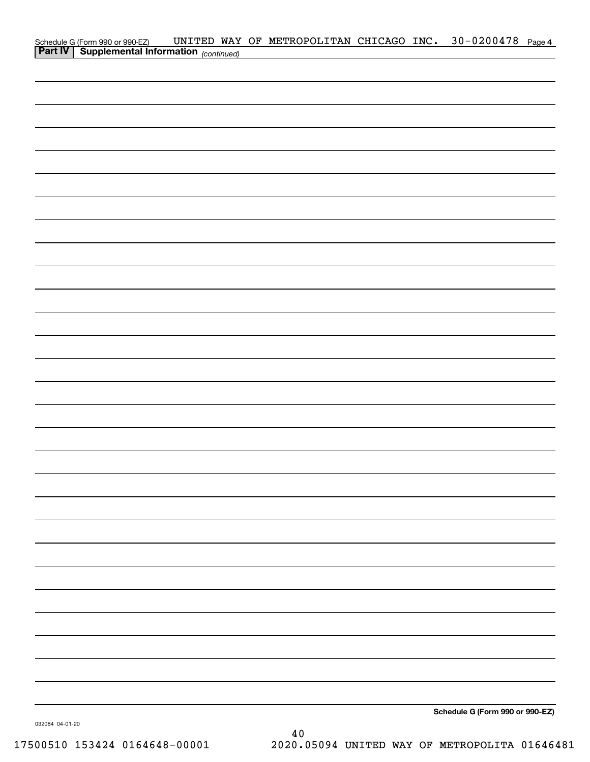| Schedule G (Form 990 or 990-EZ) UNITED WAY<br><b>Part IV</b> Supplemental Information (continued) |  | UNITED WAY OF METROPOLITAN CHICAGO INC. 30-0200478 Page 4 |  |  |
|---------------------------------------------------------------------------------------------------|--|-----------------------------------------------------------|--|--|
|                                                                                                   |  |                                                           |  |  |
|                                                                                                   |  |                                                           |  |  |
|                                                                                                   |  |                                                           |  |  |
|                                                                                                   |  |                                                           |  |  |
|                                                                                                   |  |                                                           |  |  |
|                                                                                                   |  |                                                           |  |  |
|                                                                                                   |  |                                                           |  |  |
|                                                                                                   |  |                                                           |  |  |
|                                                                                                   |  |                                                           |  |  |
|                                                                                                   |  |                                                           |  |  |
|                                                                                                   |  |                                                           |  |  |
|                                                                                                   |  |                                                           |  |  |
|                                                                                                   |  |                                                           |  |  |
|                                                                                                   |  |                                                           |  |  |
|                                                                                                   |  |                                                           |  |  |
|                                                                                                   |  |                                                           |  |  |
|                                                                                                   |  |                                                           |  |  |
|                                                                                                   |  |                                                           |  |  |
|                                                                                                   |  |                                                           |  |  |
|                                                                                                   |  |                                                           |  |  |
|                                                                                                   |  |                                                           |  |  |
|                                                                                                   |  |                                                           |  |  |
|                                                                                                   |  |                                                           |  |  |
|                                                                                                   |  |                                                           |  |  |
|                                                                                                   |  |                                                           |  |  |
|                                                                                                   |  |                                                           |  |  |
|                                                                                                   |  |                                                           |  |  |
|                                                                                                   |  |                                                           |  |  |
|                                                                                                   |  |                                                           |  |  |
|                                                                                                   |  |                                                           |  |  |
|                                                                                                   |  |                                                           |  |  |
|                                                                                                   |  |                                                           |  |  |
|                                                                                                   |  |                                                           |  |  |
|                                                                                                   |  |                                                           |  |  |
|                                                                                                   |  |                                                           |  |  |
|                                                                                                   |  |                                                           |  |  |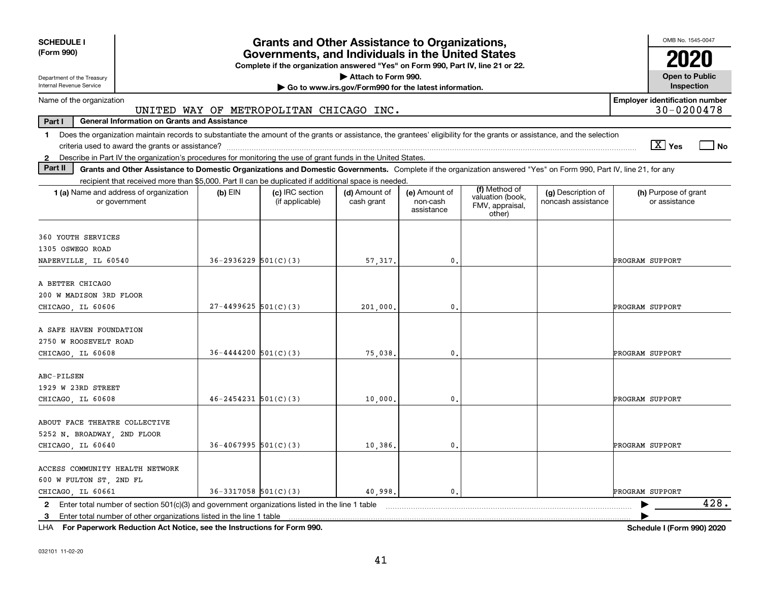| <b>SCHEDULE I</b><br>(Form 990)                                                                                                                                                         |                            | <b>Grants and Other Assistance to Organizations,</b><br>Governments, and Individuals in the United States<br>Complete if the organization answered "Yes" on Form 990, Part IV, line 21 or 22. |                                                       |                                         |                                               |                                          | OMB No. 1545-0047                                   |      |
|-----------------------------------------------------------------------------------------------------------------------------------------------------------------------------------------|----------------------------|-----------------------------------------------------------------------------------------------------------------------------------------------------------------------------------------------|-------------------------------------------------------|-----------------------------------------|-----------------------------------------------|------------------------------------------|-----------------------------------------------------|------|
| Department of the Treasury                                                                                                                                                              |                            |                                                                                                                                                                                               | Attach to Form 990.                                   |                                         |                                               |                                          | <b>Open to Public</b>                               |      |
| Internal Revenue Service                                                                                                                                                                |                            |                                                                                                                                                                                               | Go to www.irs.gov/Form990 for the latest information. |                                         |                                               |                                          | Inspection                                          |      |
| Name of the organization                                                                                                                                                                |                            | UNITED WAY OF METROPOLITAN CHICAGO INC.                                                                                                                                                       |                                                       |                                         |                                               |                                          | <b>Employer identification number</b><br>30-0200478 |      |
| <b>General Information on Grants and Assistance</b><br>Part I                                                                                                                           |                            |                                                                                                                                                                                               |                                                       |                                         |                                               |                                          |                                                     |      |
| Does the organization maintain records to substantiate the amount of the grants or assistance, the grantees' eligibility for the grants or assistance, and the selection<br>$\mathbf 1$ |                            |                                                                                                                                                                                               |                                                       |                                         |                                               |                                          | $\sqrt{X}$ Yes                                      | l No |
| Describe in Part IV the organization's procedures for monitoring the use of grant funds in the United States.<br>$\mathbf{2}$                                                           |                            |                                                                                                                                                                                               |                                                       |                                         |                                               |                                          |                                                     |      |
| Part II<br>Grants and Other Assistance to Domestic Organizations and Domestic Governments. Complete if the organization answered "Yes" on Form 990, Part IV, line 21, for any           |                            |                                                                                                                                                                                               |                                                       |                                         |                                               |                                          |                                                     |      |
| recipient that received more than \$5,000. Part II can be duplicated if additional space is needed.                                                                                     |                            |                                                                                                                                                                                               |                                                       |                                         | (f) Method of                                 |                                          |                                                     |      |
| 1 (a) Name and address of organization<br>or government                                                                                                                                 | $(b)$ EIN                  | (c) IRC section<br>(if applicable)                                                                                                                                                            | (d) Amount of<br>cash grant                           | (e) Amount of<br>non-cash<br>assistance | valuation (book,<br>FMV, appraisal,<br>other) | (g) Description of<br>noncash assistance | (h) Purpose of grant<br>or assistance               |      |
| 360 YOUTH SERVICES                                                                                                                                                                      |                            |                                                                                                                                                                                               |                                                       |                                         |                                               |                                          |                                                     |      |
| 1305 OSWEGO ROAD                                                                                                                                                                        |                            |                                                                                                                                                                                               |                                                       |                                         |                                               |                                          |                                                     |      |
| NAPERVILLE, IL 60540                                                                                                                                                                    | $36 - 2936229$ $501(C)(3)$ |                                                                                                                                                                                               | 57,317.                                               | $\mathbf{0}$                            |                                               |                                          | PROGRAM SUPPORT                                     |      |
| A BETTER CHICAGO<br>200 W MADISON 3RD FLOOR                                                                                                                                             |                            |                                                                                                                                                                                               |                                                       |                                         |                                               |                                          |                                                     |      |
| CHICAGO LL 60606                                                                                                                                                                        | $27 - 4499625$ 501(C)(3)   |                                                                                                                                                                                               | 201,000,                                              | $\mathbf{0}$                            |                                               |                                          | PROGRAM SUPPORT                                     |      |
| A SAFE HAVEN FOUNDATION<br>2750 W ROOSEVELT ROAD<br>CHICAGO LL 60608                                                                                                                    | $36 - 4444200$ $501(C)(3)$ |                                                                                                                                                                                               | 75,038,                                               | $\mathbf{0}$                            |                                               |                                          | PROGRAM SUPPORT                                     |      |
| ABC-PILSEN                                                                                                                                                                              |                            |                                                                                                                                                                                               |                                                       |                                         |                                               |                                          |                                                     |      |
| 1929 W 23RD STREET<br>CHICAGO LL 60608                                                                                                                                                  | $46 - 2454231$ 501(C)(3)   |                                                                                                                                                                                               | 10,000,                                               | $\mathbf{0}$                            |                                               |                                          | PROGRAM SUPPORT                                     |      |
| ABOUT FACE THEATRE COLLECTIVE<br>5252 N. BROADWAY, 2ND FLOOR<br>CHICAGO LL 60640                                                                                                        | $36 - 4067995$ 501(C)(3)   |                                                                                                                                                                                               | 10,386,                                               | $\mathbf{0}$                            |                                               |                                          | PROGRAM SUPPORT                                     |      |
|                                                                                                                                                                                         |                            |                                                                                                                                                                                               |                                                       |                                         |                                               |                                          |                                                     |      |
| ACCESS COMMUNITY HEALTH NETWORK<br>600 W FULTON ST, 2ND FL                                                                                                                              |                            |                                                                                                                                                                                               |                                                       |                                         |                                               |                                          |                                                     |      |
| CHICAGO LL 60661                                                                                                                                                                        | $36 - 3317058$ $501(C)(3)$ |                                                                                                                                                                                               | 40.998.                                               | $\mathbf{0}$ .                          |                                               |                                          | PROGRAM SUPPORT                                     |      |
| 2 Enter total number of section 501(c)(3) and government organizations listed in the line 1 table                                                                                       |                            |                                                                                                                                                                                               |                                                       |                                         |                                               |                                          |                                                     | 428. |
| 3 Enter total number of other organizations listed in the line 1 table                                                                                                                  |                            |                                                                                                                                                                                               |                                                       |                                         |                                               |                                          |                                                     |      |

**For Paperwork Reduction Act Notice, see the Instructions for Form 990. Schedule I (Form 990) 2020** LHA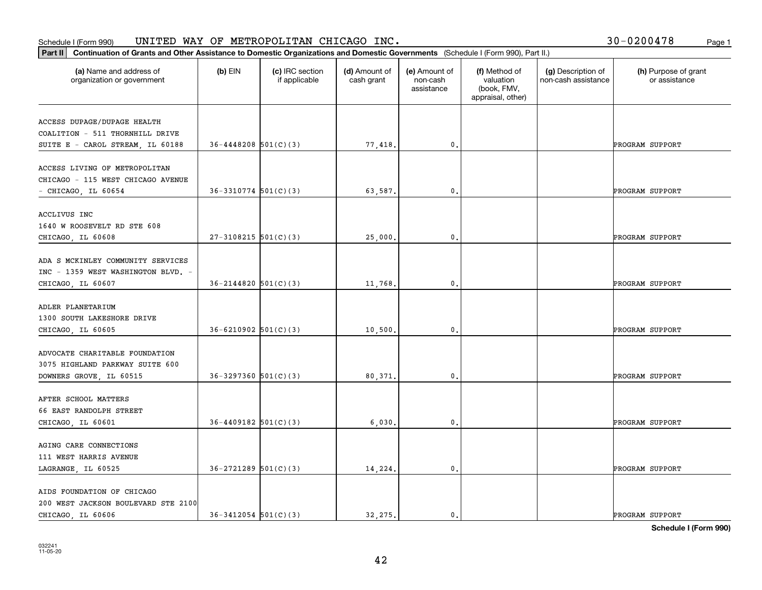#### **Part II Continuation of Grants and Other Assistance to Domestic Organization**<br>**Part II** Continuation of Grants and Other Assistance to Domestic Organization Schedule I (Form 990)  $\tt{UNITED}$   $\tt{WAY}$  OF  $\tt{METROPOLITAN}$   $\tt{CHICAGO}$   $\tt{INC.}$   $\tt{VCTS}$   $\tt{VCTS}$   $\tt{VCTS}$   $\tt{VCTS}$   $\tt{VCTS}$   $\tt{VCTS}$   $\tt{VCTS}$   $\tt{VCTS}$   $\tt{VCTS}$   $\tt{VCTS}$   $\tt{VCTS}$   $\tt{VCTS}$   $\tt{VCTS}$   $\tt{VCTS}$   $\tt{V$

| Part II<br>Continuation of Grants and Other Assistance to Domestic Organizations and Domestic Governments (Schedule I (Form 990), Part II.) |                            |                                  |                             |                                         |                                                                |                                           |                                       |
|---------------------------------------------------------------------------------------------------------------------------------------------|----------------------------|----------------------------------|-----------------------------|-----------------------------------------|----------------------------------------------------------------|-------------------------------------------|---------------------------------------|
| (a) Name and address of<br>organization or government                                                                                       | $(b)$ EIN                  | (c) IRC section<br>if applicable | (d) Amount of<br>cash grant | (e) Amount of<br>non-cash<br>assistance | (f) Method of<br>valuation<br>(book, FMV,<br>appraisal, other) | (g) Description of<br>non-cash assistance | (h) Purpose of grant<br>or assistance |
| ACCESS DUPAGE/DUPAGE HEALTH<br>COALITION - 511 THORNHILL DRIVE<br>SUITE E - CAROL STREAM, IL 60188                                          | $36 - 4448208$ 501(C)(3)   |                                  | 77,418.                     | 0.                                      |                                                                |                                           | PROGRAM SUPPORT                       |
| ACCESS LIVING OF METROPOLITAN<br>CHICAGO - 115 WEST CHICAGO AVENUE<br>$-$ CHICAGO, IL 60654                                                 | $36-3310774$ 501(C)(3)     |                                  | 63,587.                     | 0.                                      |                                                                |                                           | PROGRAM SUPPORT                       |
| ACCLIVUS INC<br>1640 W ROOSEVELT RD STE 608<br>CHICAGO, IL 60608                                                                            | $27-3108215$ $501(C)(3)$   |                                  | 25,000                      | $\mathbf{0}$                            |                                                                |                                           | PROGRAM SUPPORT                       |
| ADA S MCKINLEY COMMUNITY SERVICES<br>INC - 1359 WEST WASHINGTON BLVD. -<br>CHICAGO, IL 60607                                                | $36 - 2144820$ $501(C)(3)$ |                                  | 11,768.                     | 0.                                      |                                                                |                                           | PROGRAM SUPPORT                       |
| ADLER PLANETARIUM<br>1300 SOUTH LAKESHORE DRIVE<br>CHICAGO, IL 60605                                                                        | $36 - 6210902$ 501(C)(3)   |                                  | 10,500.                     | 0.                                      |                                                                |                                           | PROGRAM SUPPORT                       |
| ADVOCATE CHARITABLE FOUNDATION<br>3075 HIGHLAND PARKWAY SUITE 600<br>DOWNERS GROVE, IL 60515                                                | $36 - 3297360$ $501(C)(3)$ |                                  | 80,371                      | $\mathbf 0$ .                           |                                                                |                                           | PROGRAM SUPPORT                       |
| AFTER SCHOOL MATTERS<br>66 EAST RANDOLPH STREET<br>CHICAGO, IL 60601                                                                        | $36 - 4409182$ 501(C)(3)   |                                  | 6,030.                      | 0.                                      |                                                                |                                           | PROGRAM SUPPORT                       |
| AGING CARE CONNECTIONS<br>111 WEST HARRIS AVENUE<br>LAGRANGE, IL 60525                                                                      | $36 - 2721289$ $501(C)(3)$ |                                  | 14,224.                     | $\mathfrak{o}$ .                        |                                                                |                                           | PROGRAM SUPPORT                       |
| AIDS FOUNDATION OF CHICAGO<br>200 WEST JACKSON BOULEVARD STE 2100<br>CHICAGO, IL 60606                                                      | $36-3412054$ $501(C)(3)$   |                                  | 32.275.                     | $\mathbf{0}$ .                          |                                                                |                                           | PROGRAM SUPPORT                       |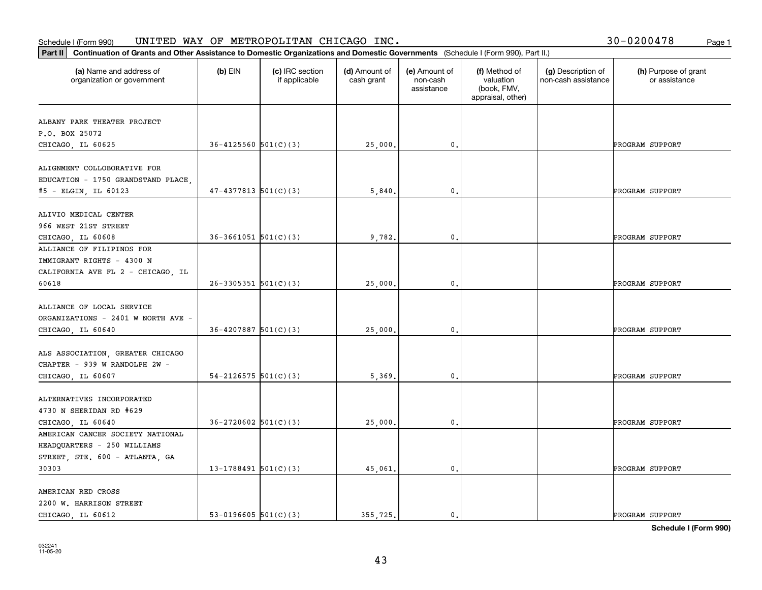|  |  | 30-0200478 |  | Page 1 |
|--|--|------------|--|--------|
|--|--|------------|--|--------|

| Continuation of Grants and Other Assistance to Domestic Organizations and Domestic Governments (Schedule I (Form 990), Part II.)<br>Part II |                            |                                  |                             |                                         |                                                                |                                           |                                       |
|---------------------------------------------------------------------------------------------------------------------------------------------|----------------------------|----------------------------------|-----------------------------|-----------------------------------------|----------------------------------------------------------------|-------------------------------------------|---------------------------------------|
| (a) Name and address of<br>organization or government                                                                                       | $(b)$ EIN                  | (c) IRC section<br>if applicable | (d) Amount of<br>cash grant | (e) Amount of<br>non-cash<br>assistance | (f) Method of<br>valuation<br>(book, FMV,<br>appraisal, other) | (g) Description of<br>non-cash assistance | (h) Purpose of grant<br>or assistance |
| ALBANY PARK THEATER PROJECT<br>P.O. BOX 25072<br>CHICAGO, IL 60625                                                                          | $36 - 4125560$ $501(C)(3)$ |                                  | 25,000.                     | 0.                                      |                                                                |                                           | PROGRAM SUPPORT                       |
| ALIGNMENT COLLOBORATIVE FOR<br>EDUCATION - 1750 GRANDSTAND PLACE,<br>#5 - ELGIN, IL 60123                                                   | $47 - 4377813$ 501(C)(3)   |                                  | 5,840.                      | $\mathfrak{o}$ .                        |                                                                |                                           | PROGRAM SUPPORT                       |
| ALIVIO MEDICAL CENTER<br>966 WEST 21ST STREET<br>CHICAGO, IL 60608                                                                          | $36-3661051$ $501(C)(3)$   |                                  | 9,782.                      | $\mathbf{0}$                            |                                                                |                                           | PROGRAM SUPPORT                       |
| ALLIANCE OF FILIPINOS FOR<br>IMMIGRANT RIGHTS - 4300 N<br>CALIFORNIA AVE FL 2 - CHICAGO, IL<br>60618                                        | $26-3305351$ 501(C)(3)     |                                  | 25,000.                     | 0.                                      |                                                                |                                           | PROGRAM SUPPORT                       |
| ALLIANCE OF LOCAL SERVICE<br>ORGANIZATIONS - 2401 W NORTH AVE -<br>CHICAGO, IL 60640                                                        | $36 - 4207887$ 501(C)(3)   |                                  | 25,000.                     | $\mathbf{0}$ .                          |                                                                |                                           | PROGRAM SUPPORT                       |
| ALS ASSOCIATION, GREATER CHICAGO<br>CHAPTER - 939 W RANDOLPH 2W -<br>CHICAGO, IL 60607                                                      | $54 - 2126575$ $501(C)(3)$ |                                  | 5,369.                      | $\mathbf{0}$                            |                                                                |                                           | PROGRAM SUPPORT                       |
| ALTERNATIVES INCORPORATED<br>4730 N SHERIDAN RD #629<br>CHICAGO, IL 60640                                                                   | $36 - 2720602$ 501(C)(3)   |                                  | 25,000                      | 0.                                      |                                                                |                                           | PROGRAM SUPPORT                       |
| AMERICAN CANCER SOCIETY NATIONAL<br>HEADQUARTERS - 250 WILLIAMS<br>STREET, STE. 600 - ATLANTA, GA<br>30303                                  | 13-1788491 $501(C)(3)$     |                                  | 45,061.                     | $\mathbf{0}$ .                          |                                                                |                                           | PROGRAM SUPPORT                       |
| AMERICAN RED CROSS<br>2200 W. HARRISON STREET<br>CHICAGO LL 60612                                                                           | 53-0196605 $501(C)(3)$     |                                  | 355.725.                    | 0.                                      |                                                                |                                           | PROGRAM SUPPORT                       |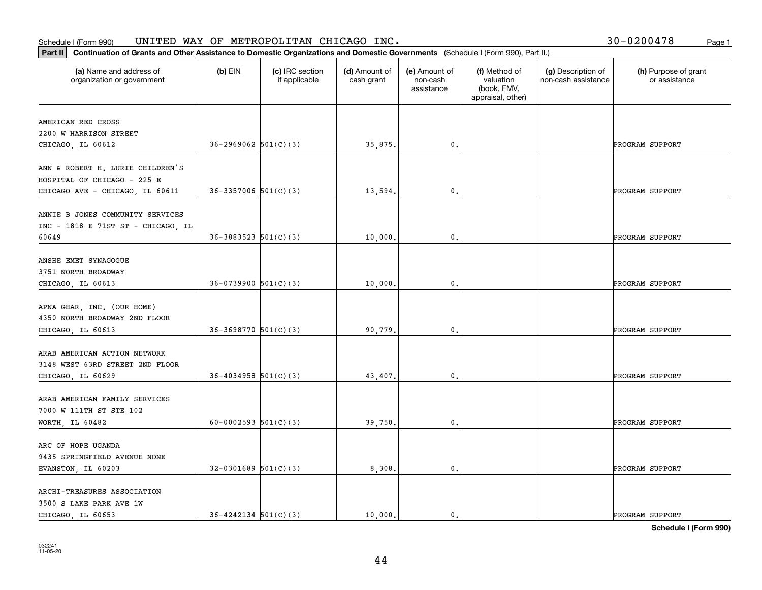|  |  | 30-0200478 |  | Page 1 |
|--|--|------------|--|--------|
|--|--|------------|--|--------|

| Part II   Continuation of Grants and Other Assistance to Domestic Organizations and Domestic Governments (Schedule I (Form 990), Part II.) |                            |                                  |                             |                                         |                                                                |                                           |                                       |
|--------------------------------------------------------------------------------------------------------------------------------------------|----------------------------|----------------------------------|-----------------------------|-----------------------------------------|----------------------------------------------------------------|-------------------------------------------|---------------------------------------|
| (a) Name and address of<br>organization or government                                                                                      | $(b)$ EIN                  | (c) IRC section<br>if applicable | (d) Amount of<br>cash grant | (e) Amount of<br>non-cash<br>assistance | (f) Method of<br>valuation<br>(book, FMV,<br>appraisal, other) | (g) Description of<br>non-cash assistance | (h) Purpose of grant<br>or assistance |
| AMERICAN RED CROSS                                                                                                                         |                            |                                  |                             |                                         |                                                                |                                           |                                       |
| 2200 W HARRISON STREET                                                                                                                     |                            |                                  |                             |                                         |                                                                |                                           |                                       |
| CHICAGO, IL 60612                                                                                                                          | $36 - 2969062$ $501(C)(3)$ |                                  | 35,875.                     | 0.                                      |                                                                |                                           | PROGRAM SUPPORT                       |
|                                                                                                                                            |                            |                                  |                             |                                         |                                                                |                                           |                                       |
| ANN & ROBERT H. LURIE CHILDREN'S                                                                                                           |                            |                                  |                             |                                         |                                                                |                                           |                                       |
| HOSPITAL OF CHICAGO - 225 E                                                                                                                |                            |                                  |                             |                                         |                                                                |                                           |                                       |
| CHICAGO AVE - CHICAGO, IL 60611                                                                                                            | $36 - 3357006$ $501(C)(3)$ |                                  | 13,594                      | $\mathbf{0}$ .                          |                                                                |                                           | PROGRAM SUPPORT                       |
|                                                                                                                                            |                            |                                  |                             |                                         |                                                                |                                           |                                       |
| ANNIE B JONES COMMUNITY SERVICES                                                                                                           |                            |                                  |                             |                                         |                                                                |                                           |                                       |
| INC - 1818 E 71ST ST - CHICAGO, IL                                                                                                         |                            |                                  |                             |                                         |                                                                |                                           |                                       |
| 60649                                                                                                                                      | $36 - 3883523$ $501(C)(3)$ |                                  | 10,000.                     | $\mathbf{0}$ .                          |                                                                |                                           | PROGRAM SUPPORT                       |
| ANSHE EMET SYNAGOGUE                                                                                                                       |                            |                                  |                             |                                         |                                                                |                                           |                                       |
| 3751 NORTH BROADWAY                                                                                                                        |                            |                                  |                             |                                         |                                                                |                                           |                                       |
| CHICAGO, IL 60613                                                                                                                          | $36-0739900$ $501(C)(3)$   |                                  | 10,000.                     | $\mathbf{0}$ .                          |                                                                |                                           | PROGRAM SUPPORT                       |
|                                                                                                                                            |                            |                                  |                             |                                         |                                                                |                                           |                                       |
| APNA GHAR, INC. (OUR HOME)                                                                                                                 |                            |                                  |                             |                                         |                                                                |                                           |                                       |
| 4350 NORTH BROADWAY 2ND FLOOR                                                                                                              |                            |                                  |                             |                                         |                                                                |                                           |                                       |
| CHICAGO, IL 60613                                                                                                                          | $36-3698770$ 501(C)(3)     |                                  | 90,779.                     | 0.                                      |                                                                |                                           | PROGRAM SUPPORT                       |
|                                                                                                                                            |                            |                                  |                             |                                         |                                                                |                                           |                                       |
| ARAB AMERICAN ACTION NETWORK                                                                                                               |                            |                                  |                             |                                         |                                                                |                                           |                                       |
| 3148 WEST 63RD STREET 2ND FLOOR                                                                                                            |                            |                                  |                             |                                         |                                                                |                                           |                                       |
| CHICAGO, IL 60629                                                                                                                          | $36 - 4034958$ $501(C)(3)$ |                                  | 43,407.                     | $\mathbf{0}$ .                          |                                                                |                                           | PROGRAM SUPPORT                       |
|                                                                                                                                            |                            |                                  |                             |                                         |                                                                |                                           |                                       |
| ARAB AMERICAN FAMILY SERVICES<br>7000 W 111TH ST STE 102                                                                                   |                            |                                  |                             |                                         |                                                                |                                           |                                       |
| WORTH, IL 60482                                                                                                                            | 60-0002593 $501(C)(3)$     |                                  | 39,750.                     | $\mathfrak{o}$ .                        |                                                                |                                           | PROGRAM SUPPORT                       |
|                                                                                                                                            |                            |                                  |                             |                                         |                                                                |                                           |                                       |
| ARC OF HOPE UGANDA                                                                                                                         |                            |                                  |                             |                                         |                                                                |                                           |                                       |
| 9435 SPRINGFIELD AVENUE NONE                                                                                                               |                            |                                  |                             |                                         |                                                                |                                           |                                       |
| EVANSTON, IL 60203                                                                                                                         | $32-0301689$ 501(C)(3)     |                                  | 8,308.                      | $\mathfrak o$ .                         |                                                                |                                           | PROGRAM SUPPORT                       |
|                                                                                                                                            |                            |                                  |                             |                                         |                                                                |                                           |                                       |
| ARCHI-TREASURES ASSOCIATION                                                                                                                |                            |                                  |                             |                                         |                                                                |                                           |                                       |
| 3500 S LAKE PARK AVE 1W                                                                                                                    |                            |                                  |                             |                                         |                                                                |                                           |                                       |
| CHICAGO LL 60653                                                                                                                           | $36 - 4242134$ $501(C)(3)$ |                                  | 10,000.                     | $\mathbf{0}$ .                          |                                                                |                                           | PROGRAM SUPPORT                       |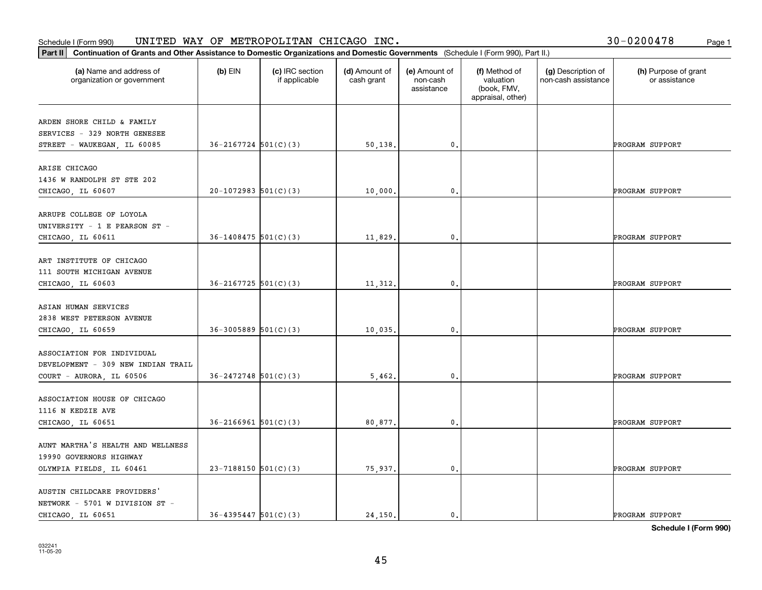#### **Part II Continuation of Grants and Other Assistance to Domestic Organizations** <br>**Part II Continuation of Grants and Other Assistance to Domestic Organizations** Schedule I (Form 990)  $\tt{UNITED}$   $\tt{WAY}$  OF  $\tt{METROPOLITAN}$   $\tt{CHICAGO}$   $\tt{INC.}$   $\tt{VCTS}$   $\tt{VCTS}$   $\tt{VCTS}$   $\tt{VCTS}$   $\tt{VCTS}$   $\tt{VCTS}$   $\tt{VCTS}$   $\tt{VCTS}$   $\tt{VCTS}$   $\tt{VCTS}$   $\tt{VCTS}$   $\tt{VCTS}$   $\tt{VCTS}$   $\tt{VCTS}$   $\tt{V$

| 30-0200478 | Page 1 |
|------------|--------|
|------------|--------|

| Continuation of Grants and Other Assistance to Domestic Organizations and Domestic Governments (Schedule I (Form 990), Part II.)<br>Part II |                            |                                  |                             |                                         |                                                                |                                           |                                       |
|---------------------------------------------------------------------------------------------------------------------------------------------|----------------------------|----------------------------------|-----------------------------|-----------------------------------------|----------------------------------------------------------------|-------------------------------------------|---------------------------------------|
| (a) Name and address of<br>organization or government                                                                                       | $(b)$ EIN                  | (c) IRC section<br>if applicable | (d) Amount of<br>cash grant | (e) Amount of<br>non-cash<br>assistance | (f) Method of<br>valuation<br>(book, FMV,<br>appraisal, other) | (g) Description of<br>non-cash assistance | (h) Purpose of grant<br>or assistance |
| ARDEN SHORE CHILD & FAMILY<br>SERVICES - 329 NORTH GENESEE<br>STREET - WAUKEGAN, IL 60085                                                   | $36 - 2167724$ $501(C)(3)$ |                                  | 50, 138.                    | 0.                                      |                                                                |                                           | PROGRAM SUPPORT                       |
| ARISE CHICAGO<br>1436 W RANDOLPH ST STE 202<br>CHICAGO, IL 60607                                                                            | $20-1072983$ 501(C)(3)     |                                  | 10,000.                     | $\mathbf{0}$ .                          |                                                                |                                           | PROGRAM SUPPORT                       |
| ARRUPE COLLEGE OF LOYOLA<br>UNIVERSITY - 1 E PEARSON ST -<br>CHICAGO, IL 60611                                                              | $36 - 1408475$ 501(C)(3)   |                                  | 11,829.                     | 0.                                      |                                                                |                                           | PROGRAM SUPPORT                       |
| ART INSTITUTE OF CHICAGO<br>111 SOUTH MICHIGAN AVENUE<br>CHICAGO, IL 60603                                                                  | $36 - 2167725$ 501(C)(3)   |                                  | 11,312.                     | 0.                                      |                                                                |                                           | PROGRAM SUPPORT                       |
| ASIAN HUMAN SERVICES<br>2838 WEST PETERSON AVENUE<br>CHICAGO, IL 60659                                                                      | $36-3005889$ 501(C)(3)     |                                  | 10,035.                     | $\mathbf{0}$ .                          |                                                                |                                           | PROGRAM SUPPORT                       |
| ASSOCIATION FOR INDIVIDUAL<br>DEVELOPMENT - 309 NEW INDIAN TRAIL<br>COURT - AURORA, IL 60506                                                | $36 - 2472748$ $501(C)(3)$ |                                  | 5,462.                      | 0.                                      |                                                                |                                           | PROGRAM SUPPORT                       |
| ASSOCIATION HOUSE OF CHICAGO<br>1116 N KEDZIE AVE<br>CHICAGO, IL 60651                                                                      | $36 - 2166961$ $501(C)(3)$ |                                  | 80,877.                     | 0.                                      |                                                                |                                           | PROGRAM SUPPORT                       |
| AUNT MARTHA'S HEALTH AND WELLNESS<br>19990 GOVERNORS HIGHWAY<br>OLYMPIA FIELDS, IL 60461                                                    | $23 - 7188150$ 501(C)(3)   |                                  | 75,937.                     | $\mathfrak o$ .                         |                                                                |                                           | PROGRAM SUPPORT                       |
| AUSTIN CHILDCARE PROVIDERS'<br>NETWORK - 5701 W DIVISION ST -<br>CHICAGO, IL 60651                                                          | $36 - 4395447$ $501(C)(3)$ |                                  | 24, 150.                    | $\mathfrak{o}$ .                        |                                                                |                                           | PROGRAM SUPPORT                       |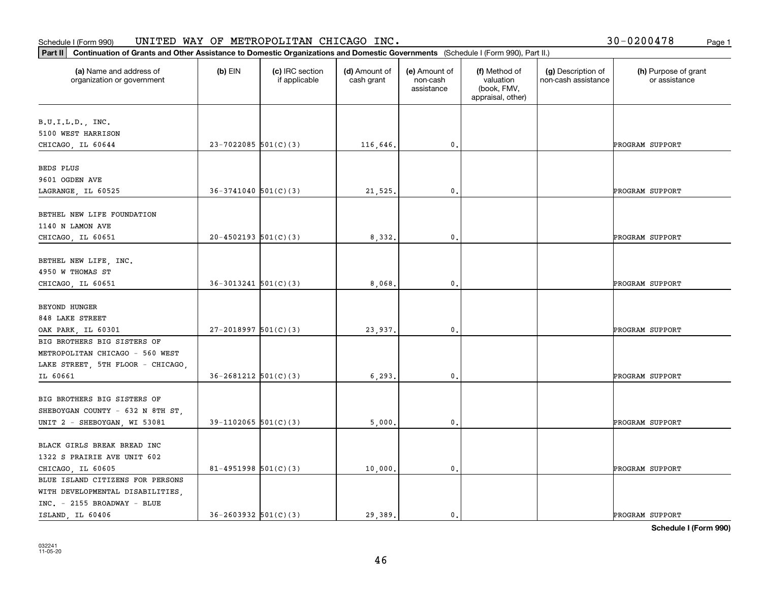#### **Part II Continuation of Grants and Other Assistance to Domestic Organization**<br>**Part II** Continuation of Grants and Other Assistance to Domestic Organization Schedule I (Form 990)  $\tt{UNITED}$   $\tt{WAY}$  OF  $\tt{METROPOLITAN}$   $\tt{CHICAGO}$   $\tt{INC.}$   $\tt{VCTS}$   $\tt{VCTS}$   $\tt{VCTS}$   $\tt{VCTS}$   $\tt{VCTS}$   $\tt{VCTS}$   $\tt{VCTS}$   $\tt{VCTS}$   $\tt{VCTS}$   $\tt{VCTS}$   $\tt{VCTS}$   $\tt{VCTS}$   $\tt{VCTS}$   $\tt{VCTS}$   $\tt{V$

| Part II<br>Continuation of Grants and Other Assistance to Domestic Organizations and Domestic Governments (Schedule I (Form 990), Part II.) |                            |                                  |                             |                                         |                                                                |                                           |                                       |
|---------------------------------------------------------------------------------------------------------------------------------------------|----------------------------|----------------------------------|-----------------------------|-----------------------------------------|----------------------------------------------------------------|-------------------------------------------|---------------------------------------|
| (a) Name and address of<br>organization or government                                                                                       | $(b)$ EIN                  | (c) IRC section<br>if applicable | (d) Amount of<br>cash grant | (e) Amount of<br>non-cash<br>assistance | (f) Method of<br>valuation<br>(book, FMV,<br>appraisal, other) | (g) Description of<br>non-cash assistance | (h) Purpose of grant<br>or assistance |
| B.U.I.L.D., INC.<br>5100 WEST HARRISON                                                                                                      |                            |                                  |                             |                                         |                                                                |                                           |                                       |
| CHICAGO, IL 60644                                                                                                                           | $23 - 7022085$ 501(C)(3)   |                                  | 116,646.                    | $\mathbf{0}$ .                          |                                                                |                                           | PROGRAM SUPPORT                       |
| BEDS PLUS<br>9601 OGDEN AVE<br>LAGRANGE, IL 60525                                                                                           | $36-3741040$ $501(C)(3)$   |                                  | 21,525.                     | 0.                                      |                                                                |                                           | PROGRAM SUPPORT                       |
| BETHEL NEW LIFE FOUNDATION<br>1140 N LAMON AVE<br>CHICAGO, IL 60651                                                                         | $20-4502193$ $501(C)(3)$   |                                  | 8,332.                      | 0.                                      |                                                                |                                           | PROGRAM SUPPORT                       |
| BETHEL NEW LIFE, INC.<br>4950 W THOMAS ST<br>CHICAGO, IL 60651                                                                              | $36-3013241$ $501(C)(3)$   |                                  | 8,068.                      | $\mathbf{0}$ .                          |                                                                |                                           | PROGRAM SUPPORT                       |
| <b>BEYOND HUNGER</b><br>848 LAKE STREET<br>OAK PARK, IL 60301                                                                               | $27 - 2018997$ 501(C)(3)   |                                  | 23,937.                     | 0.                                      |                                                                |                                           | PROGRAM SUPPORT                       |
| BIG BROTHERS BIG SISTERS OF<br>METROPOLITAN CHICAGO - 560 WEST<br>LAKE STREET, 5TH FLOOR - CHICAGO,<br>IL 60661                             | $36 - 2681212$ $501(C)(3)$ |                                  | 6, 293.                     | 0.                                      |                                                                |                                           | PROGRAM SUPPORT                       |
| BIG BROTHERS BIG SISTERS OF<br>SHEBOYGAN COUNTY - 632 N 8TH ST,<br>UNIT 2 - SHEBOYGAN, WI 53081                                             | $39-1102065$ 501(C)(3)     |                                  | 5,000.                      | $\mathbf{0}$ .                          |                                                                |                                           | PROGRAM SUPPORT                       |
| BLACK GIRLS BREAK BREAD INC<br>1322 S PRAIRIE AVE UNIT 602<br>CHICAGO LL 60605                                                              | 81-4951998 $501(C)(3)$     |                                  | 10,000.                     | $\mathbf{0}$ .                          |                                                                |                                           | PROGRAM SUPPORT                       |
| BLUE ISLAND CITIZENS FOR PERSONS<br>WITH DEVELOPMENTAL DISABILITIES,<br>INC. - 2155 BROADWAY - BLUE<br>ISLAND IL 60406                      | $36 - 2603932$ $501(C)(3)$ |                                  | 29.389.                     | $\mathbf{0}$ .                          |                                                                |                                           | PROGRAM SUPPORT                       |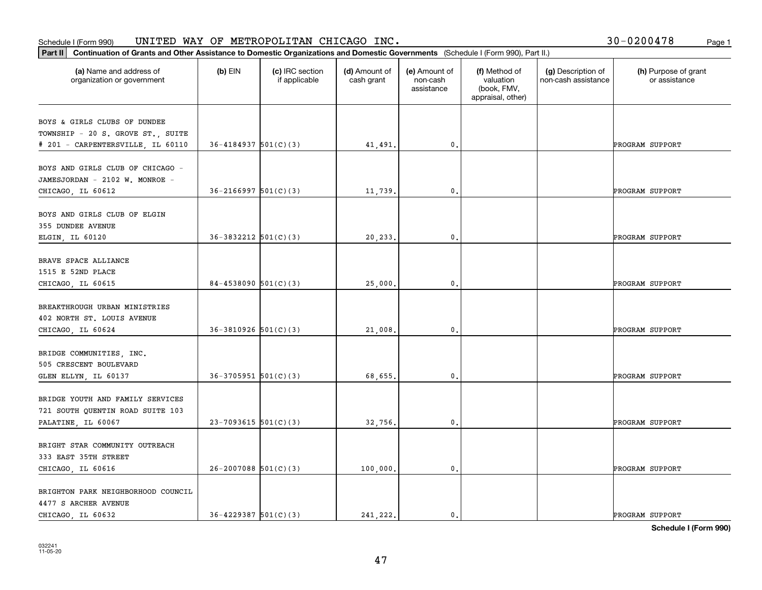#### Schedule I (Form 990) UN⊥TED WAY OF METROPOLLTAN CHICAGO INC. Page 1 UNITED WAY OF METROPOLITAN CHICAGO INC. 30-0200478

|  |  | 30-0200478 |  | Page 1 |
|--|--|------------|--|--------|
|--|--|------------|--|--------|

| Part II   Continuation of Grants and Other Assistance to Domestic Organizations and Domestic Governments (Schedule I (Form 990), Part II.) |                            |                                  |                             |                                         |                                                                |                                           |                                       |
|--------------------------------------------------------------------------------------------------------------------------------------------|----------------------------|----------------------------------|-----------------------------|-----------------------------------------|----------------------------------------------------------------|-------------------------------------------|---------------------------------------|
| (a) Name and address of<br>organization or government                                                                                      | $(b)$ EIN                  | (c) IRC section<br>if applicable | (d) Amount of<br>cash grant | (e) Amount of<br>non-cash<br>assistance | (f) Method of<br>valuation<br>(book, FMV,<br>appraisal, other) | (g) Description of<br>non-cash assistance | (h) Purpose of grant<br>or assistance |
| BOYS & GIRLS CLUBS OF DUNDEE                                                                                                               |                            |                                  |                             |                                         |                                                                |                                           |                                       |
| TOWNSHIP - 20 S. GROVE ST., SUITE                                                                                                          |                            |                                  |                             |                                         |                                                                |                                           |                                       |
| # 201 - CARPENTERSVILLE, IL 60110                                                                                                          | $36 - 4184937$ $501(C)(3)$ |                                  | 41,491.                     | $\mathfrak o$ .                         |                                                                |                                           | PROGRAM SUPPORT                       |
|                                                                                                                                            |                            |                                  |                             |                                         |                                                                |                                           |                                       |
| BOYS AND GIRLS CLUB OF CHICAGO -                                                                                                           |                            |                                  |                             |                                         |                                                                |                                           |                                       |
| JAMESJORDAN - 2102 W. MONROE -                                                                                                             |                            |                                  |                             |                                         |                                                                |                                           |                                       |
| CHICAGO, IL 60612                                                                                                                          | $36 - 2166997$ $501(C)(3)$ |                                  | 11,739.                     | $\mathfrak{o}$ .                        |                                                                |                                           | PROGRAM SUPPORT                       |
|                                                                                                                                            |                            |                                  |                             |                                         |                                                                |                                           |                                       |
| BOYS AND GIRLS CLUB OF ELGIN<br>355 DUNDEE AVENUE                                                                                          |                            |                                  |                             |                                         |                                                                |                                           |                                       |
| ELGIN, IL 60120                                                                                                                            | $36 - 3832212$ $501(C)(3)$ |                                  | 20,233.                     | $\mathbf{0}$ .                          |                                                                |                                           | PROGRAM SUPPORT                       |
|                                                                                                                                            |                            |                                  |                             |                                         |                                                                |                                           |                                       |
| BRAVE SPACE ALLIANCE                                                                                                                       |                            |                                  |                             |                                         |                                                                |                                           |                                       |
| 1515 E 52ND PLACE                                                                                                                          |                            |                                  |                             |                                         |                                                                |                                           |                                       |
| CHICAGO, IL 60615                                                                                                                          | $84 - 4538090$ 501(C)(3)   |                                  | 25,000.                     | 0.                                      |                                                                |                                           | PROGRAM SUPPORT                       |
|                                                                                                                                            |                            |                                  |                             |                                         |                                                                |                                           |                                       |
| BREAKTHROUGH URBAN MINISTRIES                                                                                                              |                            |                                  |                             |                                         |                                                                |                                           |                                       |
| 402 NORTH ST. LOUIS AVENUE                                                                                                                 |                            |                                  |                             |                                         |                                                                |                                           |                                       |
| CHICAGO, IL 60624                                                                                                                          | $36-3810926$ $501(C)(3)$   |                                  | 21,008.                     | $\mathbf{0}$                            |                                                                |                                           | PROGRAM SUPPORT                       |
|                                                                                                                                            |                            |                                  |                             |                                         |                                                                |                                           |                                       |
| BRIDGE COMMUNITIES, INC.                                                                                                                   |                            |                                  |                             |                                         |                                                                |                                           |                                       |
| 505 CRESCENT BOULEVARD<br>GLEN ELLYN, IL 60137                                                                                             | $36-3705951$ $501(C)(3)$   |                                  | 68,655.                     | 0.                                      |                                                                |                                           | PROGRAM SUPPORT                       |
|                                                                                                                                            |                            |                                  |                             |                                         |                                                                |                                           |                                       |
| BRIDGE YOUTH AND FAMILY SERVICES                                                                                                           |                            |                                  |                             |                                         |                                                                |                                           |                                       |
| 721 SOUTH QUENTIN ROAD SUITE 103                                                                                                           |                            |                                  |                             |                                         |                                                                |                                           |                                       |
| PALATINE, IL 60067                                                                                                                         | $23 - 7093615$ 501(C)(3)   |                                  | 32,756.                     | $\mathbf{0}$ .                          |                                                                |                                           | PROGRAM SUPPORT                       |
|                                                                                                                                            |                            |                                  |                             |                                         |                                                                |                                           |                                       |
| BRIGHT STAR COMMUNITY OUTREACH                                                                                                             |                            |                                  |                             |                                         |                                                                |                                           |                                       |
| 333 EAST 35TH STREET                                                                                                                       |                            |                                  |                             |                                         |                                                                |                                           |                                       |
| CHICAGO, IL 60616                                                                                                                          | $26 - 2007088$ 501(C)(3)   |                                  | 100,000.                    | $\mathbf 0$ .                           |                                                                |                                           | PROGRAM SUPPORT                       |
|                                                                                                                                            |                            |                                  |                             |                                         |                                                                |                                           |                                       |
| BRIGHTON PARK NEIGHBORHOOD COUNCIL                                                                                                         |                            |                                  |                             |                                         |                                                                |                                           |                                       |
| 4477 S ARCHER AVENUE                                                                                                                       |                            |                                  |                             |                                         |                                                                |                                           |                                       |
| CHICAGO, IL 60632                                                                                                                          | $36 - 4229387$ $501(C)(3)$ |                                  | 241.222.                    | $\mathbf{0}$ .                          |                                                                |                                           | PROGRAM SUPPORT                       |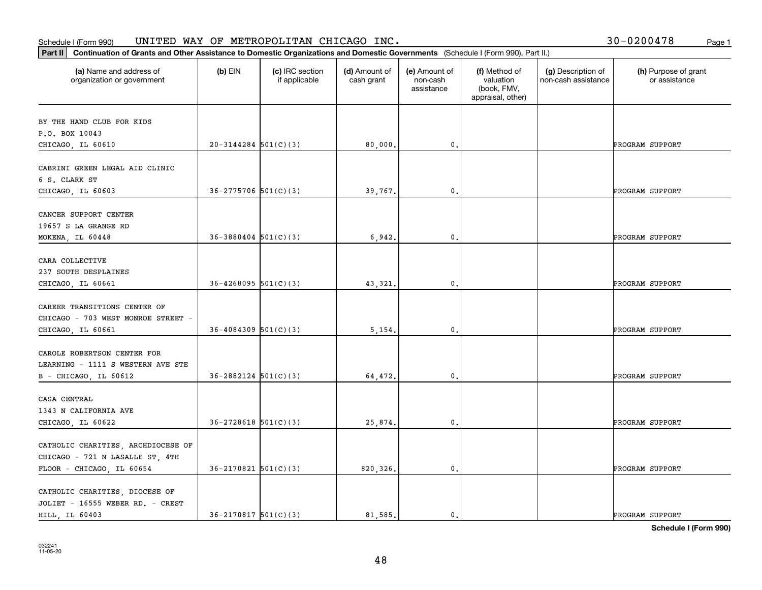|  |  | 30-0200478 |  | Page 1 |
|--|--|------------|--|--------|
|--|--|------------|--|--------|

| Continuation of Grants and Other Assistance to Domestic Organizations and Domestic Governments (Schedule I (Form 990), Part II.)<br> Part II |                            |                                  |                             |                                         |                                                                |                                           |                                       |
|----------------------------------------------------------------------------------------------------------------------------------------------|----------------------------|----------------------------------|-----------------------------|-----------------------------------------|----------------------------------------------------------------|-------------------------------------------|---------------------------------------|
| (a) Name and address of<br>organization or government                                                                                        | $(b)$ EIN                  | (c) IRC section<br>if applicable | (d) Amount of<br>cash grant | (e) Amount of<br>non-cash<br>assistance | (f) Method of<br>valuation<br>(book, FMV,<br>appraisal, other) | (g) Description of<br>non-cash assistance | (h) Purpose of grant<br>or assistance |
| BY THE HAND CLUB FOR KIDS                                                                                                                    |                            |                                  |                             |                                         |                                                                |                                           |                                       |
| P.O. BOX 10043<br>CHICAGO, IL 60610                                                                                                          | $20-3144284$ 501(C)(3)     |                                  | 80,000.                     | $\mathbf{0}$ .                          |                                                                |                                           | PROGRAM SUPPORT                       |
| CABRINI GREEN LEGAL AID CLINIC<br>6 S. CLARK ST                                                                                              |                            |                                  |                             |                                         |                                                                |                                           |                                       |
| CHICAGO, IL 60603                                                                                                                            | $36 - 2775706$ 501(C)(3)   |                                  | 39,767.                     | $\mathbf{0}$ .                          |                                                                |                                           | PROGRAM SUPPORT                       |
| CANCER SUPPORT CENTER<br>19657 S LA GRANGE RD<br>MOKENA, IL 60448                                                                            | $36 - 3880404$ $501(C)(3)$ |                                  | 6,942.                      | 0.                                      |                                                                |                                           | PROGRAM SUPPORT                       |
|                                                                                                                                              |                            |                                  |                             |                                         |                                                                |                                           |                                       |
| CARA COLLECTIVE<br>237 SOUTH DESPLAINES<br>CHICAGO, IL 60661                                                                                 | $36 - 4268095$ 501(C)(3)   |                                  | 43, 321.                    | 0.                                      |                                                                |                                           | PROGRAM SUPPORT                       |
|                                                                                                                                              |                            |                                  |                             |                                         |                                                                |                                           |                                       |
| CAREER TRANSITIONS CENTER OF<br>CHICAGO - 703 WEST MONROE STREET -<br>CHICAGO, IL 60661                                                      | $36 - 4084309$ 501(C)(3)   |                                  | 5,154.                      | $\mathbf{0}$ .                          |                                                                |                                           | PROGRAM SUPPORT                       |
|                                                                                                                                              |                            |                                  |                             |                                         |                                                                |                                           |                                       |
| CAROLE ROBERTSON CENTER FOR<br>LEARNING - 1111 S WESTERN AVE STE                                                                             |                            |                                  |                             |                                         |                                                                |                                           |                                       |
| B - CHICAGO, IL 60612                                                                                                                        | $36 - 2882124$ $501(C)(3)$ |                                  | 64,472.                     | 0.                                      |                                                                |                                           | PROGRAM SUPPORT                       |
| CASA CENTRAL<br>1343 N CALIFORNIA AVE                                                                                                        |                            |                                  |                             |                                         |                                                                |                                           |                                       |
| CHICAGO, IL 60622                                                                                                                            | $36 - 2728618$ $501(C)(3)$ |                                  | 25,874.                     | 0.                                      |                                                                |                                           | PROGRAM SUPPORT                       |
| CATHOLIC CHARITIES, ARCHDIOCESE OF<br>CHICAGO - 721 N LASALLE ST, 4TH                                                                        |                            |                                  |                             |                                         |                                                                |                                           |                                       |
| FLOOR - CHICAGO, IL 60654                                                                                                                    | $36 - 2170821$ 501(C)(3)   |                                  | 820,326.                    | $\mathbf{0}$ .                          |                                                                |                                           | PROGRAM SUPPORT                       |
| CATHOLIC CHARITIES, DIOCESE OF<br>JOLIET - 16555 WEBER RD. - CREST<br>HILL, IL 60403                                                         | $36 - 2170817$ $501(C)(3)$ |                                  | 81.585.                     | 0.                                      |                                                                |                                           | PROGRAM SUPPORT                       |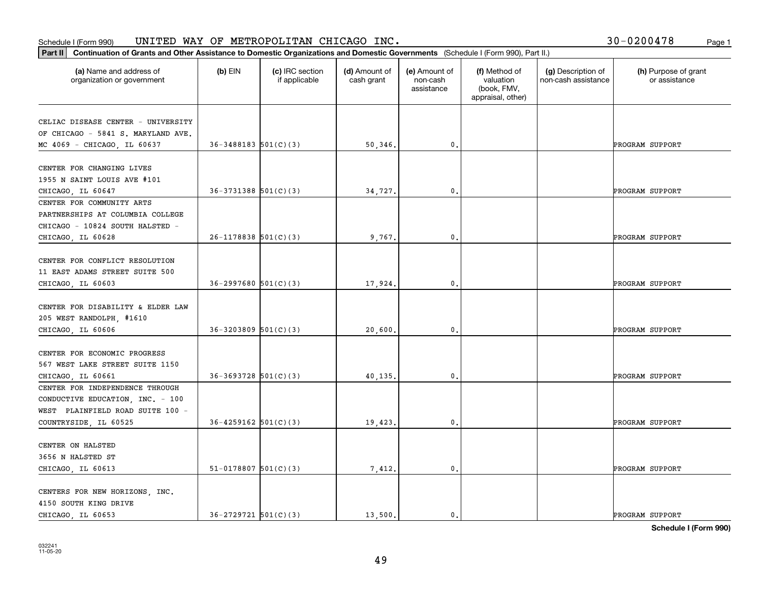|  |  | 30-0200478 |  | Page 1 |
|--|--|------------|--|--------|
|--|--|------------|--|--------|

| Continuation of Grants and Other Assistance to Domestic Organizations and Domestic Governments (Schedule I (Form 990), Part II.)<br>Part II |                            |                                  |                             |                                         |                                                                |                                           |                                       |
|---------------------------------------------------------------------------------------------------------------------------------------------|----------------------------|----------------------------------|-----------------------------|-----------------------------------------|----------------------------------------------------------------|-------------------------------------------|---------------------------------------|
| (a) Name and address of<br>organization or government                                                                                       | $(b)$ EIN                  | (c) IRC section<br>if applicable | (d) Amount of<br>cash grant | (e) Amount of<br>non-cash<br>assistance | (f) Method of<br>valuation<br>(book, FMV,<br>appraisal, other) | (g) Description of<br>non-cash assistance | (h) Purpose of grant<br>or assistance |
| CELIAC DISEASE CENTER - UNIVERSITY<br>OF CHICAGO - 5841 S. MARYLAND AVE.                                                                    | $36 - 3488183$ $501(C)(3)$ |                                  | 50,346.                     | $\mathbf{0}$ .                          |                                                                |                                           | PROGRAM SUPPORT                       |
| MC 4069 - CHICAGO, IL 60637                                                                                                                 |                            |                                  |                             |                                         |                                                                |                                           |                                       |
| CENTER FOR CHANGING LIVES<br>1955 N SAINT LOUIS AVE #101<br>CHICAGO, IL 60647                                                               | $36-3731388$ $501(C)(3)$   |                                  | 34,727.                     | $\mathfrak{o}$ .                        |                                                                |                                           | PROGRAM SUPPORT                       |
| CENTER FOR COMMUNITY ARTS<br>PARTNERSHIPS AT COLUMBIA COLLEGE<br>CHICAGO - 10824 SOUTH HALSTED -                                            |                            |                                  |                             |                                         |                                                                |                                           |                                       |
| CHICAGO, IL 60628                                                                                                                           | $26-1178838$ $501(C)(3)$   |                                  | 9,767.                      | 0.                                      |                                                                |                                           | PROGRAM SUPPORT                       |
| CENTER FOR CONFLICT RESOLUTION<br>11 EAST ADAMS STREET SUITE 500<br>CHICAGO, IL 60603                                                       | $36 - 2997680$ $501(C)(3)$ |                                  | 17,924.                     | 0.                                      |                                                                |                                           | PROGRAM SUPPORT                       |
| CENTER FOR DISABILITY & ELDER LAW<br>205 WEST RANDOLPH, #1610<br>CHICAGO, IL 60606                                                          | $36 - 3203809$ $501(C)(3)$ |                                  | 20,600.                     | $\mathbf{0}$ .                          |                                                                |                                           | PROGRAM SUPPORT                       |
| CENTER FOR ECONOMIC PROGRESS<br>567 WEST LAKE STREET SUITE 1150<br>CHICAGO, IL 60661                                                        | $36 - 3693728$ $501(C)(3)$ |                                  | 40,135.                     | 0.                                      |                                                                |                                           | PROGRAM SUPPORT                       |
| CENTER FOR INDEPENDENCE THROUGH<br>CONDUCTIVE EDUCATION, INC. - 100<br>WEST PLAINFIELD ROAD SUITE 100 -                                     |                            |                                  |                             |                                         |                                                                |                                           |                                       |
| COUNTRYSIDE, IL 60525                                                                                                                       | $36 - 4259162$ $501(C)(3)$ |                                  | 19,423.                     | 0.                                      |                                                                |                                           | PROGRAM SUPPORT                       |
| CENTER ON HALSTED<br>3656 N HALSTED ST<br>CHICAGO, IL 60613                                                                                 | $51-0178807$ 501(C)(3)     |                                  | 7,412.                      | $\mathbf{0}$ .                          |                                                                |                                           | PROGRAM SUPPORT                       |
| CENTERS FOR NEW HORIZONS, INC.<br>4150 SOUTH KING DRIVE<br>CHICAGO, IL 60653                                                                | $36 - 2729721$ $501(C)(3)$ |                                  | 13,500.                     | $\mathbf{0}$ .                          |                                                                |                                           | PROGRAM SUPPORT                       |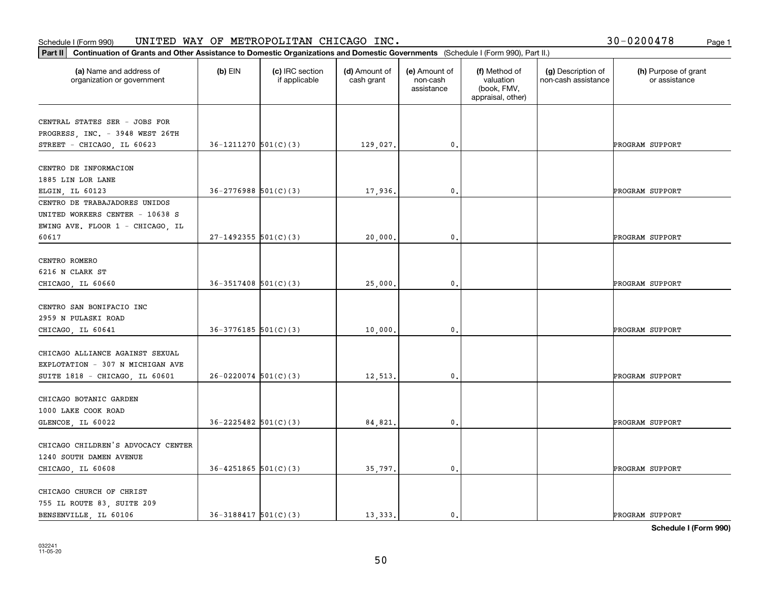|  |  | 30-0200478 |  | Page 1 |
|--|--|------------|--|--------|
|--|--|------------|--|--------|

| Continuation of Grants and Other Assistance to Domestic Organizations and Domestic Governments (Schedule I (Form 990), Part II.)<br>Part II |                            |                                  |                             |                                         |                                                                |                                           |                                       |
|---------------------------------------------------------------------------------------------------------------------------------------------|----------------------------|----------------------------------|-----------------------------|-----------------------------------------|----------------------------------------------------------------|-------------------------------------------|---------------------------------------|
| (a) Name and address of<br>organization or government                                                                                       | $(b)$ EIN                  | (c) IRC section<br>if applicable | (d) Amount of<br>cash grant | (e) Amount of<br>non-cash<br>assistance | (f) Method of<br>valuation<br>(book, FMV,<br>appraisal, other) | (g) Description of<br>non-cash assistance | (h) Purpose of grant<br>or assistance |
|                                                                                                                                             |                            |                                  |                             |                                         |                                                                |                                           |                                       |
| CENTRAL STATES SER - JOBS FOR<br>PROGRESS, INC. - 3948 WEST 26TH                                                                            |                            |                                  |                             |                                         |                                                                |                                           |                                       |
| STREET - CHICAGO, IL 60623                                                                                                                  | $36-1211270$ $501(C)(3)$   |                                  | 129,027.                    | $\mathbf{0}$ .                          |                                                                |                                           | PROGRAM SUPPORT                       |
|                                                                                                                                             |                            |                                  |                             |                                         |                                                                |                                           |                                       |
| CENTRO DE INFORMACION                                                                                                                       |                            |                                  |                             |                                         |                                                                |                                           |                                       |
| 1885 LIN LOR LANE                                                                                                                           |                            |                                  |                             |                                         |                                                                |                                           |                                       |
| ELGIN, IL 60123                                                                                                                             | $36 - 2776988$ 501(C)(3)   |                                  | 17,936.                     | $\mathbf{0}$ .                          |                                                                |                                           | PROGRAM SUPPORT                       |
| CENTRO DE TRABAJADORES UNIDOS                                                                                                               |                            |                                  |                             |                                         |                                                                |                                           |                                       |
| UNITED WORKERS CENTER - 10638 S                                                                                                             |                            |                                  |                             |                                         |                                                                |                                           |                                       |
| EWING AVE. FLOOR 1 - CHICAGO, IL                                                                                                            |                            |                                  |                             |                                         |                                                                |                                           |                                       |
| 60617                                                                                                                                       | $27-1492355$ 501(C)(3)     |                                  | 20,000.                     | 0.                                      |                                                                |                                           | PROGRAM SUPPORT                       |
| CENTRO ROMERO                                                                                                                               |                            |                                  |                             |                                         |                                                                |                                           |                                       |
| 6216 N CLARK ST                                                                                                                             |                            |                                  |                             |                                         |                                                                |                                           |                                       |
| CHICAGO, IL 60660                                                                                                                           | $36 - 3517408$ $501(C)(3)$ |                                  | 25,000.                     | 0.                                      |                                                                |                                           | PROGRAM SUPPORT                       |
|                                                                                                                                             |                            |                                  |                             |                                         |                                                                |                                           |                                       |
| CENTRO SAN BONIFACIO INC                                                                                                                    |                            |                                  |                             |                                         |                                                                |                                           |                                       |
| 2959 N PULASKI ROAD                                                                                                                         |                            |                                  |                             |                                         |                                                                |                                           |                                       |
| CHICAGO, IL 60641                                                                                                                           | $36-3776185$ 501(C)(3)     |                                  | 10,000.                     | 0.                                      |                                                                |                                           | PROGRAM SUPPORT                       |
|                                                                                                                                             |                            |                                  |                             |                                         |                                                                |                                           |                                       |
| CHICAGO ALLIANCE AGAINST SEXUAL                                                                                                             |                            |                                  |                             |                                         |                                                                |                                           |                                       |
| EXPLOTATION - 307 N MICHIGAN AVE<br>SUITE 1818 - CHICAGO, IL 60601                                                                          | $26-0220074$ 501(C)(3)     |                                  | 12,513.                     | 0.                                      |                                                                |                                           | PROGRAM SUPPORT                       |
|                                                                                                                                             |                            |                                  |                             |                                         |                                                                |                                           |                                       |
| CHICAGO BOTANIC GARDEN                                                                                                                      |                            |                                  |                             |                                         |                                                                |                                           |                                       |
| 1000 LAKE COOK ROAD                                                                                                                         |                            |                                  |                             |                                         |                                                                |                                           |                                       |
| GLENCOE, IL 60022                                                                                                                           | $36 - 2225482$ 501(C)(3)   |                                  | 84,821.                     | 0.                                      |                                                                |                                           | PROGRAM SUPPORT                       |
|                                                                                                                                             |                            |                                  |                             |                                         |                                                                |                                           |                                       |
| CHICAGO CHILDREN'S ADVOCACY CENTER                                                                                                          |                            |                                  |                             |                                         |                                                                |                                           |                                       |
| 1240 SOUTH DAMEN AVENUE                                                                                                                     |                            |                                  |                             |                                         |                                                                |                                           |                                       |
| CHICAGO, IL 60608                                                                                                                           | $36 - 4251865$ $501(C)(3)$ |                                  | 35,797.                     | 0.                                      |                                                                |                                           | PROGRAM SUPPORT                       |
| CHICAGO CHURCH OF CHRIST                                                                                                                    |                            |                                  |                             |                                         |                                                                |                                           |                                       |
| 755 IL ROUTE 83, SUITE 209                                                                                                                  |                            |                                  |                             |                                         |                                                                |                                           |                                       |
| BENSENVILLE, IL 60106                                                                                                                       | $36 - 3188417$ $501(C)(3)$ |                                  | 13,333.                     | $\mathbf{0}$ .                          |                                                                |                                           | PROGRAM SUPPORT                       |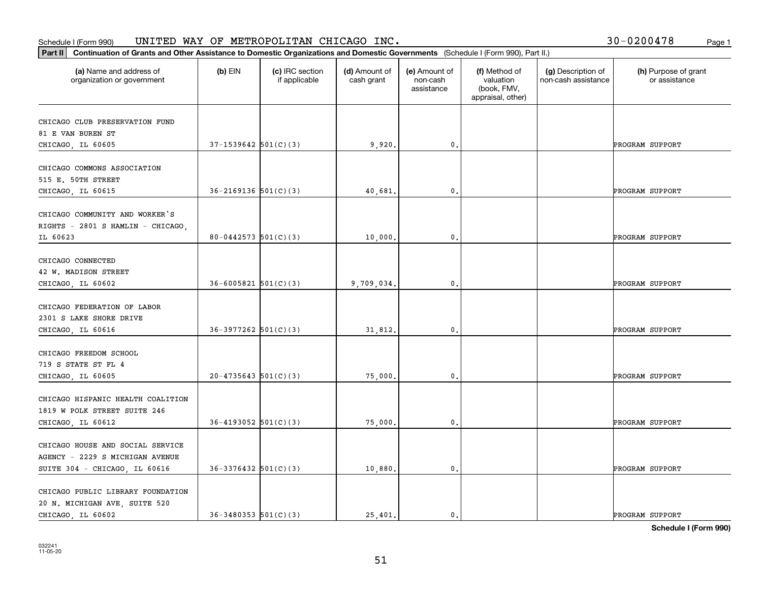#### Schedule I (Form 990) UN⊥TED WAY OF METROPOLLTAN CHICAGO INC. Page 1 UNITED WAY OF METROPOLITAN CHICAGO INC. 30-0200478

| 30-0200478 | Page 1 |
|------------|--------|
|------------|--------|

| Part II   Continuation of Grants and Other Assistance to Domestic Organizations and Domestic Governments (Schedule I (Form 990), Part II.) |                            |                                  |                             |                                         |                                                                |                                           |                                       |
|--------------------------------------------------------------------------------------------------------------------------------------------|----------------------------|----------------------------------|-----------------------------|-----------------------------------------|----------------------------------------------------------------|-------------------------------------------|---------------------------------------|
| (a) Name and address of<br>organization or government                                                                                      | $(b)$ EIN                  | (c) IRC section<br>if applicable | (d) Amount of<br>cash grant | (e) Amount of<br>non-cash<br>assistance | (f) Method of<br>valuation<br>(book, FMV,<br>appraisal, other) | (g) Description of<br>non-cash assistance | (h) Purpose of grant<br>or assistance |
| CHICAGO CLUB PRESERVATION FUND                                                                                                             |                            |                                  |                             |                                         |                                                                |                                           |                                       |
| 81 E VAN BUREN ST                                                                                                                          |                            |                                  |                             |                                         |                                                                |                                           |                                       |
| CHICAGO, IL 60605                                                                                                                          | $37-1539642$ $501(C)(3)$   |                                  | 9,920.                      | $\mathfrak o$ .                         |                                                                |                                           | PROGRAM SUPPORT                       |
|                                                                                                                                            |                            |                                  |                             |                                         |                                                                |                                           |                                       |
| CHICAGO COMMONS ASSOCIATION                                                                                                                |                            |                                  |                             |                                         |                                                                |                                           |                                       |
| 515 E. 50TH STREET                                                                                                                         |                            |                                  |                             |                                         |                                                                |                                           |                                       |
| CHICAGO, IL 60615                                                                                                                          | $36 - 2169136$ $501(C)(3)$ |                                  | 40,681                      | $\mathfrak{o}$ .                        |                                                                |                                           | PROGRAM SUPPORT                       |
|                                                                                                                                            |                            |                                  |                             |                                         |                                                                |                                           |                                       |
| CHICAGO COMMUNITY AND WORKER'S                                                                                                             |                            |                                  |                             |                                         |                                                                |                                           |                                       |
| RIGHTS - 2801 S HAMLIN - CHICAGO,                                                                                                          |                            |                                  |                             |                                         |                                                                |                                           |                                       |
| IL 60623                                                                                                                                   | $80 - 0442573$ 501(C)(3)   |                                  | 10,000.                     | $\mathbf 0$ .                           |                                                                |                                           | PROGRAM SUPPORT                       |
| CHICAGO CONNECTED                                                                                                                          |                            |                                  |                             |                                         |                                                                |                                           |                                       |
| 42 W. MADISON STREET                                                                                                                       |                            |                                  |                             |                                         |                                                                |                                           |                                       |
| CHICAGO, IL 60602                                                                                                                          | $36 - 6005821$ $501(C)(3)$ |                                  | 9,709,034.                  | 0.                                      |                                                                |                                           | PROGRAM SUPPORT                       |
|                                                                                                                                            |                            |                                  |                             |                                         |                                                                |                                           |                                       |
| CHICAGO FEDERATION OF LABOR                                                                                                                |                            |                                  |                             |                                         |                                                                |                                           |                                       |
| 2301 S LAKE SHORE DRIVE                                                                                                                    |                            |                                  |                             |                                         |                                                                |                                           |                                       |
| CHICAGO, IL 60616                                                                                                                          | $36-3977262$ $501(C)(3)$   |                                  | 31,812.                     | $\mathbf{0}$                            |                                                                |                                           | PROGRAM SUPPORT                       |
|                                                                                                                                            |                            |                                  |                             |                                         |                                                                |                                           |                                       |
| CHICAGO FREEDOM SCHOOL                                                                                                                     |                            |                                  |                             |                                         |                                                                |                                           |                                       |
| 719 S STATE ST FL 4                                                                                                                        |                            |                                  |                             |                                         |                                                                |                                           |                                       |
| CHICAGO, IL 60605                                                                                                                          | $20 - 4735643$ 501(C)(3)   |                                  | 75,000.                     | 0.                                      |                                                                |                                           | PROGRAM SUPPORT                       |
| CHICAGO HISPANIC HEALTH COALITION                                                                                                          |                            |                                  |                             |                                         |                                                                |                                           |                                       |
| 1819 W POLK STREET SUITE 246                                                                                                               |                            |                                  |                             |                                         |                                                                |                                           |                                       |
| CHICAGO, IL 60612                                                                                                                          | $36 - 4193052$ $501(C)(3)$ |                                  | 75,000,                     | $\mathbf{0}$ .                          |                                                                |                                           | PROGRAM SUPPORT                       |
|                                                                                                                                            |                            |                                  |                             |                                         |                                                                |                                           |                                       |
| CHICAGO HOUSE AND SOCIAL SERVICE                                                                                                           |                            |                                  |                             |                                         |                                                                |                                           |                                       |
| AGENCY - 2229 S MICHIGAN AVENUE                                                                                                            |                            |                                  |                             |                                         |                                                                |                                           |                                       |
| SUITE 304 - CHICAGO, IL 60616                                                                                                              | $36-3376432$ 501(C)(3)     |                                  | 10,880.                     | $\mathbf 0$ .                           |                                                                |                                           | PROGRAM SUPPORT                       |
|                                                                                                                                            |                            |                                  |                             |                                         |                                                                |                                           |                                       |
| CHICAGO PUBLIC LIBRARY FOUNDATION                                                                                                          |                            |                                  |                             |                                         |                                                                |                                           |                                       |
| 20 N. MICHIGAN AVE, SUITE 520                                                                                                              |                            |                                  |                             |                                         |                                                                |                                           |                                       |
| CHICAGO, IL 60602                                                                                                                          | $36 - 3480353$ $501(C)(3)$ |                                  | 25,401.                     | $\mathbf{0}$ .                          |                                                                |                                           | PROGRAM SUPPORT                       |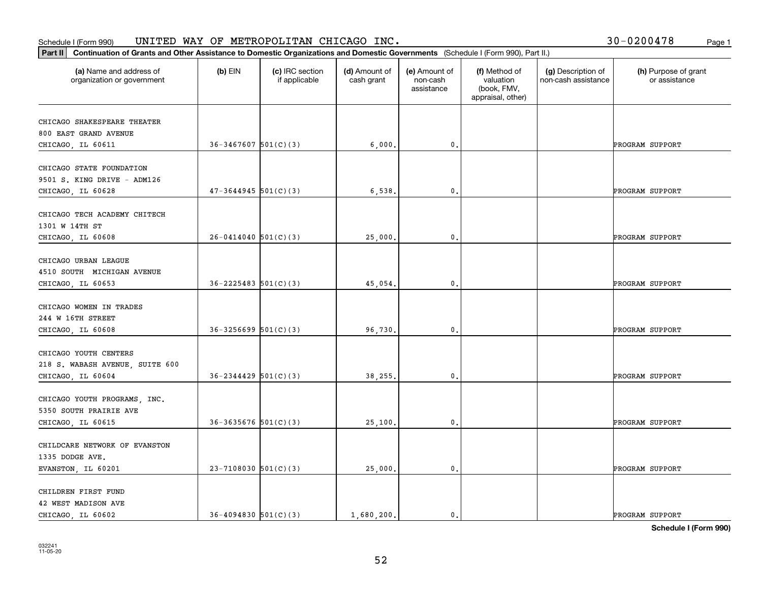| 30-0200478 | Page 1 |
|------------|--------|
|------------|--------|

| Continuation of Grants and Other Assistance to Domestic Organizations and Domestic Governments (Schedule I (Form 990), Part II.)<br>Part II |                            |                                  |                             |                                         |                                                                |                                           |                                       |
|---------------------------------------------------------------------------------------------------------------------------------------------|----------------------------|----------------------------------|-----------------------------|-----------------------------------------|----------------------------------------------------------------|-------------------------------------------|---------------------------------------|
| (a) Name and address of<br>organization or government                                                                                       | $(b)$ EIN                  | (c) IRC section<br>if applicable | (d) Amount of<br>cash grant | (e) Amount of<br>non-cash<br>assistance | (f) Method of<br>valuation<br>(book, FMV,<br>appraisal, other) | (g) Description of<br>non-cash assistance | (h) Purpose of grant<br>or assistance |
| CHICAGO SHAKESPEARE THEATER<br>800 EAST GRAND AVENUE<br>CHICAGO, IL 60611                                                                   | $36 - 3467607$ $501(C)(3)$ |                                  | 6,000.                      | $\mathbf{0}$ .                          |                                                                |                                           | PROGRAM SUPPORT                       |
| CHICAGO STATE FOUNDATION<br>9501 S. KING DRIVE - ADM126<br>CHICAGO, IL 60628                                                                | $47 - 3644945$ 501(C)(3)   |                                  | 6,538.                      | $\mathbf{0}$ .                          |                                                                |                                           | PROGRAM SUPPORT                       |
| CHICAGO TECH ACADEMY CHITECH<br>1301 W 14TH ST<br>CHICAGO, IL 60608                                                                         | $26 - 0414040$ 501(C)(3)   |                                  | 25,000.                     | 0.                                      |                                                                |                                           | PROGRAM SUPPORT                       |
| CHICAGO URBAN LEAGUE<br>4510 SOUTH MICHIGAN AVENUE<br>CHICAGO, IL 60653                                                                     | $36 - 2225483$ $501(C)(3)$ |                                  | 45,054.                     | 0.                                      |                                                                |                                           | PROGRAM SUPPORT                       |
| CHICAGO WOMEN IN TRADES<br>244 W 16TH STREET<br>CHICAGO, IL 60608                                                                           | $36 - 3256699$ $501(C)(3)$ |                                  | 96,730.                     | $\mathbf{0}$ .                          |                                                                |                                           | PROGRAM SUPPORT                       |
| CHICAGO YOUTH CENTERS<br>218 S. WABASH AVENUE, SUITE 600<br>CHICAGO, IL 60604                                                               | $36 - 2344429$ $501(C)(3)$ |                                  | 38,255.                     | 0.                                      |                                                                |                                           | PROGRAM SUPPORT                       |
| CHICAGO YOUTH PROGRAMS, INC.<br>5350 SOUTH PRAIRIE AVE<br>CHICAGO, IL 60615                                                                 | $36 - 3635676$ $501(C)(3)$ |                                  | 25,100.                     | 0.                                      |                                                                |                                           | PROGRAM SUPPORT                       |
| CHILDCARE NETWORK OF EVANSTON<br>1335 DODGE AVE.<br>EVANSTON, IL 60201                                                                      | $23 - 7108030$ 501(C)(3)   |                                  | 25,000.                     | $\mathfrak o$ .                         |                                                                |                                           | PROGRAM SUPPORT                       |
| CHILDREN FIRST FUND<br>42 WEST MADISON AVE<br>CHICAGO, IL 60602                                                                             | $36 - 4094830$ $501(C)(3)$ |                                  | 1,680,200.                  | $\mathbf{0}$ .                          |                                                                |                                           | PROGRAM SUPPORT                       |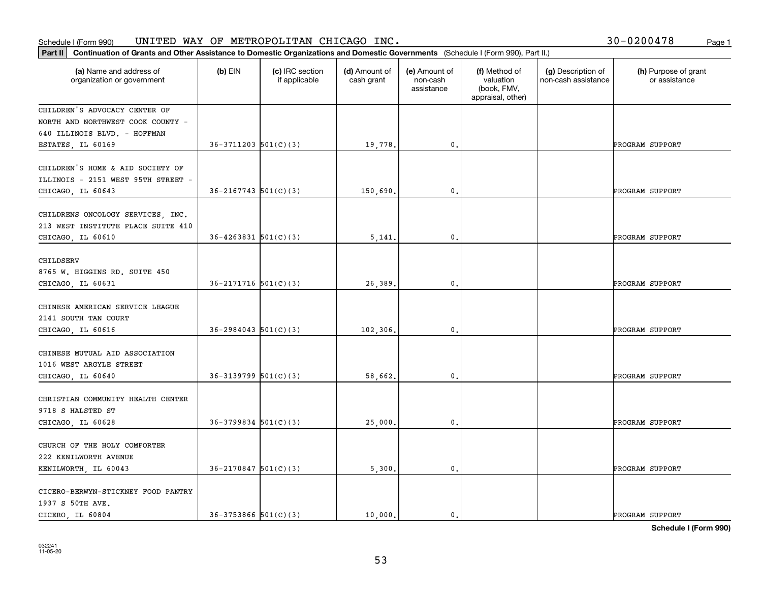| 30-0200478 | Page 1 |
|------------|--------|
|            |        |

| Continuation of Grants and Other Assistance to Domestic Organizations and Domestic Governments (Schedule I (Form 990), Part II.)<br>Part II |                            |                                  |                             |                                         |                                                                |                                           |                                       |
|---------------------------------------------------------------------------------------------------------------------------------------------|----------------------------|----------------------------------|-----------------------------|-----------------------------------------|----------------------------------------------------------------|-------------------------------------------|---------------------------------------|
| (a) Name and address of<br>organization or government                                                                                       | $(b)$ EIN                  | (c) IRC section<br>if applicable | (d) Amount of<br>cash grant | (e) Amount of<br>non-cash<br>assistance | (f) Method of<br>valuation<br>(book, FMV,<br>appraisal, other) | (g) Description of<br>non-cash assistance | (h) Purpose of grant<br>or assistance |
| CHILDREN'S ADVOCACY CENTER OF<br>NORTH AND NORTHWEST COOK COUNTY -<br>640 ILLINOIS BLVD. - HOFFMAN<br>ESTATES, IL 60169                     | $36-3711203$ $501(C)(3)$   |                                  | 19,778.                     | $\mathbf{0}$ .                          |                                                                |                                           | PROGRAM SUPPORT                       |
| CHILDREN'S HOME & AID SOCIETY OF<br>ILLINOIS - 2151 WEST 95TH STREET -<br>CHICAGO, IL 60643                                                 | $36 - 2167743$ 501(C)(3)   |                                  | 150,690.                    | $\mathbf{0}$ .                          |                                                                |                                           | PROGRAM SUPPORT                       |
| CHILDRENS ONCOLOGY SERVICES, INC.<br>213 WEST INSTITUTE PLACE SUITE 410<br>CHICAGO, IL 60610                                                | $36 - 4263831$ $501(C)(3)$ |                                  | 5,141                       | 0.                                      |                                                                |                                           | PROGRAM SUPPORT                       |
| CHILDSERV<br>8765 W. HIGGINS RD. SUITE 450<br>CHICAGO, IL 60631                                                                             | $36 - 2171716$ $501(C)(3)$ |                                  | 26,389                      | 0.                                      |                                                                |                                           | PROGRAM SUPPORT                       |
| CHINESE AMERICAN SERVICE LEAGUE<br>2141 SOUTH TAN COURT<br>CHICAGO, IL 60616                                                                | $36 - 2984043$ 501(C)(3)   |                                  | 102,306.                    | $\mathbf{0}$ .                          |                                                                |                                           | PROGRAM SUPPORT                       |
| CHINESE MUTUAL AID ASSOCIATION<br>1016 WEST ARGYLE STREET<br>CHICAGO, IL 60640                                                              | $36-3139799$ $501(C)(3)$   |                                  | 58,662.                     | 0.                                      |                                                                |                                           | PROGRAM SUPPORT                       |
| CHRISTIAN COMMUNITY HEALTH CENTER<br>9718 S HALSTED ST<br>CHICAGO, IL 60628                                                                 | $36-3799834$ 501(C)(3)     |                                  | 25,000                      | 0.                                      |                                                                |                                           | PROGRAM SUPPORT                       |
| CHURCH OF THE HOLY COMFORTER<br>222 KENILWORTH AVENUE<br>KENILWORTH, IL 60043                                                               | $36 - 2170847$ 501(C)(3)   |                                  | 5,300.                      | $\mathfrak o$ .                         |                                                                |                                           | PROGRAM SUPPORT                       |
| CICERO-BERWYN-STICKNEY FOOD PANTRY<br>1937 S 50TH AVE.<br>CICERO IL 60804                                                                   | $36 - 3753866$ $501(C)(3)$ |                                  | 10,000.                     | 0.                                      |                                                                |                                           | PROGRAM SUPPORT                       |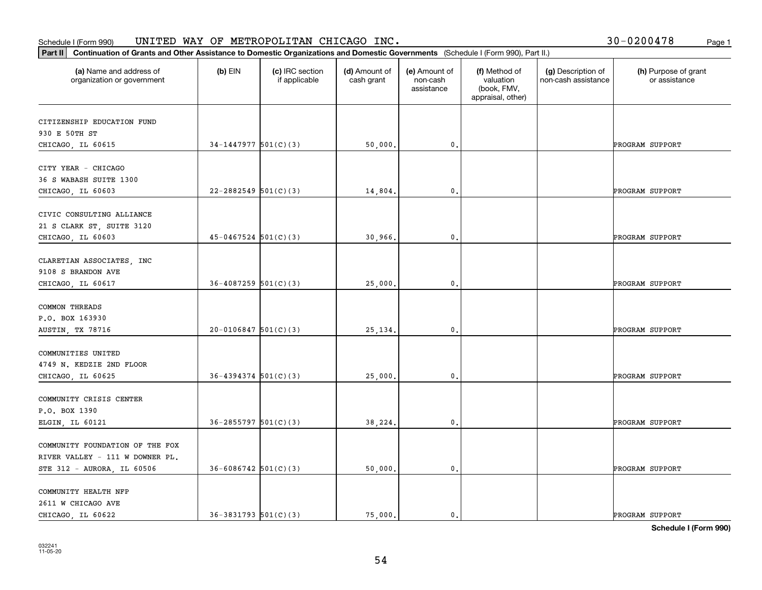| 30-0200478 | Page 1 |
|------------|--------|
|------------|--------|

| Continuation of Grants and Other Assistance to Domestic Organizations and Domestic Governments (Schedule I (Form 990), Part II.)<br> Part II |                            |                                  |                             |                                         |                                                                |                                           |                                       |
|----------------------------------------------------------------------------------------------------------------------------------------------|----------------------------|----------------------------------|-----------------------------|-----------------------------------------|----------------------------------------------------------------|-------------------------------------------|---------------------------------------|
| (a) Name and address of<br>organization or government                                                                                        | $(b)$ EIN                  | (c) IRC section<br>if applicable | (d) Amount of<br>cash grant | (e) Amount of<br>non-cash<br>assistance | (f) Method of<br>valuation<br>(book, FMV,<br>appraisal, other) | (g) Description of<br>non-cash assistance | (h) Purpose of grant<br>or assistance |
| CITIZENSHIP EDUCATION FUND                                                                                                                   |                            |                                  |                             |                                         |                                                                |                                           |                                       |
| 930 E 50TH ST                                                                                                                                |                            |                                  |                             |                                         |                                                                |                                           |                                       |
| CHICAGO, IL 60615                                                                                                                            | $34-1447977$ $501(C)(3)$   |                                  | 50,000.                     | $\mathbf{0}$ .                          |                                                                |                                           | PROGRAM SUPPORT                       |
| CITY YEAR - CHICAGO                                                                                                                          |                            |                                  |                             |                                         |                                                                |                                           |                                       |
| 36 S WABASH SUITE 1300                                                                                                                       |                            |                                  |                             |                                         |                                                                |                                           |                                       |
| CHICAGO, IL 60603                                                                                                                            | $22 - 2882549$ 501(C)(3)   |                                  | 14,804.                     | $\mathbf{0}$ .                          |                                                                |                                           | PROGRAM SUPPORT                       |
| CIVIC CONSULTING ALLIANCE                                                                                                                    |                            |                                  |                             |                                         |                                                                |                                           |                                       |
| 21 S CLARK ST, SUITE 3120                                                                                                                    |                            |                                  |                             |                                         |                                                                |                                           |                                       |
| CHICAGO, IL 60603                                                                                                                            | $45 - 0467524$ 501(C)(3)   |                                  | 30,966.                     | $\mathbf 0$ .                           |                                                                |                                           | PROGRAM SUPPORT                       |
|                                                                                                                                              |                            |                                  |                             |                                         |                                                                |                                           |                                       |
| CLARETIAN ASSOCIATES, INC                                                                                                                    |                            |                                  |                             |                                         |                                                                |                                           |                                       |
| 9108 S BRANDON AVE                                                                                                                           |                            |                                  |                             |                                         |                                                                |                                           |                                       |
| CHICAGO, IL 60617                                                                                                                            | $36 - 4087259$ 501(C)(3)   |                                  | 25,000.                     | 0.                                      |                                                                |                                           | PROGRAM SUPPORT                       |
| COMMON THREADS                                                                                                                               |                            |                                  |                             |                                         |                                                                |                                           |                                       |
| P.O. BOX 163930                                                                                                                              |                            |                                  |                             |                                         |                                                                |                                           |                                       |
| <b>AUSTIN, TX 78716</b>                                                                                                                      | $20 - 0106847$ 501(C)(3)   |                                  | 25, 134.                    | $\mathbf{0}$ .                          |                                                                |                                           | PROGRAM SUPPORT                       |
| COMMUNITIES UNITED                                                                                                                           |                            |                                  |                             |                                         |                                                                |                                           |                                       |
| 4749 N. KEDZIE 2ND FLOOR                                                                                                                     |                            |                                  |                             |                                         |                                                                |                                           |                                       |
| CHICAGO, IL 60625                                                                                                                            | $36 - 4394374$ $501(C)(3)$ |                                  | 25,000                      | $\mathbf 0$ .                           |                                                                |                                           | PROGRAM SUPPORT                       |
|                                                                                                                                              |                            |                                  |                             |                                         |                                                                |                                           |                                       |
| COMMUNITY CRISIS CENTER                                                                                                                      |                            |                                  |                             |                                         |                                                                |                                           |                                       |
| P.O. BOX 1390                                                                                                                                |                            |                                  |                             |                                         |                                                                |                                           |                                       |
| ELGIN, IL 60121                                                                                                                              | $36 - 2855797$ 501(C)(3)   |                                  | 38,224.                     | 0.                                      |                                                                |                                           | PROGRAM SUPPORT                       |
| COMMUNITY FOUNDATION OF THE FOX                                                                                                              |                            |                                  |                             |                                         |                                                                |                                           |                                       |
| RIVER VALLEY - 111 W DOWNER PL.                                                                                                              |                            |                                  |                             |                                         |                                                                |                                           |                                       |
| STE 312 - AURORA, IL 60506                                                                                                                   | $36 - 6086742$ 501(C)(3)   |                                  | 50,000.                     | $\mathfrak o$ .                         |                                                                |                                           | PROGRAM SUPPORT                       |
| COMMUNITY HEALTH NFP                                                                                                                         |                            |                                  |                             |                                         |                                                                |                                           |                                       |
| 2611 W CHICAGO AVE                                                                                                                           |                            |                                  |                             |                                         |                                                                |                                           |                                       |
| CHICAGO, IL 60622                                                                                                                            | $36 - 3831793$ $501(C)(3)$ |                                  | 75,000.                     | 0.                                      |                                                                |                                           | PROGRAM SUPPORT                       |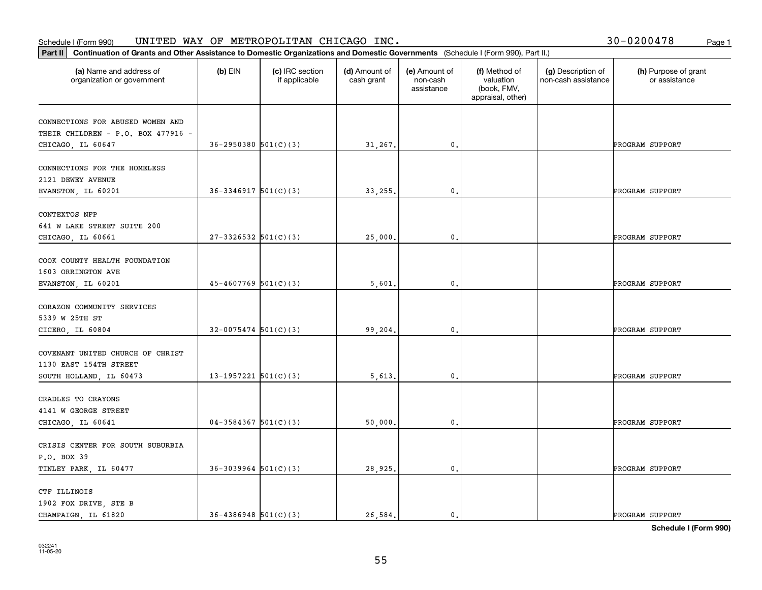|                                                       |                            |                                  |                             | Part II   Continuation of Grants and Other Assistance to Domestic Organizations and Domestic Governments (Schedule I (Form 990), Part II.) |                                                                |                                           |                                       |  |  |  |
|-------------------------------------------------------|----------------------------|----------------------------------|-----------------------------|--------------------------------------------------------------------------------------------------------------------------------------------|----------------------------------------------------------------|-------------------------------------------|---------------------------------------|--|--|--|
| (a) Name and address of<br>organization or government | $(b)$ EIN                  | (c) IRC section<br>if applicable | (d) Amount of<br>cash grant | (e) Amount of<br>non-cash<br>assistance                                                                                                    | (f) Method of<br>valuation<br>(book, FMV,<br>appraisal, other) | (g) Description of<br>non-cash assistance | (h) Purpose of grant<br>or assistance |  |  |  |
| CONNECTIONS FOR ABUSED WOMEN AND                      |                            |                                  |                             |                                                                                                                                            |                                                                |                                           |                                       |  |  |  |
| THEIR CHILDREN - P.O. BOX 477916 -                    |                            |                                  |                             |                                                                                                                                            |                                                                |                                           |                                       |  |  |  |
| CHICAGO, IL 60647                                     | $36 - 2950380$ $501(C)(3)$ |                                  | 31,267.                     | 0.                                                                                                                                         |                                                                |                                           | PROGRAM SUPPORT                       |  |  |  |
|                                                       |                            |                                  |                             |                                                                                                                                            |                                                                |                                           |                                       |  |  |  |
| CONNECTIONS FOR THE HOMELESS                          |                            |                                  |                             |                                                                                                                                            |                                                                |                                           |                                       |  |  |  |
| 2121 DEWEY AVENUE                                     |                            |                                  |                             |                                                                                                                                            |                                                                |                                           |                                       |  |  |  |
| EVANSTON, IL 60201                                    | $36 - 3346917$ $501(C)(3)$ |                                  | 33,255.                     | $\mathbf{0}$ .                                                                                                                             |                                                                |                                           | PROGRAM SUPPORT                       |  |  |  |
|                                                       |                            |                                  |                             |                                                                                                                                            |                                                                |                                           |                                       |  |  |  |
| CONTEXTOS NFP                                         |                            |                                  |                             |                                                                                                                                            |                                                                |                                           |                                       |  |  |  |
| 641 W LAKE STREET SUITE 200                           | $27-3326532$ 501(C)(3)     |                                  |                             |                                                                                                                                            |                                                                |                                           |                                       |  |  |  |
| CHICAGO, IL 60661                                     |                            |                                  | 25,000.                     | $\mathbf{0}$ .                                                                                                                             |                                                                |                                           | PROGRAM SUPPORT                       |  |  |  |
| COOK COUNTY HEALTH FOUNDATION                         |                            |                                  |                             |                                                                                                                                            |                                                                |                                           |                                       |  |  |  |
| 1603 ORRINGTON AVE                                    |                            |                                  |                             |                                                                                                                                            |                                                                |                                           |                                       |  |  |  |
| EVANSTON, IL 60201                                    | $45 - 4607769$ 501(C)(3)   |                                  | 5,601                       | $\mathbf{0}$ .                                                                                                                             |                                                                |                                           | PROGRAM SUPPORT                       |  |  |  |
|                                                       |                            |                                  |                             |                                                                                                                                            |                                                                |                                           |                                       |  |  |  |
| CORAZON COMMUNITY SERVICES                            |                            |                                  |                             |                                                                                                                                            |                                                                |                                           |                                       |  |  |  |
| 5339 W 25TH ST                                        |                            |                                  |                             |                                                                                                                                            |                                                                |                                           |                                       |  |  |  |
| CICERO, IL 60804                                      | $32 - 0075474$ 501(C)(3)   |                                  | 99,204.                     | $\mathbf{0}$                                                                                                                               |                                                                |                                           | PROGRAM SUPPORT                       |  |  |  |
|                                                       |                            |                                  |                             |                                                                                                                                            |                                                                |                                           |                                       |  |  |  |
| COVENANT UNITED CHURCH OF CHRIST                      |                            |                                  |                             |                                                                                                                                            |                                                                |                                           |                                       |  |  |  |
| 1130 EAST 154TH STREET                                |                            |                                  |                             |                                                                                                                                            |                                                                |                                           |                                       |  |  |  |
| SOUTH HOLLAND, IL 60473                               | 13-1957221 $501(C)(3)$     |                                  | 5,613.                      | 0.                                                                                                                                         |                                                                |                                           | PROGRAM SUPPORT                       |  |  |  |
|                                                       |                            |                                  |                             |                                                                                                                                            |                                                                |                                           |                                       |  |  |  |
| CRADLES TO CRAYONS<br>4141 W GEORGE STREET            |                            |                                  |                             |                                                                                                                                            |                                                                |                                           |                                       |  |  |  |
|                                                       | $04-3584367$ 501(C)(3)     |                                  |                             |                                                                                                                                            |                                                                |                                           | PROGRAM SUPPORT                       |  |  |  |
| CHICAGO, IL 60641                                     |                            |                                  | 50,000.                     | $\mathfrak{o}$ .                                                                                                                           |                                                                |                                           |                                       |  |  |  |
| CRISIS CENTER FOR SOUTH SUBURBIA                      |                            |                                  |                             |                                                                                                                                            |                                                                |                                           |                                       |  |  |  |
| P.O. BOX 39                                           |                            |                                  |                             |                                                                                                                                            |                                                                |                                           |                                       |  |  |  |
| TINLEY PARK, IL 60477                                 | $36-3039964$ 501(C)(3)     |                                  | 28,925.                     | $\mathfrak o$ .                                                                                                                            |                                                                |                                           | PROGRAM SUPPORT                       |  |  |  |
|                                                       |                            |                                  |                             |                                                                                                                                            |                                                                |                                           |                                       |  |  |  |
| CTF ILLINOIS                                          |                            |                                  |                             |                                                                                                                                            |                                                                |                                           |                                       |  |  |  |
| 1902 FOX DRIVE, STE B                                 |                            |                                  |                             |                                                                                                                                            |                                                                |                                           |                                       |  |  |  |
| CHAMPAIGN, IL 61820                                   | $36 - 4386948$ $501(C)(3)$ |                                  | 26.584.                     | $\mathbf{0}$ .                                                                                                                             |                                                                |                                           | PROGRAM SUPPORT                       |  |  |  |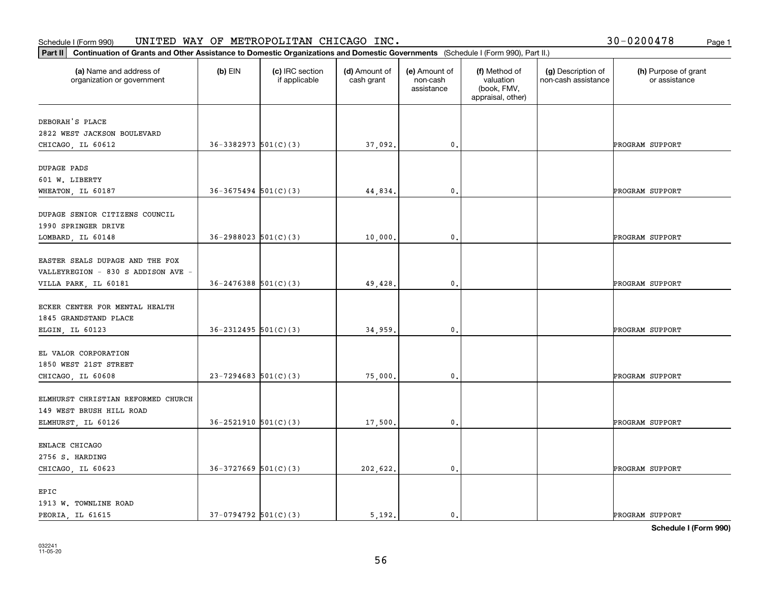#### **Part II Continuation of Grants and Other Assistance to Domestic Organizations** <br>**Part II Continuation of Grants and Other Assistance to Domestic Organizations** Schedule I (Form 990)  $\tt{UNITED}$   $\tt{WAY}$  OF  $\tt{METROPOLITAN}$   $\tt{CHICAGO}$   $\tt{INC.}$   $\tt{VCTS}$   $\tt{VCTS}$   $\tt{VCTS}$   $\tt{VCTS}$   $\tt{VCTS}$   $\tt{VCTS}$   $\tt{VCTS}$   $\tt{VCTS}$   $\tt{VCTS}$   $\tt{VCTS}$   $\tt{VCTS}$   $\tt{VCTS}$   $\tt{VCTS}$   $\tt{VCTS}$   $\tt{V$

| 30-0200478 | Page 1 |
|------------|--------|
|------------|--------|

| Continuation of Grants and Other Assistance to Domestic Organizations and Domestic Governments (Schedule I (Form 990), Part II.)<br>$ $ Part II |                            |                                  |                             |                                         |                                                                |                                           |                                       |
|-------------------------------------------------------------------------------------------------------------------------------------------------|----------------------------|----------------------------------|-----------------------------|-----------------------------------------|----------------------------------------------------------------|-------------------------------------------|---------------------------------------|
| (a) Name and address of<br>organization or government                                                                                           | $(b)$ EIN                  | (c) IRC section<br>if applicable | (d) Amount of<br>cash grant | (e) Amount of<br>non-cash<br>assistance | (f) Method of<br>valuation<br>(book, FMV,<br>appraisal, other) | (g) Description of<br>non-cash assistance | (h) Purpose of grant<br>or assistance |
| DEBORAH'S PLACE<br>2822 WEST JACKSON BOULEVARD                                                                                                  |                            |                                  |                             |                                         |                                                                |                                           |                                       |
| CHICAGO, IL 60612                                                                                                                               | $36-3382973$ $501(C)(3)$   |                                  | 37,092.                     | 0.                                      |                                                                |                                           | PROGRAM SUPPORT                       |
| DUPAGE PADS<br>601 W. LIBERTY<br>WHEATON, IL 60187                                                                                              | $36 - 3675494$ $501(C)(3)$ |                                  | 44,834.                     | $\mathbf{0}$ .                          |                                                                |                                           | PROGRAM SUPPORT                       |
| DUPAGE SENIOR CITIZENS COUNCIL<br>1990 SPRINGER DRIVE                                                                                           |                            |                                  |                             |                                         |                                                                |                                           |                                       |
| LOMBARD, IL 60148                                                                                                                               | $36 - 2988023$ $501(C)(3)$ |                                  | 10,000.                     | 0.                                      |                                                                |                                           | PROGRAM SUPPORT                       |
| EASTER SEALS DUPAGE AND THE FOX<br>VALLEYREGION - 830 S ADDISON AVE -<br>VILLA PARK, IL 60181                                                   | $36 - 2476388$ $501(C)(3)$ |                                  | 49,428.                     | 0.                                      |                                                                |                                           | PROGRAM SUPPORT                       |
| ECKER CENTER FOR MENTAL HEALTH<br>1845 GRANDSTAND PLACE                                                                                         |                            |                                  |                             |                                         |                                                                |                                           |                                       |
| ELGIN, IL 60123                                                                                                                                 | $36 - 2312495$ 501(C)(3)   |                                  | 34,959.                     | $\mathbf{0}$ .                          |                                                                |                                           | PROGRAM SUPPORT                       |
| EL VALOR CORPORATION<br>1850 WEST 21ST STREET<br>CHICAGO, IL 60608                                                                              | $23 - 7294683$ 501(C)(3)   |                                  | 75,000.                     | 0.                                      |                                                                |                                           | PROGRAM SUPPORT                       |
| ELMHURST CHRISTIAN REFORMED CHURCH<br>149 WEST BRUSH HILL ROAD                                                                                  |                            |                                  |                             |                                         |                                                                |                                           |                                       |
| ELMHURST, IL 60126                                                                                                                              | $36 - 2521910$ $501(C)(3)$ |                                  | 17,500.                     | 0.                                      |                                                                |                                           | PROGRAM SUPPORT                       |
| ENLACE CHICAGO<br>2756 S. HARDING                                                                                                               |                            |                                  |                             |                                         |                                                                |                                           |                                       |
| CHICAGO, IL 60623                                                                                                                               | $36-3727669$ $501(C)(3)$   |                                  | 202,622.                    | $\mathbf{0}$ .                          |                                                                |                                           | PROGRAM SUPPORT                       |
| EPIC<br>1913 W. TOWNLINE ROAD<br>PEORIA, IL 61615                                                                                               | $37-0794792$ 501(C)(3)     |                                  | 5.192.                      | 0.                                      |                                                                |                                           | PROGRAM SUPPORT                       |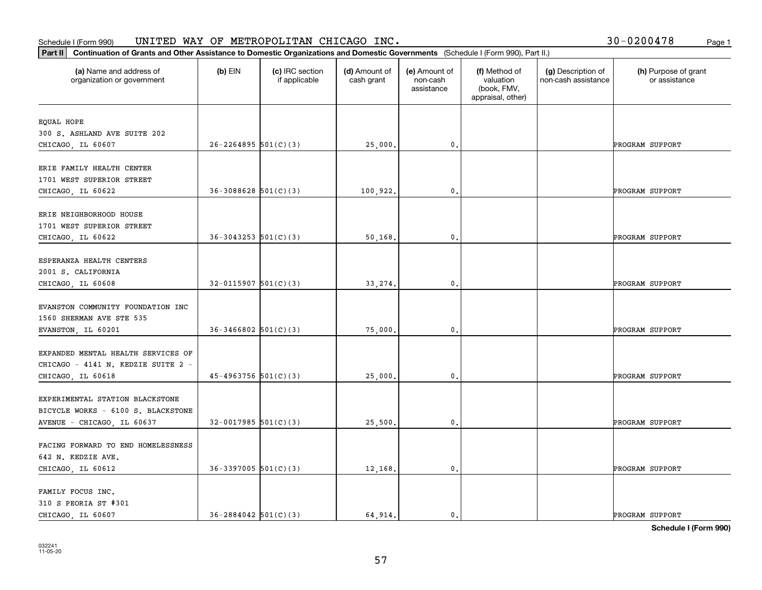| Part II   Continuation of Grants and Other Assistance to Domestic Organizations and Domestic Governments (Schedule I (Form 990), Part II.) |                            |                                  |                             |                                         |                                                                |                                           |                                       |
|--------------------------------------------------------------------------------------------------------------------------------------------|----------------------------|----------------------------------|-----------------------------|-----------------------------------------|----------------------------------------------------------------|-------------------------------------------|---------------------------------------|
| (a) Name and address of<br>organization or government                                                                                      | $(b)$ EIN                  | (c) IRC section<br>if applicable | (d) Amount of<br>cash grant | (e) Amount of<br>non-cash<br>assistance | (f) Method of<br>valuation<br>(book, FMV,<br>appraisal, other) | (g) Description of<br>non-cash assistance | (h) Purpose of grant<br>or assistance |
| EQUAL HOPE                                                                                                                                 |                            |                                  |                             |                                         |                                                                |                                           |                                       |
| 300 S. ASHLAND AVE SUITE 202                                                                                                               |                            |                                  |                             |                                         |                                                                |                                           |                                       |
| CHICAGO, IL 60607                                                                                                                          | $26 - 2264895$ 501(C)(3)   |                                  | 25,000.                     | 0.                                      |                                                                |                                           | PROGRAM SUPPORT                       |
|                                                                                                                                            |                            |                                  |                             |                                         |                                                                |                                           |                                       |
| ERIE FAMILY HEALTH CENTER                                                                                                                  |                            |                                  |                             |                                         |                                                                |                                           |                                       |
| 1701 WEST SUPERIOR STREET                                                                                                                  |                            |                                  |                             |                                         |                                                                |                                           |                                       |
| CHICAGO, IL 60622                                                                                                                          | $36 - 3088628$ $501(C)(3)$ |                                  | 100,922.                    | $\mathbf{0}$ .                          |                                                                |                                           | PROGRAM SUPPORT                       |
| ERIE NEIGHBORHOOD HOUSE                                                                                                                    |                            |                                  |                             |                                         |                                                                |                                           |                                       |
| 1701 WEST SUPERIOR STREET                                                                                                                  |                            |                                  |                             |                                         |                                                                |                                           |                                       |
| CHICAGO, IL 60622                                                                                                                          | $36-3043253$ $501(C)(3)$   |                                  | 50,168.                     | $\mathbf{0}$ .                          |                                                                |                                           | PROGRAM SUPPORT                       |
|                                                                                                                                            |                            |                                  |                             |                                         |                                                                |                                           |                                       |
| ESPERANZA HEALTH CENTERS                                                                                                                   |                            |                                  |                             |                                         |                                                                |                                           |                                       |
| 2001 S. CALIFORNIA                                                                                                                         |                            |                                  |                             |                                         |                                                                |                                           |                                       |
| CHICAGO, IL 60608                                                                                                                          | $32 - 0115907$ 501(C)(3)   |                                  | 33,274.                     | $\mathbf{0}$ .                          |                                                                |                                           | PROGRAM SUPPORT                       |
|                                                                                                                                            |                            |                                  |                             |                                         |                                                                |                                           |                                       |
| EVANSTON COMMUNITY FOUNDATION INC                                                                                                          |                            |                                  |                             |                                         |                                                                |                                           |                                       |
| 1560 SHERMAN AVE STE 535<br>EVANSTON, IL 60201                                                                                             | $36 - 3466802$ 501(C)(3)   |                                  | 75,000.                     | 0.                                      |                                                                |                                           | PROGRAM SUPPORT                       |
|                                                                                                                                            |                            |                                  |                             |                                         |                                                                |                                           |                                       |
| EXPANDED MENTAL HEALTH SERVICES OF                                                                                                         |                            |                                  |                             |                                         |                                                                |                                           |                                       |
| CHICAGO - 4141 N. KEDZIE SUITE 2 -                                                                                                         |                            |                                  |                             |                                         |                                                                |                                           |                                       |
| CHICAGO, IL 60618                                                                                                                          | $45 - 4963756$ $501(C)(3)$ |                                  | 25,000.                     | $\mathbf{0}$ .                          |                                                                |                                           | PROGRAM SUPPORT                       |
|                                                                                                                                            |                            |                                  |                             |                                         |                                                                |                                           |                                       |
| EXPERIMENTAL STATION BLACKSTONE                                                                                                            |                            |                                  |                             |                                         |                                                                |                                           |                                       |
| BICYCLE WORKS - 6100 S. BLACKSTONE                                                                                                         |                            |                                  |                             |                                         |                                                                |                                           |                                       |
| AVENUE - CHICAGO, IL 60637                                                                                                                 | $32-0017985$ 501(C)(3)     |                                  | 25,500.                     | $\mathfrak{o}$ .                        |                                                                |                                           | PROGRAM SUPPORT                       |
| FACING FORWARD TO END HOMELESSNESS                                                                                                         |                            |                                  |                             |                                         |                                                                |                                           |                                       |
| 642 N. KEDZIE AVE.                                                                                                                         |                            |                                  |                             |                                         |                                                                |                                           |                                       |
| CHICAGO, IL 60612                                                                                                                          | $36-3397005$ 501(C)(3)     |                                  | 12,168.                     | $\mathfrak o$ .                         |                                                                |                                           | PROGRAM SUPPORT                       |
|                                                                                                                                            |                            |                                  |                             |                                         |                                                                |                                           |                                       |
| FAMILY FOCUS INC.                                                                                                                          |                            |                                  |                             |                                         |                                                                |                                           |                                       |
| 310 S PEORIA ST #301                                                                                                                       |                            |                                  |                             |                                         |                                                                |                                           |                                       |
| CHICAGO LL 60607                                                                                                                           | $36 - 2884042$ 501(C)(3)   |                                  | 64.914.                     | 0.                                      |                                                                |                                           | PROGRAM SUPPORT                       |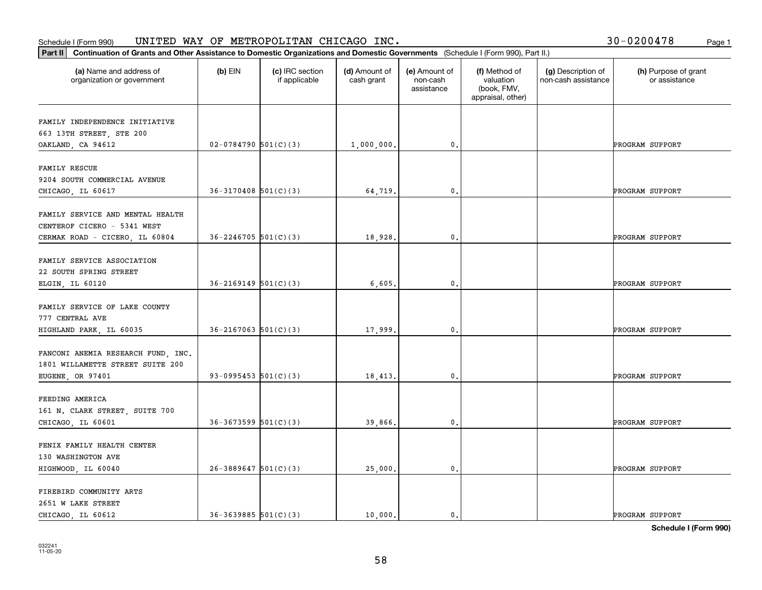#### Schedule I (Form 990) UN⊥TED WAY OF METROPOLLTAN CHICAGO INC. Page 1 UNITED WAY OF METROPOLITAN CHICAGO INC. 30-0200478

|  |  | 30-0200478 |  | Page 1 |
|--|--|------------|--|--------|
|--|--|------------|--|--------|

| Part II   Continuation of Grants and Other Assistance to Domestic Organizations and Domestic Governments (Schedule I (Form 990), Part II.) |                            |                                  |                             |                                         |                                                                |                                           |                                       |
|--------------------------------------------------------------------------------------------------------------------------------------------|----------------------------|----------------------------------|-----------------------------|-----------------------------------------|----------------------------------------------------------------|-------------------------------------------|---------------------------------------|
| (a) Name and address of<br>organization or government                                                                                      | $(b)$ EIN                  | (c) IRC section<br>if applicable | (d) Amount of<br>cash grant | (e) Amount of<br>non-cash<br>assistance | (f) Method of<br>valuation<br>(book, FMV,<br>appraisal, other) | (g) Description of<br>non-cash assistance | (h) Purpose of grant<br>or assistance |
| FAMILY INDEPENDENCE INITIATIVE                                                                                                             |                            |                                  |                             |                                         |                                                                |                                           |                                       |
| 663 13TH STREET, STE 200                                                                                                                   |                            |                                  |                             |                                         |                                                                |                                           |                                       |
| OAKLAND, CA 94612                                                                                                                          | $02-0784790$ 501(C)(3)     |                                  | 1,000,000.                  | $\mathfrak o$ .                         |                                                                |                                           | PROGRAM SUPPORT                       |
|                                                                                                                                            |                            |                                  |                             |                                         |                                                                |                                           |                                       |
| <b>FAMILY RESCUE</b>                                                                                                                       |                            |                                  |                             |                                         |                                                                |                                           |                                       |
| 9204 SOUTH COMMERCIAL AVENUE                                                                                                               |                            |                                  |                             |                                         |                                                                |                                           |                                       |
| CHICAGO, IL 60617                                                                                                                          | $36-3170408$ 501(C)(3)     |                                  | 64,719.                     | $\mathfrak{o}$ .                        |                                                                |                                           | PROGRAM SUPPORT                       |
| FAMILY SERVICE AND MENTAL HEALTH                                                                                                           |                            |                                  |                             |                                         |                                                                |                                           |                                       |
| CENTEROF CICERO - 5341 WEST                                                                                                                |                            |                                  |                             |                                         |                                                                |                                           |                                       |
| CERMAK ROAD - CICERO, IL 60804                                                                                                             | $36 - 2246705$ 501(C)(3)   |                                  | 18,928.                     | $\mathbf 0$ .                           |                                                                |                                           | PROGRAM SUPPORT                       |
|                                                                                                                                            |                            |                                  |                             |                                         |                                                                |                                           |                                       |
| FAMILY SERVICE ASSOCIATION                                                                                                                 |                            |                                  |                             |                                         |                                                                |                                           |                                       |
| 22 SOUTH SPRING STREET                                                                                                                     |                            |                                  |                             |                                         |                                                                |                                           |                                       |
| ELGIN, IL 60120                                                                                                                            | $36 - 2169149$ $501(C)(3)$ |                                  | 6,605                       | $\mathbf{0}$ .                          |                                                                |                                           | PROGRAM SUPPORT                       |
| FAMILY SERVICE OF LAKE COUNTY                                                                                                              |                            |                                  |                             |                                         |                                                                |                                           |                                       |
| 777 CENTRAL AVE                                                                                                                            |                            |                                  |                             |                                         |                                                                |                                           |                                       |
| HIGHLAND PARK, IL 60035                                                                                                                    | $36 - 2167063$ $501(C)(3)$ |                                  | 17,999.                     | $\mathbf{0}$                            |                                                                |                                           | PROGRAM SUPPORT                       |
|                                                                                                                                            |                            |                                  |                             |                                         |                                                                |                                           |                                       |
| FANCONI ANEMIA RESEARCH FUND, INC.                                                                                                         |                            |                                  |                             |                                         |                                                                |                                           |                                       |
| 1801 WILLAMETTE STREET SUITE 200                                                                                                           |                            |                                  |                             |                                         |                                                                |                                           |                                       |
| EUGENE, OR 97401                                                                                                                           | 93-0995453 $501(C)(3)$     |                                  | 18,413.                     | 0.                                      |                                                                |                                           | PROGRAM SUPPORT                       |
|                                                                                                                                            |                            |                                  |                             |                                         |                                                                |                                           |                                       |
| FEEDING AMERICA                                                                                                                            |                            |                                  |                             |                                         |                                                                |                                           |                                       |
| 161 N. CLARK STREET, SUITE 700<br>CHICAGO, IL 60601                                                                                        | $36-3673599$ $501(C)(3)$   |                                  | 39,866.                     | $\mathbf{0}$ .                          |                                                                |                                           | PROGRAM SUPPORT                       |
|                                                                                                                                            |                            |                                  |                             |                                         |                                                                |                                           |                                       |
| FENIX FAMILY HEALTH CENTER                                                                                                                 |                            |                                  |                             |                                         |                                                                |                                           |                                       |
| 130 WASHINGTON AVE                                                                                                                         |                            |                                  |                             |                                         |                                                                |                                           |                                       |
| HIGHWOOD, IL 60040                                                                                                                         | $26 - 3889647$ 501(C)(3)   |                                  | 25,000.                     | $\mathbf 0$ .                           |                                                                |                                           | PROGRAM SUPPORT                       |
|                                                                                                                                            |                            |                                  |                             |                                         |                                                                |                                           |                                       |
| FIREBIRD COMMUNITY ARTS                                                                                                                    |                            |                                  |                             |                                         |                                                                |                                           |                                       |
| 2651 W LAKE STREET                                                                                                                         |                            |                                  |                             |                                         |                                                                |                                           |                                       |
| CHICAGO, IL 60612                                                                                                                          | $36-3639885$ $501(C)(3)$   |                                  | 10,000.                     | $\mathbf{0}$ .                          |                                                                |                                           | PROGRAM SUPPORT                       |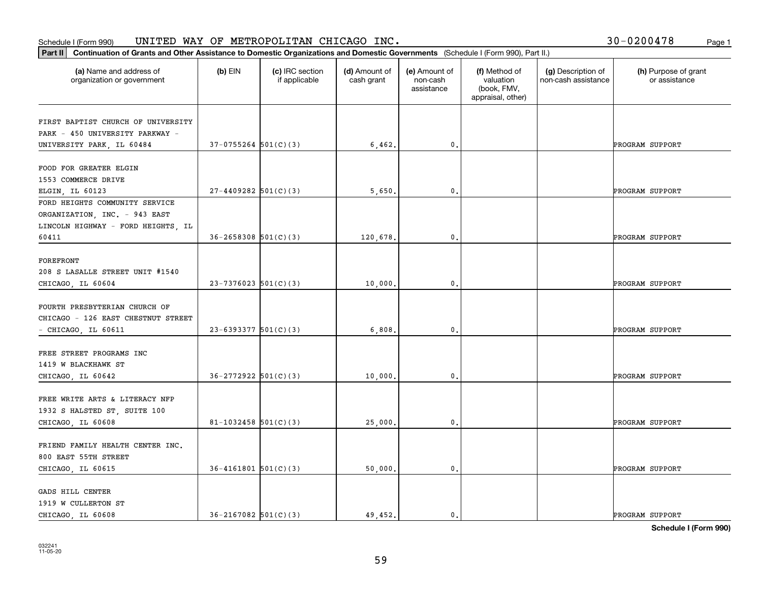|  |  | 30-0200478 |  | Page 1 |
|--|--|------------|--|--------|
|--|--|------------|--|--------|

| Continuation of Grants and Other Assistance to Domestic Organizations and Domestic Governments (Schedule I (Form 990), Part II.)<br>Part II |                            |                                  |                             |                                         |                                                                |                                           |                                       |
|---------------------------------------------------------------------------------------------------------------------------------------------|----------------------------|----------------------------------|-----------------------------|-----------------------------------------|----------------------------------------------------------------|-------------------------------------------|---------------------------------------|
| (a) Name and address of<br>organization or government                                                                                       | $(b)$ EIN                  | (c) IRC section<br>if applicable | (d) Amount of<br>cash grant | (e) Amount of<br>non-cash<br>assistance | (f) Method of<br>valuation<br>(book, FMV,<br>appraisal, other) | (g) Description of<br>non-cash assistance | (h) Purpose of grant<br>or assistance |
| FIRST BAPTIST CHURCH OF UNIVERSITY                                                                                                          |                            |                                  |                             |                                         |                                                                |                                           |                                       |
| PARK - 450 UNIVERSITY PARKWAY -                                                                                                             |                            |                                  |                             |                                         |                                                                |                                           |                                       |
| UNIVERSITY PARK, IL 60484                                                                                                                   | $37-0755264$ 501(C)(3)     |                                  | 6,462.                      | 0.                                      |                                                                |                                           | PROGRAM SUPPORT                       |
|                                                                                                                                             |                            |                                  |                             |                                         |                                                                |                                           |                                       |
| FOOD FOR GREATER ELGIN                                                                                                                      |                            |                                  |                             |                                         |                                                                |                                           |                                       |
| 1553 COMMERCE DRIVE                                                                                                                         |                            |                                  |                             |                                         |                                                                |                                           |                                       |
| ELGIN, IL 60123                                                                                                                             | $27 - 4409282$ 501(C)(3)   |                                  | 5,650.                      | $\mathbf{0}$ .                          |                                                                |                                           | PROGRAM SUPPORT                       |
| FORD HEIGHTS COMMUNITY SERVICE                                                                                                              |                            |                                  |                             |                                         |                                                                |                                           |                                       |
| ORGANIZATION, INC. - 943 EAST                                                                                                               |                            |                                  |                             |                                         |                                                                |                                           |                                       |
| LINCOLN HIGHWAY - FORD HEIGHTS, IL                                                                                                          |                            |                                  |                             |                                         |                                                                |                                           |                                       |
| 60411                                                                                                                                       | $36 - 2658308$ $501(C)(3)$ |                                  | 120,678.                    | 0.                                      |                                                                |                                           | PROGRAM SUPPORT                       |
|                                                                                                                                             |                            |                                  |                             |                                         |                                                                |                                           |                                       |
| <b>FOREFRONT</b>                                                                                                                            |                            |                                  |                             |                                         |                                                                |                                           |                                       |
| 208 S LASALLE STREET UNIT #1540                                                                                                             |                            |                                  |                             |                                         |                                                                |                                           |                                       |
| CHICAGO, IL 60604                                                                                                                           | $23 - 7376023$ 501(C)(3)   |                                  | 10,000.                     | 0.                                      |                                                                |                                           | PROGRAM SUPPORT                       |
|                                                                                                                                             |                            |                                  |                             |                                         |                                                                |                                           |                                       |
| FOURTH PRESBYTERIAN CHURCH OF                                                                                                               |                            |                                  |                             |                                         |                                                                |                                           |                                       |
| CHICAGO - 126 EAST CHESTNUT STREET                                                                                                          |                            |                                  |                             |                                         |                                                                |                                           |                                       |
| - CHICAGO, IL 60611                                                                                                                         | $23 - 6393377$ 501(C)(3)   |                                  | 6,808.                      | $\mathbf{0}$ .                          |                                                                |                                           | PROGRAM SUPPORT                       |
| FREE STREET PROGRAMS INC                                                                                                                    |                            |                                  |                             |                                         |                                                                |                                           |                                       |
| 1419 W BLACKHAWK ST                                                                                                                         |                            |                                  |                             |                                         |                                                                |                                           |                                       |
| CHICAGO, IL 60642                                                                                                                           | $36 - 2772922$ 501(C)(3)   |                                  | 10,000                      | 0.                                      |                                                                |                                           | PROGRAM SUPPORT                       |
|                                                                                                                                             |                            |                                  |                             |                                         |                                                                |                                           |                                       |
| FREE WRITE ARTS & LITERACY NFP                                                                                                              |                            |                                  |                             |                                         |                                                                |                                           |                                       |
| 1932 S HALSTED ST, SUITE 100                                                                                                                |                            |                                  |                             |                                         |                                                                |                                           |                                       |
| CHICAGO, IL 60608                                                                                                                           | $81 - 1032458$ 501(C)(3)   |                                  | 25,000                      | 0.                                      |                                                                |                                           | PROGRAM SUPPORT                       |
|                                                                                                                                             |                            |                                  |                             |                                         |                                                                |                                           |                                       |
| FRIEND FAMILY HEALTH CENTER INC.                                                                                                            |                            |                                  |                             |                                         |                                                                |                                           |                                       |
| 800 EAST 55TH STREET                                                                                                                        |                            |                                  |                             |                                         |                                                                |                                           |                                       |
| CHICAGO, IL 60615                                                                                                                           | $36 - 4161801$ 501(C)(3)   |                                  | 50,000.                     | $\mathbf{0}$ .                          |                                                                |                                           | PROGRAM SUPPORT                       |
|                                                                                                                                             |                            |                                  |                             |                                         |                                                                |                                           |                                       |
| GADS HILL CENTER                                                                                                                            |                            |                                  |                             |                                         |                                                                |                                           |                                       |
| 1919 W CULLERTON ST                                                                                                                         |                            |                                  |                             |                                         |                                                                |                                           |                                       |
| CHICAGO LL 60608                                                                                                                            | $36 - 2167082$ 501(C)(3)   |                                  | 49,452.                     | 0.                                      |                                                                |                                           | PROGRAM SUPPORT                       |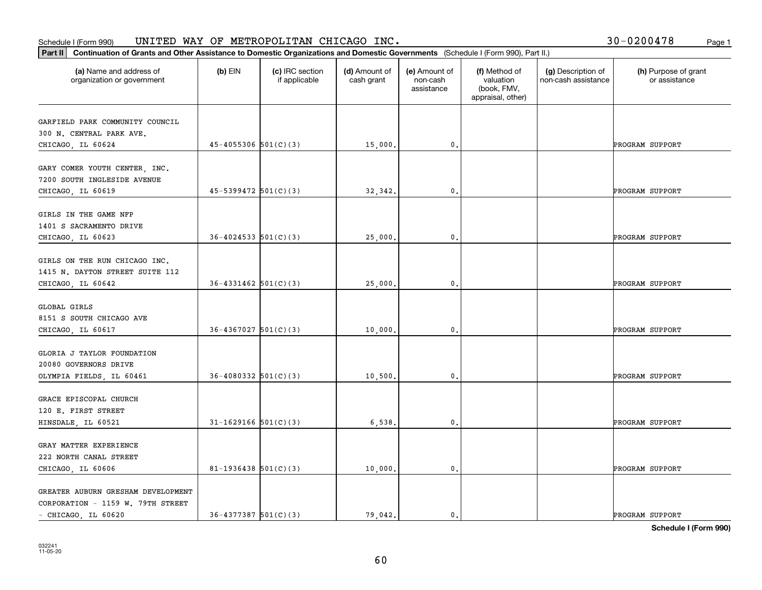| 30-0200478 | Page 1 |
|------------|--------|
|------------|--------|

| Part II   Continuation of Grants and Other Assistance to Domestic Organizations and Domestic Governments (Schedule I (Form 990), Part II.) |                            |                                  |                             |                                         |                                                                |                                           |                                       |
|--------------------------------------------------------------------------------------------------------------------------------------------|----------------------------|----------------------------------|-----------------------------|-----------------------------------------|----------------------------------------------------------------|-------------------------------------------|---------------------------------------|
| (a) Name and address of<br>organization or government                                                                                      | $(b)$ EIN                  | (c) IRC section<br>if applicable | (d) Amount of<br>cash grant | (e) Amount of<br>non-cash<br>assistance | (f) Method of<br>valuation<br>(book, FMV,<br>appraisal, other) | (g) Description of<br>non-cash assistance | (h) Purpose of grant<br>or assistance |
| GARFIELD PARK COMMUNITY COUNCIL                                                                                                            |                            |                                  |                             |                                         |                                                                |                                           |                                       |
| 300 N. CENTRAL PARK AVE.                                                                                                                   |                            |                                  |                             |                                         |                                                                |                                           |                                       |
| CHICAGO, IL 60624                                                                                                                          | $45 - 4055306$ $501(C)(3)$ |                                  | 15,000.                     | 0.                                      |                                                                |                                           | PROGRAM SUPPORT                       |
|                                                                                                                                            |                            |                                  |                             |                                         |                                                                |                                           |                                       |
| GARY COMER YOUTH CENTER, INC.                                                                                                              |                            |                                  |                             |                                         |                                                                |                                           |                                       |
| 7200 SOUTH INGLESIDE AVENUE<br>CHICAGO, IL 60619                                                                                           | $45 - 5399472$ $501(C)(3)$ |                                  | 32,342.                     | 0.                                      |                                                                |                                           | PROGRAM SUPPORT                       |
|                                                                                                                                            |                            |                                  |                             |                                         |                                                                |                                           |                                       |
| GIRLS IN THE GAME NFP                                                                                                                      |                            |                                  |                             |                                         |                                                                |                                           |                                       |
| 1401 S SACRAMENTO DRIVE                                                                                                                    |                            |                                  |                             |                                         |                                                                |                                           |                                       |
| CHICAGO, IL 60623                                                                                                                          | $36 - 4024533$ $501(C)(3)$ |                                  | 25,000.                     | $\mathbf{0}$ .                          |                                                                |                                           | PROGRAM SUPPORT                       |
|                                                                                                                                            |                            |                                  |                             |                                         |                                                                |                                           |                                       |
| GIRLS ON THE RUN CHICAGO INC.                                                                                                              |                            |                                  |                             |                                         |                                                                |                                           |                                       |
| 1415 N. DAYTON STREET SUITE 112                                                                                                            |                            |                                  |                             |                                         |                                                                |                                           |                                       |
| CHICAGO, IL 60642                                                                                                                          | $36 - 4331462$ $501(C)(3)$ |                                  | 25,000.                     | 0.                                      |                                                                |                                           | PROGRAM SUPPORT                       |
| <b>GLOBAL GIRLS</b>                                                                                                                        |                            |                                  |                             |                                         |                                                                |                                           |                                       |
| 8151 S SOUTH CHICAGO AVE                                                                                                                   |                            |                                  |                             |                                         |                                                                |                                           |                                       |
| CHICAGO, IL 60617                                                                                                                          | $36-4367027$ $501(C)(3)$   |                                  | 10,000.                     | 0.                                      |                                                                |                                           | PROGRAM SUPPORT                       |
|                                                                                                                                            |                            |                                  |                             |                                         |                                                                |                                           |                                       |
| GLORIA J TAYLOR FOUNDATION                                                                                                                 |                            |                                  |                             |                                         |                                                                |                                           |                                       |
| 20080 GOVERNORS DRIVE                                                                                                                      |                            |                                  |                             |                                         |                                                                |                                           |                                       |
| OLYMPIA FIELDS, IL 60461                                                                                                                   | $36 - 4080332$ $501(C)(3)$ |                                  | 10,500.                     | $\mathbf{0}$ .                          |                                                                |                                           | PROGRAM SUPPORT                       |
|                                                                                                                                            |                            |                                  |                             |                                         |                                                                |                                           |                                       |
| GRACE EPISCOPAL CHURCH                                                                                                                     |                            |                                  |                             |                                         |                                                                |                                           |                                       |
| 120 E. FIRST STREET                                                                                                                        |                            |                                  |                             |                                         |                                                                |                                           |                                       |
| HINSDALE, IL 60521                                                                                                                         | $31 - 1629166$ $501(C)(3)$ |                                  | 6,538.                      | $\mathfrak o$ .                         |                                                                |                                           | PROGRAM SUPPORT                       |
| GRAY MATTER EXPERIENCE                                                                                                                     |                            |                                  |                             |                                         |                                                                |                                           |                                       |
| 222 NORTH CANAL STREET                                                                                                                     |                            |                                  |                             |                                         |                                                                |                                           |                                       |
| CHICAGO, IL 60606                                                                                                                          | 81-1936438 $501(C)(3)$     |                                  | 10,000.                     | $\mathfrak o$ .                         |                                                                |                                           | PROGRAM SUPPORT                       |
|                                                                                                                                            |                            |                                  |                             |                                         |                                                                |                                           |                                       |
| GREATER AUBURN GRESHAM DEVELOPMENT                                                                                                         |                            |                                  |                             |                                         |                                                                |                                           |                                       |
| CORPORATION - 1159 W. 79TH STREET                                                                                                          |                            |                                  |                             |                                         |                                                                |                                           |                                       |
| - CHICAGO, IL 60620                                                                                                                        | $36 - 4377387$ $501(C)(3)$ |                                  | 79.042.                     | $\mathbf{0}$ .                          |                                                                |                                           | PROGRAM SUPPORT                       |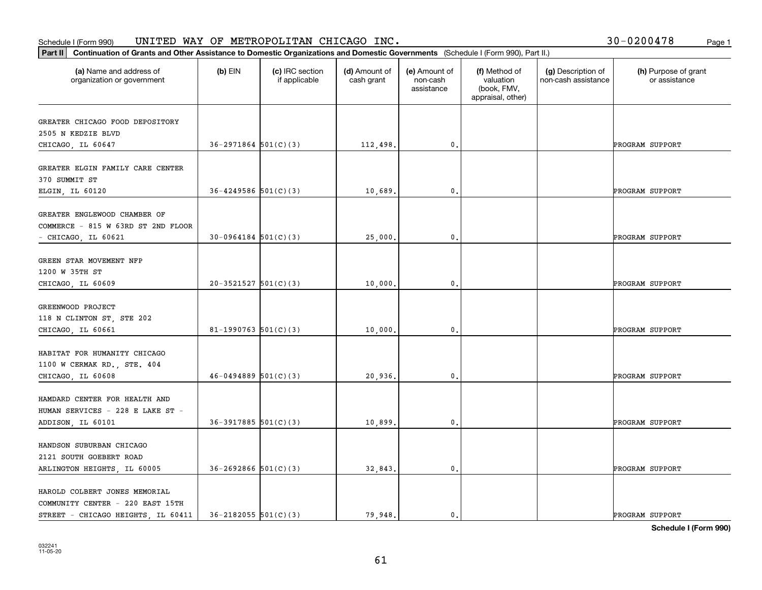|  |  | 30-0200478 |  | Page 1 |
|--|--|------------|--|--------|
|--|--|------------|--|--------|

| Part II                                                                                                | Continuation of Grants and Other Assistance to Domestic Organizations and Domestic Governments (Schedule I (Form 990), Part II.) |                                  |                             |                                         |                                                                |                                           |                                       |
|--------------------------------------------------------------------------------------------------------|----------------------------------------------------------------------------------------------------------------------------------|----------------------------------|-----------------------------|-----------------------------------------|----------------------------------------------------------------|-------------------------------------------|---------------------------------------|
| (a) Name and address of<br>organization or government                                                  | $(b)$ EIN                                                                                                                        | (c) IRC section<br>if applicable | (d) Amount of<br>cash grant | (e) Amount of<br>non-cash<br>assistance | (f) Method of<br>valuation<br>(book, FMV,<br>appraisal, other) | (g) Description of<br>non-cash assistance | (h) Purpose of grant<br>or assistance |
| GREATER CHICAGO FOOD DEPOSITORY<br>2505 N KEDZIE BLVD<br>CHICAGO, IL 60647                             | $36 - 2971864$ $501(C)(3)$                                                                                                       |                                  | 112,498.                    | $\mathbf{0}$ .                          |                                                                |                                           | PROGRAM SUPPORT                       |
| GREATER ELGIN FAMILY CARE CENTER<br>370 SUMMIT ST<br>ELGIN, IL 60120                                   | $36 - 4249586$ 501(C)(3)                                                                                                         |                                  | 10,689.                     | $\mathbf{0}$ .                          |                                                                |                                           | PROGRAM SUPPORT                       |
| GREATER ENGLEWOOD CHAMBER OF<br>COMMERCE - 815 W 63RD ST 2ND FLOOR<br>$-$ CHICAGO, IL 60621            | $30-0964184$ $501(C)(3)$                                                                                                         |                                  | 25,000.                     | 0.                                      |                                                                |                                           | PROGRAM SUPPORT                       |
| GREEN STAR MOVEMENT NFP<br>1200 W 35TH ST<br>CHICAGO, IL 60609                                         | $20-3521527$ $501(C)(3)$                                                                                                         |                                  | 10,000.                     | 0.                                      |                                                                |                                           | PROGRAM SUPPORT                       |
| GREENWOOD PROJECT<br>118 N CLINTON ST, STE 202<br>CHICAGO, IL 60661                                    | 81-1990763 $501(C)(3)$                                                                                                           |                                  | 10,000.                     | 0.                                      |                                                                |                                           | PROGRAM SUPPORT                       |
| HABITAT FOR HUMANITY CHICAGO<br>1100 W CERMAK RD., STE. 404<br>CHICAGO, IL 60608                       | $46 - 0494889$ 501(C)(3)                                                                                                         |                                  | 20,936.                     | 0.                                      |                                                                |                                           | PROGRAM SUPPORT                       |
| HAMDARD CENTER FOR HEALTH AND<br>HUMAN SERVICES - 228 E LAKE ST -<br>ADDISON, IL 60101                 | $36-3917885$ $501(C)(3)$                                                                                                         |                                  | 10,899.                     | 0.                                      |                                                                |                                           | PROGRAM SUPPORT                       |
| HANDSON SUBURBAN CHICAGO<br>2121 SOUTH GOEBERT ROAD<br>ARLINGTON HEIGHTS, IL 60005                     | $36 - 2692866$ $501(C)(3)$                                                                                                       |                                  | 32,843.                     | $\mathfrak o$ .                         |                                                                |                                           | PROGRAM SUPPORT                       |
| HAROLD COLBERT JONES MEMORIAL<br>COMMUNITY CENTER - 220 EAST 15TH<br>STREET - CHICAGO HEIGHTS IL 60411 | $36 - 2182055$ $501(C)(3)$                                                                                                       |                                  | 79.948.                     | $\mathbf{0}$ .                          |                                                                |                                           | PROGRAM SUPPORT                       |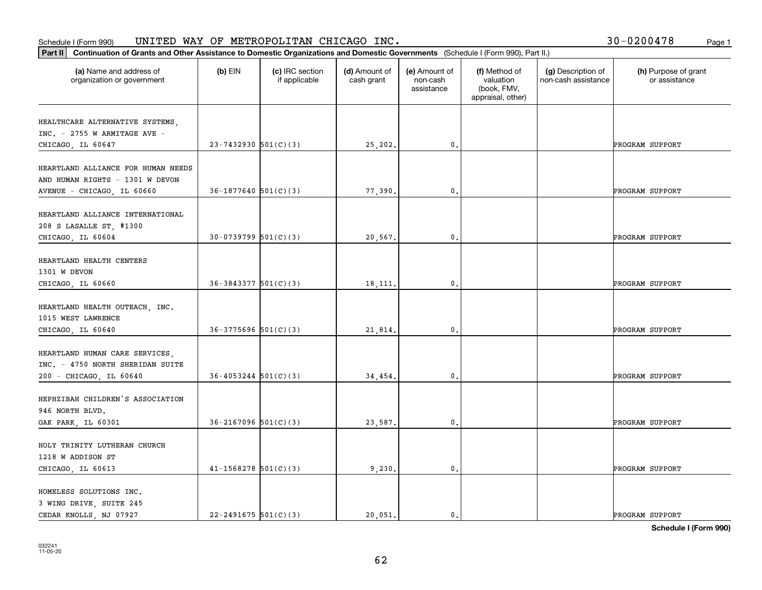#### Schedule I (Form 990) UN⊥TED WAY OF METROPOLLTAN CHICAGO INC. Page 1 UNITED WAY OF METROPOLITAN CHICAGO INC. 30-0200478

|  |  | 30-0200478 |  | Page 1 |
|--|--|------------|--|--------|
|--|--|------------|--|--------|

| Part II   Continuation of Grants and Other Assistance to Domestic Organizations and Domestic Governments (Schedule I (Form 990), Part II.) |                            |                                  |                             |                                         |                                                                |                                           |                                       |
|--------------------------------------------------------------------------------------------------------------------------------------------|----------------------------|----------------------------------|-----------------------------|-----------------------------------------|----------------------------------------------------------------|-------------------------------------------|---------------------------------------|
| (a) Name and address of<br>organization or government                                                                                      | $(b)$ EIN                  | (c) IRC section<br>if applicable | (d) Amount of<br>cash grant | (e) Amount of<br>non-cash<br>assistance | (f) Method of<br>valuation<br>(book, FMV,<br>appraisal, other) | (g) Description of<br>non-cash assistance | (h) Purpose of grant<br>or assistance |
| HEALTHCARE ALTERNATIVE SYSTEMS,                                                                                                            |                            |                                  |                             |                                         |                                                                |                                           |                                       |
| INC. - 2755 W ARMITAGE AVE -                                                                                                               |                            |                                  |                             |                                         |                                                                |                                           |                                       |
| CHICAGO, IL 60647                                                                                                                          | $23 - 7432930$ $501(C)(3)$ |                                  | 25,202.                     | $\mathbf{0}$ .                          |                                                                |                                           | PROGRAM SUPPORT                       |
| HEARTLAND ALLIANCE FOR HUMAN NEEDS<br>AND HUMAN RIGHTS - 1301 W DEVON                                                                      |                            |                                  |                             | $\mathfrak{o}$ .                        |                                                                |                                           |                                       |
| AVENUE - CHICAGO, IL 60660                                                                                                                 | $36-1877640$ $501(C)(3)$   |                                  | 77,390.                     |                                         |                                                                |                                           | PROGRAM SUPPORT                       |
| HEARTLAND ALLIANCE INTERNATIONAL<br>208 S LASALLE ST, #1300<br>CHICAGO, IL 60604                                                           | $30-0739799$ 501(C)(3)     |                                  | 20,567.                     | $\mathbf 0$ .                           |                                                                |                                           | PROGRAM SUPPORT                       |
|                                                                                                                                            |                            |                                  |                             |                                         |                                                                |                                           |                                       |
| HEARTLAND HEALTH CENTERS<br>1301 W DEVON                                                                                                   |                            |                                  |                             |                                         |                                                                |                                           |                                       |
| CHICAGO, IL 60660                                                                                                                          | $36 - 3843377$ $501(C)(3)$ |                                  | 18, 111.                    | 0.                                      |                                                                |                                           | PROGRAM SUPPORT                       |
| HEARTLAND HEALTH OUTEACH, INC.<br>1015 WEST LAWRENCE                                                                                       |                            |                                  |                             |                                         |                                                                |                                           |                                       |
| CHICAGO, IL 60640                                                                                                                          | $36-3775696$ $501(C)(3)$   |                                  | 21,814.                     | $\mathbf{0}$                            |                                                                |                                           | PROGRAM SUPPORT                       |
| HEARTLAND HUMAN CARE SERVICES,<br>INC. - 4750 NORTH SHERIDAN SUITE                                                                         |                            |                                  |                             |                                         |                                                                |                                           |                                       |
| 200 - CHICAGO, IL 60640                                                                                                                    | $36 - 4053244$ $501(C)(3)$ |                                  | 34,454.                     | 0.                                      |                                                                |                                           | PROGRAM SUPPORT                       |
| HEPHZIBAH CHILDREN'S ASSOCIATION<br>946 NORTH BLVD.                                                                                        |                            |                                  |                             |                                         |                                                                |                                           |                                       |
| OAK PARK, IL 60301                                                                                                                         | $36 - 2167096$ 501(C)(3)   |                                  | 23,587.                     | $\mathbf{0}$ .                          |                                                                |                                           | PROGRAM SUPPORT                       |
| HOLY TRINITY LUTHERAN CHURCH<br>1218 W ADDISON ST                                                                                          |                            |                                  |                             |                                         |                                                                |                                           |                                       |
| CHICAGO, IL 60613                                                                                                                          | $41 - 1568278$ $501(C)(3)$ |                                  | 9,230.                      | $\mathbf 0$ .                           |                                                                |                                           | PROGRAM SUPPORT                       |
| HOMELESS SOLUTIONS INC.<br>3 WING DRIVE, SUITE 245                                                                                         |                            |                                  |                             |                                         |                                                                |                                           |                                       |
| CEDAR KNOLLS, NJ 07927                                                                                                                     | $22 - 2491675$ 501(C)(3)   |                                  | 20.051.                     | $\mathbf{0}$ .                          |                                                                |                                           | PROGRAM SUPPORT                       |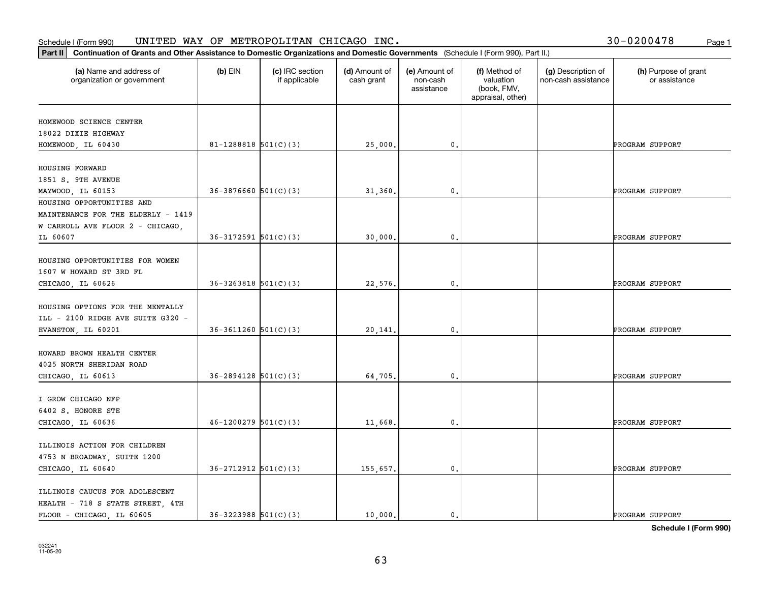|  |  | 30-0200478 |  | Page 1 |
|--|--|------------|--|--------|
|--|--|------------|--|--------|

| Continuation of Grants and Other Assistance to Domestic Organizations and Domestic Governments (Schedule I (Form 990), Part II.)<br>Part II |                            |                                  |                             |                                         |                                                                |                                           |                                       |
|---------------------------------------------------------------------------------------------------------------------------------------------|----------------------------|----------------------------------|-----------------------------|-----------------------------------------|----------------------------------------------------------------|-------------------------------------------|---------------------------------------|
| (a) Name and address of<br>organization or government                                                                                       | $(b)$ EIN                  | (c) IRC section<br>if applicable | (d) Amount of<br>cash grant | (e) Amount of<br>non-cash<br>assistance | (f) Method of<br>valuation<br>(book, FMV,<br>appraisal, other) | (g) Description of<br>non-cash assistance | (h) Purpose of grant<br>or assistance |
| HOMEWOOD SCIENCE CENTER                                                                                                                     |                            |                                  |                             |                                         |                                                                |                                           |                                       |
| 18022 DIXIE HIGHWAY                                                                                                                         |                            |                                  |                             |                                         |                                                                |                                           |                                       |
| HOMEWOOD, IL 60430                                                                                                                          | 81-1288818 $501(C)(3)$     |                                  | 25,000.                     | $\mathbf{0}$ .                          |                                                                |                                           | PROGRAM SUPPORT                       |
|                                                                                                                                             |                            |                                  |                             |                                         |                                                                |                                           |                                       |
| HOUSING FORWARD                                                                                                                             |                            |                                  |                             |                                         |                                                                |                                           |                                       |
| 1851 S. 9TH AVENUE                                                                                                                          |                            |                                  |                             |                                         |                                                                |                                           |                                       |
| MAYWOOD, IL 60153                                                                                                                           | $36-3876660$ $501(C)(3)$   |                                  | 31,360.                     | $\mathbf{0}$ .                          |                                                                |                                           | PROGRAM SUPPORT                       |
| HOUSING OPPORTUNITIES AND                                                                                                                   |                            |                                  |                             |                                         |                                                                |                                           |                                       |
| MAINTENANCE FOR THE ELDERLY - 1419                                                                                                          |                            |                                  |                             |                                         |                                                                |                                           |                                       |
| W CARROLL AVE FLOOR 2 - CHICAGO,                                                                                                            |                            |                                  |                             |                                         |                                                                |                                           |                                       |
| IL 60607                                                                                                                                    | $36-3172591$ $501(C)(3)$   |                                  | 30,000.                     | 0.                                      |                                                                |                                           | PROGRAM SUPPORT                       |
| HOUSING OPPORTUNITIES FOR WOMEN<br>1607 W HOWARD ST 3RD FL                                                                                  |                            |                                  |                             |                                         |                                                                |                                           |                                       |
| CHICAGO, IL 60626                                                                                                                           | $36 - 3263818$ $501(C)(3)$ |                                  | 22,576.                     | 0.                                      |                                                                |                                           | PROGRAM SUPPORT                       |
| HOUSING OPTIONS FOR THE MENTALLY<br>ILL - 2100 RIDGE AVE SUITE G320 -<br>EVANSTON, IL 60201                                                 | $36-3611260$ $501(C)(3)$   |                                  | 20,141.                     | $\mathbf{0}$ .                          |                                                                |                                           | PROGRAM SUPPORT                       |
| HOWARD BROWN HEALTH CENTER<br>4025 NORTH SHERIDAN ROAD<br>CHICAGO, IL 60613                                                                 | $36 - 2894128$ $501(C)(3)$ |                                  | 64,705.                     | 0.                                      |                                                                |                                           | PROGRAM SUPPORT                       |
| I GROW CHICAGO NFP                                                                                                                          |                            |                                  |                             |                                         |                                                                |                                           |                                       |
| 6402 S. HONORE STE                                                                                                                          |                            |                                  |                             |                                         |                                                                |                                           |                                       |
| CHICAGO, IL 60636                                                                                                                           | $46-1200279$ 501(C)(3)     |                                  | 11,668.                     | 0.                                      |                                                                |                                           | PROGRAM SUPPORT                       |
| ILLINOIS ACTION FOR CHILDREN<br>4753 N BROADWAY, SUITE 1200<br>CHICAGO, IL 60640                                                            | $36 - 2712912$ $501(C)(3)$ |                                  | 155,657.                    | 0.                                      |                                                                |                                           | PROGRAM SUPPORT                       |
| ILLINOIS CAUCUS FOR ADOLESCENT<br>HEALTH - 718 S STATE STREET, 4TH<br>FLOOR - CHICAGO, IL 60605                                             | $36 - 3223988$ $501(C)(3)$ |                                  | 10,000.                     | $\mathbf{0}$ .                          |                                                                |                                           | PROGRAM SUPPORT                       |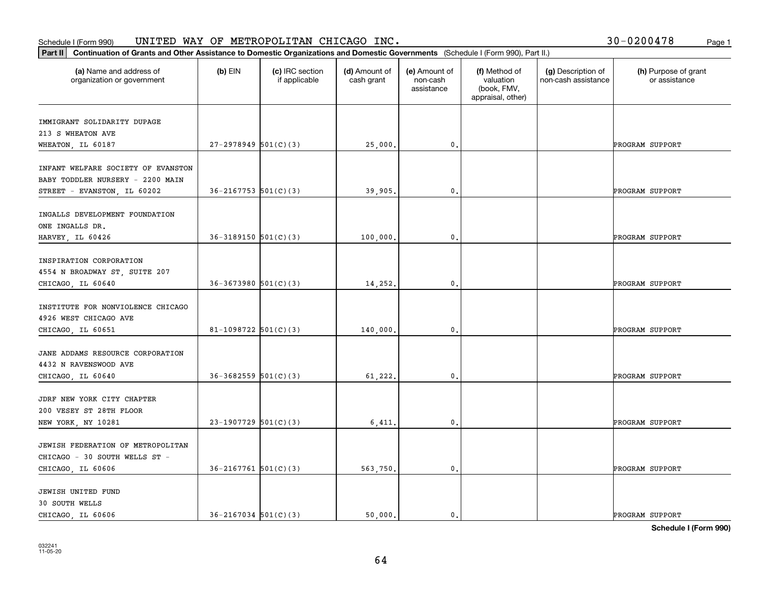#### Schedule I (Form 990) UN⊥TED WAY OF METROPOLLTAN CHICAGO INC. Page 1 UNITED WAY OF METROPOLITAN CHICAGO INC. 30-0200478

| Part II   Continuation of Grants and Other Assistance to Domestic Organizations and Domestic Governments (Schedule I (Form 990), Part II.) |                            |                                  |                             |                                         |                                                                |                                           |                                       |
|--------------------------------------------------------------------------------------------------------------------------------------------|----------------------------|----------------------------------|-----------------------------|-----------------------------------------|----------------------------------------------------------------|-------------------------------------------|---------------------------------------|
| (a) Name and address of<br>organization or government                                                                                      | $(b)$ EIN                  | (c) IRC section<br>if applicable | (d) Amount of<br>cash grant | (e) Amount of<br>non-cash<br>assistance | (f) Method of<br>valuation<br>(book, FMV,<br>appraisal, other) | (g) Description of<br>non-cash assistance | (h) Purpose of grant<br>or assistance |
| IMMIGRANT SOLIDARITY DUPAGE                                                                                                                |                            |                                  |                             |                                         |                                                                |                                           |                                       |
| 213 S WHEATON AVE                                                                                                                          |                            |                                  |                             |                                         |                                                                |                                           |                                       |
| WHEATON, IL 60187                                                                                                                          | $27-2978949$ 501(C)(3)     |                                  | 25,000.                     | 0.                                      |                                                                |                                           | PROGRAM SUPPORT                       |
| INFANT WELFARE SOCIETY OF EVANSTON<br>BABY TODDLER NURSERY - 2200 MAIN<br>STREET - EVANSTON, IL 60202                                      | $36 - 2167753$ $501(C)(3)$ |                                  | 39,905.                     | 0.                                      |                                                                |                                           | PROGRAM SUPPORT                       |
|                                                                                                                                            |                            |                                  |                             |                                         |                                                                |                                           |                                       |
| INGALLS DEVELOPMENT FOUNDATION<br>ONE INGALLS DR.<br>HARVEY, IL 60426                                                                      | $36-3189150$ $501(C)(3)$   |                                  | 100,000,                    | $\mathbf{0}$ .                          |                                                                |                                           | PROGRAM SUPPORT                       |
|                                                                                                                                            |                            |                                  |                             |                                         |                                                                |                                           |                                       |
| INSPIRATION CORPORATION                                                                                                                    |                            |                                  |                             |                                         |                                                                |                                           |                                       |
| 4554 N BROADWAY ST, SUITE 207                                                                                                              |                            |                                  |                             |                                         |                                                                |                                           |                                       |
| CHICAGO, IL 60640                                                                                                                          | $36-3673980$ $501(C)(3)$   |                                  | 14,252.                     | 0.                                      |                                                                |                                           | PROGRAM SUPPORT                       |
| INSTITUTE FOR NONVIOLENCE CHICAGO<br>4926 WEST CHICAGO AVE                                                                                 |                            |                                  |                             |                                         |                                                                |                                           |                                       |
| CHICAGO, IL 60651                                                                                                                          | 81-1098722 $501(C)(3)$     |                                  | 140,000                     | 0.                                      |                                                                |                                           | PROGRAM SUPPORT                       |
| JANE ADDAMS RESOURCE CORPORATION<br>4432 N RAVENSWOOD AVE                                                                                  |                            |                                  |                             |                                         |                                                                |                                           |                                       |
| CHICAGO, IL 60640                                                                                                                          | $36 - 3682559$ $501(C)(3)$ |                                  | 61,222.                     | 0.                                      |                                                                |                                           | PROGRAM SUPPORT                       |
| JDRF NEW YORK CITY CHAPTER<br>200 VESEY ST 28TH FLOOR                                                                                      |                            |                                  |                             |                                         |                                                                |                                           |                                       |
| NEW YORK, NY 10281                                                                                                                         | $23-1907729$ 501(C)(3)     |                                  | 6,411.                      | $\mathfrak{o}$ .                        |                                                                |                                           | PROGRAM SUPPORT                       |
| JEWISH FEDERATION OF METROPOLITAN<br>CHICAGO - 30 SOUTH WELLS ST -                                                                         |                            |                                  |                             |                                         |                                                                |                                           |                                       |
| CHICAGO, IL 60606                                                                                                                          | $36 - 2167761$ 501(C)(3)   |                                  | 563,750.                    | $\mathfrak o$ .                         |                                                                |                                           | PROGRAM SUPPORT                       |
| JEWISH UNITED FUND<br>30 SOUTH WELLS                                                                                                       |                            |                                  |                             |                                         |                                                                |                                           |                                       |
| CHICAGO, IL 60606                                                                                                                          | $36 - 2167034$ 501(C)(3)   |                                  | 50.000.                     | $\mathbf{0}$ .                          |                                                                |                                           | PROGRAM SUPPORT                       |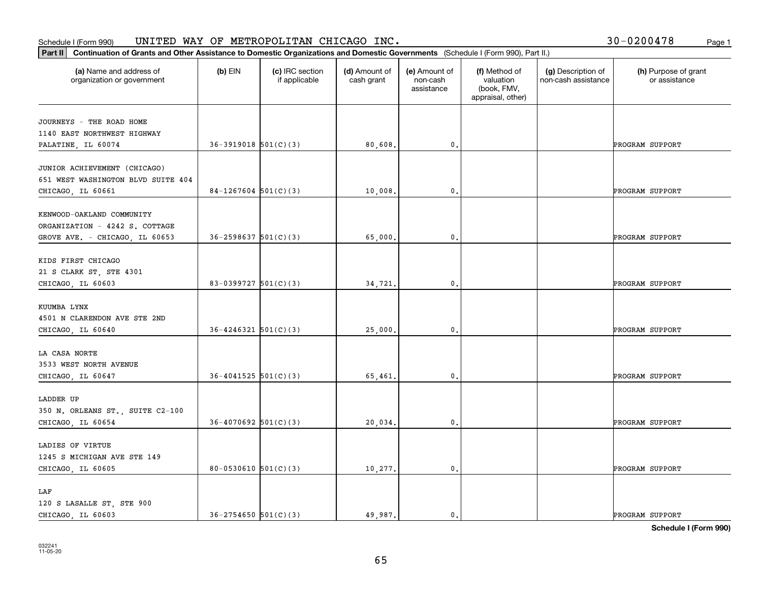|  |  | 30-0200478 |  | Page 1 |
|--|--|------------|--|--------|
|--|--|------------|--|--------|

| Part II                                                                                       | Continuation of Grants and Other Assistance to Domestic Organizations and Domestic Governments (Schedule I (Form 990), Part II.) |                                  |                             |                                         |                                                                |                                           |                                       |
|-----------------------------------------------------------------------------------------------|----------------------------------------------------------------------------------------------------------------------------------|----------------------------------|-----------------------------|-----------------------------------------|----------------------------------------------------------------|-------------------------------------------|---------------------------------------|
| (a) Name and address of<br>organization or government                                         | $(b)$ EIN                                                                                                                        | (c) IRC section<br>if applicable | (d) Amount of<br>cash grant | (e) Amount of<br>non-cash<br>assistance | (f) Method of<br>valuation<br>(book, FMV,<br>appraisal, other) | (g) Description of<br>non-cash assistance | (h) Purpose of grant<br>or assistance |
| JOURNEYS - THE ROAD HOME<br>1140 EAST NORTHWEST HIGHWAY<br>PALATINE, IL 60074                 | $36-3919018$ $501(C)(3)$                                                                                                         |                                  | 80,608.                     | $\mathbf{0}$ .                          |                                                                |                                           | PROGRAM SUPPORT                       |
| JUNIOR ACHIEVEMENT (CHICAGO)<br>651 WEST WASHINGTON BLVD SUITE 404<br>CHICAGO, IL 60661       | $84-1267604$ 501(C)(3)                                                                                                           |                                  | 10,008.                     | $\mathbf{0}$ .                          |                                                                |                                           | PROGRAM SUPPORT                       |
| KENWOOD-OAKLAND COMMUNITY<br>ORGANIZATION - 4242 S. COTTAGE<br>GROVE AVE. - CHICAGO, IL 60653 | $36 - 2598637$ $501(C)(3)$                                                                                                       |                                  | 65,000.                     | 0.                                      |                                                                |                                           | PROGRAM SUPPORT                       |
| KIDS FIRST CHICAGO<br>21 S CLARK ST, STE 4301<br>CHICAGO, IL 60603                            | 83-0399727 $501(C)(3)$                                                                                                           |                                  | 34,721.                     | 0.                                      |                                                                |                                           | PROGRAM SUPPORT                       |
| KUUMBA LYNX<br>4501 N CLARENDON AVE STE 2ND<br>CHICAGO, IL 60640                              | $36 - 4246321$ $501(C)(3)$                                                                                                       |                                  | 25,000.                     | $\mathbf{0}$ .                          |                                                                |                                           | PROGRAM SUPPORT                       |
| LA CASA NORTE<br>3533 WEST NORTH AVENUE<br>CHICAGO, IL 60647                                  | $36 - 4041525$ $501(C)(3)$                                                                                                       |                                  | 65,461                      | 0.                                      |                                                                |                                           | PROGRAM SUPPORT                       |
| LADDER UP<br>350 N. ORLEANS ST., SUITE C2-100<br>CHICAGO, IL 60654                            | $36 - 4070692$ 501(C)(3)                                                                                                         |                                  | 20,034.                     | 0.                                      |                                                                |                                           | PROGRAM SUPPORT                       |
| LADIES OF VIRTUE<br>1245 S MICHIGAN AVE STE 149<br>CHICAGO, IL 60605                          | 80-0530610 $501(C)(3)$                                                                                                           |                                  | 10,277.                     | $\mathfrak o$ .                         |                                                                |                                           | PROGRAM SUPPORT                       |
| LAF<br>120 S LASALLE ST, STE 900<br>CHICAGO, IL 60603                                         | $36 - 2754650$ $501(C)(3)$                                                                                                       |                                  | 49.987.                     | $\mathbf{0}$ .                          |                                                                |                                           | PROGRAM SUPPORT                       |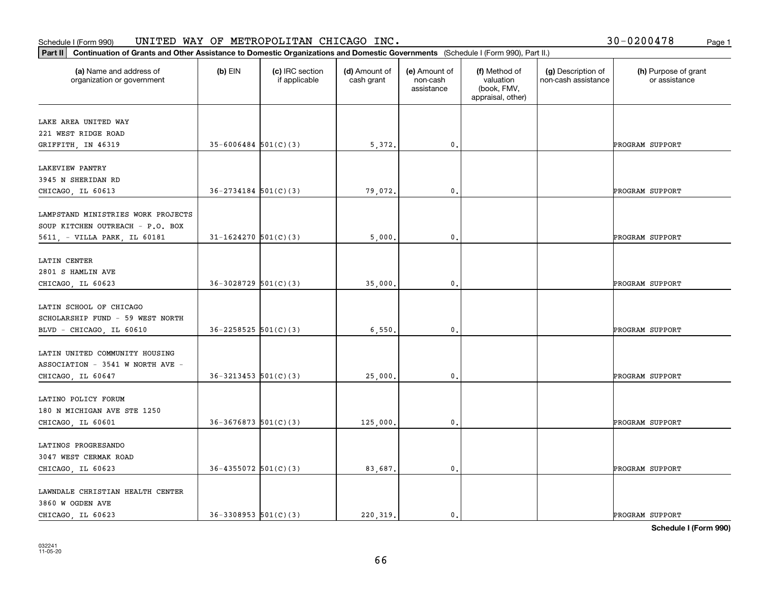#### **Part II Continuation of Grants and Other Assistance to Domestic Organization**<br>**Part II** Continuation of Grants and Other Assistance to Domestic Organization Schedule I (Form 990)  $\tt{UNITED}$   $\tt{WAY}$  OF  $\tt{METROPOLITAN}$   $\tt{CHICAGO}$   $\tt{INC.}$   $\tt{VCTS}$   $\tt{VCTS}$   $\tt{VCTS}$   $\tt{VCTS}$   $\tt{VCTS}$   $\tt{VCTS}$   $\tt{VCTS}$   $\tt{VCTS}$   $\tt{VCTS}$   $\tt{VCTS}$   $\tt{VCTS}$   $\tt{VCTS}$   $\tt{VCTS}$   $\tt{VCTS}$   $\tt{V$

| Continuation of Grants and Other Assistance to Domestic Organizations and Domestic Governments (Schedule I (Form 990), Part II.)<br>Part II |                            |                                  |                             |                                         |                                                                |                                           |                                       |
|---------------------------------------------------------------------------------------------------------------------------------------------|----------------------------|----------------------------------|-----------------------------|-----------------------------------------|----------------------------------------------------------------|-------------------------------------------|---------------------------------------|
| (a) Name and address of<br>organization or government                                                                                       | $(b)$ EIN                  | (c) IRC section<br>if applicable | (d) Amount of<br>cash grant | (e) Amount of<br>non-cash<br>assistance | (f) Method of<br>valuation<br>(book, FMV,<br>appraisal, other) | (g) Description of<br>non-cash assistance | (h) Purpose of grant<br>or assistance |
| LAKE AREA UNITED WAY                                                                                                                        |                            |                                  |                             |                                         |                                                                |                                           |                                       |
| 221 WEST RIDGE ROAD                                                                                                                         |                            |                                  |                             |                                         |                                                                |                                           |                                       |
| GRIFFITH, IN 46319                                                                                                                          | $35 - 6006484$ 501(C)(3)   |                                  | 5,372.                      | $\mathbf{0}$ .                          |                                                                |                                           | PROGRAM SUPPORT                       |
|                                                                                                                                             |                            |                                  |                             |                                         |                                                                |                                           |                                       |
| LAKEVIEW PANTRY<br>3945 N SHERIDAN RD                                                                                                       |                            |                                  |                             |                                         |                                                                |                                           |                                       |
| CHICAGO, IL 60613                                                                                                                           | $36 - 2734184$ $501(C)(3)$ |                                  | 79,072.                     | $\mathbf{0}$ .                          |                                                                |                                           | PROGRAM SUPPORT                       |
|                                                                                                                                             |                            |                                  |                             |                                         |                                                                |                                           |                                       |
| LAMPSTAND MINISTRIES WORK PROJECTS                                                                                                          |                            |                                  |                             |                                         |                                                                |                                           |                                       |
| SOUP KITCHEN OUTREACH - P.O. BOX                                                                                                            |                            |                                  |                             |                                         |                                                                |                                           |                                       |
| 5611, - VILLA PARK, IL 60181                                                                                                                | $31 - 1624270$ 501(C)(3)   |                                  | 5,000                       | $\mathbf 0$ .                           |                                                                |                                           | PROGRAM SUPPORT                       |
|                                                                                                                                             |                            |                                  |                             |                                         |                                                                |                                           |                                       |
| LATIN CENTER                                                                                                                                |                            |                                  |                             |                                         |                                                                |                                           |                                       |
| 2801 S HAMLIN AVE                                                                                                                           | $36-3028729$ 501(C)(3)     |                                  |                             |                                         |                                                                |                                           |                                       |
| CHICAGO, IL 60623                                                                                                                           |                            |                                  | 35,000                      | 0.                                      |                                                                |                                           | PROGRAM SUPPORT                       |
| LATIN SCHOOL OF CHICAGO                                                                                                                     |                            |                                  |                             |                                         |                                                                |                                           |                                       |
| SCHOLARSHIP FUND - 59 WEST NORTH                                                                                                            |                            |                                  |                             |                                         |                                                                |                                           |                                       |
| BLVD - CHICAGO, IL 60610                                                                                                                    | $36 - 2258525$ 501(C)(3)   |                                  | 6,550.                      | $\mathbf{0}$ .                          |                                                                |                                           | PROGRAM SUPPORT                       |
|                                                                                                                                             |                            |                                  |                             |                                         |                                                                |                                           |                                       |
| LATIN UNITED COMMUNITY HOUSING                                                                                                              |                            |                                  |                             |                                         |                                                                |                                           |                                       |
| ASSOCIATION - 3541 W NORTH AVE -                                                                                                            |                            |                                  |                             |                                         |                                                                |                                           |                                       |
| CHICAGO, IL 60647                                                                                                                           | $36 - 3213453$ $501(C)(3)$ |                                  | 25,000                      | 0.                                      |                                                                |                                           | PROGRAM SUPPORT                       |
|                                                                                                                                             |                            |                                  |                             |                                         |                                                                |                                           |                                       |
| LATINO POLICY FORUM                                                                                                                         |                            |                                  |                             |                                         |                                                                |                                           |                                       |
| 180 N MICHIGAN AVE STE 1250                                                                                                                 |                            |                                  |                             |                                         |                                                                |                                           |                                       |
| CHICAGO, IL 60601                                                                                                                           | $36-3676873$ 501(C)(3)     |                                  | 125,000                     | 0.                                      |                                                                |                                           | PROGRAM SUPPORT                       |
| LATINOS PROGRESANDO                                                                                                                         |                            |                                  |                             |                                         |                                                                |                                           |                                       |
| 3047 WEST CERMAK ROAD                                                                                                                       |                            |                                  |                             |                                         |                                                                |                                           |                                       |
| CHICAGO, IL 60623                                                                                                                           | $36 - 4355072$ 501(C)(3)   |                                  | 83,687.                     | $\mathbf{0}$ .                          |                                                                |                                           | PROGRAM SUPPORT                       |
|                                                                                                                                             |                            |                                  |                             |                                         |                                                                |                                           |                                       |
| LAWNDALE CHRISTIAN HEALTH CENTER                                                                                                            |                            |                                  |                             |                                         |                                                                |                                           |                                       |
| 3860 W OGDEN AVE                                                                                                                            |                            |                                  |                             |                                         |                                                                |                                           |                                       |
| CHICAGO, IL 60623                                                                                                                           | $36 - 3308953$ $501(C)(3)$ |                                  | 220.319.                    | 0.                                      |                                                                |                                           | PROGRAM SUPPORT                       |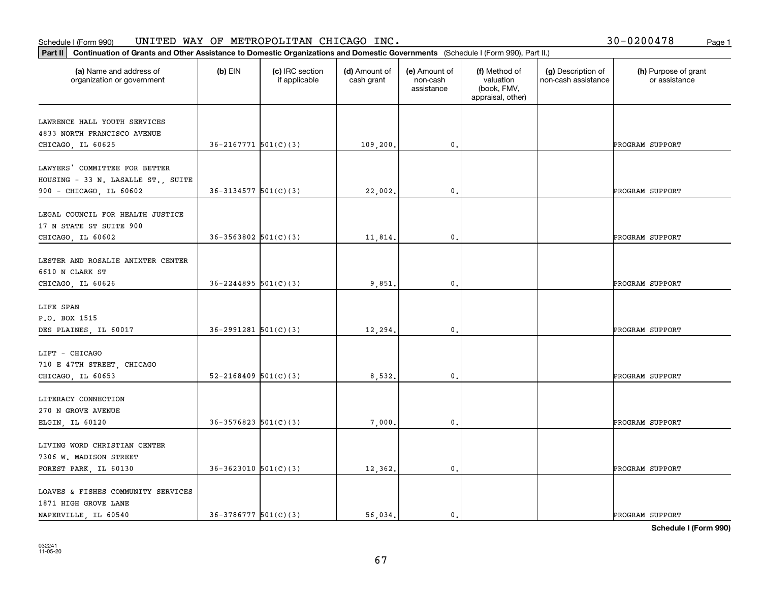#### **Part III Continuation of Grants and Other Assistance to Domestic Organization**<br>**Part II Continuation of Grants and Other Assistance to Domestic Organization** Schedule I (Form 990)  $\tt{UNITED}$   $\tt{WAY}$  OF  $\tt{METROPOLITAN}$   $\tt{CHICAGO}$   $\tt{INC.}$   $\tt{VCTS}$   $\tt{VCTS}$   $\tt{VCTS}$   $\tt{VCTS}$   $\tt{VCTS}$   $\tt{VCTS}$   $\tt{VCTS}$   $\tt{VCTS}$   $\tt{VCTS}$   $\tt{VCTS}$   $\tt{VCTS}$   $\tt{VCTS}$   $\tt{VCTS}$   $\tt{VCTS}$   $\tt{V$

| 30-0200478 | Page 1 |
|------------|--------|
|------------|--------|

| Continuation of Grants and Other Assistance to Domestic Organizations and Domestic Governments (Schedule I (Form 990), Part II.)<br>Part II |                            |                                  |                             |                                         |                                                                |                                           |                                       |
|---------------------------------------------------------------------------------------------------------------------------------------------|----------------------------|----------------------------------|-----------------------------|-----------------------------------------|----------------------------------------------------------------|-------------------------------------------|---------------------------------------|
| (a) Name and address of<br>organization or government                                                                                       | $(b)$ EIN                  | (c) IRC section<br>if applicable | (d) Amount of<br>cash grant | (e) Amount of<br>non-cash<br>assistance | (f) Method of<br>valuation<br>(book, FMV,<br>appraisal, other) | (g) Description of<br>non-cash assistance | (h) Purpose of grant<br>or assistance |
| LAWRENCE HALL YOUTH SERVICES<br>4833 NORTH FRANCISCO AVENUE<br>CHICAGO, IL 60625                                                            | $36 - 2167771$ $501(C)(3)$ |                                  | 109,200.                    | $\mathfrak o$ .                         |                                                                |                                           | PROGRAM SUPPORT                       |
| LAWYERS' COMMITTEE FOR BETTER<br>HOUSING - 33 N. LASALLE ST., SUITE<br>900 - CHICAGO, IL 60602                                              | $36-3134577$ $501(C)(3)$   |                                  | 22,002.                     | $\mathfrak{o}$ .                        |                                                                |                                           | PROGRAM SUPPORT                       |
| LEGAL COUNCIL FOR HEALTH JUSTICE<br>17 N STATE ST SUITE 900<br>CHICAGO, IL 60602                                                            | $36 - 3563802$ $501(C)(3)$ |                                  | 11,814.                     | $\mathbf{0}$                            |                                                                |                                           | PROGRAM SUPPORT                       |
| LESTER AND ROSALIE ANIXTER CENTER<br>6610 N CLARK ST<br>CHICAGO, IL 60626                                                                   | $36 - 2244895$ 501(C)(3)   |                                  | 9,851                       | $\mathfrak o$ .                         |                                                                |                                           | PROGRAM SUPPORT                       |
| LIFE SPAN<br>P.O. BOX 1515<br>DES PLAINES, IL 60017                                                                                         | $36 - 2991281$ $501(C)(3)$ |                                  | 12,294.                     | $\mathfrak{o}$ .                        |                                                                |                                           | PROGRAM SUPPORT                       |
| LIFT - CHICAGO<br>710 E 47TH STREET, CHICAGO<br>CHICAGO, IL 60653                                                                           | $52 - 2168409$ $501(C)(3)$ |                                  | 8,532                       | 0                                       |                                                                |                                           | PROGRAM SUPPORT                       |
| LITERACY CONNECTION<br>270 N GROVE AVENUE<br>ELGIN, IL 60120                                                                                | $36 - 3576823$ $501(C)(3)$ |                                  | 7,000.                      | $\mathbf 0$ .                           |                                                                |                                           | PROGRAM SUPPORT                       |
| LIVING WORD CHRISTIAN CENTER<br>7306 W. MADISON STREET<br>FOREST PARK, IL 60130                                                             | $36-3623010$ $501(C)(3)$   |                                  | 12,362.                     | $\mathbf{0}$ .                          |                                                                |                                           | PROGRAM SUPPORT                       |
| LOAVES & FISHES COMMUNITY SERVICES<br>1871 HIGH GROVE LANE<br>NAPERVILLE, IL 60540                                                          | $36 - 3786777$ 501(C)(3)   |                                  | 56.034.                     | $\mathfrak{o}$ .                        |                                                                |                                           | PROGRAM SUPPORT                       |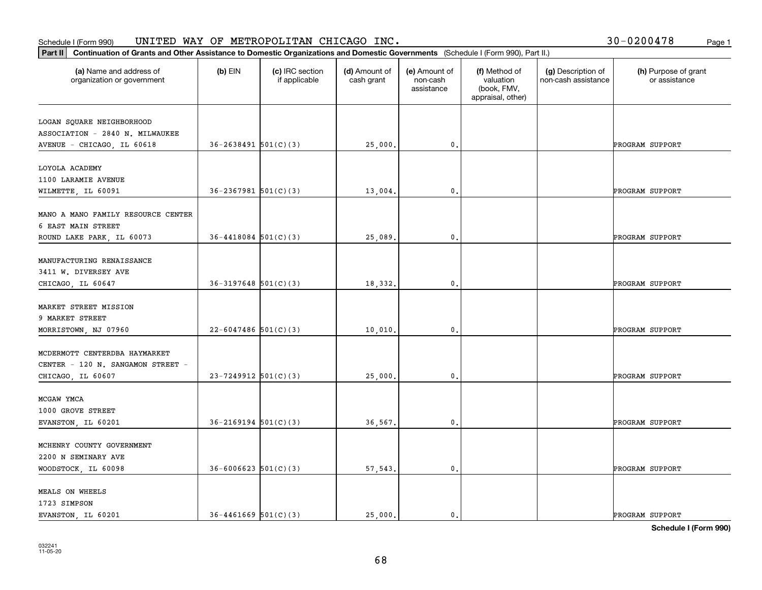|  |  | 30-0200478 |  | Page 1 |
|--|--|------------|--|--------|
|--|--|------------|--|--------|

| Continuation of Grants and Other Assistance to Domestic Organizations and Domestic Governments (Schedule I (Form 990), Part II.)<br>Part II |                            |                                  |                             |                                         |                                                                |                                           |                                       |
|---------------------------------------------------------------------------------------------------------------------------------------------|----------------------------|----------------------------------|-----------------------------|-----------------------------------------|----------------------------------------------------------------|-------------------------------------------|---------------------------------------|
| (a) Name and address of<br>organization or government                                                                                       | $(b)$ EIN                  | (c) IRC section<br>if applicable | (d) Amount of<br>cash grant | (e) Amount of<br>non-cash<br>assistance | (f) Method of<br>valuation<br>(book, FMV,<br>appraisal, other) | (g) Description of<br>non-cash assistance | (h) Purpose of grant<br>or assistance |
| LOGAN SQUARE NEIGHBORHOOD<br>ASSOCIATION - 2840 N. MILWAUKEE<br>AVENUE - CHICAGO, IL 60618                                                  | $36 - 2638491$ $501(C)(3)$ |                                  | 25,000.                     | $\mathbf{0}$ .                          |                                                                |                                           | PROGRAM SUPPORT                       |
| LOYOLA ACADEMY<br>1100 LARAMIE AVENUE<br>WILMETTE, IL 60091                                                                                 | $36 - 2367981$ 501(C)(3)   |                                  | 13,004.                     | $\mathbf{0}$ .                          |                                                                |                                           | PROGRAM SUPPORT                       |
| MANO A MANO FAMILY RESOURCE CENTER<br>6 EAST MAIN STREET<br>ROUND LAKE PARK, IL 60073                                                       | $36 - 4418084$ 501(C)(3)   |                                  | 25,089.                     | 0.                                      |                                                                |                                           | PROGRAM SUPPORT                       |
| MANUFACTURING RENAISSANCE<br>3411 W. DIVERSEY AVE<br>CHICAGO, IL 60647                                                                      | $36-3197648$ $501(C)(3)$   |                                  | 18,332.                     | 0.                                      |                                                                |                                           | PROGRAM SUPPORT                       |
| MARKET STREET MISSION<br>9 MARKET STREET<br>MORRISTOWN, NJ 07960                                                                            | $22 - 6047486$ 501(C)(3)   |                                  | 10,010.                     | $\mathbf{0}$ .                          |                                                                |                                           | PROGRAM SUPPORT                       |
| MCDERMOTT CENTERDBA HAYMARKET<br>CENTER - 120 N. SANGAMON STREET -<br>CHICAGO, IL 60607                                                     | $23 - 7249912$ 501(C)(3)   |                                  | 25,000.                     | 0.                                      |                                                                |                                           | PROGRAM SUPPORT                       |
| MCGAW YMCA<br>1000 GROVE STREET<br>EVANSTON, IL 60201                                                                                       | $36 - 2169194$ $501(C)(3)$ |                                  | 36,567.                     | 0.                                      |                                                                |                                           | PROGRAM SUPPORT                       |
| MCHENRY COUNTY GOVERNMENT<br>2200 N SEMINARY AVE<br>WOODSTOCK, IL 60098                                                                     | $36 - 6006623$ 501(C)(3)   |                                  | 57,543.                     | $\mathbf{0}$ .                          |                                                                |                                           | PROGRAM SUPPORT                       |
| MEALS ON WHEELS<br>1723 SIMPSON<br>EVANSTON, IL 60201                                                                                       | $36 - 4461669$ $501(C)(3)$ |                                  | 25,000.                     | $\mathbf{0}$ .                          |                                                                |                                           | PROGRAM SUPPORT                       |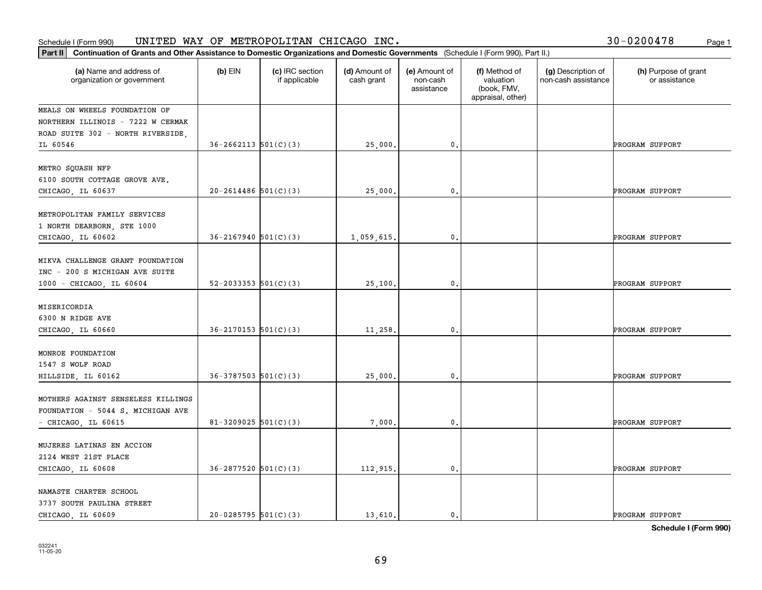| 30-0200478<br>Page 1 |  |
|----------------------|--|
|----------------------|--|

| Continuation of Grants and Other Assistance to Domestic Organizations and Domestic Governments (Schedule I (Form 990), Part II.)<br>Part II |                            |                                  |                             |                                         |                                                                |                                           |                                       |
|---------------------------------------------------------------------------------------------------------------------------------------------|----------------------------|----------------------------------|-----------------------------|-----------------------------------------|----------------------------------------------------------------|-------------------------------------------|---------------------------------------|
| (a) Name and address of<br>organization or government                                                                                       | $(b)$ EIN                  | (c) IRC section<br>if applicable | (d) Amount of<br>cash grant | (e) Amount of<br>non-cash<br>assistance | (f) Method of<br>valuation<br>(book, FMV,<br>appraisal, other) | (g) Description of<br>non-cash assistance | (h) Purpose of grant<br>or assistance |
| MEALS ON WHEELS FOUNDATION OF                                                                                                               |                            |                                  |                             |                                         |                                                                |                                           |                                       |
| NORTHERN ILLINOIS - 7222 W CERMAK                                                                                                           |                            |                                  |                             |                                         |                                                                |                                           |                                       |
| ROAD SUITE 302 - NORTH RIVERSIDE,                                                                                                           |                            |                                  |                             |                                         |                                                                |                                           |                                       |
| IL 60546                                                                                                                                    | $36 - 2662113$ $501(C)(3)$ |                                  | 25,000.                     | $\mathbf{0}$ .                          |                                                                |                                           | PROGRAM SUPPORT                       |
| METRO SQUASH NFP<br>6100 SOUTH COTTAGE GROVE AVE.                                                                                           |                            |                                  |                             |                                         |                                                                |                                           |                                       |
| CHICAGO, IL 60637                                                                                                                           | $20 - 2614486$ 501(C)(3)   |                                  | 25,000.                     | $\mathbf{0}$ .                          |                                                                |                                           | PROGRAM SUPPORT                       |
|                                                                                                                                             |                            |                                  |                             |                                         |                                                                |                                           |                                       |
| METROPOLITAN FAMILY SERVICES<br>1 NORTH DEARBORN, STE 1000                                                                                  |                            |                                  |                             |                                         |                                                                |                                           |                                       |
| CHICAGO, IL 60602                                                                                                                           | $36 - 2167940$ $501(C)(3)$ |                                  | 1,059,615.                  | 0.                                      |                                                                |                                           | PROGRAM SUPPORT                       |
| MIKVA CHALLENGE GRANT FOUNDATION<br>INC - 200 S MICHIGAN AVE SUITE                                                                          |                            |                                  |                             |                                         |                                                                |                                           |                                       |
| 1000 - CHICAGO, IL 60604                                                                                                                    | $52 - 2033353$ $501(C)(3)$ |                                  | 25,100.                     | 0.                                      |                                                                |                                           | PROGRAM SUPPORT                       |
| MISERICORDIA<br>6300 N RIDGE AVE                                                                                                            |                            |                                  |                             |                                         |                                                                |                                           |                                       |
| CHICAGO, IL 60660                                                                                                                           | $36 - 2170153$ $501(C)(3)$ |                                  | 11,258.                     | $\mathbf{0}$ .                          |                                                                |                                           | PROGRAM SUPPORT                       |
| MONROE FOUNDATION<br>1547 S WOLF ROAD                                                                                                       |                            |                                  |                             |                                         |                                                                |                                           |                                       |
| HILLSIDE, IL 60162                                                                                                                          | $36-3787503$ $501(C)(3)$   |                                  | 25,000.                     | 0.                                      |                                                                |                                           | PROGRAM SUPPORT                       |
| MOTHERS AGAINST SENSELESS KILLINGS<br>FOUNDATION - 5044 S. MICHIGAN AVE                                                                     |                            |                                  |                             |                                         |                                                                |                                           |                                       |
| $-$ CHICAGO, IL 60615                                                                                                                       | $81 - 3209025$ 501(C)(3)   |                                  | 7,000.                      | 0.                                      |                                                                |                                           | PROGRAM SUPPORT                       |
| MUJERES LATINAS EN ACCION<br>2124 WEST 21ST PLACE                                                                                           |                            |                                  |                             |                                         |                                                                |                                           |                                       |
| CHICAGO, IL 60608                                                                                                                           | $36 - 2877520$ $501(C)(3)$ |                                  | 112,915.                    | $\mathfrak o$ .                         |                                                                |                                           | PROGRAM SUPPORT                       |
| NAMASTE CHARTER SCHOOL<br>3737 SOUTH PAULINA STREET                                                                                         | $20-0285795$ 501(C)(3)     |                                  | 13,610.                     | $\mathbf{0}$ .                          |                                                                |                                           | PROGRAM SUPPORT                       |
| CHICAGO, IL 60609                                                                                                                           |                            |                                  |                             |                                         |                                                                |                                           |                                       |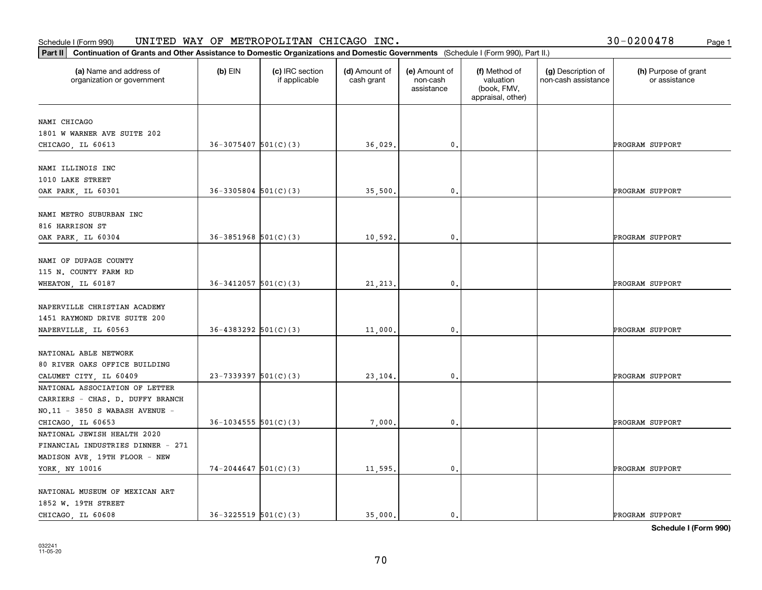| Part II   Continuation of Grants and Other Assistance to Domestic Organizations and Domestic Governments (Schedule I (Form 990), Part II.) |                            |                                  |                             |                                         |                                                                |                                           |                                       |
|--------------------------------------------------------------------------------------------------------------------------------------------|----------------------------|----------------------------------|-----------------------------|-----------------------------------------|----------------------------------------------------------------|-------------------------------------------|---------------------------------------|
| (a) Name and address of<br>organization or government                                                                                      | $(b)$ EIN                  | (c) IRC section<br>if applicable | (d) Amount of<br>cash grant | (e) Amount of<br>non-cash<br>assistance | (f) Method of<br>valuation<br>(book, FMV,<br>appraisal, other) | (g) Description of<br>non-cash assistance | (h) Purpose of grant<br>or assistance |
| NAMI CHICAGO                                                                                                                               |                            |                                  |                             |                                         |                                                                |                                           |                                       |
| 1801 W WARNER AVE SUITE 202                                                                                                                |                            |                                  |                             |                                         |                                                                |                                           |                                       |
| CHICAGO, IL 60613                                                                                                                          | $36 - 3075407$ $501(C)(3)$ |                                  | 36,029.                     | $\mathbf{0}$ .                          |                                                                |                                           | PROGRAM SUPPORT                       |
|                                                                                                                                            |                            |                                  |                             |                                         |                                                                |                                           |                                       |
| NAMI ILLINOIS INC                                                                                                                          |                            |                                  |                             |                                         |                                                                |                                           |                                       |
| 1010 LAKE STREET                                                                                                                           |                            |                                  |                             |                                         |                                                                |                                           |                                       |
| OAK PARK, IL 60301                                                                                                                         | $36 - 3305804$ $501(C)(3)$ |                                  | 35,500.                     | 0.                                      |                                                                |                                           | PROGRAM SUPPORT                       |
|                                                                                                                                            |                            |                                  |                             |                                         |                                                                |                                           |                                       |
| NAMI METRO SUBURBAN INC                                                                                                                    |                            |                                  |                             |                                         |                                                                |                                           |                                       |
| 816 HARRISON ST                                                                                                                            |                            |                                  |                             |                                         |                                                                |                                           |                                       |
| OAK PARK, IL 60304                                                                                                                         | $36 - 3851968$ $501(C)(3)$ |                                  | 10,592.                     | $\mathfrak{o}$ .                        |                                                                |                                           | PROGRAM SUPPORT                       |
|                                                                                                                                            |                            |                                  |                             |                                         |                                                                |                                           |                                       |
| NAMI OF DUPAGE COUNTY                                                                                                                      |                            |                                  |                             |                                         |                                                                |                                           |                                       |
| 115 N. COUNTY FARM RD                                                                                                                      |                            |                                  |                             |                                         |                                                                |                                           |                                       |
| WHEATON, IL 60187                                                                                                                          | $36 - 3412057$ 501(C)(3)   |                                  | 21, 213.                    | 0.                                      |                                                                |                                           | PROGRAM SUPPORT                       |
| NAPERVILLE CHRISTIAN ACADEMY                                                                                                               |                            |                                  |                             |                                         |                                                                |                                           |                                       |
| 1451 RAYMOND DRIVE SUITE 200                                                                                                               |                            |                                  |                             |                                         |                                                                |                                           |                                       |
| NAPERVILLE, IL 60563                                                                                                                       | $36 - 4383292$ $501(C)(3)$ |                                  | 11,000.                     | $\mathbf{0}$                            |                                                                |                                           | PROGRAM SUPPORT                       |
|                                                                                                                                            |                            |                                  |                             |                                         |                                                                |                                           |                                       |
| NATIONAL ABLE NETWORK                                                                                                                      |                            |                                  |                             |                                         |                                                                |                                           |                                       |
| 80 RIVER OAKS OFFICE BUILDING                                                                                                              |                            |                                  |                             |                                         |                                                                |                                           |                                       |
| CALUMET CITY, IL 60409                                                                                                                     | $23 - 7339397$ 501(C)(3)   |                                  | 23,104.                     | 0.                                      |                                                                |                                           | PROGRAM SUPPORT                       |
| NATIONAL ASSOCIATION OF LETTER                                                                                                             |                            |                                  |                             |                                         |                                                                |                                           |                                       |
| CARRIERS - CHAS. D. DUFFY BRANCH                                                                                                           |                            |                                  |                             |                                         |                                                                |                                           |                                       |
| NO.11 - 3850 S WABASH AVENUE -                                                                                                             |                            |                                  |                             |                                         |                                                                |                                           |                                       |
| CHICAGO, IL 60653                                                                                                                          | $36 - 1034555$ 501(C)(3)   |                                  | 7,000                       | $^{\rm 0}$ .                            |                                                                |                                           | PROGRAM SUPPORT                       |
| NATIONAL JEWISH HEALTH 2020                                                                                                                |                            |                                  |                             |                                         |                                                                |                                           |                                       |
| FINANCIAL INDUSTRIES DINNER - 271                                                                                                          |                            |                                  |                             |                                         |                                                                |                                           |                                       |
| MADISON AVE, 19TH FLOOR - NEW                                                                                                              |                            |                                  |                             |                                         |                                                                |                                           |                                       |
| YORK, NY 10016                                                                                                                             | $74-2044647$ 501(C)(3)     |                                  | 11,595.                     | $\mathfrak{o}$ .                        |                                                                |                                           | PROGRAM SUPPORT                       |
|                                                                                                                                            |                            |                                  |                             |                                         |                                                                |                                           |                                       |
| NATIONAL MUSEUM OF MEXICAN ART                                                                                                             |                            |                                  |                             |                                         |                                                                |                                           |                                       |
| 1852 W. 19TH STREET                                                                                                                        |                            |                                  |                             |                                         |                                                                |                                           |                                       |
| CHICAGO, IL 60608                                                                                                                          | $36 - 3225519$ $501(C)(3)$ |                                  | 35,000.                     | $\mathbf{0}$ .                          |                                                                |                                           | PROGRAM SUPPORT                       |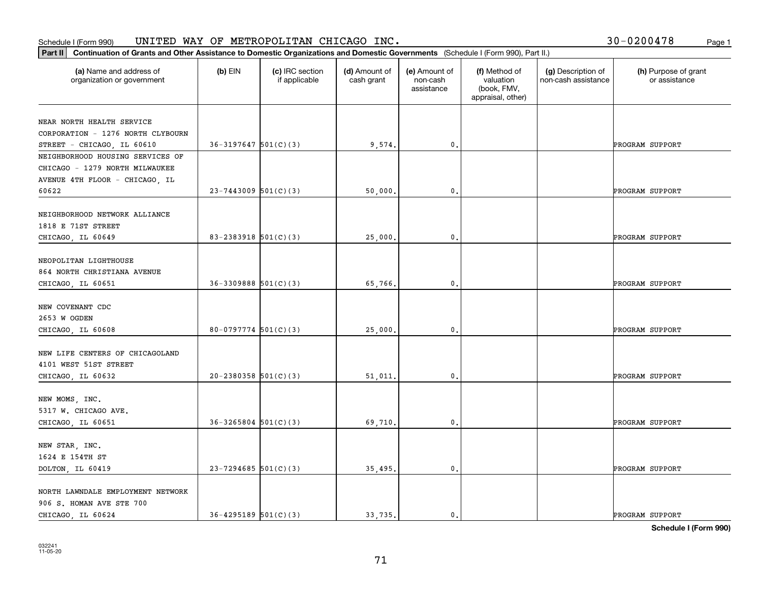| 30-0200478 | Page 1 |
|------------|--------|
|------------|--------|

| Continuation of Grants and Other Assistance to Domestic Organizations and Domestic Governments (Schedule I (Form 990), Part II.)<br>Part II |                            |                                  |                             |                                         |                                                                |                                           |                                       |
|---------------------------------------------------------------------------------------------------------------------------------------------|----------------------------|----------------------------------|-----------------------------|-----------------------------------------|----------------------------------------------------------------|-------------------------------------------|---------------------------------------|
| (a) Name and address of<br>organization or government                                                                                       | $(b)$ EIN                  | (c) IRC section<br>if applicable | (d) Amount of<br>cash grant | (e) Amount of<br>non-cash<br>assistance | (f) Method of<br>valuation<br>(book, FMV,<br>appraisal, other) | (g) Description of<br>non-cash assistance | (h) Purpose of grant<br>or assistance |
| NEAR NORTH HEALTH SERVICE                                                                                                                   |                            |                                  |                             |                                         |                                                                |                                           |                                       |
| CORPORATION - 1276 NORTH CLYBOURN                                                                                                           |                            |                                  |                             |                                         |                                                                |                                           |                                       |
| STREET - CHICAGO, IL 60610                                                                                                                  | $36-3197647$ $501(C)(3)$   |                                  | 9,574.                      | $\mathbf{0}$ .                          |                                                                |                                           | PROGRAM SUPPORT                       |
| NEIGHBORHOOD HOUSING SERVICES OF                                                                                                            |                            |                                  |                             |                                         |                                                                |                                           |                                       |
| CHICAGO - 1279 NORTH MILWAUKEE                                                                                                              |                            |                                  |                             |                                         |                                                                |                                           |                                       |
| AVENUE 4TH FLOOR - CHICAGO, IL                                                                                                              |                            |                                  |                             |                                         |                                                                |                                           |                                       |
| 60622                                                                                                                                       | $23 - 7443009$ 501(C)(3)   |                                  | 50,000.                     | $\mathfrak{o}$ .                        |                                                                |                                           | PROGRAM SUPPORT                       |
|                                                                                                                                             |                            |                                  |                             |                                         |                                                                |                                           |                                       |
| NEIGHBORHOOD NETWORK ALLIANCE                                                                                                               |                            |                                  |                             |                                         |                                                                |                                           |                                       |
| 1818 E 71ST STREET                                                                                                                          |                            |                                  |                             |                                         |                                                                |                                           |                                       |
| CHICAGO, IL 60649                                                                                                                           | 83-2383918 $501(C)(3)$     |                                  | 25,000.                     | 0.                                      |                                                                |                                           | PROGRAM SUPPORT                       |
| NEOPOLITAN LIGHTHOUSE                                                                                                                       |                            |                                  |                             |                                         |                                                                |                                           |                                       |
| 864 NORTH CHRISTIANA AVENUE                                                                                                                 |                            |                                  |                             |                                         |                                                                |                                           |                                       |
| CHICAGO, IL 60651                                                                                                                           | $36 - 3309888$ $501(C)(3)$ |                                  | 65,766.                     | 0.                                      |                                                                |                                           | PROGRAM SUPPORT                       |
|                                                                                                                                             |                            |                                  |                             |                                         |                                                                |                                           |                                       |
| NEW COVENANT CDC                                                                                                                            |                            |                                  |                             |                                         |                                                                |                                           |                                       |
| 2653 W OGDEN                                                                                                                                |                            |                                  |                             |                                         |                                                                |                                           |                                       |
| CHICAGO, IL 60608                                                                                                                           | $80-0797774$ 501(C)(3)     |                                  | 25,000.                     | $\mathbf{0}$ .                          |                                                                |                                           | PROGRAM SUPPORT                       |
|                                                                                                                                             |                            |                                  |                             |                                         |                                                                |                                           |                                       |
| NEW LIFE CENTERS OF CHICAGOLAND                                                                                                             |                            |                                  |                             |                                         |                                                                |                                           |                                       |
| 4101 WEST 51ST STREET                                                                                                                       |                            |                                  |                             |                                         |                                                                |                                           |                                       |
| CHICAGO, IL 60632                                                                                                                           | $20-2380358$ $501(C)(3)$   |                                  | 51,011                      | 0.                                      |                                                                |                                           | PROGRAM SUPPORT                       |
|                                                                                                                                             |                            |                                  |                             |                                         |                                                                |                                           |                                       |
| NEW MOMS, INC.                                                                                                                              |                            |                                  |                             |                                         |                                                                |                                           |                                       |
| 5317 W. CHICAGO AVE.                                                                                                                        |                            |                                  |                             |                                         |                                                                |                                           |                                       |
| CHICAGO, IL 60651                                                                                                                           | $36 - 3265804$ $501(C)(3)$ |                                  | 69,710.                     | 0.                                      |                                                                |                                           | PROGRAM SUPPORT                       |
| NEW STAR, INC.                                                                                                                              |                            |                                  |                             |                                         |                                                                |                                           |                                       |
| 1624 E 154TH ST                                                                                                                             |                            |                                  |                             |                                         |                                                                |                                           |                                       |
| DOLTON, IL 60419                                                                                                                            | $23 - 7294685$ 501(C)(3)   |                                  | 35,495.                     | $\mathbf{0}$ .                          |                                                                |                                           | PROGRAM SUPPORT                       |
|                                                                                                                                             |                            |                                  |                             |                                         |                                                                |                                           |                                       |
| NORTH LAWNDALE EMPLOYMENT NETWORK                                                                                                           |                            |                                  |                             |                                         |                                                                |                                           |                                       |
| 906 S. HOMAN AVE STE 700                                                                                                                    |                            |                                  |                             |                                         |                                                                |                                           |                                       |
| CHICAGO, IL 60624                                                                                                                           | $36 - 4295189$ $501(C)(3)$ |                                  | 33,735.                     | $\mathbf{0}$ .                          |                                                                |                                           | PROGRAM SUPPORT                       |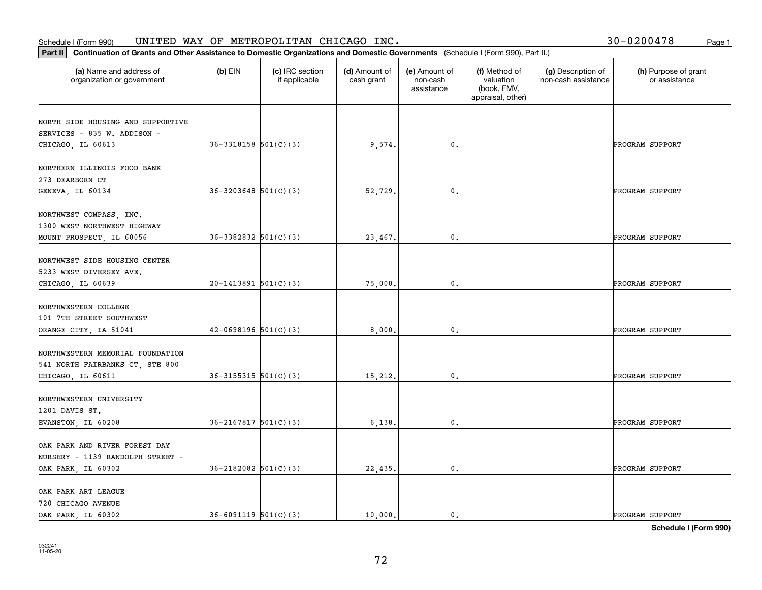#### **Part II Continuation of Grants and Other Assistance to Domestic Organizations** <br>**Part II Continuation of Grants and Other Assistance to Domestic Organizations** Schedule I (Form 990)  $\tt{UNITED}$   $\tt{WAY}$  OF  $\tt{METROPOLITAN}$   $\tt{CHICAGO}$   $\tt{INC.}$   $\tt{VCTS}$   $\tt{VCTS}$   $\tt{VCTS}$   $\tt{VCTS}$   $\tt{VCTS}$   $\tt{VCTS}$   $\tt{VCTS}$   $\tt{VCTS}$   $\tt{VCTS}$   $\tt{VCTS}$   $\tt{VCTS}$   $\tt{VCTS}$   $\tt{VCTS}$   $\tt{VCTS}$   $\tt{V$

| 30-0200478 | Page 1 |
|------------|--------|
|            |        |

| Continuation of Grants and Other Assistance to Domestic Organizations and Domestic Governments (Schedule I (Form 990), Part II.)<br>Part II |                            |                                  |                             |                                         |                                                                |                                           |                                       |
|---------------------------------------------------------------------------------------------------------------------------------------------|----------------------------|----------------------------------|-----------------------------|-----------------------------------------|----------------------------------------------------------------|-------------------------------------------|---------------------------------------|
| (a) Name and address of<br>organization or government                                                                                       | $(b)$ EIN                  | (c) IRC section<br>if applicable | (d) Amount of<br>cash grant | (e) Amount of<br>non-cash<br>assistance | (f) Method of<br>valuation<br>(book, FMV,<br>appraisal, other) | (g) Description of<br>non-cash assistance | (h) Purpose of grant<br>or assistance |
| NORTH SIDE HOUSING AND SUPPORTIVE<br>SERVICES - 835 W. ADDISON -<br>CHICAGO, IL 60613                                                       | $36 - 3318158$ $501(C)(3)$ |                                  | 9,574.                      | 0.                                      |                                                                |                                           | PROGRAM SUPPORT                       |
| NORTHERN ILLINOIS FOOD BANK<br>273 DEARBORN CT<br>GENEVA, IL 60134                                                                          | $36 - 3203648$ 501(C)(3)   |                                  | 52,729.                     | $\mathbf{0}$ .                          |                                                                |                                           | PROGRAM SUPPORT                       |
| NORTHWEST COMPASS, INC.<br>1300 WEST NORTHWEST HIGHWAY<br>MOUNT PROSPECT, IL 60056                                                          | $36 - 3382832$ $501(C)(3)$ |                                  | 23,467.                     | 0.                                      |                                                                |                                           | PROGRAM SUPPORT                       |
| NORTHWEST SIDE HOUSING CENTER<br>5233 WEST DIVERSEY AVE.<br>CHICAGO, IL 60639                                                               | $20-1413891$ 501(C)(3)     |                                  | 75,000.                     | 0.                                      |                                                                |                                           | PROGRAM SUPPORT                       |
| NORTHWESTERN COLLEGE<br>101 7TH STREET SOUTHWEST<br>ORANGE CITY, IA 51041                                                                   | $42 - 0698196$ 501(C)(3)   |                                  | 8,000.                      | $\mathbf{0}$ .                          |                                                                |                                           | PROGRAM SUPPORT                       |
| NORTHWESTERN MEMORIAL FOUNDATION<br>541 NORTH FAIRBANKS CT, STE 800<br>CHICAGO, IL 60611                                                    | $36-3155315$ $501(C)(3)$   |                                  | 15,212.                     | 0.                                      |                                                                |                                           | PROGRAM SUPPORT                       |
| NORTHWESTERN UNIVERSITY<br>1201 DAVIS ST.<br>EVANSTON, IL 60208                                                                             | $36 - 2167817$ 501(C)(3)   |                                  | 6,138.                      | 0.                                      |                                                                |                                           | PROGRAM SUPPORT                       |
| OAK PARK AND RIVER FOREST DAY<br>NURSERY - 1139 RANDOLPH STREET -<br>OAK PARK, IL 60302                                                     | $36 - 2182082$ $501(C)(3)$ |                                  | 22,435.                     | $\mathfrak o$ .                         |                                                                |                                           | PROGRAM SUPPORT                       |
| OAK PARK ART LEAGUE<br>720 CHICAGO AVENUE<br>OAK PARK, IL 60302                                                                             | $36 - 6091119$ $501(C)(3)$ |                                  | 10,000.                     | $\mathfrak{o}$ .                        |                                                                |                                           | PROGRAM SUPPORT                       |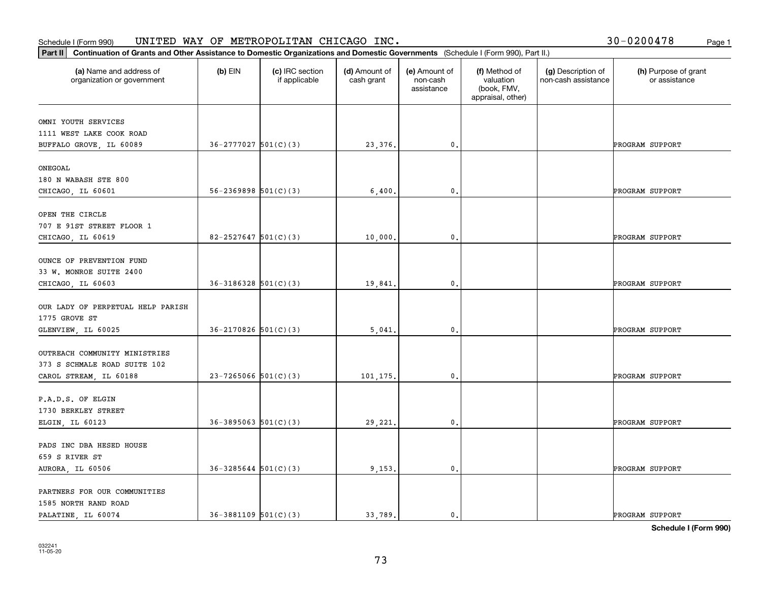### **Part III Continuation of Grants and Other Assistance to Domestic Organization**<br>**Part II Continuation of Grants and Other Assistance to Domestic Organization** Schedule I (Form 990)  $\tt{UNITED}$   $\tt{WAY}$  OF  $\tt{METROPOLITAN}$   $\tt{CHICAGO}$   $\tt{INC.}$   $\tt{VCTS}$   $\tt{VCTS}$   $\tt{VCTS}$   $\tt{VCTS}$   $\tt{VCTS}$   $\tt{VCTS}$   $\tt{VCTS}$   $\tt{VCTS}$   $\tt{VCTS}$   $\tt{VCTS}$   $\tt{VCTS}$   $\tt{VCTS}$   $\tt{VCTS}$   $\tt{VCTS}$   $\tt{V$

| Continuation of Grants and Other Assistance to Domestic Organizations and Domestic Governments (Schedule I (Form 990), Part II.)<br>Part II |                            |                                  |                             |                                         |                                                                |                                           |                                       |
|---------------------------------------------------------------------------------------------------------------------------------------------|----------------------------|----------------------------------|-----------------------------|-----------------------------------------|----------------------------------------------------------------|-------------------------------------------|---------------------------------------|
| (a) Name and address of<br>organization or government                                                                                       | $(b)$ EIN                  | (c) IRC section<br>if applicable | (d) Amount of<br>cash grant | (e) Amount of<br>non-cash<br>assistance | (f) Method of<br>valuation<br>(book, FMV,<br>appraisal, other) | (g) Description of<br>non-cash assistance | (h) Purpose of grant<br>or assistance |
| OMNI YOUTH SERVICES                                                                                                                         |                            |                                  |                             |                                         |                                                                |                                           |                                       |
| 1111 WEST LAKE COOK ROAD                                                                                                                    |                            |                                  |                             |                                         |                                                                |                                           |                                       |
| BUFFALO GROVE, IL 60089                                                                                                                     | $36 - 2777027$ $501(C)(3)$ |                                  | 23,376.                     | $\mathbf{0}$ .                          |                                                                |                                           | PROGRAM SUPPORT                       |
| ONEGOAL                                                                                                                                     |                            |                                  |                             |                                         |                                                                |                                           |                                       |
| 180 N WABASH STE 800                                                                                                                        |                            |                                  |                             |                                         |                                                                |                                           |                                       |
| CHICAGO, IL 60601                                                                                                                           | $56 - 2369898$ $501(C)(3)$ |                                  | 6,400.                      | $\mathbf{0}$ .                          |                                                                |                                           | PROGRAM SUPPORT                       |
| OPEN THE CIRCLE                                                                                                                             |                            |                                  |                             |                                         |                                                                |                                           |                                       |
| 707 E 91ST STREET FLOOR 1                                                                                                                   |                            |                                  |                             |                                         |                                                                |                                           |                                       |
| CHICAGO, IL 60619                                                                                                                           | $82 - 2527647$ 501(C)(3)   |                                  | 10,000.                     | 0.                                      |                                                                |                                           | PROGRAM SUPPORT                       |
|                                                                                                                                             |                            |                                  |                             |                                         |                                                                |                                           |                                       |
| OUNCE OF PREVENTION FUND                                                                                                                    |                            |                                  |                             |                                         |                                                                |                                           |                                       |
| 33 W. MONROE SUITE 2400                                                                                                                     |                            |                                  |                             |                                         |                                                                |                                           |                                       |
| CHICAGO, IL 60603                                                                                                                           | $36-3186328$ $501(C)(3)$   |                                  | 19,841.                     | 0.                                      |                                                                |                                           | PROGRAM SUPPORT                       |
| OUR LADY OF PERPETUAL HELP PARISH                                                                                                           |                            |                                  |                             |                                         |                                                                |                                           |                                       |
| 1775 GROVE ST                                                                                                                               |                            |                                  |                             |                                         |                                                                |                                           |                                       |
| GLENVIEW, IL 60025                                                                                                                          | $36 - 2170826$ 501(C)(3)   |                                  | 5,041.                      | $\mathbf{0}$ .                          |                                                                |                                           | PROGRAM SUPPORT                       |
|                                                                                                                                             |                            |                                  |                             |                                         |                                                                |                                           |                                       |
| OUTREACH COMMUNITY MINISTRIES                                                                                                               |                            |                                  |                             |                                         |                                                                |                                           |                                       |
| 373 S SCHMALE ROAD SUITE 102                                                                                                                |                            |                                  |                             |                                         |                                                                |                                           |                                       |
| CAROL STREAM, IL 60188                                                                                                                      | $23 - 7265066$ 501(C)(3)   |                                  | 101,175.                    | 0.                                      |                                                                |                                           | PROGRAM SUPPORT                       |
|                                                                                                                                             |                            |                                  |                             |                                         |                                                                |                                           |                                       |
| P.A.D.S. OF ELGIN<br>1730 BERKLEY STREET                                                                                                    |                            |                                  |                             |                                         |                                                                |                                           |                                       |
| ELGIN, IL 60123                                                                                                                             | $36 - 3895063$ $501(C)(3)$ |                                  | 29,221.                     | 0.                                      |                                                                |                                           | PROGRAM SUPPORT                       |
|                                                                                                                                             |                            |                                  |                             |                                         |                                                                |                                           |                                       |
| PADS INC DBA HESED HOUSE                                                                                                                    |                            |                                  |                             |                                         |                                                                |                                           |                                       |
| 659 S RIVER ST                                                                                                                              |                            |                                  |                             |                                         |                                                                |                                           |                                       |
| AURORA, IL 60506                                                                                                                            | $36 - 3285644$ $501(C)(3)$ |                                  | 9,153.                      | $\mathfrak o$ .                         |                                                                |                                           | PROGRAM SUPPORT                       |
| PARTNERS FOR OUR COMMUNITIES                                                                                                                |                            |                                  |                             |                                         |                                                                |                                           |                                       |
| 1585 NORTH RAND ROAD                                                                                                                        |                            |                                  |                             |                                         |                                                                |                                           |                                       |
| PALATINE, IL 60074                                                                                                                          | $36-3881109$ $501(C)(3)$   |                                  | 33,789.                     | $\mathbf{0}$ .                          |                                                                |                                           | PROGRAM SUPPORT                       |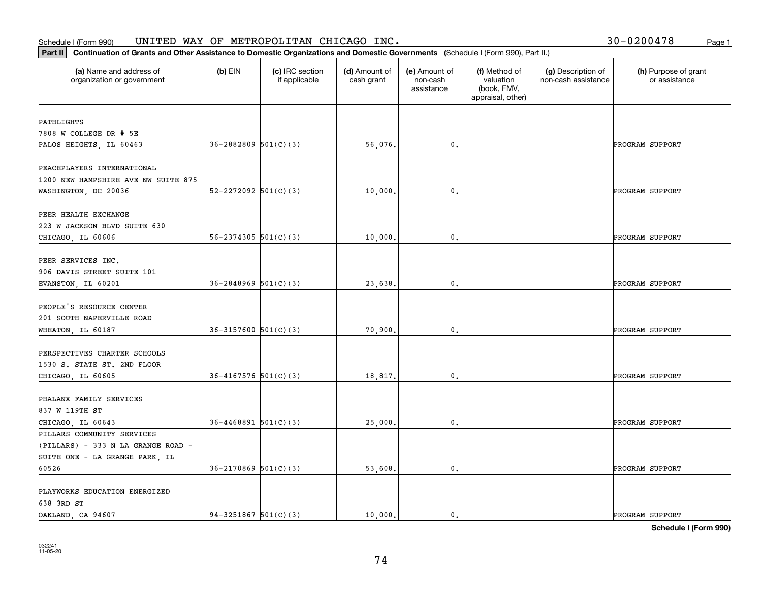| Part II   Continuation of Grants and Other Assistance to Domestic Organizations and Domestic Governments (Schedule I (Form 990), Part II.) |                            |                                  |                             |                                         |                                                                |                                           |                                       |
|--------------------------------------------------------------------------------------------------------------------------------------------|----------------------------|----------------------------------|-----------------------------|-----------------------------------------|----------------------------------------------------------------|-------------------------------------------|---------------------------------------|
| (a) Name and address of<br>organization or government                                                                                      | $(b)$ EIN                  | (c) IRC section<br>if applicable | (d) Amount of<br>cash grant | (e) Amount of<br>non-cash<br>assistance | (f) Method of<br>valuation<br>(book, FMV,<br>appraisal, other) | (g) Description of<br>non-cash assistance | (h) Purpose of grant<br>or assistance |
| PATHLIGHTS                                                                                                                                 |                            |                                  |                             |                                         |                                                                |                                           |                                       |
| 7808 W COLLEGE DR # 5E                                                                                                                     |                            |                                  |                             |                                         |                                                                |                                           |                                       |
| PALOS HEIGHTS, IL 60463                                                                                                                    | $36 - 2882809$ $501(C)(3)$ |                                  | 56,076.                     | 0.                                      |                                                                |                                           | PROGRAM SUPPORT                       |
|                                                                                                                                            |                            |                                  |                             |                                         |                                                                |                                           |                                       |
| PEACEPLAYERS INTERNATIONAL                                                                                                                 |                            |                                  |                             |                                         |                                                                |                                           |                                       |
| 1200 NEW HAMPSHIRE AVE NW SUITE 875                                                                                                        |                            |                                  |                             |                                         |                                                                |                                           |                                       |
| WASHINGTON, DC 20036                                                                                                                       | $52 - 2272092$ $501(C)(3)$ |                                  | 10,000.                     | 0.                                      |                                                                |                                           | PROGRAM SUPPORT                       |
|                                                                                                                                            |                            |                                  |                             |                                         |                                                                |                                           |                                       |
| PEER HEALTH EXCHANGE                                                                                                                       |                            |                                  |                             |                                         |                                                                |                                           |                                       |
| 223 W JACKSON BLVD SUITE 630                                                                                                               |                            |                                  |                             |                                         |                                                                |                                           |                                       |
| CHICAGO, IL 60606                                                                                                                          | $56 - 2374305$ $501(C)(3)$ |                                  | 10,000.                     | $\mathbf{0}$ .                          |                                                                |                                           | PROGRAM SUPPORT                       |
|                                                                                                                                            |                            |                                  |                             |                                         |                                                                |                                           |                                       |
| PEER SERVICES INC.                                                                                                                         |                            |                                  |                             |                                         |                                                                |                                           |                                       |
| 906 DAVIS STREET SUITE 101                                                                                                                 |                            |                                  |                             |                                         |                                                                |                                           |                                       |
| EVANSTON, IL 60201                                                                                                                         | $36 - 2848969$ $501(C)(3)$ |                                  | 23,638.                     | $\mathbf{0}$ .                          |                                                                |                                           | PROGRAM SUPPORT                       |
|                                                                                                                                            |                            |                                  |                             |                                         |                                                                |                                           |                                       |
| PEOPLE'S RESOURCE CENTER                                                                                                                   |                            |                                  |                             |                                         |                                                                |                                           |                                       |
| 201 SOUTH NAPERVILLE ROAD                                                                                                                  |                            |                                  |                             |                                         |                                                                |                                           |                                       |
| WHEATON, IL 60187                                                                                                                          | $36-3157600$ $501(C)(3)$   |                                  | 70,900.                     | $\mathbf{0}$                            |                                                                |                                           | PROGRAM SUPPORT                       |
|                                                                                                                                            |                            |                                  |                             |                                         |                                                                |                                           |                                       |
| PERSPECTIVES CHARTER SCHOOLS                                                                                                               |                            |                                  |                             |                                         |                                                                |                                           |                                       |
| 1530 S. STATE ST. 2ND FLOOR                                                                                                                |                            |                                  |                             |                                         |                                                                |                                           |                                       |
| CHICAGO, IL 60605                                                                                                                          | $36 - 4167576$ $501(C)(3)$ |                                  | 18,817.                     | 0.                                      |                                                                |                                           | PROGRAM SUPPORT                       |
| PHALANX FAMILY SERVICES                                                                                                                    |                            |                                  |                             |                                         |                                                                |                                           |                                       |
| 837 W 119TH ST                                                                                                                             |                            |                                  |                             |                                         |                                                                |                                           |                                       |
| CHICAGO, IL 60643                                                                                                                          | $36 - 4468891$ 501(C)(3)   |                                  | 25,000.                     | $\mathbf{0}$ .                          |                                                                |                                           | PROGRAM SUPPORT                       |
| PILLARS COMMUNITY SERVICES                                                                                                                 |                            |                                  |                             |                                         |                                                                |                                           |                                       |
| (PILLARS) - 333 N LA GRANGE ROAD -                                                                                                         |                            |                                  |                             |                                         |                                                                |                                           |                                       |
| SUITE ONE - LA GRANGE PARK, IL                                                                                                             |                            |                                  |                             |                                         |                                                                |                                           |                                       |
| 60526                                                                                                                                      | $36 - 2170869$ 501(C)(3)   |                                  | 53,608.                     | $\mathfrak o$ .                         |                                                                |                                           | PROGRAM SUPPORT                       |
|                                                                                                                                            |                            |                                  |                             |                                         |                                                                |                                           |                                       |
| PLAYWORKS EDUCATION ENERGIZED                                                                                                              |                            |                                  |                             |                                         |                                                                |                                           |                                       |
| 638 3RD ST                                                                                                                                 |                            |                                  |                             |                                         |                                                                |                                           |                                       |
| OAKLAND, CA 94607                                                                                                                          | $94-3251867$ 501(C)(3)     |                                  | 10,000.                     | $\mathbf{0}$ .                          |                                                                |                                           | PROGRAM SUPPORT                       |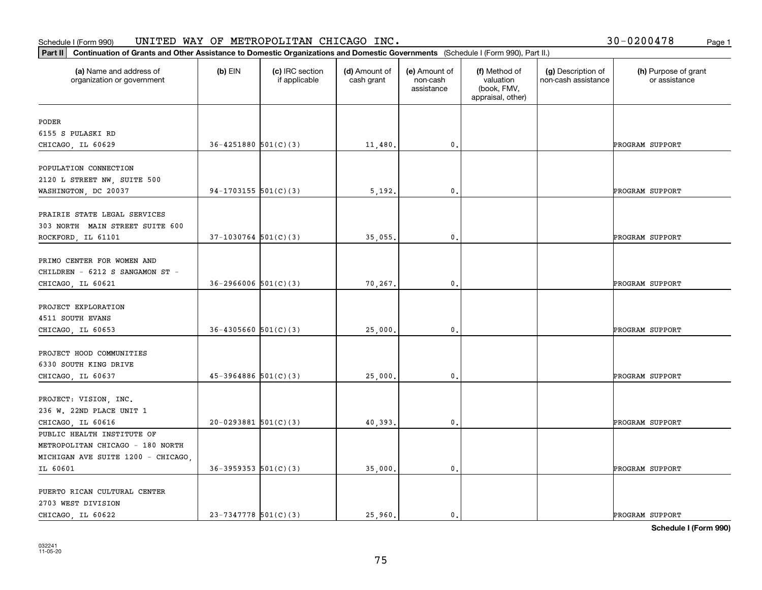### **Part II Continuation of Grants and Other Assistance to Domestic Organization**<br>**Part II** Continuation of Grants and Other Assistance to Domestic Organization Schedule I (Form 990)  $\tt{UNITED}$   $\tt{WAY}$  OF  $\tt{METROPOLITAN}$   $\tt{CHICAGO}$   $\tt{INC.}$   $\tt{VCTS}$   $\tt{VCTS}$   $\tt{VCTS}$   $\tt{VCTS}$   $\tt{VCTS}$   $\tt{VCTS}$   $\tt{VCTS}$   $\tt{VCTS}$   $\tt{VCTS}$   $\tt{VCTS}$   $\tt{VCTS}$   $\tt{VCTS}$   $\tt{VCTS}$   $\tt{VCTS}$   $\tt{V$

| (a) Name and address of<br>organization or government<br>PODER<br>6155 S PULASKI RD<br>CHICAGO, IL 60629 | $(b)$ EIN<br>$36 - 4251880$ $501(C)(3)$<br>$94-1703155$ 501(C)(3) | (c) IRC section<br>if applicable | (d) Amount of<br>cash grant<br>11,480.<br>5,192. | (e) Amount of<br>non-cash<br>assistance<br>0.<br>$\mathbf{0}$ . | (f) Method of<br>valuation<br>(book, FMV,<br>appraisal, other) | (g) Description of<br>non-cash assistance | (h) Purpose of grant<br>or assistance<br>PROGRAM SUPPORT |
|----------------------------------------------------------------------------------------------------------|-------------------------------------------------------------------|----------------------------------|--------------------------------------------------|-----------------------------------------------------------------|----------------------------------------------------------------|-------------------------------------------|----------------------------------------------------------|
|                                                                                                          |                                                                   |                                  |                                                  |                                                                 |                                                                |                                           |                                                          |
|                                                                                                          |                                                                   |                                  |                                                  |                                                                 |                                                                |                                           |                                                          |
|                                                                                                          |                                                                   |                                  |                                                  |                                                                 |                                                                |                                           |                                                          |
|                                                                                                          |                                                                   |                                  |                                                  |                                                                 |                                                                |                                           |                                                          |
|                                                                                                          |                                                                   |                                  |                                                  |                                                                 |                                                                |                                           |                                                          |
| POPULATION CONNECTION                                                                                    |                                                                   |                                  |                                                  |                                                                 |                                                                |                                           |                                                          |
| 2120 L STREET NW, SUITE 500                                                                              |                                                                   |                                  |                                                  |                                                                 |                                                                |                                           |                                                          |
| WASHINGTON, DC 20037                                                                                     |                                                                   |                                  |                                                  |                                                                 |                                                                |                                           | PROGRAM SUPPORT                                          |
| PRAIRIE STATE LEGAL SERVICES                                                                             |                                                                   |                                  |                                                  |                                                                 |                                                                |                                           |                                                          |
|                                                                                                          |                                                                   |                                  |                                                  |                                                                 |                                                                |                                           |                                                          |
| 303 NORTH MAIN STREET SUITE 600                                                                          |                                                                   |                                  |                                                  |                                                                 |                                                                |                                           |                                                          |
| ROCKFORD, IL 61101                                                                                       | $37-1030764$ 501(C)(3)                                            |                                  | 35,055.                                          | $\mathbf{0}$                                                    |                                                                |                                           | PROGRAM SUPPORT                                          |
|                                                                                                          |                                                                   |                                  |                                                  |                                                                 |                                                                |                                           |                                                          |
| PRIMO CENTER FOR WOMEN AND                                                                               |                                                                   |                                  |                                                  |                                                                 |                                                                |                                           |                                                          |
| CHILDREN - 6212 S SANGAMON ST -                                                                          |                                                                   |                                  |                                                  |                                                                 |                                                                |                                           |                                                          |
| CHICAGO, IL 60621                                                                                        | $36 - 2966006$ $501(C)(3)$                                        |                                  | 70,267.                                          | 0.                                                              |                                                                |                                           | PROGRAM SUPPORT                                          |
| PROJECT EXPLORATION                                                                                      |                                                                   |                                  |                                                  |                                                                 |                                                                |                                           |                                                          |
|                                                                                                          |                                                                   |                                  |                                                  |                                                                 |                                                                |                                           |                                                          |
| 4511 SOUTH EVANS                                                                                         | $36 - 4305660$ $501(C)(3)$                                        |                                  |                                                  |                                                                 |                                                                |                                           |                                                          |
| CHICAGO, IL 60653                                                                                        |                                                                   |                                  | 25,000.                                          | $\mathbf{0}$ .                                                  |                                                                |                                           | PROGRAM SUPPORT                                          |
| PROJECT HOOD COMMUNITIES                                                                                 |                                                                   |                                  |                                                  |                                                                 |                                                                |                                           |                                                          |
| 6330 SOUTH KING DRIVE                                                                                    |                                                                   |                                  |                                                  |                                                                 |                                                                |                                           |                                                          |
|                                                                                                          | $45-3964886$ $501(C)(3)$                                          |                                  |                                                  | $\mathbf{0}$                                                    |                                                                |                                           |                                                          |
| CHICAGO, IL 60637                                                                                        |                                                                   |                                  | 25,000.                                          |                                                                 |                                                                |                                           | PROGRAM SUPPORT                                          |
| PROJECT: VISION, INC.                                                                                    |                                                                   |                                  |                                                  |                                                                 |                                                                |                                           |                                                          |
| 236 W. 22ND PLACE UNIT 1                                                                                 |                                                                   |                                  |                                                  |                                                                 |                                                                |                                           |                                                          |
| CHICAGO, IL 60616                                                                                        | $20-0293881$ 501(C)(3)                                            |                                  | 40,393                                           | 0.                                                              |                                                                |                                           | PROGRAM SUPPORT                                          |
| PUBLIC HEALTH INSTITUTE OF                                                                               |                                                                   |                                  |                                                  |                                                                 |                                                                |                                           |                                                          |
| METROPOLITAN CHICAGO - 180 NORTH                                                                         |                                                                   |                                  |                                                  |                                                                 |                                                                |                                           |                                                          |
| MICHIGAN AVE SUITE 1200 - CHICAGO,                                                                       |                                                                   |                                  |                                                  |                                                                 |                                                                |                                           |                                                          |
| IL 60601                                                                                                 | $36 - 3959353$ $501(C)(3)$                                        |                                  | 35,000.                                          | $\mathbf{0}$ .                                                  |                                                                |                                           | PROGRAM SUPPORT                                          |
|                                                                                                          |                                                                   |                                  |                                                  |                                                                 |                                                                |                                           |                                                          |
| PUERTO RICAN CULTURAL CENTER                                                                             |                                                                   |                                  |                                                  |                                                                 |                                                                |                                           |                                                          |
| 2703 WEST DIVISION                                                                                       |                                                                   |                                  |                                                  |                                                                 |                                                                |                                           |                                                          |
| CHICAGO, IL 60622                                                                                        | $23 - 7347778$ 501(C)(3)                                          |                                  | 25,960.                                          | $\mathbf{0}$ .                                                  |                                                                |                                           | PROGRAM SUPPORT                                          |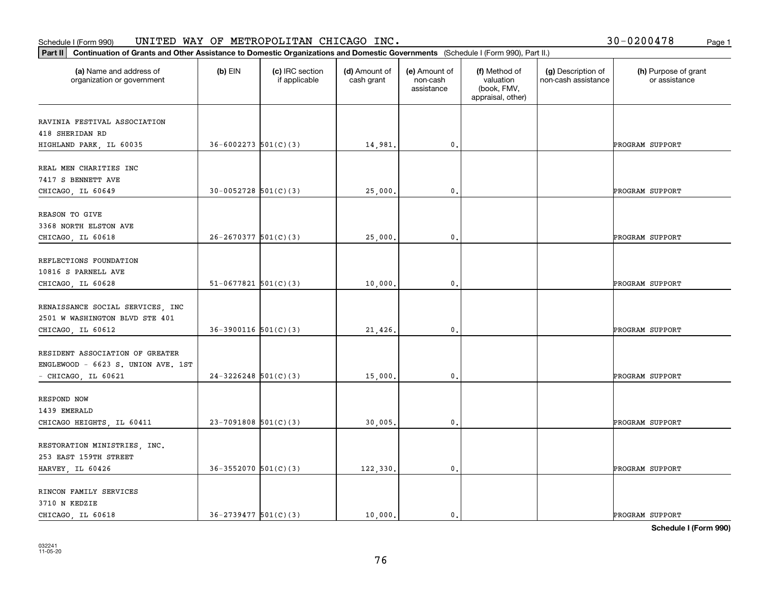|  |  | 30-0200478 |  | Page 1 |
|--|--|------------|--|--------|
|--|--|------------|--|--------|

| Continuation of Grants and Other Assistance to Domestic Organizations and Domestic Governments (Schedule I (Form 990), Part II.)<br>Part II |                            |                                  |                             |                                         |                                                                |                                           |                                       |
|---------------------------------------------------------------------------------------------------------------------------------------------|----------------------------|----------------------------------|-----------------------------|-----------------------------------------|----------------------------------------------------------------|-------------------------------------------|---------------------------------------|
| (a) Name and address of<br>organization or government                                                                                       | $(b)$ EIN                  | (c) IRC section<br>if applicable | (d) Amount of<br>cash grant | (e) Amount of<br>non-cash<br>assistance | (f) Method of<br>valuation<br>(book, FMV,<br>appraisal, other) | (g) Description of<br>non-cash assistance | (h) Purpose of grant<br>or assistance |
| RAVINIA FESTIVAL ASSOCIATION                                                                                                                |                            |                                  |                             |                                         |                                                                |                                           |                                       |
| 418 SHERIDAN RD<br>HIGHLAND PARK, IL 60035                                                                                                  | $36 - 6002273$ 501(C)(3)   |                                  | 14,981.                     | 0.                                      |                                                                |                                           | PROGRAM SUPPORT                       |
| REAL MEN CHARITIES INC                                                                                                                      |                            |                                  |                             |                                         |                                                                |                                           |                                       |
| 7417 S BENNETT AVE<br>CHICAGO, IL 60649                                                                                                     | $30 - 0052728$ 501(C)(3)   |                                  | 25,000.                     | $\mathbf{0}$ .                          |                                                                |                                           | PROGRAM SUPPORT                       |
| REASON TO GIVE                                                                                                                              |                            |                                  |                             |                                         |                                                                |                                           |                                       |
| 3368 NORTH ELSTON AVE<br>CHICAGO, IL 60618                                                                                                  | $26 - 2670377$ 501(C)(3)   |                                  | 25,000                      | $\mathbf 0$ .                           |                                                                |                                           | PROGRAM SUPPORT                       |
| REFLECTIONS FOUNDATION<br>10816 S PARNELL AVE                                                                                               |                            |                                  |                             |                                         |                                                                |                                           |                                       |
| CHICAGO, IL 60628                                                                                                                           | $51-0677821$ $501(C)(3)$   |                                  | 10,000                      | 0.                                      |                                                                |                                           | PROGRAM SUPPORT                       |
| RENAISSANCE SOCIAL SERVICES, INC<br>2501 W WASHINGTON BLVD STE 401                                                                          |                            |                                  |                             |                                         |                                                                |                                           |                                       |
| CHICAGO, IL 60612                                                                                                                           | $36-3900116$ 501(C)(3)     |                                  | 21,426.                     | $\mathbf{0}$ .                          |                                                                |                                           | PROGRAM SUPPORT                       |
| RESIDENT ASSOCIATION OF GREATER<br>ENGLEWOOD - 6623 S. UNION AVE. 1ST                                                                       |                            |                                  |                             |                                         |                                                                |                                           |                                       |
| - CHICAGO, IL 60621                                                                                                                         | $24-3226248$ 501(C)(3)     |                                  | 15,000                      | $\mathbf 0$ .                           |                                                                |                                           | PROGRAM SUPPORT                       |
| RESPOND NOW<br>1439 EMERALD                                                                                                                 |                            |                                  |                             |                                         |                                                                |                                           |                                       |
| CHICAGO HEIGHTS, IL 60411                                                                                                                   | $23-7091808$ 501(C)(3)     |                                  | 30,005.                     | 0.                                      |                                                                |                                           | PROGRAM SUPPORT                       |
| RESTORATION MINISTRIES, INC.<br>253 EAST 159TH STREET                                                                                       |                            |                                  |                             |                                         |                                                                |                                           |                                       |
| HARVEY, IL 60426                                                                                                                            | $36 - 3552070$ 501(C)(3)   |                                  | 122,330.                    | $\mathfrak o$ .                         |                                                                |                                           | PROGRAM SUPPORT                       |
| RINCON FAMILY SERVICES<br>3710 N KEDZIE                                                                                                     |                            |                                  |                             |                                         |                                                                |                                           |                                       |
| CHICAGO, IL 60618                                                                                                                           | $36 - 2739477$ $501(C)(3)$ |                                  | 10,000.                     | $\mathbf{0}$ .                          |                                                                |                                           | PROGRAM SUPPORT                       |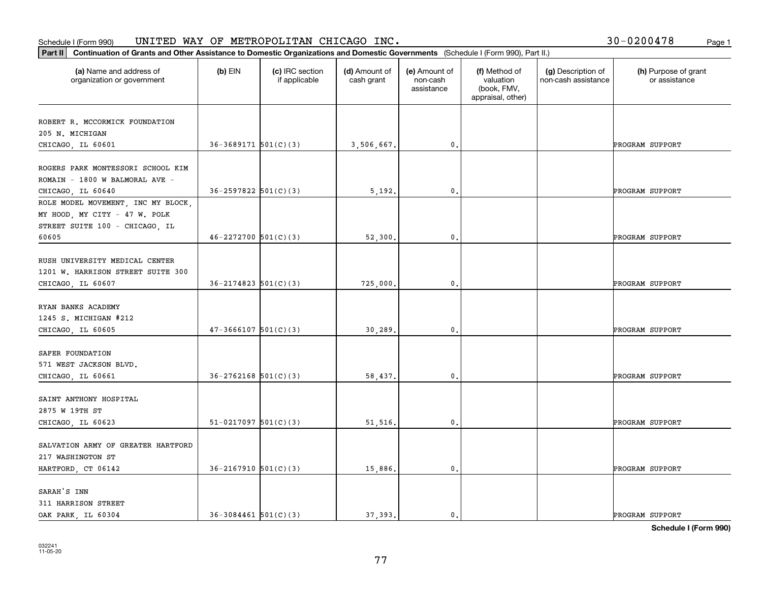#### Schedule I (Form 990) UN⊥TED WAY OF METROPOLLTAN CHICAGO INC. Page 1 UNITED WAY OF METROPOLITAN CHICAGO INC. 30-0200478

|  |  | 30-0200478 | Page 1 |
|--|--|------------|--------|
|--|--|------------|--------|

| Part II   Continuation of Grants and Other Assistance to Domestic Organizations and Domestic Governments (Schedule I (Form 990), Part II.) |                            |                                  |                             |                                         |                                                                |                                           |                                       |
|--------------------------------------------------------------------------------------------------------------------------------------------|----------------------------|----------------------------------|-----------------------------|-----------------------------------------|----------------------------------------------------------------|-------------------------------------------|---------------------------------------|
| (a) Name and address of<br>organization or government                                                                                      | $(b)$ EIN                  | (c) IRC section<br>if applicable | (d) Amount of<br>cash grant | (e) Amount of<br>non-cash<br>assistance | (f) Method of<br>valuation<br>(book, FMV,<br>appraisal, other) | (g) Description of<br>non-cash assistance | (h) Purpose of grant<br>or assistance |
| ROBERT R. MCCORMICK FOUNDATION                                                                                                             |                            |                                  |                             |                                         |                                                                |                                           |                                       |
| 205 N. MICHIGAN                                                                                                                            |                            |                                  |                             |                                         |                                                                |                                           |                                       |
| CHICAGO, IL 60601                                                                                                                          | $36 - 3689171$ $501(C)(3)$ |                                  | 3,506,667.                  | $\mathfrak o$ .                         |                                                                |                                           | PROGRAM SUPPORT                       |
|                                                                                                                                            |                            |                                  |                             |                                         |                                                                |                                           |                                       |
| ROGERS PARK MONTESSORI SCHOOL KIM                                                                                                          |                            |                                  |                             |                                         |                                                                |                                           |                                       |
| ROMAIN - 1800 W BALMORAL AVE -                                                                                                             |                            |                                  |                             |                                         |                                                                |                                           |                                       |
| CHICAGO, IL 60640                                                                                                                          | $36 - 2597822$ $501(C)(3)$ |                                  | 5,192.                      | $\mathfrak{o}$ .                        |                                                                |                                           | PROGRAM SUPPORT                       |
| ROLE MODEL MOVEMENT, INC MY BLOCK,                                                                                                         |                            |                                  |                             |                                         |                                                                |                                           |                                       |
| MY HOOD, MY CITY - 47 W. POLK                                                                                                              |                            |                                  |                             |                                         |                                                                |                                           |                                       |
| STREET SUITE 100 - CHICAGO, IL                                                                                                             |                            |                                  |                             |                                         |                                                                |                                           |                                       |
| 60605                                                                                                                                      | $46 - 2272700$ 501(C)(3)   |                                  | 52,300.                     | $\mathbf 0$ .                           |                                                                |                                           | PROGRAM SUPPORT                       |
|                                                                                                                                            |                            |                                  |                             |                                         |                                                                |                                           |                                       |
| RUSH UNIVERSITY MEDICAL CENTER                                                                                                             |                            |                                  |                             |                                         |                                                                |                                           |                                       |
| 1201 W. HARRISON STREET SUITE 300                                                                                                          |                            |                                  |                             |                                         |                                                                |                                           |                                       |
| CHICAGO, IL 60607                                                                                                                          | $36 - 2174823$ $501(C)(3)$ |                                  | 725,000.                    | 0.                                      |                                                                |                                           | PROGRAM SUPPORT                       |
|                                                                                                                                            |                            |                                  |                             |                                         |                                                                |                                           |                                       |
| RYAN BANKS ACADEMY                                                                                                                         |                            |                                  |                             |                                         |                                                                |                                           |                                       |
| 1245 S. MICHIGAN #212                                                                                                                      |                            |                                  |                             |                                         |                                                                |                                           |                                       |
| CHICAGO, IL 60605                                                                                                                          | $47 - 3666107$ 501(C)(3)   |                                  | 30,289.                     | $\mathbf{0}$                            |                                                                |                                           | PROGRAM SUPPORT                       |
| SAFER FOUNDATION                                                                                                                           |                            |                                  |                             |                                         |                                                                |                                           |                                       |
| 571 WEST JACKSON BLVD.                                                                                                                     |                            |                                  |                             |                                         |                                                                |                                           |                                       |
| CHICAGO, IL 60661                                                                                                                          | $36 - 2762168$ $501(C)(3)$ |                                  | 58,437.                     | 0.                                      |                                                                |                                           | PROGRAM SUPPORT                       |
|                                                                                                                                            |                            |                                  |                             |                                         |                                                                |                                           |                                       |
| SAINT ANTHONY HOSPITAL                                                                                                                     |                            |                                  |                             |                                         |                                                                |                                           |                                       |
| 2875 W 19TH ST                                                                                                                             |                            |                                  |                             |                                         |                                                                |                                           |                                       |
| CHICAGO, IL 60623                                                                                                                          | $51-0217097$ $501(C)(3)$   |                                  | 51,516.                     | $\mathbf{0}$ .                          |                                                                |                                           | PROGRAM SUPPORT                       |
|                                                                                                                                            |                            |                                  |                             |                                         |                                                                |                                           |                                       |
| SALVATION ARMY OF GREATER HARTFORD                                                                                                         |                            |                                  |                             |                                         |                                                                |                                           |                                       |
| 217 WASHINGTON ST                                                                                                                          |                            |                                  |                             |                                         |                                                                |                                           |                                       |
| HARTFORD, CT 06142                                                                                                                         | $36 - 2167910$ $501(C)(3)$ |                                  | 15,886.                     | $\mathbf 0$ .                           |                                                                |                                           | PROGRAM SUPPORT                       |
|                                                                                                                                            |                            |                                  |                             |                                         |                                                                |                                           |                                       |
| SARAH'S INN                                                                                                                                |                            |                                  |                             |                                         |                                                                |                                           |                                       |
| 311 HARRISON STREET                                                                                                                        |                            |                                  |                             |                                         |                                                                |                                           |                                       |
| OAK PARK, IL 60304                                                                                                                         | $36 - 3084461$ $501(C)(3)$ |                                  | 37.393.                     | $\mathfrak{o}$ .                        |                                                                |                                           | PROGRAM SUPPORT                       |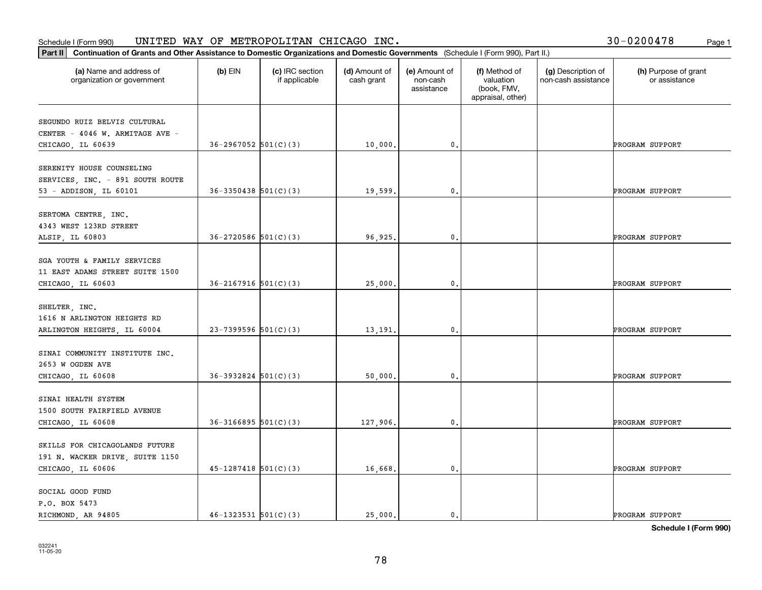| 30-0200478<br>Page 1 |  |
|----------------------|--|
|----------------------|--|

| (a) Name and address of<br>organization or government | $(b)$ EIN                  | (c) IRC section<br>if applicable | (d) Amount of<br>cash grant | (e) Amount of<br>non-cash<br>assistance | (f) Method of<br>valuation<br>(book, FMV,<br>appraisal, other) | (g) Description of<br>non-cash assistance | (h) Purpose of grant<br>or assistance |
|-------------------------------------------------------|----------------------------|----------------------------------|-----------------------------|-----------------------------------------|----------------------------------------------------------------|-------------------------------------------|---------------------------------------|
| SEGUNDO RUIZ BELVIS CULTURAL                          |                            |                                  |                             |                                         |                                                                |                                           |                                       |
| CENTER - 4046 W. ARMITAGE AVE -                       |                            |                                  |                             |                                         |                                                                |                                           |                                       |
| CHICAGO, IL 60639                                     | $36-2967052$ $501(C)(3)$   |                                  | 10,000.                     | $\mathfrak o$ .                         |                                                                |                                           | PROGRAM SUPPORT                       |
| SERENITY HOUSE COUNSELING                             |                            |                                  |                             |                                         |                                                                |                                           |                                       |
| SERVICES, INC. - 891 SOUTH ROUTE                      |                            |                                  |                             |                                         |                                                                |                                           |                                       |
| 53 - ADDISON, IL 60101                                | $36 - 3350438$ $501(C)(3)$ |                                  | 19,599.                     | $\mathbf{0}$ .                          |                                                                |                                           | PROGRAM SUPPORT                       |
| SERTOMA CENTRE, INC.                                  |                            |                                  |                             |                                         |                                                                |                                           |                                       |
| 4343 WEST 123RD STREET                                |                            |                                  |                             |                                         |                                                                |                                           |                                       |
| ALSIP, IL 60803                                       | $36-2720586$ $501(C)(3)$   |                                  | 96,925.                     | $\mathbf{0}$ .                          |                                                                |                                           | PROGRAM SUPPORT                       |
|                                                       |                            |                                  |                             |                                         |                                                                |                                           |                                       |
| SGA YOUTH & FAMILY SERVICES                           |                            |                                  |                             |                                         |                                                                |                                           |                                       |
| 11 EAST ADAMS STREET SUITE 1500                       | $36 - 2167916$ $501(C)(3)$ |                                  |                             | $\mathbf{0}$ .                          |                                                                |                                           | PROGRAM SUPPORT                       |
| CHICAGO, IL 60603                                     |                            |                                  | 25,000.                     |                                         |                                                                |                                           |                                       |
| SHELTER, INC.                                         |                            |                                  |                             |                                         |                                                                |                                           |                                       |
| 1616 N ARLINGTON HEIGHTS RD                           |                            |                                  |                             |                                         |                                                                |                                           |                                       |
| ARLINGTON HEIGHTS, IL 60004                           | $23 - 7399596$ 501(C)(3)   |                                  | 13,191                      | $\mathbf{0}$                            |                                                                |                                           | PROGRAM SUPPORT                       |
| SINAI COMMUNITY INSTITUTE INC.                        |                            |                                  |                             |                                         |                                                                |                                           |                                       |
| 2653 W OGDEN AVE                                      |                            |                                  |                             |                                         |                                                                |                                           |                                       |
| CHICAGO, IL 60608                                     | $36-3932824$ $501(C)(3)$   |                                  | 50,000.                     | 0.                                      |                                                                |                                           | PROGRAM SUPPORT                       |
|                                                       |                            |                                  |                             |                                         |                                                                |                                           |                                       |
| SINAI HEALTH SYSTEM                                   |                            |                                  |                             |                                         |                                                                |                                           |                                       |
| 1500 SOUTH FAIRFIELD AVENUE                           |                            |                                  |                             |                                         |                                                                |                                           |                                       |
| CHICAGO, IL 60608                                     | $36 - 3166895$ $501(C)(3)$ |                                  | 127,906.                    | $\mathbf{0}$ .                          |                                                                |                                           | PROGRAM SUPPORT                       |
| SKILLS FOR CHICAGOLANDS FUTURE                        |                            |                                  |                             |                                         |                                                                |                                           |                                       |
| 191 N. WACKER DRIVE, SUITE 1150                       |                            |                                  |                             |                                         |                                                                |                                           |                                       |
| CHICAGO, IL 60606                                     | $45 - 1287418$ 501(C)(3)   |                                  | 16,668.                     | $\mathbf{0}$ .                          |                                                                |                                           | PROGRAM SUPPORT                       |
| SOCIAL GOOD FUND                                      |                            |                                  |                             |                                         |                                                                |                                           |                                       |
| P.O. BOX 5473                                         |                            |                                  |                             |                                         |                                                                |                                           |                                       |
| RICHMOND, AR 94805                                    | $46 - 1323531$ $501(C)(3)$ |                                  | 25,000.                     | 0.                                      |                                                                |                                           | PROGRAM SUPPORT                       |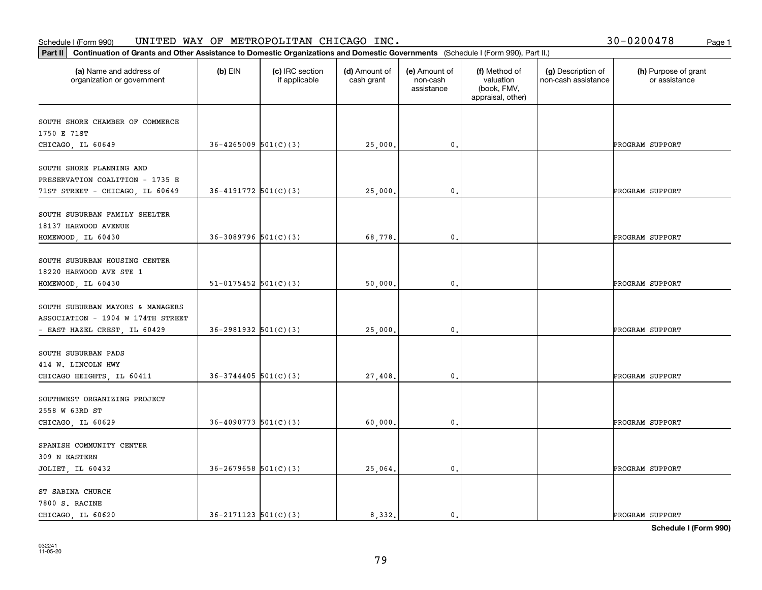| 30-0200478 | Page 1 |
|------------|--------|
|------------|--------|

| Continuation of Grants and Other Assistance to Domestic Organizations and Domestic Governments (Schedule I (Form 990), Part II.)<br>Part II |                            |                                  |                             |                                         |                                                                |                                           |                                       |
|---------------------------------------------------------------------------------------------------------------------------------------------|----------------------------|----------------------------------|-----------------------------|-----------------------------------------|----------------------------------------------------------------|-------------------------------------------|---------------------------------------|
| (a) Name and address of<br>organization or government                                                                                       | $(b)$ EIN                  | (c) IRC section<br>if applicable | (d) Amount of<br>cash grant | (e) Amount of<br>non-cash<br>assistance | (f) Method of<br>valuation<br>(book, FMV,<br>appraisal, other) | (g) Description of<br>non-cash assistance | (h) Purpose of grant<br>or assistance |
| SOUTH SHORE CHAMBER OF COMMERCE                                                                                                             |                            |                                  |                             |                                         |                                                                |                                           |                                       |
| 1750 E 71ST                                                                                                                                 |                            |                                  |                             |                                         |                                                                |                                           |                                       |
| CHICAGO, IL 60649                                                                                                                           | $36 - 4265009$ $501(C)(3)$ |                                  | 25,000.                     | $\mathbf{0}$ .                          |                                                                |                                           | PROGRAM SUPPORT                       |
| SOUTH SHORE PLANNING AND<br>PRESERVATION COALITION - 1735 E                                                                                 |                            |                                  |                             |                                         |                                                                |                                           |                                       |
| 71ST STREET - CHICAGO, IL 60649                                                                                                             | $36 - 4191772$ 501(C)(3)   |                                  | 25,000.                     | $\mathbf{0}$ .                          |                                                                |                                           | PROGRAM SUPPORT                       |
| SOUTH SUBURBAN FAMILY SHELTER<br>18137 HARWOOD AVENUE                                                                                       |                            |                                  |                             |                                         |                                                                |                                           |                                       |
| HOMEWOOD, IL 60430                                                                                                                          | $36-3089796$ $501(C)(3)$   |                                  | 68,778.                     | 0.                                      |                                                                |                                           | PROGRAM SUPPORT                       |
| SOUTH SUBURBAN HOUSING CENTER<br>18220 HARWOOD AVE STE 1<br>HOMEWOOD, IL 60430                                                              | $51-0175452$ $501(C)(3)$   |                                  | 50,000.                     | 0.                                      |                                                                |                                           | PROGRAM SUPPORT                       |
|                                                                                                                                             |                            |                                  |                             |                                         |                                                                |                                           |                                       |
| SOUTH SUBURBAN MAYORS & MANAGERS<br>ASSOCIATION - 1904 W 174TH STREET<br>- EAST HAZEL CREST, IL 60429                                       | $36 - 2981932$ $501(C)(3)$ |                                  | 25,000.                     | $\mathbf{0}$ .                          |                                                                |                                           | PROGRAM SUPPORT                       |
| SOUTH SUBURBAN PADS<br>414 W. LINCOLN HWY                                                                                                   |                            |                                  |                             |                                         |                                                                |                                           |                                       |
| CHICAGO HEIGHTS, IL 60411                                                                                                                   | $36 - 3744405$ 501(C)(3)   |                                  | 27,408.                     | 0.                                      |                                                                |                                           | PROGRAM SUPPORT                       |
| SOUTHWEST ORGANIZING PROJECT<br>2558 W 63RD ST                                                                                              |                            |                                  |                             |                                         |                                                                |                                           |                                       |
| CHICAGO, IL 60629                                                                                                                           | $36 - 4090773$ 501(C)(3)   |                                  | 60,000.                     | 0.                                      |                                                                |                                           | PROGRAM SUPPORT                       |
| SPANISH COMMUNITY CENTER<br>309 N EASTERN                                                                                                   |                            |                                  |                             |                                         |                                                                |                                           |                                       |
| JOLIET, IL 60432                                                                                                                            | $36 - 2679658$ 501(C)(3)   |                                  | 25,064.                     | $\mathfrak o$ .                         |                                                                |                                           | PROGRAM SUPPORT                       |
| ST SABINA CHURCH<br>7800 S. RACINE<br>CHICAGO, IL 60620                                                                                     | $36 - 2171123$ $501(C)(3)$ |                                  | 8.332.                      | $\mathbf{0}$ .                          |                                                                |                                           | PROGRAM SUPPORT                       |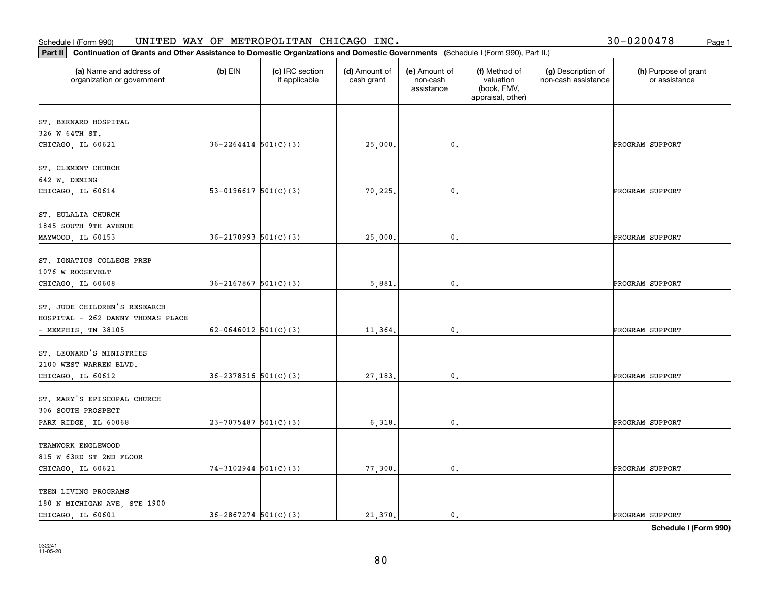|  |  | 30-0200478 |  | Page 1 |
|--|--|------------|--|--------|
|--|--|------------|--|--------|

| (a) Name and address of           | $(b)$ EIN                  | (c) IRC section | (d) Amount of | (e) Amount of          | (f) Method of                                 | (g) Description of  | (h) Purpose of grant |
|-----------------------------------|----------------------------|-----------------|---------------|------------------------|-----------------------------------------------|---------------------|----------------------|
| organization or government        |                            | if applicable   | cash grant    | non-cash<br>assistance | valuation<br>(book, FMV,<br>appraisal, other) | non-cash assistance | or assistance        |
| ST. BERNARD HOSPITAL              |                            |                 |               |                        |                                               |                     |                      |
| 326 W 64TH ST.                    |                            |                 |               |                        |                                               |                     |                      |
| CHICAGO, IL 60621                 | $36 - 2264414$ $501(C)(3)$ |                 | 25,000.       | $\mathbf{0}$ .         |                                               |                     | PROGRAM SUPPORT      |
| ST. CLEMENT CHURCH                |                            |                 |               |                        |                                               |                     |                      |
| 642 W. DEMING                     |                            |                 |               |                        |                                               |                     |                      |
| CHICAGO, IL 60614                 | 53-0196617 $501(C)(3)$     |                 | 70,225.       | 0.                     |                                               |                     | PROGRAM SUPPORT      |
| ST. EULALIA CHURCH                |                            |                 |               |                        |                                               |                     |                      |
| 1845 SOUTH 9TH AVENUE             |                            |                 |               |                        |                                               |                     |                      |
| MAYWOOD, IL 60153                 | $36 - 2170993$ $501(C)(3)$ |                 | 25,000        | $\mathbf{0}$ .         |                                               |                     | PROGRAM SUPPORT      |
| ST. IGNATIUS COLLEGE PREP         |                            |                 |               |                        |                                               |                     |                      |
| 1076 W ROOSEVELT                  |                            |                 |               |                        |                                               |                     |                      |
| CHICAGO, IL 60608                 | $36 - 2167867$ 501(C)(3)   |                 | 5,881.        | 0.                     |                                               |                     | PROGRAM SUPPORT      |
|                                   |                            |                 |               |                        |                                               |                     |                      |
| ST. JUDE CHILDREN'S RESEARCH      |                            |                 |               |                        |                                               |                     |                      |
| HOSPITAL - 262 DANNY THOMAS PLACE |                            |                 |               |                        |                                               |                     |                      |
| - MEMPHIS, TN 38105               | $62 - 0646012$ 501(C)(3)   |                 | 11,364.       | 0.                     |                                               |                     | PROGRAM SUPPORT      |
| ST. LEONARD'S MINISTRIES          |                            |                 |               |                        |                                               |                     |                      |
| 2100 WEST WARREN BLVD.            |                            |                 |               |                        |                                               |                     |                      |
| CHICAGO, IL 60612                 | $36 - 2378516$ $501(C)(3)$ |                 | 27,183.       | 0.                     |                                               |                     | PROGRAM SUPPORT      |
| ST. MARY'S EPISCOPAL CHURCH       |                            |                 |               |                        |                                               |                     |                      |
| 306 SOUTH PROSPECT                |                            |                 |               |                        |                                               |                     |                      |
| PARK RIDGE, IL 60068              | $23 - 7075487$ 501(C)(3)   |                 | 6,318         | $\mathbf{0}$ .         |                                               |                     | PROGRAM SUPPORT      |
| TEAMWORK ENGLEWOOD                |                            |                 |               |                        |                                               |                     |                      |
| 815 W 63RD ST 2ND FLOOR           |                            |                 |               |                        |                                               |                     |                      |
| CHICAGO, IL 60621                 | $74-3102944$ 501(C)(3)     |                 | 77,300.       | $\mathbf{0}$ .         |                                               |                     | PROGRAM SUPPORT      |
| TEEN LIVING PROGRAMS              |                            |                 |               |                        |                                               |                     |                      |
| 180 N MICHIGAN AVE, STE 1900      |                            |                 |               |                        |                                               |                     |                      |
| CHICAGO, IL 60601                 | $36 - 2867274$ 501(C)(3)   |                 | 21.370.       | 0.                     |                                               |                     | PROGRAM SUPPORT      |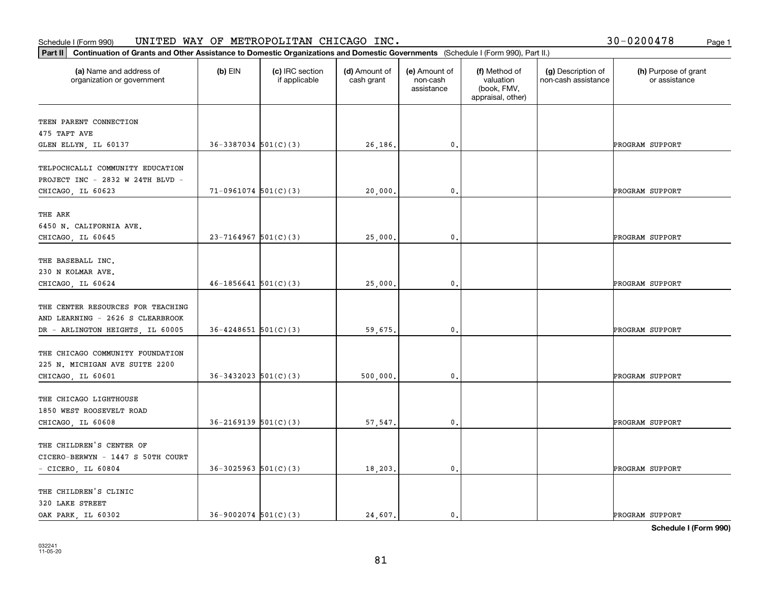| Part II   Continuation of Grants and Other Assistance to Domestic Organizations and Domestic Governments (Schedule I (Form 990), Part II.) |                            |                                  |                             |                                         |                                                                |                                           |                                       |
|--------------------------------------------------------------------------------------------------------------------------------------------|----------------------------|----------------------------------|-----------------------------|-----------------------------------------|----------------------------------------------------------------|-------------------------------------------|---------------------------------------|
| (a) Name and address of<br>organization or government                                                                                      | $(b)$ EIN                  | (c) IRC section<br>if applicable | (d) Amount of<br>cash grant | (e) Amount of<br>non-cash<br>assistance | (f) Method of<br>valuation<br>(book, FMV,<br>appraisal, other) | (g) Description of<br>non-cash assistance | (h) Purpose of grant<br>or assistance |
| TEEN PARENT CONNECTION                                                                                                                     |                            |                                  |                             |                                         |                                                                |                                           |                                       |
| 475 TAFT AVE                                                                                                                               |                            |                                  |                             |                                         |                                                                |                                           |                                       |
| GLEN ELLYN, IL 60137                                                                                                                       | $36-3387034$ $501(C)(3)$   |                                  | 26,186.                     | $\mathbf{0}$ .                          |                                                                |                                           | PROGRAM SUPPORT                       |
| TELPOCHCALLI COMMUNITY EDUCATION<br>PROJECT INC - 2832 W 24TH BLVD -                                                                       |                            |                                  |                             |                                         |                                                                |                                           |                                       |
| CHICAGO, IL 60623                                                                                                                          | $71-0961074$ 501(C)(3)     |                                  | 20,000                      | 0.                                      |                                                                |                                           | PROGRAM SUPPORT                       |
| THE ARK<br>6450 N. CALIFORNIA AVE.<br>CHICAGO, IL 60645                                                                                    | $23 - 7164967$ 501(C)(3)   |                                  | 25,000.                     | $\mathfrak{o}$ .                        |                                                                |                                           | PROGRAM SUPPORT                       |
|                                                                                                                                            |                            |                                  |                             |                                         |                                                                |                                           |                                       |
| THE BASEBALL INC.<br>230 N KOLMAR AVE.                                                                                                     |                            |                                  |                             |                                         |                                                                |                                           |                                       |
| CHICAGO, IL 60624                                                                                                                          | $46 - 1856641$ 501(C)(3)   |                                  | 25,000.                     | 0.                                      |                                                                |                                           | PROGRAM SUPPORT                       |
| THE CENTER RESOURCES FOR TEACHING<br>AND LEARNING - 2626 S CLEARBROOK                                                                      |                            |                                  |                             |                                         |                                                                |                                           |                                       |
| DR - ARLINGTON HEIGHTS, IL 60005                                                                                                           | $36 - 4248651$ $501(C)(3)$ |                                  | 59,675.                     | $\mathbf{0}$                            |                                                                |                                           | PROGRAM SUPPORT                       |
| THE CHICAGO COMMUNITY FOUNDATION<br>225 N. MICHIGAN AVE SUITE 2200<br>CHICAGO, IL 60601                                                    | $36 - 3432023$ $501(C)(3)$ |                                  | 500,000.                    | 0.                                      |                                                                |                                           | PROGRAM SUPPORT                       |
|                                                                                                                                            |                            |                                  |                             |                                         |                                                                |                                           |                                       |
| THE CHICAGO LIGHTHOUSE<br>1850 WEST ROOSEVELT ROAD                                                                                         |                            |                                  |                             |                                         |                                                                |                                           |                                       |
| CHICAGO, IL 60608                                                                                                                          | $36 - 2169139$ $501(C)(3)$ |                                  | 57,547.                     | $^{\rm 0}$ .                            |                                                                |                                           | PROGRAM SUPPORT                       |
| THE CHILDREN'S CENTER OF<br>CICERO-BERWYN - 1447 S 50TH COURT                                                                              |                            |                                  |                             |                                         |                                                                |                                           |                                       |
| $-$ CICERO, IL 60804                                                                                                                       | $36 - 3025963$ $501(C)(3)$ |                                  | 18,203.                     | $\mathfrak{o}$ .                        |                                                                |                                           | PROGRAM SUPPORT                       |
| THE CHILDREN'S CLINIC<br>320 LAKE STREET                                                                                                   |                            |                                  |                             |                                         |                                                                |                                           |                                       |
| OAK PARK, IL 60302                                                                                                                         | $36 - 9002074$ 501(C)(3)   |                                  | 24,607.                     | $\mathbf{0}$ .                          |                                                                |                                           | PROGRAM SUPPORT                       |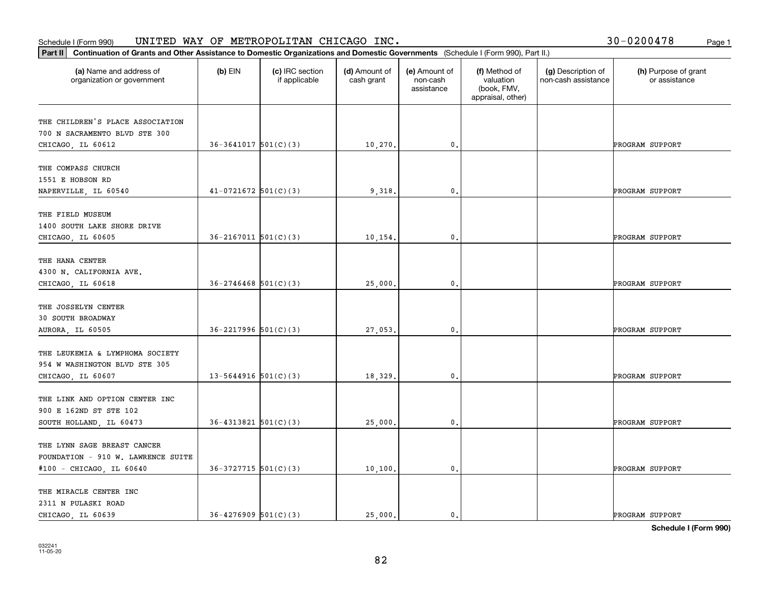#### Schedule I (Form 990) UN⊥TED WAY OF METROPOLLTAN CHICAGO INC. Page 1 UNITED WAY OF METROPOLITAN CHICAGO INC. 30-0200478

| 30-0200478 | Page 1 |
|------------|--------|
|------------|--------|

| Part II   Continuation of Grants and Other Assistance to Domestic Organizations and Domestic Governments (Schedule I (Form 990), Part II.) |                            |                                  |                             |                                         |                                                                |                                           |                                       |
|--------------------------------------------------------------------------------------------------------------------------------------------|----------------------------|----------------------------------|-----------------------------|-----------------------------------------|----------------------------------------------------------------|-------------------------------------------|---------------------------------------|
| (a) Name and address of<br>organization or government                                                                                      | $(b)$ EIN                  | (c) IRC section<br>if applicable | (d) Amount of<br>cash grant | (e) Amount of<br>non-cash<br>assistance | (f) Method of<br>valuation<br>(book, FMV,<br>appraisal, other) | (g) Description of<br>non-cash assistance | (h) Purpose of grant<br>or assistance |
| THE CHILDREN'S PLACE ASSOCIATION                                                                                                           |                            |                                  |                             |                                         |                                                                |                                           |                                       |
| 700 N SACRAMENTO BLVD STE 300                                                                                                              |                            |                                  |                             |                                         |                                                                |                                           |                                       |
| CHICAGO, IL 60612                                                                                                                          | $36-3641017$ $501(C)(3)$   |                                  | 10,270.                     | $\mathbf{0}$ .                          |                                                                |                                           | PROGRAM SUPPORT                       |
|                                                                                                                                            |                            |                                  |                             |                                         |                                                                |                                           |                                       |
| THE COMPASS CHURCH<br>1551 E HOBSON RD                                                                                                     |                            |                                  |                             |                                         |                                                                |                                           |                                       |
| NAPERVILLE, IL 60540                                                                                                                       | $41-0721672$ 501(C)(3)     |                                  | 9,318                       | $\mathfrak{o}$ .                        |                                                                |                                           | PROGRAM SUPPORT                       |
|                                                                                                                                            |                            |                                  |                             |                                         |                                                                |                                           |                                       |
| THE FIELD MUSEUM                                                                                                                           |                            |                                  |                             |                                         |                                                                |                                           |                                       |
| 1400 SOUTH LAKE SHORE DRIVE                                                                                                                |                            |                                  |                             |                                         |                                                                |                                           |                                       |
| CHICAGO, IL 60605                                                                                                                          | $36 - 2167011$ $501(C)(3)$ |                                  | 10,154.                     | $\mathbf 0$ .                           |                                                                |                                           | PROGRAM SUPPORT                       |
|                                                                                                                                            |                            |                                  |                             |                                         |                                                                |                                           |                                       |
| THE HANA CENTER                                                                                                                            |                            |                                  |                             |                                         |                                                                |                                           |                                       |
| 4300 N. CALIFORNIA AVE.                                                                                                                    |                            |                                  |                             |                                         |                                                                |                                           |                                       |
| CHICAGO, IL 60618                                                                                                                          | $36 - 2746468$ 501(C)(3)   |                                  | 25,000.                     | 0.                                      |                                                                |                                           | PROGRAM SUPPORT                       |
| THE JOSSELYN CENTER                                                                                                                        |                            |                                  |                             |                                         |                                                                |                                           |                                       |
| <b>30 SOUTH BROADWAY</b>                                                                                                                   |                            |                                  |                             |                                         |                                                                |                                           |                                       |
| AURORA, IL 60505                                                                                                                           | $36 - 2217996$ $501(C)(3)$ |                                  | 27,053.                     | $\mathbf{0}$                            |                                                                |                                           | PROGRAM SUPPORT                       |
|                                                                                                                                            |                            |                                  |                             |                                         |                                                                |                                           |                                       |
| THE LEUKEMIA & LYMPHOMA SOCIETY                                                                                                            |                            |                                  |                             |                                         |                                                                |                                           |                                       |
| 954 W WASHINGTON BLVD STE 305                                                                                                              |                            |                                  |                             |                                         |                                                                |                                           |                                       |
| CHICAGO, IL 60607                                                                                                                          | 13-5644916 $501(C)(3)$     |                                  | 18,329.                     | 0.                                      |                                                                |                                           | PROGRAM SUPPORT                       |
|                                                                                                                                            |                            |                                  |                             |                                         |                                                                |                                           |                                       |
| THE LINK AND OPTION CENTER INC                                                                                                             |                            |                                  |                             |                                         |                                                                |                                           |                                       |
| 900 E 162ND ST STE 102                                                                                                                     |                            |                                  |                             |                                         |                                                                |                                           |                                       |
| SOUTH HOLLAND, IL 60473                                                                                                                    | $36 - 4313821$ $501(C)(3)$ |                                  | 25,000.                     | $\mathbf{0}$ .                          |                                                                |                                           | PROGRAM SUPPORT                       |
| THE LYNN SAGE BREAST CANCER                                                                                                                |                            |                                  |                             |                                         |                                                                |                                           |                                       |
| FOUNDATION - 910 W. LAWRENCE SUITE                                                                                                         |                            |                                  |                             |                                         |                                                                |                                           |                                       |
| #100 - CHICAGO, IL 60640                                                                                                                   | $36-3727715$ $501(C)(3)$   |                                  | 10, 100.                    | $\mathbf{0}$ .                          |                                                                |                                           | PROGRAM SUPPORT                       |
|                                                                                                                                            |                            |                                  |                             |                                         |                                                                |                                           |                                       |
| THE MIRACLE CENTER INC                                                                                                                     |                            |                                  |                             |                                         |                                                                |                                           |                                       |
| 2311 N PULASKI ROAD                                                                                                                        |                            |                                  |                             |                                         |                                                                |                                           |                                       |
| CHICAGO, IL 60639                                                                                                                          | $36 - 4276909$ $501(C)(3)$ |                                  | 25,000.                     | $\mathbf{0}$ .                          |                                                                |                                           | PROGRAM SUPPORT                       |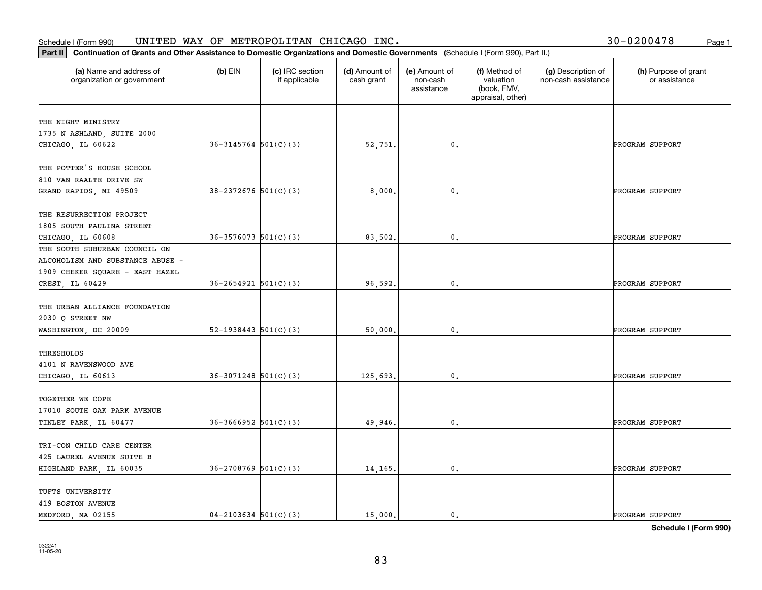#### Schedule I (Form 990) UN⊥TED WAY OF METROPOLLTAN CHICAGO INC. Page 1 UNITED WAY OF METROPOLITAN CHICAGO INC. 30-0200478

| Part II   Continuation of Grants and Other Assistance to Domestic Organizations and Domestic Governments (Schedule I (Form 990), Part II.) |                            |                                  |                             |                                         |                                                                |                                           |                                       |
|--------------------------------------------------------------------------------------------------------------------------------------------|----------------------------|----------------------------------|-----------------------------|-----------------------------------------|----------------------------------------------------------------|-------------------------------------------|---------------------------------------|
| (a) Name and address of<br>organization or government                                                                                      | $(b)$ EIN                  | (c) IRC section<br>if applicable | (d) Amount of<br>cash grant | (e) Amount of<br>non-cash<br>assistance | (f) Method of<br>valuation<br>(book, FMV,<br>appraisal, other) | (g) Description of<br>non-cash assistance | (h) Purpose of grant<br>or assistance |
| THE NIGHT MINISTRY                                                                                                                         |                            |                                  |                             |                                         |                                                                |                                           |                                       |
| 1735 N ASHLAND, SUITE 2000                                                                                                                 |                            |                                  |                             |                                         |                                                                |                                           |                                       |
| CHICAGO, IL 60622                                                                                                                          | $36 - 3145764$ $501(C)(3)$ |                                  | 52,751.                     | 0.                                      |                                                                |                                           | PROGRAM SUPPORT                       |
|                                                                                                                                            |                            |                                  |                             |                                         |                                                                |                                           |                                       |
| THE POTTER'S HOUSE SCHOOL                                                                                                                  |                            |                                  |                             |                                         |                                                                |                                           |                                       |
| 810 VAN RAALTE DRIVE SW                                                                                                                    |                            |                                  |                             |                                         |                                                                |                                           |                                       |
| GRAND RAPIDS, MI 49509                                                                                                                     | $38 - 2372676$ 501(C)(3)   |                                  | 8,000.                      | 0.                                      |                                                                |                                           | PROGRAM SUPPORT                       |
| THE RESURRECTION PROJECT                                                                                                                   |                            |                                  |                             |                                         |                                                                |                                           |                                       |
| 1805 SOUTH PAULINA STREET                                                                                                                  |                            |                                  |                             |                                         |                                                                |                                           |                                       |
| CHICAGO, IL 60608                                                                                                                          | $36 - 3576073$ 501(C)(3)   |                                  | 83,502.                     | $\mathbf{0}$ .                          |                                                                |                                           | PROGRAM SUPPORT                       |
| THE SOUTH SUBURBAN COUNCIL ON                                                                                                              |                            |                                  |                             |                                         |                                                                |                                           |                                       |
| ALCOHOLISM AND SUBSTANCE ABUSE -                                                                                                           |                            |                                  |                             |                                         |                                                                |                                           |                                       |
| 1909 CHEKER SQUARE - EAST HAZEL                                                                                                            |                            |                                  |                             |                                         |                                                                |                                           |                                       |
| CREST, IL 60429                                                                                                                            | $36 - 2654921$ $501(C)(3)$ |                                  | 96,592.                     | 0.                                      |                                                                |                                           | PROGRAM SUPPORT                       |
|                                                                                                                                            |                            |                                  |                             |                                         |                                                                |                                           |                                       |
| THE URBAN ALLIANCE FOUNDATION                                                                                                              |                            |                                  |                             |                                         |                                                                |                                           |                                       |
| 2030 Q STREET NW                                                                                                                           |                            |                                  |                             |                                         |                                                                |                                           |                                       |
| WASHINGTON, DC 20009                                                                                                                       | $52-1938443$ $501(C)(3)$   |                                  | 50,000.                     | 0.                                      |                                                                |                                           | PROGRAM SUPPORT                       |
| THRESHOLDS                                                                                                                                 |                            |                                  |                             |                                         |                                                                |                                           |                                       |
| 4101 N RAVENSWOOD AVE                                                                                                                      |                            |                                  |                             |                                         |                                                                |                                           |                                       |
| CHICAGO, IL 60613                                                                                                                          | $36-3071248$ $501(C)(3)$   |                                  | 125,693.                    | $\mathbf{0}$ .                          |                                                                |                                           | PROGRAM SUPPORT                       |
|                                                                                                                                            |                            |                                  |                             |                                         |                                                                |                                           |                                       |
| TOGETHER WE COPE                                                                                                                           |                            |                                  |                             |                                         |                                                                |                                           |                                       |
| 17010 SOUTH OAK PARK AVENUE                                                                                                                |                            |                                  |                             |                                         |                                                                |                                           |                                       |
| TINLEY PARK, IL 60477                                                                                                                      | $36-3666952$ $501(C)(3)$   |                                  | 49,946.                     | $\mathfrak o$ .                         |                                                                |                                           | PROGRAM SUPPORT                       |
|                                                                                                                                            |                            |                                  |                             |                                         |                                                                |                                           |                                       |
| TRI-CON CHILD CARE CENTER                                                                                                                  |                            |                                  |                             |                                         |                                                                |                                           |                                       |
| 425 LAUREL AVENUE SUITE B                                                                                                                  |                            |                                  |                             |                                         |                                                                |                                           |                                       |
| HIGHLAND PARK, IL 60035                                                                                                                    | $36 - 2708769$ 501(C)(3)   |                                  | 14,165.                     | $\mathfrak o$ .                         |                                                                |                                           | PROGRAM SUPPORT                       |
| TUFTS UNIVERSITY                                                                                                                           |                            |                                  |                             |                                         |                                                                |                                           |                                       |
| 419 BOSTON AVENUE                                                                                                                          |                            |                                  |                             |                                         |                                                                |                                           |                                       |
| MEDFORD, MA 02155                                                                                                                          | $04 - 2103634$ 501(C)(3)   |                                  | 15,000.                     | $\mathbf{0}$ .                          |                                                                |                                           | PROGRAM SUPPORT                       |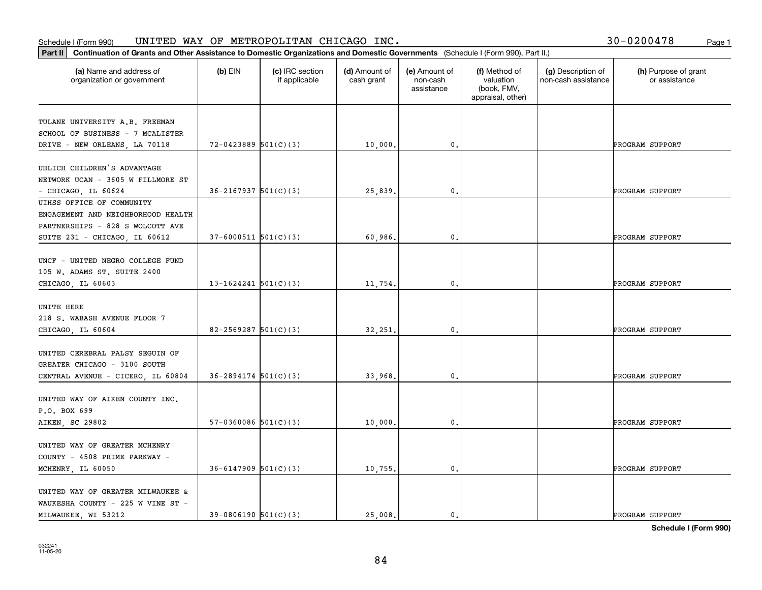### **Part II Continuation of Grants and Other Assistance to Domestic Organization**<br>**Part II Continuation of Grants and Other Assistance to Domestic Organization** Schedule I (Form 990)  $\tt{UNITED}$   $\tt{WAY}$  OF  $\tt{METROPOLITAN}$   $\tt{CHICAGO}$   $\tt{INC.}$   $\tt{VCTS}$   $\tt{VCTS}$   $\tt{VCTS}$   $\tt{VCTS}$   $\tt{VCTS}$   $\tt{VCTS}$   $\tt{VCTS}$   $\tt{VCTS}$   $\tt{VCTS}$   $\tt{VCTS}$   $\tt{VCTS}$   $\tt{VCTS}$   $\tt{VCTS}$   $\tt{VCTS}$   $\tt{V$

|  |  |  | 30-0200478 |  | Page 1 |
|--|--|--|------------|--|--------|
|--|--|--|------------|--|--------|

| Continuation of Grants and Other Assistance to Domestic Organizations and Domestic Governments (Schedule I (Form 990), Part II.)<br>Part II |                            |                                  |                             |                                         |                                                                |                                           |                                       |
|---------------------------------------------------------------------------------------------------------------------------------------------|----------------------------|----------------------------------|-----------------------------|-----------------------------------------|----------------------------------------------------------------|-------------------------------------------|---------------------------------------|
| (a) Name and address of<br>organization or government                                                                                       | $(b)$ EIN                  | (c) IRC section<br>if applicable | (d) Amount of<br>cash grant | (e) Amount of<br>non-cash<br>assistance | (f) Method of<br>valuation<br>(book, FMV,<br>appraisal, other) | (g) Description of<br>non-cash assistance | (h) Purpose of grant<br>or assistance |
| TULANE UNIVERSITY A.B. FREEMAN<br>SCHOOL OF BUSINESS - 7 MCALISTER                                                                          |                            |                                  |                             |                                         |                                                                |                                           |                                       |
| DRIVE - NEW ORLEANS, LA 70118                                                                                                               | $72 - 0423889$ 501(C)(3)   |                                  | 10,000.                     | $\mathbf{0}$ .                          |                                                                |                                           | PROGRAM SUPPORT                       |
| UHLICH CHILDREN'S ADVANTAGE<br>NETWORK UCAN - 3605 W FILLMORE ST<br>$-$ CHICAGO, IL 60624                                                   | $36 - 2167937$ 501(C)(3)   |                                  | 25,839.                     | 0.                                      |                                                                |                                           | PROGRAM SUPPORT                       |
| UIHSS OFFICE OF COMMUNITY<br>ENGAGEMENT AND NEIGHBORHOOD HEALTH<br>PARTNERSHIPS - 828 S WOLCOTT AVE                                         |                            |                                  |                             |                                         |                                                                |                                           |                                       |
| SUITE 231 - CHICAGO, IL 60612                                                                                                               | $37 - 6000511$ $501(C)(3)$ |                                  | 60,986.                     | 0.                                      |                                                                |                                           | PROGRAM SUPPORT                       |
| UNCF - UNITED NEGRO COLLEGE FUND<br>105 W. ADAMS ST. SUITE 2400<br>CHICAGO, IL 60603                                                        | $13-1624241$ $501(C)(3)$   |                                  | 11,754.                     | 0.                                      |                                                                |                                           | PROGRAM SUPPORT                       |
| UNITE HERE<br>218 S. WABASH AVENUE FLOOR 7<br>CHICAGO, IL 60604                                                                             | $82 - 2569287$ 501(C)(3)   |                                  | 32,251.                     | 0.                                      |                                                                |                                           | PROGRAM SUPPORT                       |
| UNITED CEREBRAL PALSY SEGUIN OF<br>GREATER CHICAGO - 3100 SOUTH<br>CENTRAL AVENUE - CICERO, IL 60804                                        | $36 - 2894174$ $501(C)(3)$ |                                  | 33,968                      | 0.                                      |                                                                |                                           | PROGRAM SUPPORT                       |
| UNITED WAY OF AIKEN COUNTY INC.<br>P.O. BOX 699<br>AIKEN, SC 29802                                                                          | $57-0360086$ $501(C)(3)$   |                                  | 10,000                      | $\mathbf{0}$ .                          |                                                                |                                           | PROGRAM SUPPORT                       |
| UNITED WAY OF GREATER MCHENRY<br>COUNTY - 4508 PRIME PARKWAY -<br>MCHENRY, IL 60050                                                         | $36 - 6147909$ $501(C)(3)$ |                                  | 10,755.                     | 0.                                      |                                                                |                                           | PROGRAM SUPPORT                       |
| UNITED WAY OF GREATER MILWAUKEE &<br>WAUKESHA COUNTY - 225 W VINE ST -<br>MILWAUKEE, WI 53212                                               | $39-0806190$ $501(C)(3)$   |                                  | 25.008.                     | $\mathbf{0}$ .                          |                                                                |                                           | PROGRAM SUPPORT                       |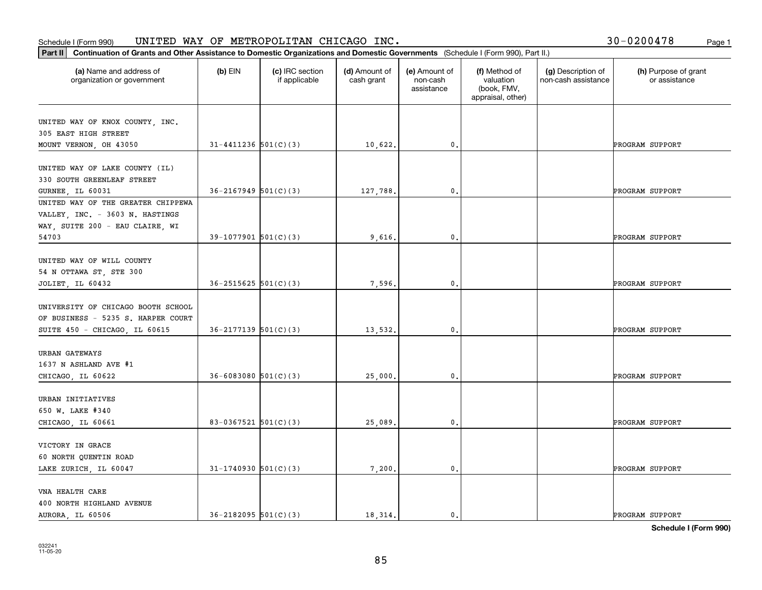| Part II   Continuation of Grants and Other Assistance to Domestic Organizations and Domestic Governments (Schedule I (Form 990), Part II.) |                            |                                  |                             |                                         |                                                                |                                           |                                       |
|--------------------------------------------------------------------------------------------------------------------------------------------|----------------------------|----------------------------------|-----------------------------|-----------------------------------------|----------------------------------------------------------------|-------------------------------------------|---------------------------------------|
| (a) Name and address of<br>organization or government                                                                                      | $(b)$ EIN                  | (c) IRC section<br>if applicable | (d) Amount of<br>cash grant | (e) Amount of<br>non-cash<br>assistance | (f) Method of<br>valuation<br>(book, FMV,<br>appraisal, other) | (g) Description of<br>non-cash assistance | (h) Purpose of grant<br>or assistance |
| UNITED WAY OF KNOX COUNTY, INC.                                                                                                            |                            |                                  |                             |                                         |                                                                |                                           |                                       |
| 305 EAST HIGH STREET                                                                                                                       |                            |                                  |                             |                                         |                                                                |                                           |                                       |
| MOUNT VERNON, OH 43050                                                                                                                     | $31 - 4411236$ $501(C)(3)$ |                                  | 10,622.                     | $\mathbf{0}$ .                          |                                                                |                                           | PROGRAM SUPPORT                       |
|                                                                                                                                            |                            |                                  |                             |                                         |                                                                |                                           |                                       |
| UNITED WAY OF LAKE COUNTY (IL)                                                                                                             |                            |                                  |                             |                                         |                                                                |                                           |                                       |
| 330 SOUTH GREENLEAF STREET                                                                                                                 |                            |                                  |                             |                                         |                                                                |                                           |                                       |
| <b>GURNEE, IL 60031</b>                                                                                                                    | $36 - 2167949$ $501(C)(3)$ |                                  | 127,788.                    | 0.                                      |                                                                |                                           | PROGRAM SUPPORT                       |
| UNITED WAY OF THE GREATER CHIPPEWA                                                                                                         |                            |                                  |                             |                                         |                                                                |                                           |                                       |
| VALLEY, INC. - 3603 N. HASTINGS                                                                                                            |                            |                                  |                             |                                         |                                                                |                                           |                                       |
| WAY, SUITE 200 - EAU CLAIRE, WI                                                                                                            | $39-1077901$ 501(C)(3)     |                                  | 9,616.                      | $\mathbf{0}$ .                          |                                                                |                                           |                                       |
| 54703                                                                                                                                      |                            |                                  |                             |                                         |                                                                |                                           | PROGRAM SUPPORT                       |
| UNITED WAY OF WILL COUNTY                                                                                                                  |                            |                                  |                             |                                         |                                                                |                                           |                                       |
| 54 N OTTAWA ST, STE 300                                                                                                                    |                            |                                  |                             |                                         |                                                                |                                           |                                       |
| JOLIET, IL 60432                                                                                                                           | $36 - 2515625$ $501(C)(3)$ |                                  | 7,596.                      | 0.                                      |                                                                |                                           | PROGRAM SUPPORT                       |
|                                                                                                                                            |                            |                                  |                             |                                         |                                                                |                                           |                                       |
| UNIVERSITY OF CHICAGO BOOTH SCHOOL                                                                                                         |                            |                                  |                             |                                         |                                                                |                                           |                                       |
| OF BUSINESS - 5235 S. HARPER COURT                                                                                                         |                            |                                  |                             |                                         |                                                                |                                           |                                       |
| SUITE 450 - CHICAGO, IL 60615                                                                                                              | $36 - 2177139$ $501(C)(3)$ |                                  | 13,532.                     | 0.                                      |                                                                |                                           | PROGRAM SUPPORT                       |
|                                                                                                                                            |                            |                                  |                             |                                         |                                                                |                                           |                                       |
| URBAN GATEWAYS                                                                                                                             |                            |                                  |                             |                                         |                                                                |                                           |                                       |
| 1637 N ASHLAND AVE #1                                                                                                                      |                            |                                  |                             |                                         |                                                                |                                           |                                       |
| CHICAGO, IL 60622                                                                                                                          | $36 - 6083080$ $501(C)(3)$ |                                  | 25,000.                     | $\mathbf{0}$ .                          |                                                                |                                           | PROGRAM SUPPORT                       |
| URBAN INITIATIVES                                                                                                                          |                            |                                  |                             |                                         |                                                                |                                           |                                       |
| 650 W. LAKE #340                                                                                                                           |                            |                                  |                             |                                         |                                                                |                                           |                                       |
| CHICAGO, IL 60661                                                                                                                          | 83-0367521 $501(C)(3)$     |                                  | 25,089.                     | $\mathfrak{o}$ .                        |                                                                |                                           | PROGRAM SUPPORT                       |
|                                                                                                                                            |                            |                                  |                             |                                         |                                                                |                                           |                                       |
| VICTORY IN GRACE                                                                                                                           |                            |                                  |                             |                                         |                                                                |                                           |                                       |
| 60 NORTH QUENTIN ROAD                                                                                                                      |                            |                                  |                             |                                         |                                                                |                                           |                                       |
| LAKE ZURICH, IL 60047                                                                                                                      | $31-1740930$ 501(C)(3)     |                                  | 7,200.                      | $\mathfrak o$ .                         |                                                                |                                           | PROGRAM SUPPORT                       |
|                                                                                                                                            |                            |                                  |                             |                                         |                                                                |                                           |                                       |
| VNA HEALTH CARE                                                                                                                            |                            |                                  |                             |                                         |                                                                |                                           |                                       |
| 400 NORTH HIGHLAND AVENUE                                                                                                                  |                            |                                  |                             |                                         |                                                                |                                           |                                       |
| AURORA, IL 60506                                                                                                                           | $36 - 2182095$ $501(C)(3)$ |                                  | 18,314.                     | $\mathbf{0}$ .                          |                                                                |                                           | PROGRAM SUPPORT                       |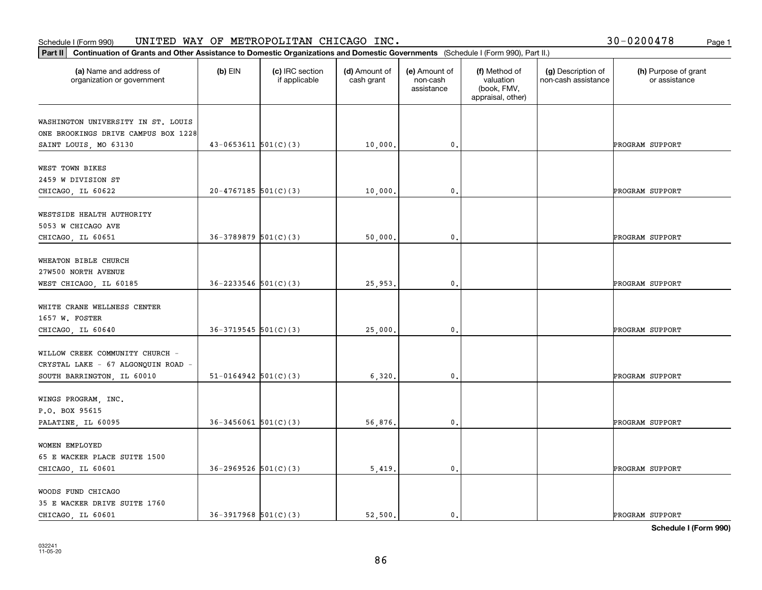| 30-0200478 | Page 1 |
|------------|--------|
|            |        |

| Part II   Continuation of Grants and Other Assistance to Domestic Organizations and Domestic Governments (Schedule I (Form 990), Part II.) |                            |                                  |                             |                                         |                                                                |                                           |                                       |
|--------------------------------------------------------------------------------------------------------------------------------------------|----------------------------|----------------------------------|-----------------------------|-----------------------------------------|----------------------------------------------------------------|-------------------------------------------|---------------------------------------|
| (a) Name and address of<br>organization or government                                                                                      | $(b)$ EIN                  | (c) IRC section<br>if applicable | (d) Amount of<br>cash grant | (e) Amount of<br>non-cash<br>assistance | (f) Method of<br>valuation<br>(book, FMV,<br>appraisal, other) | (g) Description of<br>non-cash assistance | (h) Purpose of grant<br>or assistance |
| WASHINGTON UNIVERSITY IN ST. LOUIS                                                                                                         |                            |                                  |                             |                                         |                                                                |                                           |                                       |
| ONE BROOKINGS DRIVE CAMPUS BOX 1228                                                                                                        |                            |                                  |                             |                                         |                                                                |                                           |                                       |
| SAINT LOUIS, MO 63130                                                                                                                      | $43-0653611$ $501(C)(3)$   |                                  | 10,000.                     | 0.                                      |                                                                |                                           | PROGRAM SUPPORT                       |
|                                                                                                                                            |                            |                                  |                             |                                         |                                                                |                                           |                                       |
| WEST TOWN BIKES                                                                                                                            |                            |                                  |                             |                                         |                                                                |                                           |                                       |
| 2459 W DIVISION ST                                                                                                                         |                            |                                  |                             |                                         |                                                                |                                           |                                       |
| CHICAGO, IL 60622                                                                                                                          | $20-4767185$ 501(C)(3)     |                                  | 10,000                      | 0.                                      |                                                                |                                           | PROGRAM SUPPORT                       |
| WESTSIDE HEALTH AUTHORITY                                                                                                                  |                            |                                  |                             |                                         |                                                                |                                           |                                       |
| 5053 W CHICAGO AVE                                                                                                                         |                            |                                  |                             |                                         |                                                                |                                           |                                       |
| CHICAGO, IL 60651                                                                                                                          | $36-3789879$ 501(C)(3)     |                                  | 50,000.                     | 0.                                      |                                                                |                                           | PROGRAM SUPPORT                       |
|                                                                                                                                            |                            |                                  |                             |                                         |                                                                |                                           |                                       |
| WHEATON BIBLE CHURCH                                                                                                                       |                            |                                  |                             |                                         |                                                                |                                           |                                       |
| 27W500 NORTH AVENUE                                                                                                                        |                            |                                  |                             |                                         |                                                                |                                           |                                       |
| WEST CHICAGO, IL 60185                                                                                                                     | $36 - 2233546$ $501(C)(3)$ |                                  | 25,953.                     | 0.                                      |                                                                |                                           | PROGRAM SUPPORT                       |
|                                                                                                                                            |                            |                                  |                             |                                         |                                                                |                                           |                                       |
| WHITE CRANE WELLNESS CENTER                                                                                                                |                            |                                  |                             |                                         |                                                                |                                           |                                       |
| 1657 W. FOSTER                                                                                                                             |                            |                                  |                             |                                         |                                                                |                                           |                                       |
| CHICAGO, IL 60640                                                                                                                          | $36-3719545$ $501(C)(3)$   |                                  | 25,000.                     | 0.                                      |                                                                |                                           | PROGRAM SUPPORT                       |
| WILLOW CREEK COMMUNITY CHURCH -                                                                                                            |                            |                                  |                             |                                         |                                                                |                                           |                                       |
| CRYSTAL LAKE - 67 ALGONQUIN ROAD -                                                                                                         |                            |                                  |                             |                                         |                                                                |                                           |                                       |
| SOUTH BARRINGTON, IL 60010                                                                                                                 | $51-0164942$ $501(C)(3)$   |                                  | 6,320.                      | $\mathbf{0}$ .                          |                                                                |                                           | PROGRAM SUPPORT                       |
|                                                                                                                                            |                            |                                  |                             |                                         |                                                                |                                           |                                       |
| WINGS PROGRAM, INC.                                                                                                                        |                            |                                  |                             |                                         |                                                                |                                           |                                       |
| P.O. BOX 95615                                                                                                                             |                            |                                  |                             |                                         |                                                                |                                           |                                       |
| PALATINE, IL 60095                                                                                                                         | $36 - 3456061$ $501(C)(3)$ |                                  | 56,876.                     | $\mathfrak{o}$ .                        |                                                                |                                           | PROGRAM SUPPORT                       |
|                                                                                                                                            |                            |                                  |                             |                                         |                                                                |                                           |                                       |
| WOMEN EMPLOYED                                                                                                                             |                            |                                  |                             |                                         |                                                                |                                           |                                       |
| 65 E WACKER PLACE SUITE 1500                                                                                                               |                            |                                  |                             |                                         |                                                                |                                           |                                       |
| CHICAGO, IL 60601                                                                                                                          | $36 - 2969526$ 501(C)(3)   |                                  | 5,419.                      | $\mathfrak o$ .                         |                                                                |                                           | PROGRAM SUPPORT                       |
| WOODS FUND CHICAGO                                                                                                                         |                            |                                  |                             |                                         |                                                                |                                           |                                       |
| 35 E WACKER DRIVE SUITE 1760                                                                                                               |                            |                                  |                             |                                         |                                                                |                                           |                                       |
| CHICAGO, IL 60601                                                                                                                          | $36-3917968$ $501(C)(3)$   |                                  | 52.500.                     | $\mathbf{0}$ .                          |                                                                |                                           | PROGRAM SUPPORT                       |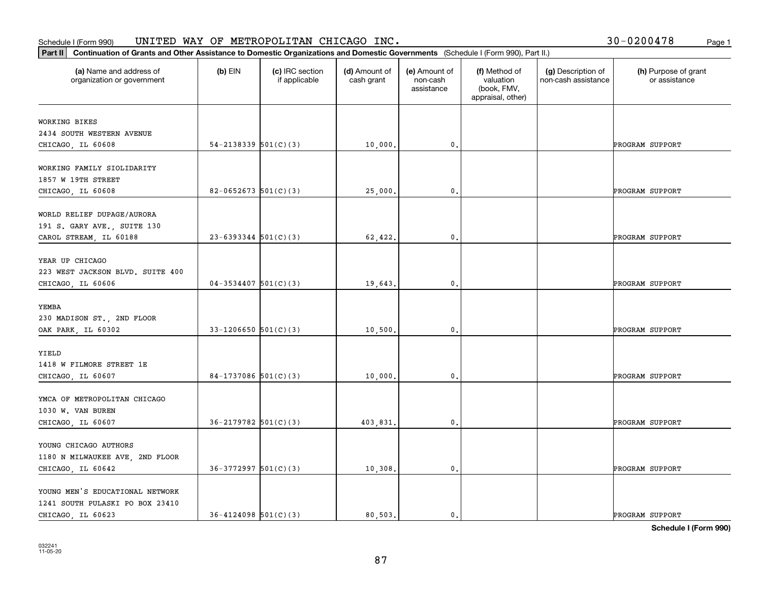#### Schedule I (Form 990) UN⊥TED WAY OF METROPOLLTAN CHICAGO INC. Page 1 UNITED WAY OF METROPOLITAN CHICAGO INC. 30-0200478

| Part II   Continuation of Grants and Other Assistance to Domestic Organizations and Domestic Governments (Schedule I (Form 990), Part II.) |                          |                                  |                             |                                         |                                                                |                                           |                                       |
|--------------------------------------------------------------------------------------------------------------------------------------------|--------------------------|----------------------------------|-----------------------------|-----------------------------------------|----------------------------------------------------------------|-------------------------------------------|---------------------------------------|
| (a) Name and address of<br>organization or government                                                                                      | $(b)$ EIN                | (c) IRC section<br>if applicable | (d) Amount of<br>cash grant | (e) Amount of<br>non-cash<br>assistance | (f) Method of<br>valuation<br>(book, FMV,<br>appraisal, other) | (g) Description of<br>non-cash assistance | (h) Purpose of grant<br>or assistance |
| WORKING BIKES                                                                                                                              |                          |                                  |                             |                                         |                                                                |                                           |                                       |
| 2434 SOUTH WESTERN AVENUE                                                                                                                  |                          |                                  |                             |                                         |                                                                |                                           |                                       |
| CHICAGO, IL 60608                                                                                                                          | $54-2138339$ $501(C)(3)$ |                                  | 10,000.                     | 0.                                      |                                                                |                                           | PROGRAM SUPPORT                       |
|                                                                                                                                            |                          |                                  |                             |                                         |                                                                |                                           |                                       |
| WORKING FAMILY SIOLIDARITY                                                                                                                 |                          |                                  |                             |                                         |                                                                |                                           |                                       |
| 1857 W 19TH STREET                                                                                                                         |                          |                                  |                             |                                         |                                                                |                                           |                                       |
| CHICAGO, IL 60608                                                                                                                          | 82-0652673 $501(C)(3)$   |                                  | 25,000.                     | 0.                                      |                                                                |                                           | PROGRAM SUPPORT                       |
|                                                                                                                                            |                          |                                  |                             |                                         |                                                                |                                           |                                       |
| WORLD RELIEF DUPAGE/AURORA                                                                                                                 |                          |                                  |                             |                                         |                                                                |                                           |                                       |
| 191 S. GARY AVE., SUITE 130                                                                                                                | $23 - 6393344$ 501(C)(3) |                                  |                             |                                         |                                                                |                                           |                                       |
| CAROL STREAM, IL 60188                                                                                                                     |                          |                                  | 62,422.                     | 0.                                      |                                                                |                                           | PROGRAM SUPPORT                       |
| YEAR UP CHICAGO                                                                                                                            |                          |                                  |                             |                                         |                                                                |                                           |                                       |
| 223 WEST JACKSON BLVD. SUITE 400                                                                                                           |                          |                                  |                             |                                         |                                                                |                                           |                                       |
| CHICAGO, IL 60606                                                                                                                          | $04-3534407$ 501(C)(3)   |                                  | 19,643.                     | $\mathbf{0}$ .                          |                                                                |                                           | PROGRAM SUPPORT                       |
|                                                                                                                                            |                          |                                  |                             |                                         |                                                                |                                           |                                       |
| YEMBA                                                                                                                                      |                          |                                  |                             |                                         |                                                                |                                           |                                       |
| 230 MADISON ST., 2ND FLOOR                                                                                                                 |                          |                                  |                             |                                         |                                                                |                                           |                                       |
| OAK PARK, IL 60302                                                                                                                         | 33-1206650 $501(C)(3)$   |                                  | 10,500.                     | $\mathbf 0$ .                           |                                                                |                                           | PROGRAM SUPPORT                       |
|                                                                                                                                            |                          |                                  |                             |                                         |                                                                |                                           |                                       |
| YIELD                                                                                                                                      |                          |                                  |                             |                                         |                                                                |                                           |                                       |
| 1418 W FILMORE STREET 1E                                                                                                                   |                          |                                  |                             |                                         |                                                                |                                           |                                       |
| CHICAGO, IL 60607                                                                                                                          | 84-1737086 $501(C)(3)$   |                                  | 10,000.                     | $\mathbf{0}$ .                          |                                                                |                                           | PROGRAM SUPPORT                       |
| YMCA OF METROPOLITAN CHICAGO                                                                                                               |                          |                                  |                             |                                         |                                                                |                                           |                                       |
| 1030 W. VAN BUREN                                                                                                                          |                          |                                  |                             |                                         |                                                                |                                           |                                       |
| CHICAGO, IL 60607                                                                                                                          | $36 - 2179782$ 501(C)(3) |                                  | 403,831.                    | $\mathfrak{o}$ .                        |                                                                |                                           | PROGRAM SUPPORT                       |
|                                                                                                                                            |                          |                                  |                             |                                         |                                                                |                                           |                                       |
| YOUNG CHICAGO AUTHORS                                                                                                                      |                          |                                  |                             |                                         |                                                                |                                           |                                       |
| 1180 N MILWAUKEE AVE, 2ND FLOOR                                                                                                            |                          |                                  |                             |                                         |                                                                |                                           |                                       |
| CHICAGO, IL 60642                                                                                                                          | $36-3772997$ 501(C)(3)   |                                  | 10,308.                     | $\mathfrak o$ .                         |                                                                |                                           | PROGRAM SUPPORT                       |
|                                                                                                                                            |                          |                                  |                             |                                         |                                                                |                                           |                                       |
| YOUNG MEN'S EDUCATIONAL NETWORK                                                                                                            |                          |                                  |                             |                                         |                                                                |                                           |                                       |
| 1241 SOUTH PULASKI PO BOX 23410                                                                                                            |                          |                                  |                             |                                         |                                                                |                                           |                                       |
| CHICAGO, IL 60623                                                                                                                          | $36 - 4124098$ 501(C)(3) |                                  | 80.503.                     | $\mathbf{0}$ .                          |                                                                |                                           | PROGRAM SUPPORT                       |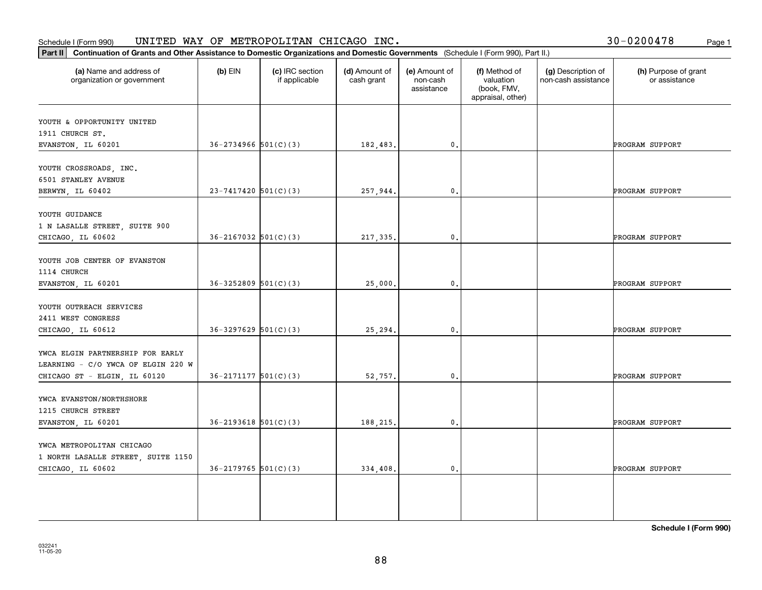#### Schedule I (Form 990) UN⊥TED WAY OF METROPOLLTAN CHICAGO INC. Page 1 UNITED WAY OF METROPOLITAN CHICAGO INC.

|  |  |  | 30-0200478 |  | Page 1 |
|--|--|--|------------|--|--------|
|--|--|--|------------|--|--------|

| (a) Name and address of<br>organization or government                  | $(b)$ EIN                  | (c) IRC section<br>if applicable | (d) Amount of<br>cash grant | (e) Amount of<br>non-cash<br>assistance | (f) Method of<br>valuation<br>(book, FMV,<br>appraisal, other) | (g) Description of<br>non-cash assistance | (h) Purpose of grant<br>or assistance |
|------------------------------------------------------------------------|----------------------------|----------------------------------|-----------------------------|-----------------------------------------|----------------------------------------------------------------|-------------------------------------------|---------------------------------------|
| YOUTH & OPPORTUNITY UNITED                                             |                            |                                  |                             |                                         |                                                                |                                           |                                       |
| 1911 CHURCH ST.                                                        |                            |                                  |                             |                                         |                                                                |                                           |                                       |
| EVANSTON, IL 60201                                                     | $36 - 2734966$ $501(C)(3)$ |                                  | 182,483.                    | $\mathfrak o$ .                         |                                                                |                                           | PROGRAM SUPPORT                       |
| YOUTH CROSSROADS, INC.<br>6501 STANLEY AVENUE                          |                            |                                  |                             |                                         |                                                                |                                           |                                       |
| BERWYN, IL 60402                                                       | $23 - 7417420$ 501(C)(3)   |                                  | 257,944.                    | $\mathfrak o$ .                         |                                                                |                                           | PROGRAM SUPPORT                       |
| YOUTH GUIDANCE<br>1 N LASALLE STREET, SUITE 900                        |                            |                                  |                             |                                         |                                                                |                                           |                                       |
| CHICAGO, IL 60602                                                      | $36 - 2167032$ $501(C)(3)$ |                                  | 217,335.                    | $\mathfrak{o}$ .                        |                                                                |                                           | PROGRAM SUPPORT                       |
| YOUTH JOB CENTER OF EVANSTON<br>1114 CHURCH                            |                            |                                  |                             |                                         |                                                                |                                           |                                       |
| EVANSTON, IL 60201                                                     | $36 - 3252809$ $501(C)(3)$ |                                  | 25,000.                     | $\mathbf{0}$ .                          |                                                                |                                           | PROGRAM SUPPORT                       |
| YOUTH OUTREACH SERVICES<br>2411 WEST CONGRESS                          |                            |                                  |                             |                                         |                                                                |                                           |                                       |
| CHICAGO, IL 60612                                                      | $36 - 3297629$ $501(C)(3)$ |                                  | 25,294.                     | $\mathbf{0}$ .                          |                                                                |                                           | PROGRAM SUPPORT                       |
| YWCA ELGIN PARTNERSHIP FOR EARLY<br>LEARNING - C/O YWCA OF ELGIN 220 W |                            |                                  |                             |                                         |                                                                |                                           |                                       |
| CHICAGO ST - ELGIN, IL 60120                                           | $36 - 2171177$ $501(C)(3)$ |                                  | 52,757.                     | $\mathbf{0}$ .                          |                                                                |                                           | PROGRAM SUPPORT                       |
| YWCA EVANSTON/NORTHSHORE<br>1215 CHURCH STREET                         |                            |                                  |                             |                                         |                                                                |                                           |                                       |
| EVANSTON, IL 60201                                                     | $36 - 2193618$ $501(C)(3)$ |                                  | 188,215.                    | $\mathfrak o$ .                         |                                                                |                                           | PROGRAM SUPPORT                       |
| YWCA METROPOLITAN CHICAGO<br>1 NORTH LASALLE STREET, SUITE 1150        |                            |                                  |                             |                                         |                                                                |                                           |                                       |
| CHICAGO, IL 60602                                                      | $36-2179765$ 501(C)(3)     |                                  | 334,408.                    | $\mathfrak{o}$ .                        |                                                                |                                           | PROGRAM SUPPORT                       |
|                                                                        |                            |                                  |                             |                                         |                                                                |                                           |                                       |
|                                                                        |                            |                                  |                             |                                         |                                                                |                                           |                                       |
|                                                                        |                            |                                  |                             |                                         |                                                                |                                           |                                       |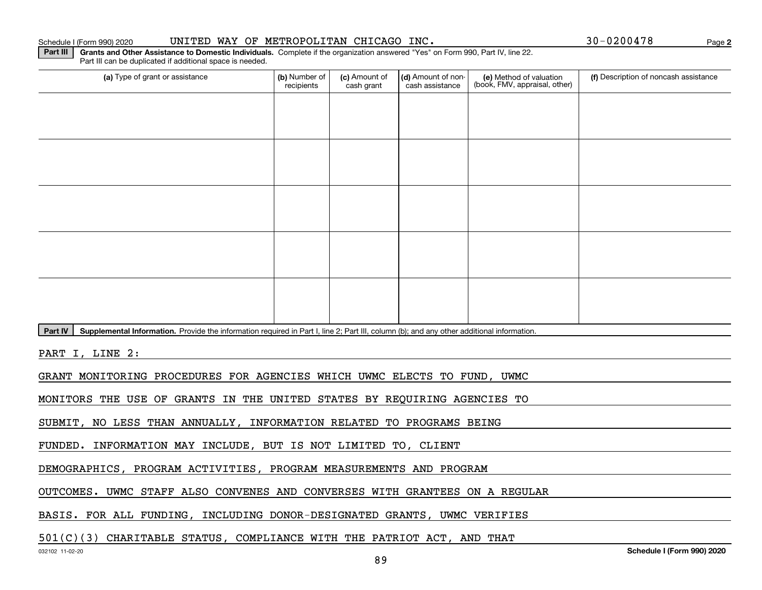### Schedule I (Form 990) 2020 UNITED WAY OF METROPOLITAN CHICAGO INC. 3 0-0 2 0 0 4 78 Page

**2**

**Part III** | Grants and Other Assistance to Domestic Individuals. Complete if the organization answered "Yes" on Form 990, Part IV, line 22. Part III can be duplicated if additional space is needed.

| (a) Type of grant or assistance                                                                                                                      | (b) Number of<br>recipients | (c) Amount of<br>cash grant | (d) Amount of non-<br>cash assistance | (e) Method of valuation<br>(book, FMV, appraisal, other) | (f) Description of noncash assistance |  |  |  |  |  |
|------------------------------------------------------------------------------------------------------------------------------------------------------|-----------------------------|-----------------------------|---------------------------------------|----------------------------------------------------------|---------------------------------------|--|--|--|--|--|
|                                                                                                                                                      |                             |                             |                                       |                                                          |                                       |  |  |  |  |  |
|                                                                                                                                                      |                             |                             |                                       |                                                          |                                       |  |  |  |  |  |
|                                                                                                                                                      |                             |                             |                                       |                                                          |                                       |  |  |  |  |  |
|                                                                                                                                                      |                             |                             |                                       |                                                          |                                       |  |  |  |  |  |
|                                                                                                                                                      |                             |                             |                                       |                                                          |                                       |  |  |  |  |  |
|                                                                                                                                                      |                             |                             |                                       |                                                          |                                       |  |  |  |  |  |
|                                                                                                                                                      |                             |                             |                                       |                                                          |                                       |  |  |  |  |  |
|                                                                                                                                                      |                             |                             |                                       |                                                          |                                       |  |  |  |  |  |
|                                                                                                                                                      |                             |                             |                                       |                                                          |                                       |  |  |  |  |  |
|                                                                                                                                                      |                             |                             |                                       |                                                          |                                       |  |  |  |  |  |
| Part IV<br>Supplemental Information. Provide the information required in Part I, line 2; Part III, column (b); and any other additional information. |                             |                             |                                       |                                                          |                                       |  |  |  |  |  |

PART I, LINE 2:

GRANT MONITORING PROCEDURES FOR AGENCIES WHICH UWMC ELECTS TO FUND, UWMC

MONITORS THE USE OF GRANTS IN THE UNITED STATES BY REQUIRING AGENCIES TO

SUBMIT, NO LESS THAN ANNUALLY, INFORMATION RELATED TO PROGRAMS BEING

FUNDED. INFORMATION MAY INCLUDE, BUT IS NOT LIMITED TO, CLIENT

DEMOGRAPHICS, PROGRAM ACTIVITIES, PROGRAM MEASUREMENTS AND PROGRAM

OUTCOMES. UWMC STAFF ALSO CONVENES AND CONVERSES WITH GRANTEES ON A REGULAR

BASIS. FOR ALL FUNDING, INCLUDING DONOR-DESIGNATED GRANTS, UWMC VERIFIES

501(C)(3) CHARITABLE STATUS, COMPLIANCE WITH THE PATRIOT ACT, AND THAT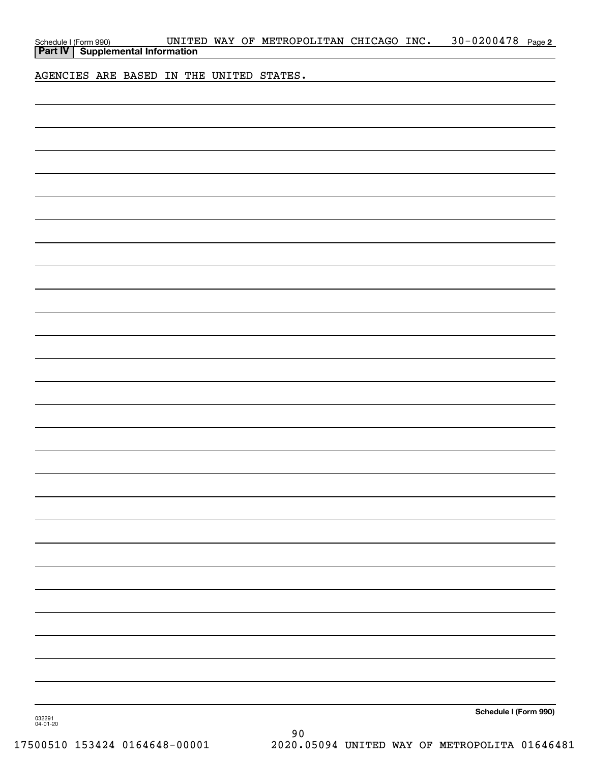| AGENCIES ARE BASED IN THE UNITED STATES.<br>Schedule I (Form 990) | Schedule I (Form 990) UNITE<br><b>Part IV</b>   Supplemental Information |  |  |  | UNITED WAY OF METROPOLITAN CHICAGO INC. |  | 30-0200478 Page 2 |  |
|-------------------------------------------------------------------|--------------------------------------------------------------------------|--|--|--|-----------------------------------------|--|-------------------|--|
|                                                                   |                                                                          |  |  |  |                                         |  |                   |  |
|                                                                   |                                                                          |  |  |  |                                         |  |                   |  |
|                                                                   |                                                                          |  |  |  |                                         |  |                   |  |
|                                                                   |                                                                          |  |  |  |                                         |  |                   |  |
|                                                                   |                                                                          |  |  |  |                                         |  |                   |  |
|                                                                   |                                                                          |  |  |  |                                         |  |                   |  |
|                                                                   |                                                                          |  |  |  |                                         |  |                   |  |
|                                                                   |                                                                          |  |  |  |                                         |  |                   |  |
|                                                                   |                                                                          |  |  |  |                                         |  |                   |  |
|                                                                   |                                                                          |  |  |  |                                         |  |                   |  |
|                                                                   |                                                                          |  |  |  |                                         |  |                   |  |
|                                                                   |                                                                          |  |  |  |                                         |  |                   |  |
|                                                                   |                                                                          |  |  |  |                                         |  |                   |  |
|                                                                   |                                                                          |  |  |  |                                         |  |                   |  |
|                                                                   |                                                                          |  |  |  |                                         |  |                   |  |
|                                                                   |                                                                          |  |  |  |                                         |  |                   |  |
|                                                                   |                                                                          |  |  |  |                                         |  |                   |  |
|                                                                   |                                                                          |  |  |  |                                         |  |                   |  |
|                                                                   |                                                                          |  |  |  |                                         |  |                   |  |
|                                                                   |                                                                          |  |  |  |                                         |  |                   |  |
|                                                                   |                                                                          |  |  |  |                                         |  |                   |  |
|                                                                   |                                                                          |  |  |  |                                         |  |                   |  |
|                                                                   |                                                                          |  |  |  |                                         |  |                   |  |
|                                                                   |                                                                          |  |  |  |                                         |  |                   |  |
|                                                                   |                                                                          |  |  |  |                                         |  |                   |  |
|                                                                   |                                                                          |  |  |  |                                         |  |                   |  |
|                                                                   | 032291<br>04-01-20                                                       |  |  |  |                                         |  |                   |  |

90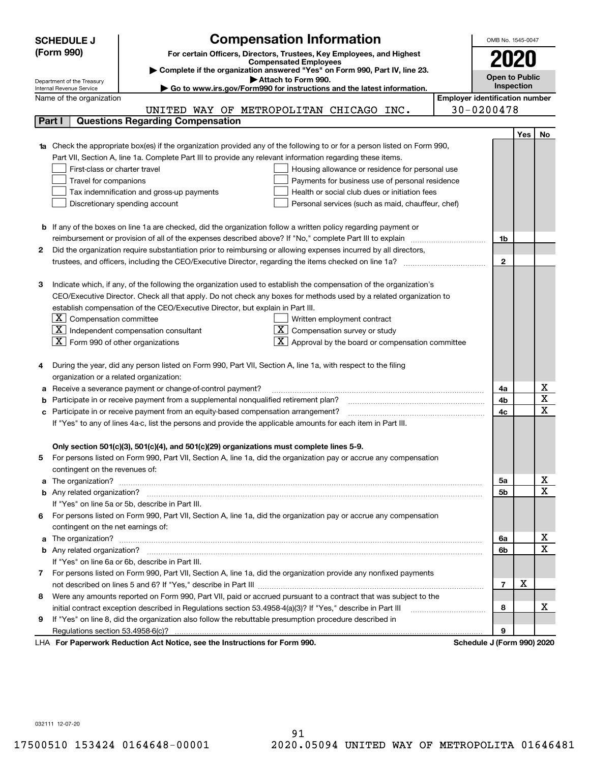|    | <b>SCHEDULE J</b>                                                                                                                                                                                      | <b>Compensation Information</b>                                 |                 | OMB No. 1545-0047                     |     |                         |  |  |
|----|--------------------------------------------------------------------------------------------------------------------------------------------------------------------------------------------------------|-----------------------------------------------------------------|-----------------|---------------------------------------|-----|-------------------------|--|--|
|    | (Form 990)<br>For certain Officers, Directors, Trustees, Key Employees, and Highest                                                                                                                    |                                                                 |                 |                                       |     |                         |  |  |
|    |                                                                                                                                                                                                        | <b>Compensated Employees</b>                                    |                 | 2020                                  |     |                         |  |  |
|    | Complete if the organization answered "Yes" on Form 990, Part IV, line 23.                                                                                                                             |                                                                 |                 | <b>Open to Public</b>                 |     |                         |  |  |
|    | Attach to Form 990.<br>Department of the Treasury<br>Go to www.irs.gov/Form990 for instructions and the latest information.<br>Internal Revenue Service                                                |                                                                 |                 |                                       |     |                         |  |  |
|    | Name of the organization                                                                                                                                                                               |                                                                 |                 | <b>Employer identification number</b> |     |                         |  |  |
|    | UNITED WAY OF METROPOLITAN CHICAGO INC.                                                                                                                                                                |                                                                 | 30-0200478      |                                       |     |                         |  |  |
|    | <b>Questions Regarding Compensation</b><br>Part I                                                                                                                                                      |                                                                 |                 |                                       |     |                         |  |  |
|    |                                                                                                                                                                                                        |                                                                 |                 |                                       | Yes | No                      |  |  |
|    | 1a Check the appropriate box(es) if the organization provided any of the following to or for a person listed on Form 990,                                                                              |                                                                 |                 |                                       |     |                         |  |  |
|    | Part VII, Section A, line 1a. Complete Part III to provide any relevant information regarding these items.                                                                                             |                                                                 |                 |                                       |     |                         |  |  |
|    | First-class or charter travel                                                                                                                                                                          | Housing allowance or residence for personal use                 |                 |                                       |     |                         |  |  |
|    | Travel for companions                                                                                                                                                                                  | Payments for business use of personal residence                 |                 |                                       |     |                         |  |  |
|    | Tax indemnification and gross-up payments                                                                                                                                                              | Health or social club dues or initiation fees                   |                 |                                       |     |                         |  |  |
|    | Discretionary spending account                                                                                                                                                                         | Personal services (such as maid, chauffeur, chef)               |                 |                                       |     |                         |  |  |
|    |                                                                                                                                                                                                        |                                                                 |                 |                                       |     |                         |  |  |
|    | <b>b</b> If any of the boxes on line 1a are checked, did the organization follow a written policy regarding payment or                                                                                 |                                                                 |                 |                                       |     |                         |  |  |
|    | reimbursement or provision of all of the expenses described above? If "No," complete Part III to explain                                                                                               |                                                                 |                 | 1b                                    |     |                         |  |  |
| 2  | Did the organization require substantiation prior to reimbursing or allowing expenses incurred by all directors,                                                                                       |                                                                 |                 |                                       |     |                         |  |  |
|    | trustees, and officers, including the CEO/Executive Director, regarding the items checked on line 1a?                                                                                                  |                                                                 |                 | $\mathbf{2}$                          |     |                         |  |  |
|    |                                                                                                                                                                                                        |                                                                 |                 |                                       |     |                         |  |  |
| з  | Indicate which, if any, of the following the organization used to establish the compensation of the organization's                                                                                     |                                                                 |                 |                                       |     |                         |  |  |
|    | CEO/Executive Director. Check all that apply. Do not check any boxes for methods used by a related organization to                                                                                     |                                                                 |                 |                                       |     |                         |  |  |
|    | establish compensation of the CEO/Executive Director, but explain in Part III.                                                                                                                         |                                                                 |                 |                                       |     |                         |  |  |
|    | $\lfloor \texttt{X} \rfloor$ Compensation committee                                                                                                                                                    |                                                                 |                 |                                       |     |                         |  |  |
|    | $\boxed{\text{X}}$ Independent compensation consultant                                                                                                                                                 | Written employment contract<br>$X$ Compensation survey or study |                 |                                       |     |                         |  |  |
|    | $ \mathbf{X} $ Form 990 of other organizations                                                                                                                                                         | $\mathbf{X}$ Approval by the board or compensation committee    |                 |                                       |     |                         |  |  |
|    |                                                                                                                                                                                                        |                                                                 |                 |                                       |     |                         |  |  |
|    | During the year, did any person listed on Form 990, Part VII, Section A, line 1a, with respect to the filing                                                                                           |                                                                 |                 |                                       |     |                         |  |  |
|    | organization or a related organization:                                                                                                                                                                |                                                                 |                 |                                       |     |                         |  |  |
| а  | Receive a severance payment or change-of-control payment?                                                                                                                                              |                                                                 |                 | 4a                                    |     | х                       |  |  |
| b  | Participate in or receive payment from a supplemental nonqualified retirement plan?                                                                                                                    |                                                                 |                 | 4b                                    |     | $\overline{\texttt{x}}$ |  |  |
|    |                                                                                                                                                                                                        |                                                                 |                 | 4c                                    |     | $\overline{\text{x}}$   |  |  |
|    | Participate in or receive payment from an equity-based compensation arrangement?<br>с<br>If "Yes" to any of lines 4a-c, list the persons and provide the applicable amounts for each item in Part III. |                                                                 |                 |                                       |     |                         |  |  |
|    |                                                                                                                                                                                                        |                                                                 |                 |                                       |     |                         |  |  |
|    | Only section 501(c)(3), 501(c)(4), and 501(c)(29) organizations must complete lines 5-9.                                                                                                               |                                                                 |                 |                                       |     |                         |  |  |
|    | For persons listed on Form 990, Part VII, Section A, line 1a, did the organization pay or accrue any compensation                                                                                      |                                                                 |                 |                                       |     |                         |  |  |
|    | contingent on the revenues of:                                                                                                                                                                         |                                                                 |                 |                                       |     |                         |  |  |
| a  |                                                                                                                                                                                                        |                                                                 |                 | 5а                                    |     | x                       |  |  |
|    |                                                                                                                                                                                                        |                                                                 |                 | <b>5b</b>                             |     | $\overline{\text{x}}$   |  |  |
|    | If "Yes" on line 5a or 5b, describe in Part III.                                                                                                                                                       |                                                                 |                 |                                       |     |                         |  |  |
| 6. | For persons listed on Form 990, Part VII, Section A, line 1a, did the organization pay or accrue any compensation                                                                                      |                                                                 |                 |                                       |     |                         |  |  |
|    | contingent on the net earnings of:                                                                                                                                                                     |                                                                 |                 |                                       |     |                         |  |  |
| а  |                                                                                                                                                                                                        |                                                                 |                 | 6a                                    |     | x                       |  |  |
|    |                                                                                                                                                                                                        |                                                                 |                 | 6b                                    |     | $\overline{\text{x}}$   |  |  |
|    | If "Yes" on line 6a or 6b, describe in Part III.                                                                                                                                                       |                                                                 |                 |                                       |     |                         |  |  |
|    | 7 For persons listed on Form 990, Part VII, Section A, line 1a, did the organization provide any nonfixed payments                                                                                     |                                                                 |                 |                                       |     |                         |  |  |
|    |                                                                                                                                                                                                        |                                                                 |                 | $\overline{7}$                        | X   |                         |  |  |
| 8  | Were any amounts reported on Form 990, Part VII, paid or accrued pursuant to a contract that was subject to the                                                                                        |                                                                 |                 |                                       |     |                         |  |  |
|    | initial contract exception described in Regulations section 53.4958-4(a)(3)? If "Yes," describe in Part III                                                                                            |                                                                 |                 | 8                                     |     | х                       |  |  |
| 9  | If "Yes" on line 8, did the organization also follow the rebuttable presumption procedure described in                                                                                                 |                                                                 |                 |                                       |     |                         |  |  |
|    |                                                                                                                                                                                                        |                                                                 |                 | 9                                     |     |                         |  |  |
|    | duction Act Notice, and the Instructions for Form 000.                                                                                                                                                 |                                                                 | Calcadola, 1784 |                                       |     |                         |  |  |

LHA For Paperwork Reduction Act Notice, see the Instructions for Form 990. Schedule J (Form 990) 2020

032111 12-07-20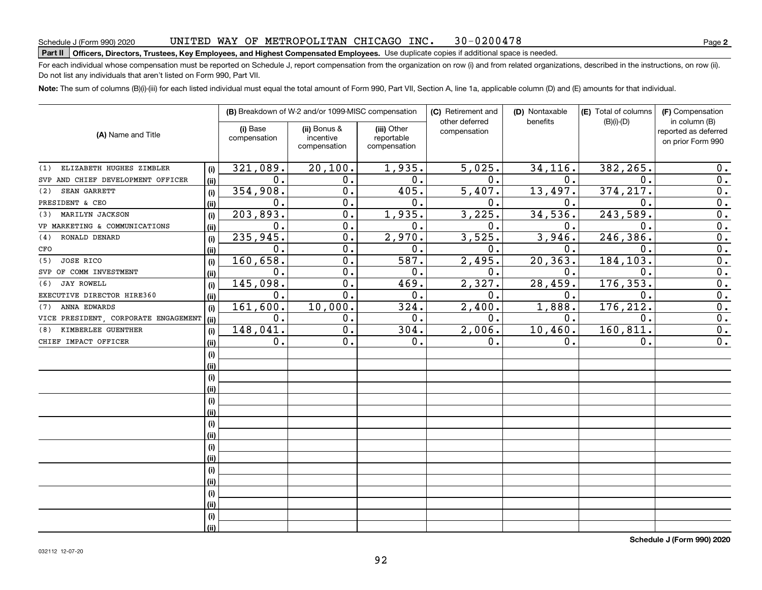#### UNITED WAY OF METROPOLITAN CHICAGO INC. 30-0200478

# Schedule J (Form 990) 2020 UNL'L'ED WAY UF METROPOLLT'AN CHLCAGO LNC • 30 – 0 2 0 0 4 7 8<br>Part II **Officers, Directors, Trustees, Key Employees, and Highest Compensated Employees.** Use dup

For each individual whose compensation must be reported on Schedule J, report compensation from the organization on row (i) and from related organizations, described in the instructions, on row (ii). Do not list any individuals that aren't listed on Form 990, Part VII.

**Note:**  The sum of columns (B)(i)-(iii) for each listed individual must equal the total amount of Form 990, Part VII, Section A, line 1a, applicable column (D) and (E) amounts for that individual.

|                                      |      |                          | (B) Breakdown of W-2 and/or 1099-MISC compensation |                                           | (C) Retirement and             | (D) Nontaxable | (E) Total of columns | (F) Compensation<br>in column (B)         |  |
|--------------------------------------|------|--------------------------|----------------------------------------------------|-------------------------------------------|--------------------------------|----------------|----------------------|-------------------------------------------|--|
| (A) Name and Title                   |      | (i) Base<br>compensation | (ii) Bonus &<br>incentive<br>compensation          | (iii) Other<br>reportable<br>compensation | other deferred<br>compensation | benefits       | $(B)(i)$ - $(D)$     | reported as deferred<br>on prior Form 990 |  |
| ELIZABETH HUGHES ZIMBLER<br>(1)      | (i)  | 321,089.                 | 20,100.                                            | 1,935.                                    | 5,025.                         | 34,116.        | 382,265.             | 0.                                        |  |
| SVP AND CHIEF DEVELOPMENT OFFICER    | (ii) | $0$ .                    | 0.                                                 | 0.                                        | 0.                             | 0.             | 0.                   | 0.                                        |  |
| SEAN GARRETT<br>(2)                  | (i)  | 354,908.                 | 0.                                                 | 405.                                      | 5,407.                         | 13,497.        | 374, 217.            | $\mathbf 0$ .                             |  |
| PRESIDENT & CEO                      | (ii) | 0.                       | 0.                                                 | 0.                                        | $\mathbf 0$ .                  | 0.             | 0.                   | 0.                                        |  |
| MARILYN JACKSON<br>(3)               | (i)  | 203,893.                 | 0.                                                 | 1,935.                                    | 3,225.                         | 34,536.        | 243,589.             | $\mathbf 0$ .                             |  |
| VP MARKETING & COMMUNICATIONS        | (ii) | 0.                       | 0.                                                 | 0.                                        | 0.                             | 0.             | $\mathbf 0$ .        | $\mathbf 0$ .                             |  |
| RONALD DENARD<br>(4)                 | (i)  | 235,945.                 | 0.                                                 | 2,970.                                    | 3,525.                         | 3,946.         | 246,386.             | $\mathbf 0$ .                             |  |
| CFO                                  | (ii) | 0.                       | 0.                                                 | 0.                                        | 0.                             | 0.             | 0.                   | $\mathbf 0$ .                             |  |
| JOSE RICO<br>(5)                     | (i)  | 160,658.                 | 0.                                                 | 587.                                      | 2,495.                         | 20,363.        | 184,103.             | $\mathbf 0$ .                             |  |
| SVP OF COMM INVESTMENT               | (ii) | 0.                       | 0.                                                 | 0.                                        | $\mathbf 0$ .                  | 0.             | 0.                   | 0.                                        |  |
| <b>JAY ROWELL</b><br>(6)             | (i)  | 145,098.                 | 0.                                                 | 469.                                      | 2,327.                         | 28,459.        | 176,353.             | $\mathbf 0$ .                             |  |
| EXECUTIVE DIRECTOR HIRE360           | (ii) | 0.                       | 0.                                                 | 0.                                        | 0.                             | 0.             | 0.                   | $\mathbf 0$ .                             |  |
| ANNA EDWARDS<br>(7)                  | (i)  | 161,600.                 | 10,000.                                            | 324.                                      | 2,400.                         | 1,888.         | 176, 212.            | $\mathbf 0$ .                             |  |
| VICE PRESIDENT, CORPORATE ENGAGEMENT | (ii) | 0.                       | 0.                                                 | 0.                                        | 0.                             | 0.             | 0.                   | $\mathbf 0$ .                             |  |
| KIMBERLEE GUENTHER<br>(8)            | (i)  | 148,041.                 | 0.                                                 | 304.                                      | 2,006.                         | 10,460.        | 160,811.             | $\mathbf 0$ .                             |  |
| CHIEF IMPACT OFFICER                 | (ii) | 0.                       | 0.                                                 | 0.                                        | 0.                             | 0.             | 0.                   | 0.                                        |  |
|                                      | (i)  |                          |                                                    |                                           |                                |                |                      |                                           |  |
|                                      | (ii) |                          |                                                    |                                           |                                |                |                      |                                           |  |
|                                      | (i)  |                          |                                                    |                                           |                                |                |                      |                                           |  |
|                                      | (ii) |                          |                                                    |                                           |                                |                |                      |                                           |  |
|                                      | (i)  |                          |                                                    |                                           |                                |                |                      |                                           |  |
|                                      | (ii) |                          |                                                    |                                           |                                |                |                      |                                           |  |
|                                      | (i)  |                          |                                                    |                                           |                                |                |                      |                                           |  |
|                                      | (ii) |                          |                                                    |                                           |                                |                |                      |                                           |  |
|                                      | (i)  |                          |                                                    |                                           |                                |                |                      |                                           |  |
|                                      | (ii) |                          |                                                    |                                           |                                |                |                      |                                           |  |
|                                      | (i)  |                          |                                                    |                                           |                                |                |                      |                                           |  |
|                                      | (ii) |                          |                                                    |                                           |                                |                |                      |                                           |  |
|                                      | (i)  |                          |                                                    |                                           |                                |                |                      |                                           |  |
|                                      | (ii) |                          |                                                    |                                           |                                |                |                      |                                           |  |
|                                      | (i)  |                          |                                                    |                                           |                                |                |                      |                                           |  |
|                                      | (ii) |                          |                                                    |                                           |                                |                |                      |                                           |  |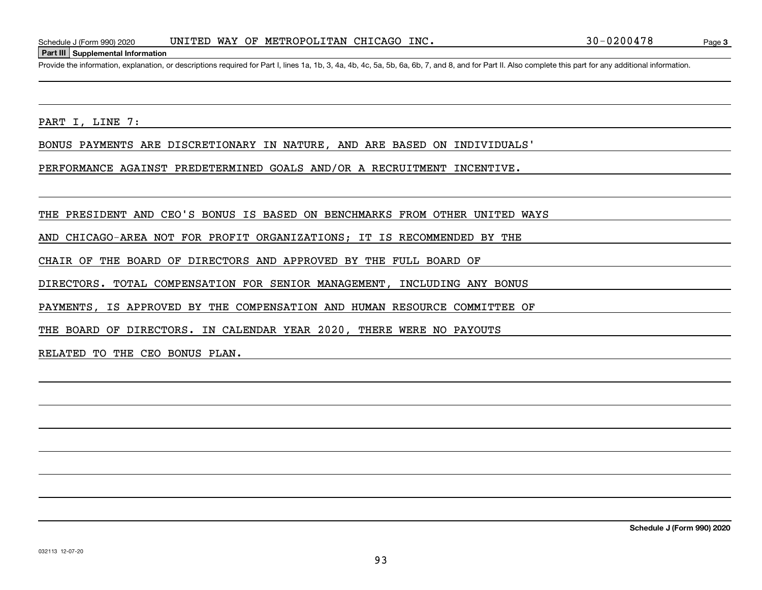### **Part III Supplemental Information**

Schedule J (Form 990) 2020 UNITED WAY OF METROPOLITAN CHICAGO INC.<br>Part III Supplemental Information<br>Provide the information, explanation, or descriptions required for Part I, lines 1a, 1b, 3, 4a, 4b, 4c, 5a, 5b, 6a, 6b,

PART I, LINE 7:

BONUS PAYMENTS ARE DISCRETIONARY IN NATURE, AND ARE BASED ON INDIVIDUALS'

PERFORMANCE AGAINST PREDETERMINED GOALS AND/OR A RECRUITMENT INCENTIVE.

THE PRESIDENT AND CEO'S BONUS IS BASED ON BENCHMARKS FROM OTHER UNITED WAYS

AND CHICAGO-AREA NOT FOR PROFIT ORGANIZATIONS; IT IS RECOMMENDED BY THE

CHAIR OF THE BOARD OF DIRECTORS AND APPROVED BY THE FULL BOARD OF

DIRECTORS. TOTAL COMPENSATION FOR SENIOR MANAGEMENT, INCLUDING ANY BONUS

PAYMENTS, IS APPROVED BY THE COMPENSATION AND HUMAN RESOURCE COMMITTEE OF

THE BOARD OF DIRECTORS. IN CALENDAR YEAR 2020, THERE WERE NO PAYOUTS

RELATED TO THE CEO BONUS PLAN.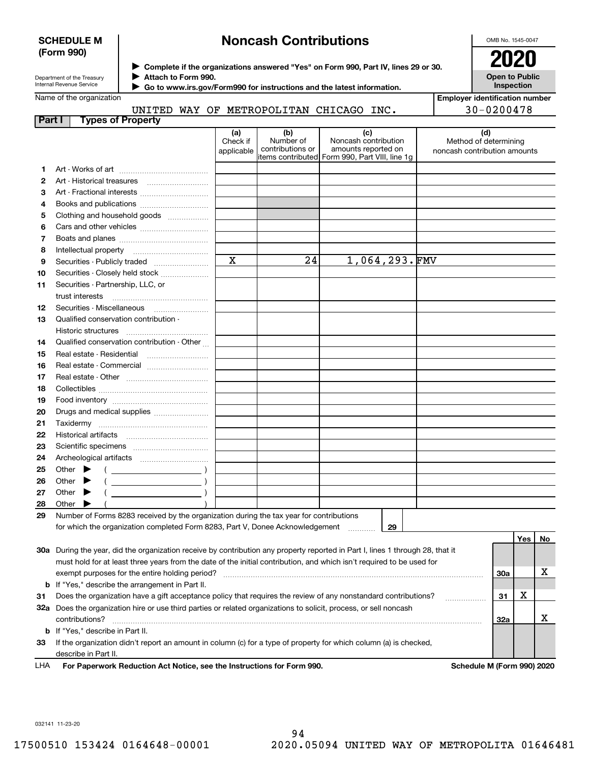## **SCHEDULE M (Form 990)**

# **Noncash Contributions**

OMB No. 1545-0047

| Department of the Treasury |
|----------------------------|
| Internal Revenue Service   |

**Complete if the organizations answered "Yes" on Form 990, Part IV, lines 29 or 30.** <sup>J</sup>**2020 Attach to Form 990.** J

**Open to Public Inspection**

|  | Name of the organization |
|--|--------------------------|

UNITED WAY OF METROPOLITAN CHICAGO INC.

 **Go to www.irs.gov/Form990 for instructions and the latest information.** J

| <b>Employer identification number</b> |
|---------------------------------------|
| 30-0200478                            |

| <b>Part I</b> | <b>Types of Property</b>                                                                                                            |                               |                                      |                                                                                                      |                                                              |     |     |    |
|---------------|-------------------------------------------------------------------------------------------------------------------------------------|-------------------------------|--------------------------------------|------------------------------------------------------------------------------------------------------|--------------------------------------------------------------|-----|-----|----|
|               |                                                                                                                                     | (a)<br>Check if<br>applicable | (b)<br>Number of<br>contributions or | (c)<br>Noncash contribution<br>amounts reported on<br>items contributed Form 990, Part VIII, line 1g | (d)<br>Method of determining<br>noncash contribution amounts |     |     |    |
| 1             |                                                                                                                                     |                               |                                      |                                                                                                      |                                                              |     |     |    |
| 2             |                                                                                                                                     |                               |                                      |                                                                                                      |                                                              |     |     |    |
| 3             | Art - Fractional interests                                                                                                          |                               |                                      |                                                                                                      |                                                              |     |     |    |
| 4             | Books and publications                                                                                                              |                               |                                      |                                                                                                      |                                                              |     |     |    |
| 5             | Clothing and household goods                                                                                                        |                               |                                      |                                                                                                      |                                                              |     |     |    |
| 6             |                                                                                                                                     |                               |                                      |                                                                                                      |                                                              |     |     |    |
| 7             |                                                                                                                                     |                               |                                      |                                                                                                      |                                                              |     |     |    |
| 8             |                                                                                                                                     |                               |                                      |                                                                                                      |                                                              |     |     |    |
| 9             | Securities - Publicly traded                                                                                                        | $\mathbf X$                   | 24                                   | $1,064,293.\n$ FMV                                                                                   |                                                              |     |     |    |
| 10            | Securities - Closely held stock                                                                                                     |                               |                                      |                                                                                                      |                                                              |     |     |    |
| 11            | Securities - Partnership, LLC, or                                                                                                   |                               |                                      |                                                                                                      |                                                              |     |     |    |
|               | trust interests                                                                                                                     |                               |                                      |                                                                                                      |                                                              |     |     |    |
| 12            |                                                                                                                                     |                               |                                      |                                                                                                      |                                                              |     |     |    |
| 13            | Qualified conservation contribution -<br>Historic structures                                                                        |                               |                                      |                                                                                                      |                                                              |     |     |    |
| 14            | Qualified conservation contribution - Other                                                                                         |                               |                                      |                                                                                                      |                                                              |     |     |    |
| 15            |                                                                                                                                     |                               |                                      |                                                                                                      |                                                              |     |     |    |
| 16            | Real estate - Commercial                                                                                                            |                               |                                      |                                                                                                      |                                                              |     |     |    |
| 17            |                                                                                                                                     |                               |                                      |                                                                                                      |                                                              |     |     |    |
| 18            |                                                                                                                                     |                               |                                      |                                                                                                      |                                                              |     |     |    |
| 19            |                                                                                                                                     |                               |                                      |                                                                                                      |                                                              |     |     |    |
| 20            | Drugs and medical supplies                                                                                                          |                               |                                      |                                                                                                      |                                                              |     |     |    |
| 21            |                                                                                                                                     |                               |                                      |                                                                                                      |                                                              |     |     |    |
| 22            |                                                                                                                                     |                               |                                      |                                                                                                      |                                                              |     |     |    |
| 23            |                                                                                                                                     |                               |                                      |                                                                                                      |                                                              |     |     |    |
| 24            |                                                                                                                                     |                               |                                      |                                                                                                      |                                                              |     |     |    |
| 25            | Other $\blacktriangleright$                                                                                                         |                               |                                      |                                                                                                      |                                                              |     |     |    |
| 26            | Other $\blacktriangleright$                                                                                                         |                               |                                      |                                                                                                      |                                                              |     |     |    |
| 27            | Other $\blacktriangleright$                                                                                                         |                               |                                      |                                                                                                      |                                                              |     |     |    |
| 28            | Other $\blacktriangleright$                                                                                                         |                               |                                      |                                                                                                      |                                                              |     |     |    |
| 29            | Number of Forms 8283 received by the organization during the tax year for contributions                                             |                               |                                      |                                                                                                      |                                                              |     |     |    |
|               | for which the organization completed Form 8283, Part V, Donee Acknowledgement                                                       |                               |                                      | 29                                                                                                   |                                                              |     |     |    |
|               |                                                                                                                                     |                               |                                      |                                                                                                      |                                                              |     | Yes | No |
|               | 30a During the year, did the organization receive by contribution any property reported in Part I, lines 1 through 28, that it      |                               |                                      |                                                                                                      |                                                              |     |     |    |
|               | must hold for at least three years from the date of the initial contribution, and which isn't required to be used for               |                               |                                      |                                                                                                      |                                                              |     |     |    |
|               |                                                                                                                                     |                               |                                      |                                                                                                      |                                                              | 30a |     | х  |
|               | <b>b</b> If "Yes," describe the arrangement in Part II.                                                                             |                               |                                      |                                                                                                      |                                                              |     |     |    |
| 31            | Does the organization have a gift acceptance policy that requires the review of any nonstandard contributions?                      |                               |                                      |                                                                                                      | .                                                            | 31  | х   |    |
|               | 32a Does the organization hire or use third parties or related organizations to solicit, process, or sell noncash<br>contributions? |                               |                                      |                                                                                                      |                                                              | 32a |     | X  |
|               | <b>b</b> If "Yes," describe in Part II.                                                                                             |                               |                                      |                                                                                                      |                                                              |     |     |    |

**33**If the organization didn't report an amount in column (c) for a type of property for which column (a) is checked, describe in Part II.

**For Paperwork Reduction Act Notice, see the Instructions for Form 990. Schedule M (Form 990) 2020** LHA

032141 11-23-20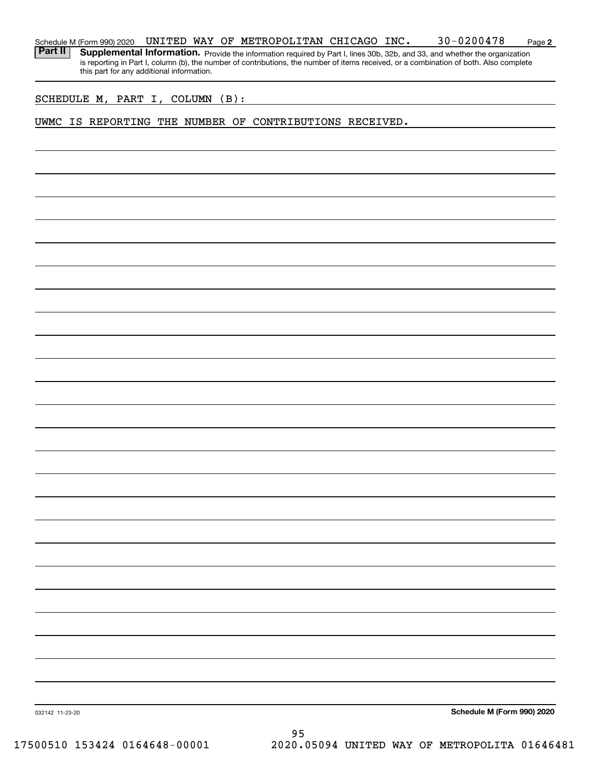| Schedule M (Form 990) 2020 | <b>WAY</b><br>UNITED | OF | METROPOLITAN CHICAGO | INC. | $30 - 0200478$ | Page <b>2</b> |
|----------------------------|----------------------|----|----------------------|------|----------------|---------------|
|                            |                      |    |                      |      |                |               |

Part II | Supplemental Information. Provide the information required by Part I, lines 30b, 32b, and 33, and whether the organization is reporting in Part I, column (b), the number of contributions, the number of items received, or a combination of both. Also complete this part for any additional information.

SCHEDULE M, PART I, COLUMN (B):

## UWMC IS REPORTING THE NUMBER OF CONTRIBUTIONS RECEIVED.

**Schedule M (Form 990) 2020**

032142 11-23-20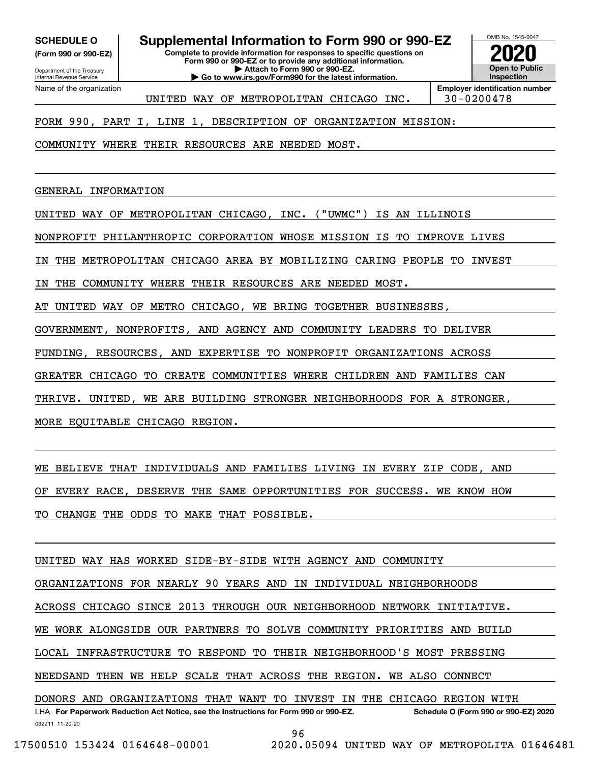**(Form 990 or 990-EZ)**

Department of the Treasury Internal Revenue Service Name of the organization

# **SCHEDULE O Supplemental Information to Form 990 or 990-EZ**

**Complete to provide information for responses to specific questions on Form 990 or 990-EZ or to provide any additional information. | Attach to Form 990 or 990-EZ. | Go to www.irs.gov/Form990 for the latest information.**



**Employer identification number** UNITED WAY OF METROPOLITAN CHICAGO INC. 30-0200478

FORM 990, PART I, LINE 1, DESCRIPTION OF ORGANIZATION MISSION:

COMMUNITY WHERE THEIR RESOURCES ARE NEEDED MOST.

GENERAL INFORMATION

UNITED WAY OF METROPOLITAN CHICAGO, INC. ("UWMC") IS AN ILLINOIS

NONPROFIT PHILANTHROPIC CORPORATION WHOSE MISSION IS TO IMPROVE LIVES

IN THE METROPOLITAN CHICAGO AREA BY MOBILIZING CARING PEOPLE TO INVEST

IN THE COMMUNITY WHERE THEIR RESOURCES ARE NEEDED MOST.

AT UNITED WAY OF METRO CHICAGO, WE BRING TOGETHER BUSINESSES,

GOVERNMENT, NONPROFITS, AND AGENCY AND COMMUNITY LEADERS TO DELIVER

FUNDING, RESOURCES, AND EXPERTISE TO NONPROFIT ORGANIZATIONS ACROSS

GREATER CHICAGO TO CREATE COMMUNITIES WHERE CHILDREN AND FAMILIES CAN

THRIVE. UNITED, WE ARE BUILDING STRONGER NEIGHBORHOODS FOR A STRONGER,

MORE EQUITABLE CHICAGO REGION.

WE BELIEVE THAT INDIVIDUALS AND FAMILIES LIVING IN EVERY ZIP CODE, AND

OF EVERY RACE, DESERVE THE SAME OPPORTUNITIES FOR SUCCESS. WE KNOW HOW

TO CHANGE THE ODDS TO MAKE THAT POSSIBLE.

UNITED WAY HAS WORKED SIDE-BY-SIDE WITH AGENCY AND COMMUNITY

ORGANIZATIONS FOR NEARLY 90 YEARS AND IN INDIVIDUAL NEIGHBORHOODS

ACROSS CHICAGO SINCE 2013 THROUGH OUR NEIGHBORHOOD NETWORK INITIATIVE.

WE WORK ALONGSIDE OUR PARTNERS TO SOLVE COMMUNITY PRIORITIES AND BUILD

LOCAL INFRASTRUCTURE TO RESPOND TO THEIR NEIGHBORHOOD'S MOST PRESSING

NEEDSAND THEN WE HELP SCALE THAT ACROSS THE REGION. WE ALSO CONNECT

032211 11-20-20 LHA For Paperwork Reduction Act Notice, see the Instructions for Form 990 or 990-EZ. Schedule O (Form 990 or 990-EZ) 2020 DONORS AND ORGANIZATIONS THAT WANT TO INVEST IN THE CHICAGO REGION WITH

96

17500510 153424 0164648-00001 2020.05094 UNITED WAY OF METROPOLITA 01646481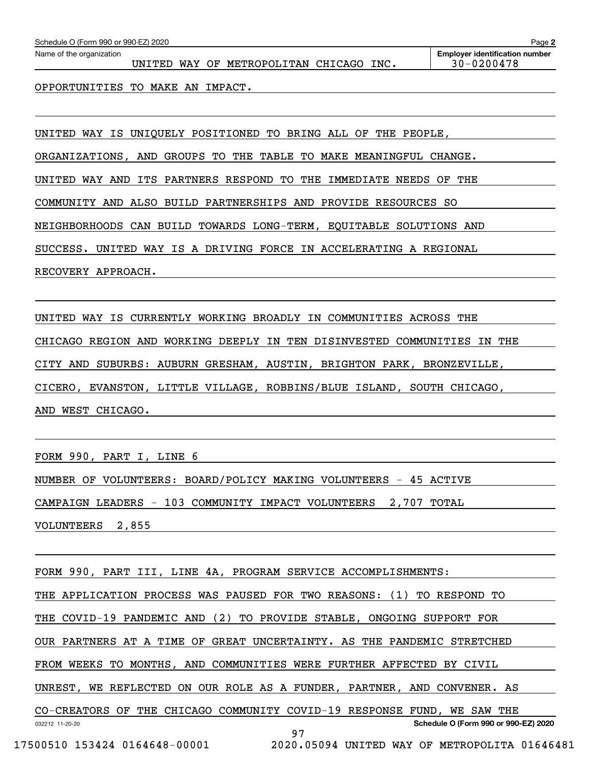| Schedule O (Form 990 or 990-EZ) 2020<br>Page 2 |                                                               |                                                         |  |  |  |  |  |  |  |
|------------------------------------------------|---------------------------------------------------------------|---------------------------------------------------------|--|--|--|--|--|--|--|
| Name of the organization                       | UNITED WAY OF METROPOLITAN CHICAGO INC.                       | <b>Employer identification number</b><br>$30 - 0200478$ |  |  |  |  |  |  |  |
|                                                | OPPORTUNITIES TO MAKE AN IMPACT.                              |                                                         |  |  |  |  |  |  |  |
|                                                |                                                               |                                                         |  |  |  |  |  |  |  |
|                                                | UNITED WAY IS UNIQUELY POSITIONED TO BRING ALL OF THE PEOPLE, |                                                         |  |  |  |  |  |  |  |

ORGANIZATIONS, AND GROUPS TO THE TABLE TO MAKE MEANINGFUL CHANGE.

UNITED WAY AND ITS PARTNERS RESPOND TO THE IMMEDIATE NEEDS OF THE

COMMUNITY AND ALSO BUILD PARTNERSHIPS AND PROVIDE RESOURCES SO

NEIGHBORHOODS CAN BUILD TOWARDS LONG-TERM, EQUITABLE SOLUTIONS AND

SUCCESS. UNITED WAY IS A DRIVING FORCE IN ACCELERATING A REGIONAL

RECOVERY APPROACH.

UNITED WAY IS CURRENTLY WORKING BROADLY IN COMMUNITIES ACROSS THE CHICAGO REGION AND WORKING DEEPLY IN TEN DISINVESTED COMMUNITIES IN THE CITY AND SUBURBS: AUBURN GRESHAM, AUSTIN, BRIGHTON PARK, BRONZEVILLE, CICERO, EVANSTON, LITTLE VILLAGE, ROBBINS/BLUE ISLAND, SOUTH CHICAGO, AND WEST CHICAGO.

FORM 990, PART I, LINE 6

NUMBER OF VOLUNTEERS: BOARD/POLICY MAKING VOLUNTEERS - 45 ACTIVE CAMPAIGN LEADERS - 103 COMMUNITY IMPACT VOLUNTEERS 2,707 TOTAL VOLUNTEERS 2,855

032212 11-20-20 **Schedule O (Form 990 or 990-EZ) 2020** FORM 990, PART III, LINE 4A, PROGRAM SERVICE ACCOMPLISHMENTS: THE APPLICATION PROCESS WAS PAUSED FOR TWO REASONS: (1) TO RESPOND TO THE COVID-19 PANDEMIC AND (2) TO PROVIDE STABLE, ONGOING SUPPORT FOR OUR PARTNERS AT A TIME OF GREAT UNCERTAINTY. AS THE PANDEMIC STRETCHED FROM WEEKS TO MONTHS, AND COMMUNITIES WERE FURTHER AFFECTED BY CIVIL UNREST, WE REFLECTED ON OUR ROLE AS A FUNDER, PARTNER, AND CONVENER. AS CO-CREATORS OF THE CHICAGO COMMUNITY COVID-19 RESPONSE FUND, WE SAW THE 97

17500510 153424 0164648-00001 2020.05094 UNITED WAY OF METROPOLITA 01646481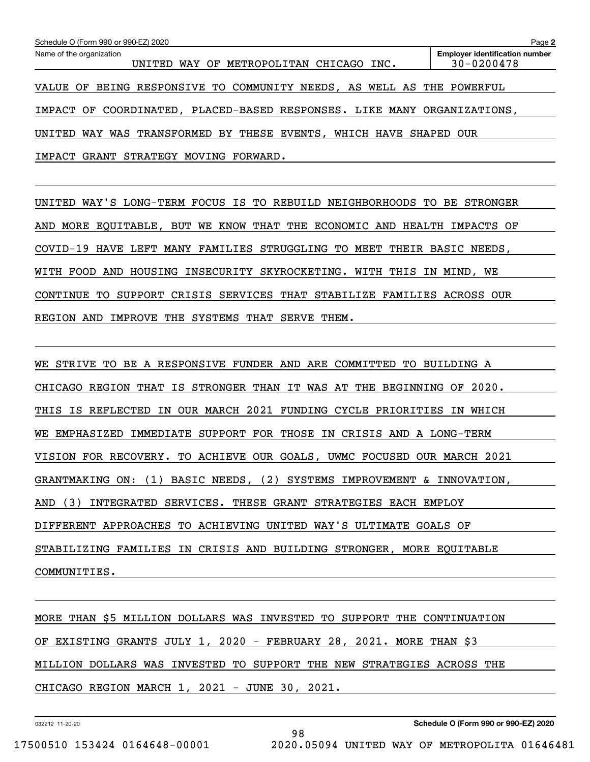| Schedule O (Form 990 or 990-EZ) 2020                                     | Page 2                                                  |
|--------------------------------------------------------------------------|---------------------------------------------------------|
| Name of the organization<br>WAY OF METROPOLITAN CHICAGO INC.<br>UNITED   | <b>Employer identification number</b><br>$30 - 0200478$ |
| BEING RESPONSIVE TO COMMUNITY NEEDS, AS WELL AS THE POWERFUL<br>VALUE OF |                                                         |
| IMPACT OF COORDINATED, PLACED-BASED RESPONSES. LIKE MANY ORGANIZATIONS,  |                                                         |
| WAY WAS TRANSFORMED BY THESE EVENTS, WHICH HAVE<br>UNITED                | SHAPED OUR                                              |
| IMPACT GRANT STRATEGY<br>MOVING<br>FORWARD.                              |                                                         |
|                                                                          |                                                         |

UNITED WAY'S LONG-TERM FOCUS IS TO REBUILD NEIGHBORHOODS TO BE STRONGER AND MORE EQUITABLE, BUT WE KNOW THAT THE ECONOMIC AND HEALTH IMPACTS OF COVID-19 HAVE LEFT MANY FAMILIES STRUGGLING TO MEET THEIR BASIC NEEDS, WITH FOOD AND HOUSING INSECURITY SKYROCKETING. WITH THIS IN MIND, WE CONTINUE TO SUPPORT CRISIS SERVICES THAT STABILIZE FAMILIES ACROSS OUR REGION AND IMPROVE THE SYSTEMS THAT SERVE THEM.

WE STRIVE TO BE A RESPONSIVE FUNDER AND ARE COMMITTED TO BUILDING A CHICAGO REGION THAT IS STRONGER THAN IT WAS AT THE BEGINNING OF 2020. THIS IS REFLECTED IN OUR MARCH 2021 FUNDING CYCLE PRIORITIES IN WHICH WE EMPHASIZED IMMEDIATE SUPPORT FOR THOSE IN CRISIS AND A LONG-TERM VISION FOR RECOVERY. TO ACHIEVE OUR GOALS, UWMC FOCUSED OUR MARCH 2021 GRANTMAKING ON: (1) BASIC NEEDS, (2) SYSTEMS IMPROVEMENT & INNOVATION, AND (3) INTEGRATED SERVICES. THESE GRANT STRATEGIES EACH EMPLOY DIFFERENT APPROACHES TO ACHIEVING UNITED WAY'S ULTIMATE GOALS OF STABILIZING FAMILIES IN CRISIS AND BUILDING STRONGER, MORE EQUITABLE COMMUNITIES.

MORE THAN \$5 MILLION DOLLARS WAS INVESTED TO SUPPORT THE CONTINUATION OF EXISTING GRANTS JULY 1, 2020 - FEBRUARY 28, 2021. MORE THAN \$3 MILLION DOLLARS WAS INVESTED TO SUPPORT THE NEW STRATEGIES ACROSS THE CHICAGO REGION MARCH 1, 2021 - JUNE 30, 2021.

98

032212 11-20-20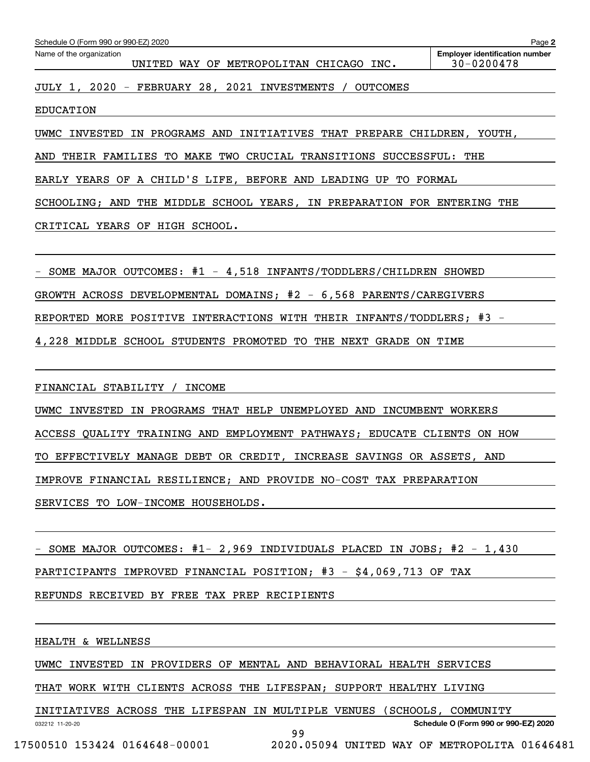| Schedule O (Form 990 or 990-EZ) 2020<br>Page 2 |                                                          |                                                         |  |  |  |  |  |  |
|------------------------------------------------|----------------------------------------------------------|---------------------------------------------------------|--|--|--|--|--|--|
| Name of the organization                       | UNITED WAY OF METROPOLITAN CHICAGO INC.                  | <b>Employer identification number</b><br>$30 - 0200478$ |  |  |  |  |  |  |
|                                                | JULY 1, 2020 - FEBRUARY 28, 2021 INVESTMENTS<br>OUTCOMES |                                                         |  |  |  |  |  |  |

EDUCATION

UWMC INVESTED IN PROGRAMS AND INITIATIVES THAT PREPARE CHILDREN, YOUTH,

AND THEIR FAMILIES TO MAKE TWO CRUCIAL TRANSITIONS SUCCESSFUL: THE

EARLY YEARS OF A CHILD'S LIFE, BEFORE AND LEADING UP TO FORMAL

SCHOOLING; AND THE MIDDLE SCHOOL YEARS, IN PREPARATION FOR ENTERING THE

CRITICAL YEARS OF HIGH SCHOOL.

- SOME MAJOR OUTCOMES: #1 - 4,518 INFANTS/TODDLERS/CHILDREN SHOWED

GROWTH ACROSS DEVELOPMENTAL DOMAINS; #2 - 6,568 PARENTS/CAREGIVERS

REPORTED MORE POSITIVE INTERACTIONS WITH THEIR INFANTS/TODDLERS; #3 -

4,228 MIDDLE SCHOOL STUDENTS PROMOTED TO THE NEXT GRADE ON TIME

FINANCIAL STABILITY / INCOME

UWMC INVESTED IN PROGRAMS THAT HELP UNEMPLOYED AND INCUMBENT WORKERS ACCESS QUALITY TRAINING AND EMPLOYMENT PATHWAYS; EDUCATE CLIENTS ON HOW TO EFFECTIVELY MANAGE DEBT OR CREDIT, INCREASE SAVINGS OR ASSETS, AND IMPROVE FINANCIAL RESILIENCE; AND PROVIDE NO-COST TAX PREPARATION SERVICES TO LOW-INCOME HOUSEHOLDS.

- SOME MAJOR OUTCOMES: #1- 2,969 INDIVIDUALS PLACED IN JOBS; #2 - 1,430

PARTICIPANTS IMPROVED FINANCIAL POSITION; #3 - \$4,069,713 OF TAX

REFUNDS RECEIVED BY FREE TAX PREP RECIPIENTS

HEALTH & WELLNESS

032212 11-20-20

UWMC INVESTED IN PROVIDERS OF MENTAL AND BEHAVIORAL HEALTH SERVICES

THAT WORK WITH CLIENTS ACROSS THE LIFESPAN; SUPPORT HEALTHY LIVING

INITIATIVES ACROSS THE LIFESPAN IN MULTIPLE VENUES (SCHOOLS, COMMUNITY

**Schedule O (Form 990 or 990-EZ) 2020**

99

17500510 153424 0164648-00001 2020.05094 UNITED WAY OF METROPOLITA 01646481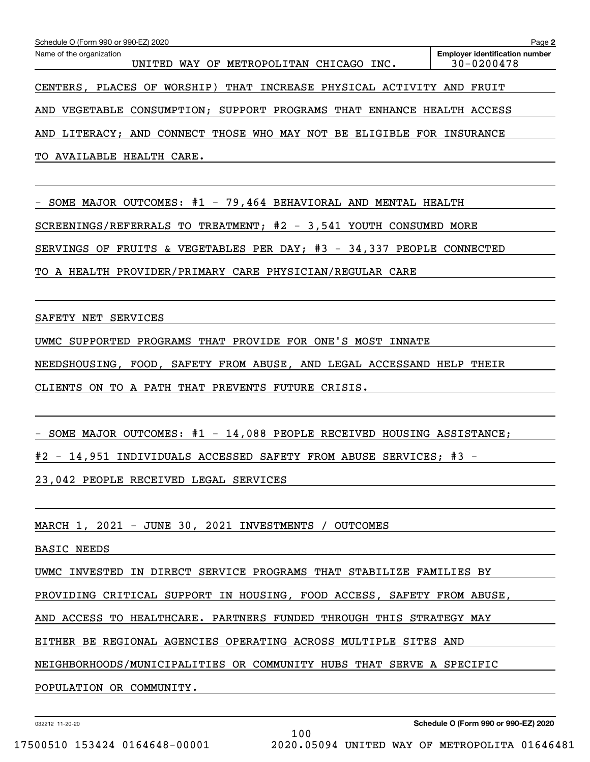| Schedule O (Form 990 or 990-EZ) 2020                                     | Page 2                                                  |
|--------------------------------------------------------------------------|---------------------------------------------------------|
| Name of the organization<br>UNITED WAY OF METROPOLITAN CHICAGO INC.      | <b>Employer identification number</b><br>$30 - 0200478$ |
| CENTERS, PLACES OF WORSHIP)<br>THAT INCREASE PHYSICAL ACTIVITY AND FRUIT |                                                         |
| AND VEGETABLE CONSUMPTION; SUPPORT PROGRAMS THAT ENHANCE HEALTH ACCESS   |                                                         |
| AND LITERACY; AND CONNECT THOSE WHO MAY NOT BE ELIGIBLE FOR INSURANCE    |                                                         |
| TO AVAILABLE HEALTH CARE.                                                |                                                         |
|                                                                          |                                                         |
| - SOME MAJOR OUTCOMES: #1 - 79,464 BEHAVIORAL AND MENTAL HEALTH          |                                                         |
| SCREENINGS/REFERRALS TO TREATMENT; $#2 - 3,541$ YOUTH CONSUMED MORE      |                                                         |
| SERVINGS OF FRUITS & VEGETABLES PER DAY; #3 - 34,337 PEOPLE CONNECTED    |                                                         |
| TO A HEALTH PROVIDER/PRIMARY CARE PHYSICIAN/REGULAR CARE                 |                                                         |
|                                                                          |                                                         |
| SAFETY NET SERVICES                                                      |                                                         |
| UWMC SUPPORTED PROGRAMS THAT PROVIDE FOR ONE'S MOST INNATE               |                                                         |
| NEEDSHOUSING, FOOD, SAFETY FROM ABUSE, AND LEGAL ACCESSAND HELP THEIR    |                                                         |
| CLIENTS ON TO A PATH THAT PREVENTS FUTURE CRISIS.                        |                                                         |
|                                                                          |                                                         |
| - SOME MAJOR OUTCOMES: #1 - 14,088 PEOPLE RECEIVED HOUSING ASSISTANCE;   |                                                         |
| #2 - 14,951 INDIVIDUALS ACCESSED SAFETY FROM ABUSE SERVICES; #3 -        |                                                         |
| 23,042 PEOPLE RECEIVED LEGAL SERVICES                                    |                                                         |
|                                                                          |                                                         |
|                                                                          |                                                         |

MARCH 1, 2021 - JUNE 30, 2021 INVESTMENTS / OUTCOMES

BASIC NEEDS

UWMC INVESTED IN DIRECT SERVICE PROGRAMS THAT STABILIZE FAMILIES BY

PROVIDING CRITICAL SUPPORT IN HOUSING, FOOD ACCESS, SAFETY FROM ABUSE,

AND ACCESS TO HEALTHCARE. PARTNERS FUNDED THROUGH THIS STRATEGY MAY

EITHER BE REGIONAL AGENCIES OPERATING ACROSS MULTIPLE SITES AND

NEIGHBORHOODS/MUNICIPALITIES OR COMMUNITY HUBS THAT SERVE A SPECIFIC

100

POPULATION OR COMMUNITY.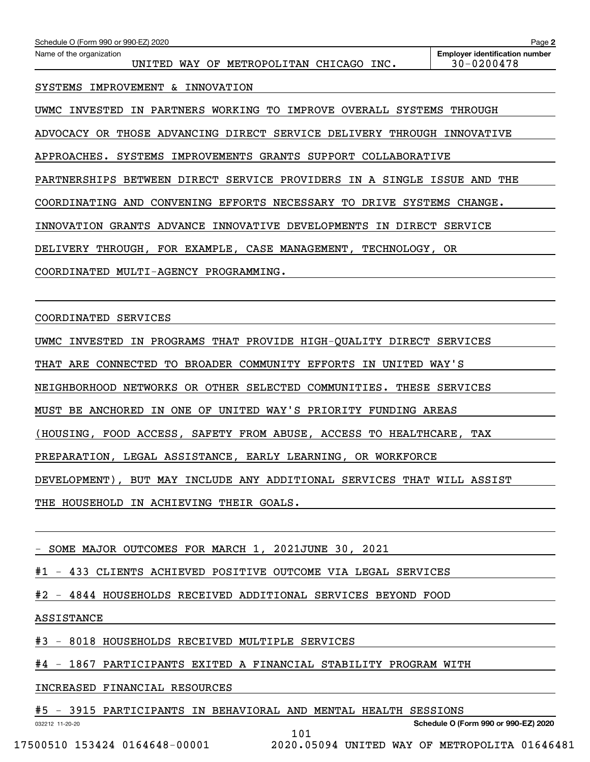| Schedule O (Form 990 or 990-EZ) 2020                                           | Page 2                                              |
|--------------------------------------------------------------------------------|-----------------------------------------------------|
| Name of the organization<br>WAY OF METROPOLITAN CHICAGO INC.<br>UNITED         | <b>Employer identification number</b><br>30-0200478 |
| IMPROVEMENT<br>& INNOVATION<br>SYSTEMS                                         |                                                     |
| IMPROVE<br>UWMC INVESTED<br>PARTNERS<br>WORKING TO<br>OVERALL<br>SYSTEMS<br>IN | THROUGH                                             |
| ADVOCACY OR THOSE ADVANCING DIRECT SERVICE DELIVERY THROUGH                    | INNOVATIVE                                          |
| APPROACHES.<br>SYSTEMS<br>IMPROVEMENTS<br>GRANTS SUPPORT COLLABORATIVE         |                                                     |
| PARTNERSHIPS BETWEEN DIRECT SERVICE PROVIDERS IN A SINGLE                      | ISSUE<br>AND THE                                    |
| CONVENING EFFORTS<br>NECESSARY TO<br>DRIVE<br>AND<br>SYSTEMS<br>COORDINATING   | CHANGE.                                             |
| INNOVATIVE DEVELOPMENTS<br>GRANTS<br>ADVANCE<br>DIRECT<br>INNOVATION<br>IN     | SERVICE                                             |
| DELIVERY THROUGH, FOR EXAMPLE, CASE MANAGEMENT, TECHNOLOGY, OR                 |                                                     |
| COORDINATED<br><b>MULTI-AGENCY</b><br>PROGRAMMING.                             |                                                     |

COORDINATED SERVICES

UWMC INVESTED IN PROGRAMS THAT PROVIDE HIGH-QUALITY DIRECT SERVICES

THAT ARE CONNECTED TO BROADER COMMUNITY EFFORTS IN UNITED WAY'S

NEIGHBORHOOD NETWORKS OR OTHER SELECTED COMMUNITIES. THESE SERVICES

MUST BE ANCHORED IN ONE OF UNITED WAY'S PRIORITY FUNDING AREAS

(HOUSING, FOOD ACCESS, SAFETY FROM ABUSE, ACCESS TO HEALTHCARE, TAX

PREPARATION, LEGAL ASSISTANCE, EARLY LEARNING, OR WORKFORCE

DEVELOPMENT), BUT MAY INCLUDE ANY ADDITIONAL SERVICES THAT WILL ASSIST

THE HOUSEHOLD IN ACHIEVING THEIR GOALS.

- SOME MAJOR OUTCOMES FOR MARCH 1, 2021JUNE 30, 2021

#1 - 433 CLIENTS ACHIEVED POSITIVE OUTCOME VIA LEGAL SERVICES

#2 - 4844 HOUSEHOLDS RECEIVED ADDITIONAL SERVICES BEYOND FOOD

ASSISTANCE

#3 - 8018 HOUSEHOLDS RECEIVED MULTIPLE SERVICES

#4 - 1867 PARTICIPANTS EXITED A FINANCIAL STABILITY PROGRAM WITH

INCREASED FINANCIAL RESOURCES

#5 - 3915 PARTICIPANTS IN BEHAVIORAL AND MENTAL HEALTH SESSIONS

101

032212 11-20-20

**Schedule O (Form 990 or 990-EZ) 2020**

17500510 153424 0164648-00001 2020.05094 UNITED WAY OF METROPOLITA 01646481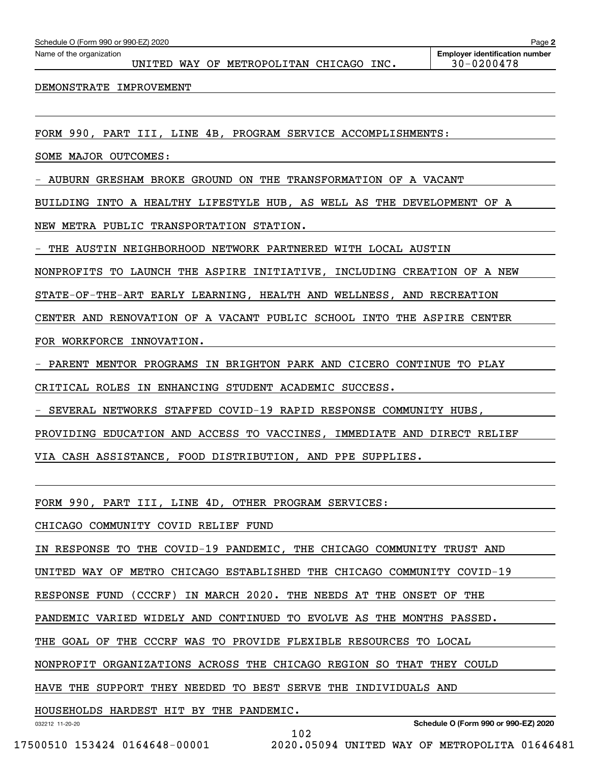UNITED WAY OF METROPOLITAN CHICAGO INC. | 30-0200478

DEMONSTRATE IMPROVEMENT

FORM 990, PART III, LINE 4B, PROGRAM SERVICE ACCOMPLISHMENTS:

SOME MAJOR OUTCOMES:

- AUBURN GRESHAM BROKE GROUND ON THE TRANSFORMATION OF A VACANT

BUILDING INTO A HEALTHY LIFESTYLE HUB, AS WELL AS THE DEVELOPMENT OF A

NEW METRA PUBLIC TRANSPORTATION STATION.

- THE AUSTIN NEIGHBORHOOD NETWORK PARTNERED WITH LOCAL AUSTIN

NONPROFITS TO LAUNCH THE ASPIRE INITIATIVE, INCLUDING CREATION OF A NEW

STATE-OF-THE-ART EARLY LEARNING, HEALTH AND WELLNESS, AND RECREATION

CENTER AND RENOVATION OF A VACANT PUBLIC SCHOOL INTO THE ASPIRE CENTER

FOR WORKFORCE INNOVATION.

- PARENT MENTOR PROGRAMS IN BRIGHTON PARK AND CICERO CONTINUE TO PLAY

CRITICAL ROLES IN ENHANCING STUDENT ACADEMIC SUCCESS.

- SEVERAL NETWORKS STAFFED COVID-19 RAPID RESPONSE COMMUNITY HUBS,

PROVIDING EDUCATION AND ACCESS TO VACCINES, IMMEDIATE AND DIRECT RELIEF

VIA CASH ASSISTANCE, FOOD DISTRIBUTION, AND PPE SUPPLIES.

FORM 990, PART III, LINE 4D, OTHER PROGRAM SERVICES:

CHICAGO COMMUNITY COVID RELIEF FUND

IN RESPONSE TO THE COVID-19 PANDEMIC, THE CHICAGO COMMUNITY TRUST AND

UNITED WAY OF METRO CHICAGO ESTABLISHED THE CHICAGO COMMUNITY COVID-19

RESPONSE FUND (CCCRF) IN MARCH 2020. THE NEEDS AT THE ONSET OF THE

PANDEMIC VARIED WIDELY AND CONTINUED TO EVOLVE AS THE MONTHS PASSED.

THE GOAL OF THE CCCRF WAS TO PROVIDE FLEXIBLE RESOURCES TO LOCAL

NONPROFIT ORGANIZATIONS ACROSS THE CHICAGO REGION SO THAT THEY COULD

102

HAVE THE SUPPORT THEY NEEDED TO BEST SERVE THE INDIVIDUALS AND

HOUSEHOLDS HARDEST HIT BY THE PANDEMIC.

032212 11-20-20

**Schedule O (Form 990 or 990-EZ) 2020**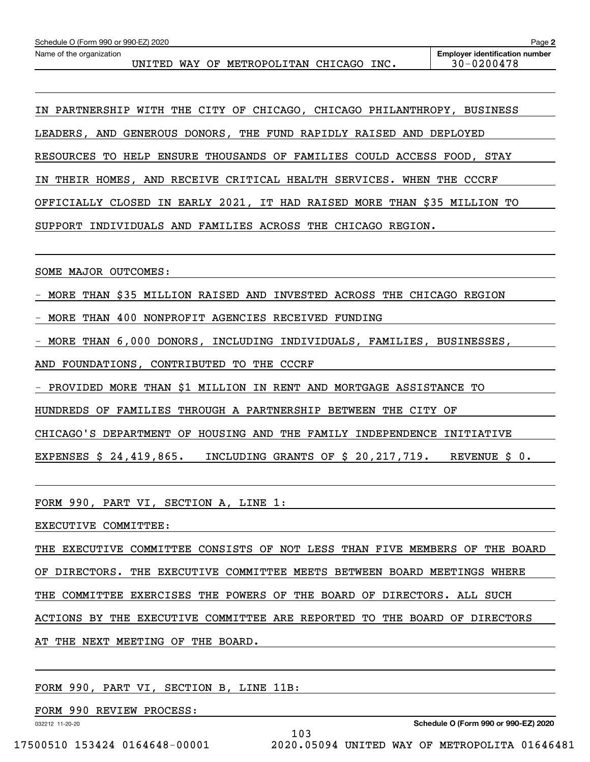UNITED WAY OF METROPOLITAN CHICAGO INC. | 30-0200478

IN PARTNERSHIP WITH THE CITY OF CHICAGO, CHICAGO PHILANTHROPY, BUSINESS LEADERS, AND GENEROUS DONORS, THE FUND RAPIDLY RAISED AND DEPLOYED RESOURCES TO HELP ENSURE THOUSANDS OF FAMILIES COULD ACCESS FOOD, STAY IN THEIR HOMES, AND RECEIVE CRITICAL HEALTH SERVICES. WHEN THE CCCRF OFFICIALLY CLOSED IN EARLY 2021, IT HAD RAISED MORE THAN \$35 MILLION TO SUPPORT INDIVIDUALS AND FAMILIES ACROSS THE CHICAGO REGION.

SOME MAJOR OUTCOMES:

- MORE THAN \$35 MILLION RAISED AND INVESTED ACROSS THE CHICAGO REGION

- MORE THAN 400 NONPROFIT AGENCIES RECEIVED FUNDING

- MORE THAN 6,000 DONORS, INCLUDING INDIVIDUALS, FAMILIES, BUSINESSES,

AND FOUNDATIONS, CONTRIBUTED TO THE CCCRF

- PROVIDED MORE THAN \$1 MILLION IN RENT AND MORTGAGE ASSISTANCE TO

HUNDREDS OF FAMILIES THROUGH A PARTNERSHIP BETWEEN THE CITY OF

CHICAGO'S DEPARTMENT OF HOUSING AND THE FAMILY INDEPENDENCE INITIATIVE

EXPENSES \$ 24,419,865. INCLUDING GRANTS OF \$ 20,217,719. REVENUE \$ 0.

FORM 990, PART VI, SECTION A, LINE 1:

EXECUTIVE COMMITTEE:

THE EXECUTIVE COMMITTEE CONSISTS OF NOT LESS THAN FIVE MEMBERS OF THE BOARD

OF DIRECTORS. THE EXECUTIVE COMMITTEE MEETS BETWEEN BOARD MEETINGS WHERE

THE COMMITTEE EXERCISES THE POWERS OF THE BOARD OF DIRECTORS. ALL SUCH

ACTIONS BY THE EXECUTIVE COMMITTEE ARE REPORTED TO THE BOARD OF DIRECTORS

103

AT THE NEXT MEETING OF THE BOARD.

FORM 990, PART VI, SECTION B, LINE 11B:

FORM 990 REVIEW PROCESS:

032212 11-20-20

**Schedule O (Form 990 or 990-EZ) 2020**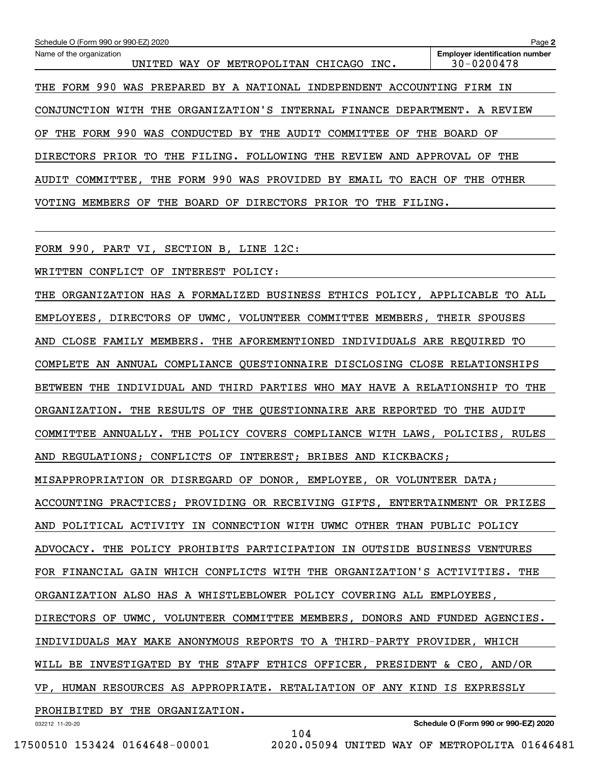| Schedule O (Form 990 or 990-EZ) 2020                                                                | Page 2                                                  |
|-----------------------------------------------------------------------------------------------------|---------------------------------------------------------|
| Name of the organization<br>METROPOLITAN CHICAGO INC.<br>WAY<br>OF<br>UNITED                        | <b>Employer identification number</b><br>$30 - 0200478$ |
| 990<br>PREPARED BY A NATIONAL INDEPENDENT ACCOUNTING<br>FORM<br>WAS<br>THE                          | FIRM IN                                                 |
| THE ORGANIZATION'S INTERNAL FINANCE DEPARTMENT.<br>WITH<br>CONJUNCTION                              | A REVIEW                                                |
| FORM 990<br>WAS CONDUCTED BY<br>THE<br>AUDIT COMMITTEE<br>THE<br>THE<br>OF<br>ОF                    | BOARD OF                                                |
| FILING. FOLLOWING<br>PRIOR<br>TO.<br>THE<br>THE<br><b>REVIEW</b><br><b>DIRECTORS</b><br>AND         | APPROVAL<br>OF<br>THE                                   |
| THE FORM 990<br>AUDIT COMMITTEE,<br>WAS PROVIDED<br>BY<br>EMAIL<br>EACH<br>TO.                      | THE<br>OTHER<br>ОF                                      |
| BOARD<br><b>DIRECTORS</b><br>MEMBERS<br>THE<br>PRIOR<br>TO.<br>VOTING<br>OF<br>OF<br>THE<br>FILING. |                                                         |
|                                                                                                     |                                                         |
|                                                                                                     |                                                         |

FORM 990, PART VI, SECTION B, LINE 12C:

WRITTEN CONFLICT OF INTEREST POLICY:

THE ORGANIZATION HAS A FORMALIZED BUSINESS ETHICS POLICY, APPLICABLE TO ALL EMPLOYEES, DIRECTORS OF UWMC, VOLUNTEER COMMITTEE MEMBERS, THEIR SPOUSES AND CLOSE FAMILY MEMBERS. THE AFOREMENTIONED INDIVIDUALS ARE REQUIRED TO COMPLETE AN ANNUAL COMPLIANCE QUESTIONNAIRE DISCLOSING CLOSE RELATIONSHIPS BETWEEN THE INDIVIDUAL AND THIRD PARTIES WHO MAY HAVE A RELATIONSHIP TO THE ORGANIZATION. THE RESULTS OF THE QUESTIONNAIRE ARE REPORTED TO THE AUDIT COMMITTEE ANNUALLY. THE POLICY COVERS COMPLIANCE WITH LAWS, POLICIES, RULES AND REGULATIONS; CONFLICTS OF INTEREST; BRIBES AND KICKBACKS; MISAPPROPRIATION OR DISREGARD OF DONOR, EMPLOYEE, OR VOLUNTEER DATA; ACCOUNTING PRACTICES; PROVIDING OR RECEIVING GIFTS, ENTERTAINMENT OR PRIZES AND POLITICAL ACTIVITY IN CONNECTION WITH UWMC OTHER THAN PUBLIC POLICY ADVOCACY. THE POLICY PROHIBITS PARTICIPATION IN OUTSIDE BUSINESS VENTURES FOR FINANCIAL GAIN WHICH CONFLICTS WITH THE ORGANIZATION'S ACTIVITIES. THE ORGANIZATION ALSO HAS A WHISTLEBLOWER POLICY COVERING ALL EMPLOYEES, DIRECTORS OF UWMC, VOLUNTEER COMMITTEE MEMBERS, DONORS AND FUNDED AGENCIES. INDIVIDUALS MAY MAKE ANONYMOUS REPORTS TO A THIRD-PARTY PROVIDER, WHICH WILL BE INVESTIGATED BY THE STAFF ETHICS OFFICER, PRESIDENT & CEO, AND/OR VP, HUMAN RESOURCES AS APPROPRIATE. RETALIATION OF ANY KIND IS EXPRESSLY PROHIBITED BY THE ORGANIZATION.

104

032212 11-20-20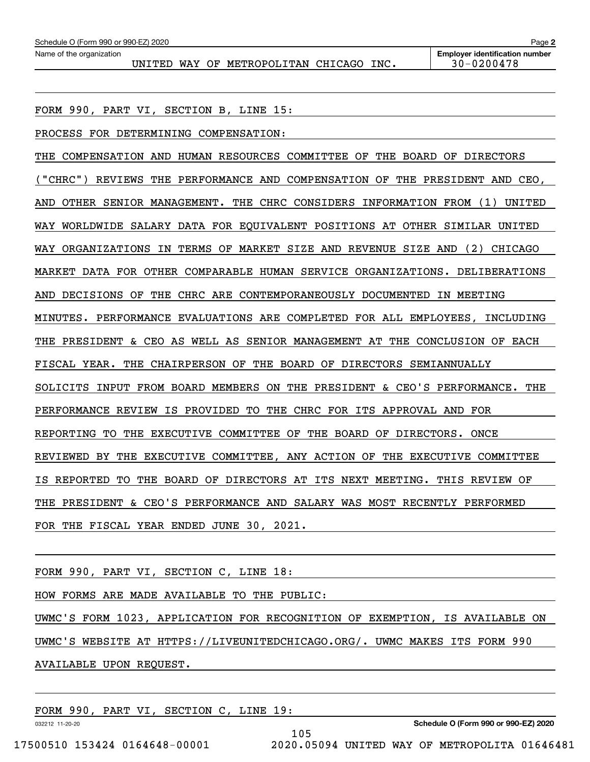UNITED WAY OF METROPOLITAN CHICAGO INC. | 30-0200478

FORM 990, PART VI, SECTION B, LINE 15:

PROCESS FOR DETERMINING COMPENSATION:

THE COMPENSATION AND HUMAN RESOURCES COMMITTEE OF THE BOARD OF DIRECTORS ("CHRC") REVIEWS THE PERFORMANCE AND COMPENSATION OF THE PRESIDENT AND CEO, AND OTHER SENIOR MANAGEMENT. THE CHRC CONSIDERS INFORMATION FROM (1) UNITED WAY WORLDWIDE SALARY DATA FOR EQUIVALENT POSITIONS AT OTHER SIMILAR UNITED WAY ORGANIZATIONS IN TERMS OF MARKET SIZE AND REVENUE SIZE AND (2) CHICAGO MARKET DATA FOR OTHER COMPARABLE HUMAN SERVICE ORGANIZATIONS. DELIBERATIONS AND DECISIONS OF THE CHRC ARE CONTEMPORANEOUSLY DOCUMENTED IN MEETING MINUTES. PERFORMANCE EVALUATIONS ARE COMPLETED FOR ALL EMPLOYEES, INCLUDING THE PRESIDENT & CEO AS WELL AS SENIOR MANAGEMENT AT THE CONCLUSION OF EACH FISCAL YEAR. THE CHAIRPERSON OF THE BOARD OF DIRECTORS SEMIANNUALLY SOLICITS INPUT FROM BOARD MEMBERS ON THE PRESIDENT & CEO'S PERFORMANCE. THE PERFORMANCE REVIEW IS PROVIDED TO THE CHRC FOR ITS APPROVAL AND FOR REPORTING TO THE EXECUTIVE COMMITTEE OF THE BOARD OF DIRECTORS. ONCE REVIEWED BY THE EXECUTIVE COMMITTEE, ANY ACTION OF THE EXECUTIVE COMMITTEE IS REPORTED TO THE BOARD OF DIRECTORS AT ITS NEXT MEETING. THIS REVIEW OF THE PRESIDENT & CEO'S PERFORMANCE AND SALARY WAS MOST RECENTLY PERFORMED FOR THE FISCAL YEAR ENDED JUNE 30, 2021.

FORM 990, PART VI, SECTION C, LINE 18:

HOW FORMS ARE MADE AVAILABLE TO THE PUBLIC:

UWMC'S FORM 1023, APPLICATION FOR RECOGNITION OF EXEMPTION, IS AVAILABLE ON UWMC'S WEBSITE AT HTTPS://LIVEUNITEDCHICAGO.ORG/. UWMC MAKES ITS FORM 990 AVAILABLE UPON REQUEST.

FORM 990, PART VI, SECTION C, LINE 19:

032212 11-20-20

**Schedule O (Form 990 or 990-EZ) 2020**

105 17500510 153424 0164648-00001 2020.05094 UNITED WAY OF METROPOLITA 01646481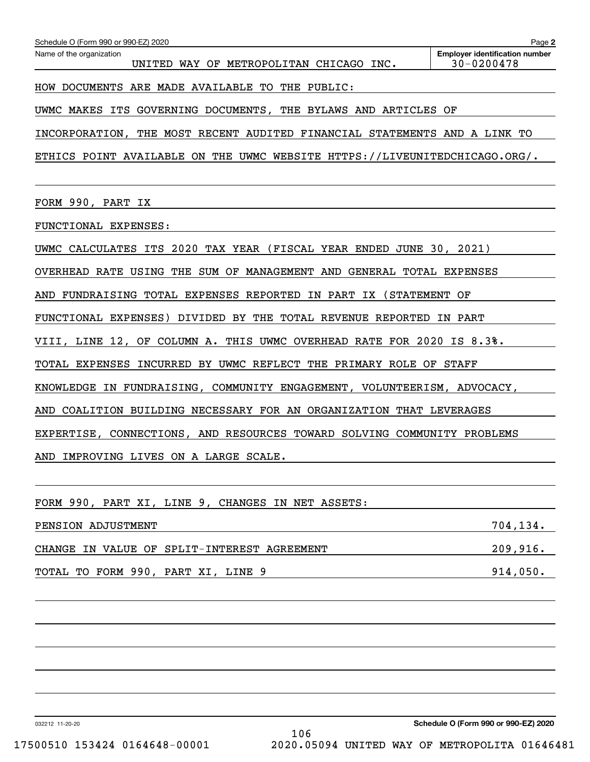| Schedule O (Form 990 or 990-EZ) 2020                                       | Page 2                                                  |
|----------------------------------------------------------------------------|---------------------------------------------------------|
| Name of the organization<br>UNITED WAY OF METROPOLITAN CHICAGO INC.        | <b>Employer identification number</b><br>$30 - 0200478$ |
| HOW DOCUMENTS ARE MADE AVAILABLE TO THE PUBLIC:                            |                                                         |
| UWMC MAKES ITS GOVERNING DOCUMENTS, THE BYLAWS AND ARTICLES OF             |                                                         |
| INCORPORATION, THE MOST RECENT AUDITED FINANCIAL STATEMENTS AND A LINK TO  |                                                         |
| ETHICS POINT AVAILABLE ON THE UWMC WEBSITE HTTPS://LIVEUNITEDCHICAGO.ORG/. |                                                         |
|                                                                            |                                                         |
| FORM 990, PART IX                                                          |                                                         |
| FUNCTIONAL EXPENSES:                                                       |                                                         |
| UWMC CALCULATES ITS 2020 TAX YEAR (FISCAL YEAR ENDED JUNE 30, 2021)        |                                                         |
| OVERHEAD RATE USING THE SUM OF MANAGEMENT AND GENERAL TOTAL EXPENSES       |                                                         |
| AND FUNDRAISING TOTAL EXPENSES REPORTED IN PART IX (STATEMENT OF           |                                                         |
| FUNCTIONAL EXPENSES) DIVIDED BY THE TOTAL REVENUE REPORTED IN PART         |                                                         |
| VIII, LINE 12, OF COLUMN A. THIS UWMC OVERHEAD RATE FOR 2020 IS 8.3%.      |                                                         |
| TOTAL EXPENSES INCURRED BY UWMC REFLECT THE PRIMARY ROLE OF STAFF          |                                                         |
| KNOWLEDGE IN FUNDRAISING, COMMUNITY ENGAGEMENT, VOLUNTEERISM, ADVOCACY,    |                                                         |
| COALITION BUILDING NECESSARY FOR AN ORGANIZATION THAT LEVERAGES<br>AND     |                                                         |
| EXPERTISE, CONNECTIONS, AND RESOURCES TOWARD SOLVING COMMUNITY PROBLEMS    |                                                         |
| AND IMPROVING LIVES ON A LARGE SCALE.                                      |                                                         |
|                                                                            |                                                         |
| FORM 990, PART XI, LINE 9, CHANGES IN NET ASSETS:                          |                                                         |
| PENSION ADJUSTMENT                                                         | 704, 134.                                               |
| CHANGE IN VALUE OF SPLIT-INTEREST AGREEMENT                                | 209,916.                                                |
| TOTAL TO FORM 990, PART XI, LINE 9                                         | 914,050.                                                |
|                                                                            |                                                         |

032212 11-20-20

**Schedule O (Form 990 or 990-EZ) 2020** 106 17500510 153424 0164648-00001 2020.05094 UNITED WAY OF METROPOLITA 01646481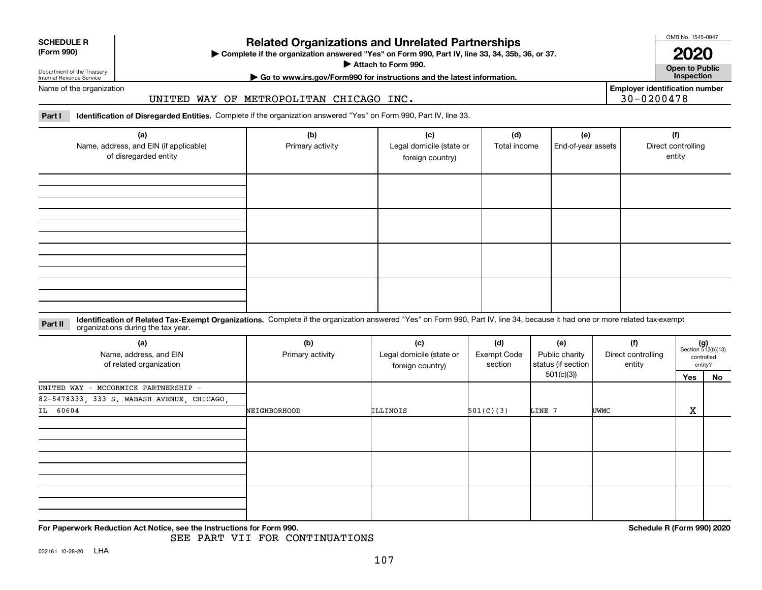|  | Name |
|--|------|

# **Related Organizations and Unrelated Partnerships**

**Complete if the organization answered "Yes" on Form 990, Part IV, line 33, 34, 35b, 36, or 37.** |

**Attach to Form 990.**  |

OMB No. 1545-0047

**Open to Public 2020**

**Employer identification number**

30-0200478

**| Go to www.irs.gov/Form990 for instructions and the latest information. Inspection**

of the organization

Department of the Treasury Internal Revenue Service

**SCHEDULE R (Form 990)**

## UNITED WAY OF METROPOLITAN CHICAGO INC.

**Part I Identification of Disregarded Entities.**  Complete if the organization answered "Yes" on Form 990, Part IV, line 33.

| (a)<br>Name, address, and EIN (if applicable)<br>of disregarded entity | (b)<br>Primary activity | (c)<br>Legal domicile (state or<br>foreign country) | (d)<br>Total income | (e)<br>End-of-year assets | (f)<br>Direct controlling<br>entity |
|------------------------------------------------------------------------|-------------------------|-----------------------------------------------------|---------------------|---------------------------|-------------------------------------|
|                                                                        |                         |                                                     |                     |                           |                                     |
|                                                                        |                         |                                                     |                     |                           |                                     |
|                                                                        |                         |                                                     |                     |                           |                                     |
|                                                                        |                         |                                                     |                     |                           |                                     |

#### **Identification of Related Tax-Exempt Organizations.** Complete if the organization answered "Yes" on Form 990, Part IV, line 34, because it had one or more related tax-exempt **Part II** organizations during the tax year.

| (a)<br>Name, address, and EIN<br>of related organization                           | (b)<br>Primary activity | (c)<br>Legal domicile (state or<br>foreign country) | (d)<br>Exempt Code<br>section | (e)<br>Public charity<br>status (if section<br>501(c)(3)) | (f)<br>Direct controlling<br>entity | Yes | $(g)$<br>Section 512(b)(13)<br>controlled<br>entity?<br>No |  |
|------------------------------------------------------------------------------------|-------------------------|-----------------------------------------------------|-------------------------------|-----------------------------------------------------------|-------------------------------------|-----|------------------------------------------------------------|--|
| UNITED WAY - MCCORMICK PARTNERSHIP -<br>82-5478333, 333 S. WABASH AVENUE, CHICAGO, |                         |                                                     |                               |                                                           |                                     |     |                                                            |  |
| IL 60604                                                                           | NEIGHBORHOOD            | ILLINOIS                                            | 501(C)(3)<br>LINE 7           |                                                           | <b>UWMC</b>                         | X   |                                                            |  |
|                                                                                    |                         |                                                     |                               |                                                           |                                     |     |                                                            |  |
|                                                                                    |                         |                                                     |                               |                                                           |                                     |     |                                                            |  |
|                                                                                    |                         |                                                     |                               |                                                           |                                     |     |                                                            |  |

**For Paperwork Reduction Act Notice, see the Instructions for Form 990. Schedule R (Form 990) 2020**

SEE PART VII FOR CONTINUATIONS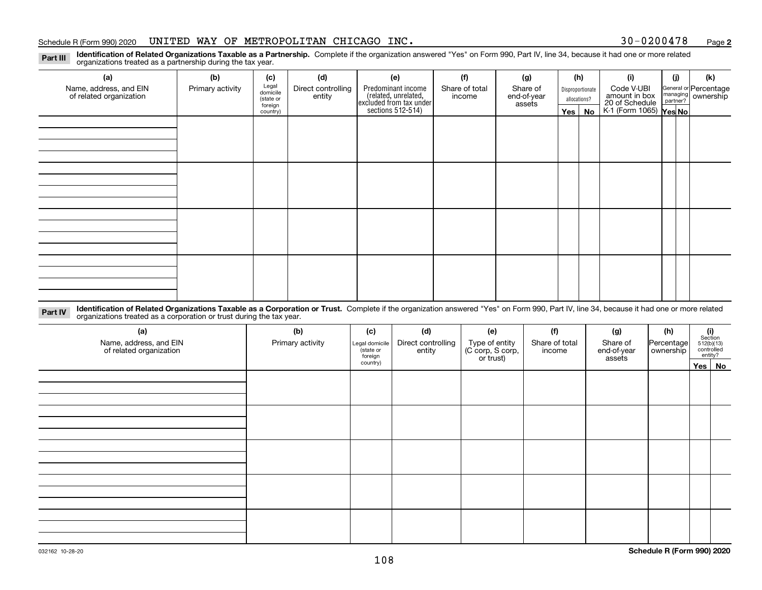### Schedule R (Form 990) 2020 Page UNITED WAY OF METROPOLITAN CHICAGO INC. 30-0200478

**2**

**Identification of Related Organizations Taxable as a Partnership.** Complete if the organization answered "Yes" on Form 990, Part IV, line 34, because it had one or more related **Part III** organizations treated as a partnership during the tax year.

| (a)                     | (b)              | (c)                  | (d)                | (e)                                                                 | (f)            | (g)                   | (h)              | (i)                                      | (j) | (k)                   |
|-------------------------|------------------|----------------------|--------------------|---------------------------------------------------------------------|----------------|-----------------------|------------------|------------------------------------------|-----|-----------------------|
| Name, address, and EIN  | Primary activity | Legal<br>domicile    | Direct controlling | Predominant income                                                  | Share of total | Share of              | Disproportionate | Code V-UBI                               |     | General or Percentage |
| of related organization |                  | (state or<br>foreign | entity             | related, unrelated,<br>excluded from tax under<br>sections 512-514) | income         | end-of-year<br>assets | allocations?     | amount in box                            |     | managing ownership    |
|                         |                  | country)             |                    |                                                                     |                |                       | Yes   No         | 20 of Schedule<br>K-1 (Form 1065) Yes No |     |                       |
|                         |                  |                      |                    |                                                                     |                |                       |                  |                                          |     |                       |
|                         |                  |                      |                    |                                                                     |                |                       |                  |                                          |     |                       |
|                         |                  |                      |                    |                                                                     |                |                       |                  |                                          |     |                       |
|                         |                  |                      |                    |                                                                     |                |                       |                  |                                          |     |                       |
|                         |                  |                      |                    |                                                                     |                |                       |                  |                                          |     |                       |
|                         |                  |                      |                    |                                                                     |                |                       |                  |                                          |     |                       |
|                         |                  |                      |                    |                                                                     |                |                       |                  |                                          |     |                       |
|                         |                  |                      |                    |                                                                     |                |                       |                  |                                          |     |                       |
|                         |                  |                      |                    |                                                                     |                |                       |                  |                                          |     |                       |
|                         |                  |                      |                    |                                                                     |                |                       |                  |                                          |     |                       |
|                         |                  |                      |                    |                                                                     |                |                       |                  |                                          |     |                       |
|                         |                  |                      |                    |                                                                     |                |                       |                  |                                          |     |                       |
|                         |                  |                      |                    |                                                                     |                |                       |                  |                                          |     |                       |
|                         |                  |                      |                    |                                                                     |                |                       |                  |                                          |     |                       |
|                         |                  |                      |                    |                                                                     |                |                       |                  |                                          |     |                       |
|                         |                  |                      |                    |                                                                     |                |                       |                  |                                          |     |                       |
|                         |                  |                      |                    |                                                                     |                |                       |                  |                                          |     |                       |

**Identification of Related Organizations Taxable as a Corporation or Trust.** Complete if the organization answered "Yes" on Form 990, Part IV, line 34, because it had one or more related **Part IV** organizations treated as a corporation or trust during the tax year.

| (a)<br>Name, address, and EIN<br>of related organization | (b)<br>Primary activity | (c)<br>Legal domicile<br>state or<br>foreign | (d)<br>Direct controlling<br>entity | (e)<br>Type of entity<br>(C corp, S corp,<br>or trust) | (f)<br>Share of total<br>income | (g)<br>Share of<br>end-of-year<br>assets | (h)<br>Percentage<br>ownership | (i)<br>Section<br>$512(b)(13)$<br>controlled | entity? |
|----------------------------------------------------------|-------------------------|----------------------------------------------|-------------------------------------|--------------------------------------------------------|---------------------------------|------------------------------------------|--------------------------------|----------------------------------------------|---------|
|                                                          |                         | country)                                     |                                     |                                                        |                                 |                                          |                                |                                              | Yes No  |
|                                                          |                         |                                              |                                     |                                                        |                                 |                                          |                                |                                              |         |
|                                                          |                         |                                              |                                     |                                                        |                                 |                                          |                                |                                              |         |
|                                                          |                         |                                              |                                     |                                                        |                                 |                                          |                                |                                              |         |
|                                                          |                         |                                              |                                     |                                                        |                                 |                                          |                                |                                              |         |
|                                                          |                         |                                              |                                     |                                                        |                                 |                                          |                                |                                              |         |
|                                                          |                         |                                              |                                     |                                                        |                                 |                                          |                                |                                              |         |
|                                                          |                         |                                              |                                     |                                                        |                                 |                                          |                                |                                              |         |
|                                                          |                         |                                              |                                     |                                                        |                                 |                                          |                                |                                              |         |
|                                                          |                         |                                              |                                     |                                                        |                                 |                                          |                                |                                              |         |
|                                                          |                         |                                              |                                     |                                                        |                                 |                                          |                                |                                              |         |
|                                                          |                         |                                              |                                     |                                                        |                                 |                                          |                                |                                              |         |
|                                                          |                         |                                              |                                     |                                                        |                                 |                                          |                                |                                              |         |
|                                                          |                         |                                              |                                     |                                                        |                                 |                                          |                                |                                              |         |
|                                                          |                         |                                              |                                     |                                                        |                                 |                                          |                                |                                              |         |
|                                                          |                         |                                              |                                     |                                                        |                                 |                                          |                                |                                              |         |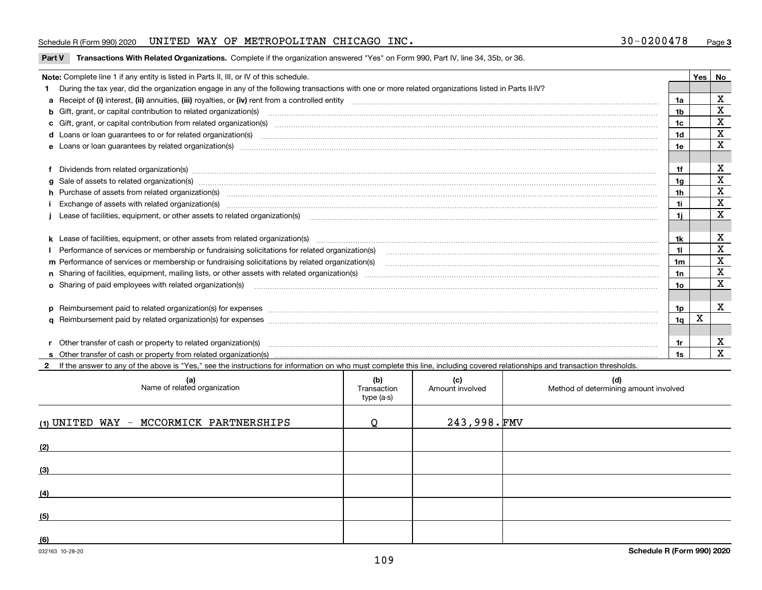# Schedule R (Form 990) 2020 Page UNITED WAY OF METROPOLITAN CHICAGO INC. 30-0200478

**Part V** T**ransactions With Related Organizations.** Complete if the organization answered "Yes" on Form 990, Part IV, line 34, 35b, or 36.

| Note: Complete line 1 if any entity is listed in Parts II, III, or IV of this schedule.                                                                                                                                                                                                              |                | Yes | No          |
|------------------------------------------------------------------------------------------------------------------------------------------------------------------------------------------------------------------------------------------------------------------------------------------------------|----------------|-----|-------------|
| During the tax year, did the organization engage in any of the following transactions with one or more related organizations listed in Parts II-IV?                                                                                                                                                  |                |     |             |
|                                                                                                                                                                                                                                                                                                      | 1a             |     | X           |
| b Gift, grant, or capital contribution to related organization(s) mature and contained and contribution to related organization(s) matures are contained and contribution to related organization(s)                                                                                                 | 1b             |     | $\mathbf X$ |
| c Gift, grant, or capital contribution from related organization(s) manufaction(s) and contribution from related organization(s) manufaction contribution from related organization(s) manufaction contribution from related o                                                                       | 1c             |     | $\mathbf X$ |
| d Loans or loan guarantees to or for related organization(s) committion contracts are constructed as a control or contract or contract or contract or contract or contract or contract or contract or contract or contract or                                                                        | 1 <sub>d</sub> |     | $\mathbf X$ |
|                                                                                                                                                                                                                                                                                                      | 1e             |     | X           |
| Dividends from related organization(s) www.communically.communically.communically and all proportional contracts of the contracts of the contracts of the contracts of the contracts of the contracts of the contracts of the                                                                        | 1f             |     | х           |
|                                                                                                                                                                                                                                                                                                      | 1g             |     | X           |
| h Purchase of assets from related organization(s) www.assettion.com/www.assettion.com/www.assettion.com/www.assettion.com/www.assettion.com/www.assettion.com/www.assettion.com/www.assettion.com/www.assettion.com/www.assett                                                                       | 1h             |     | х           |
| Exchange of assets with related organization(s) www.communically.communically contract and a set of assets with related organization(s) www.communically.communically and a set of a set of the set of a set of a set of a set                                                                       | 1i.            |     | X           |
| Lease of facilities, equipment, or other assets to related organization(s) [11] manufactured manufactured manufactured manufactured manufactured manufactured manufactured manufactured manufactured manufactured manufactured                                                                       | 1i.            |     | X           |
|                                                                                                                                                                                                                                                                                                      | 1k.            |     | х           |
| Performance of services or membership or fundraising solicitations for related organization(s) manufaction manufactured content and the services or membership or fundraising solicitations for related organization(s) manufa                                                                       |                |     | $\mathbf X$ |
| m Performance of services or membership or fundraising solicitations by related organization(s)                                                                                                                                                                                                      | 1m             |     | X           |
|                                                                                                                                                                                                                                                                                                      | 1n             |     | $\mathbf X$ |
| <b>o</b> Sharing of paid employees with related organization(s)                                                                                                                                                                                                                                      | 1o.            |     | X           |
|                                                                                                                                                                                                                                                                                                      | 1p             |     | х           |
|                                                                                                                                                                                                                                                                                                      | 1q             | X   |             |
|                                                                                                                                                                                                                                                                                                      |                |     |             |
| r Other transfer of cash or property to related organization(s)<br>r Other transfer of cash or property to related organization(s) www.community.com/www.community.com/www.communi<br>S Other transfer of cash or property from related organization(s) www.community.community.community.community. | 1r             |     | х           |
|                                                                                                                                                                                                                                                                                                      | 1s             |     | $\mathbf X$ |

| (a)<br>Name of related organization       | (b)<br>Transaction<br>type (a-s) | (c)<br>Amount involved | (d)<br>Method of determining amount involved |
|-------------------------------------------|----------------------------------|------------------------|----------------------------------------------|
| $(1)$ UNITED WAY - MCCORMICK PARTNERSHIPS | ∩                                | $243,998.$ FMV         |                                              |
| (2)                                       |                                  |                        |                                              |
| (3)                                       |                                  |                        |                                              |
| (4)                                       |                                  |                        |                                              |
| (5)                                       |                                  |                        |                                              |
| (6)                                       |                                  |                        |                                              |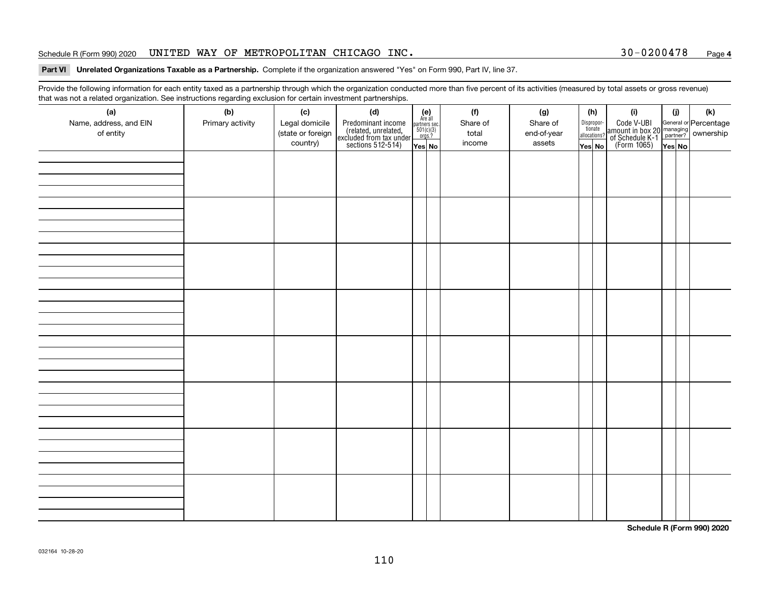### Schedule R (Form 990) 2020 Page UNITED WAY OF METROPOLITAN CHICAGO INC. 30-0200478

# **4**

#### **Part VI Unrelated Organizations Taxable as a Partnership. Complete if the organization answered "Yes" on Form 990, Part IV, line 37.**

Provide the following information for each entity taxed as a partnership through which the organization conducted more than five percent of its activities (measured by total assets or gross revenue) that was not a related organization. See instructions regarding exclusion for certain investment partnerships.

| (a)<br>Name, address, and EIN<br>of entity | $\tilde{}$<br>(b)<br>Primary activity | (c)<br>Legal domicile<br>(state or foreign<br>country) | (d)<br>Predominant income<br>(related, unrelated,<br>excluded from tax under<br>sections 512-514) | $(e)$<br>Are all<br>$\begin{array}{c}\n\text{partners} \sec.\n\\ \n501(c)(3)\n\\ \n0rgs.?\n\end{array}$<br>Yes No | (f)<br>Share of<br>total<br>income | (g)<br>Share of<br>end-of-year<br>assets | (h)<br>Dispropor-<br>tionate<br>allocations?<br>Yes No | (i)<br>Code V-UBI<br>amount in box 20 managing<br>of Schedule K-1<br>(Form 1065)<br>$\overline{Yes}$ No | (i)<br>Yes No | (k) |
|--------------------------------------------|---------------------------------------|--------------------------------------------------------|---------------------------------------------------------------------------------------------------|-------------------------------------------------------------------------------------------------------------------|------------------------------------|------------------------------------------|--------------------------------------------------------|---------------------------------------------------------------------------------------------------------|---------------|-----|
|                                            |                                       |                                                        |                                                                                                   |                                                                                                                   |                                    |                                          |                                                        |                                                                                                         |               |     |
|                                            |                                       |                                                        |                                                                                                   |                                                                                                                   |                                    |                                          |                                                        |                                                                                                         |               |     |
|                                            |                                       |                                                        |                                                                                                   |                                                                                                                   |                                    |                                          |                                                        |                                                                                                         |               |     |
|                                            |                                       |                                                        |                                                                                                   |                                                                                                                   |                                    |                                          |                                                        |                                                                                                         |               |     |
|                                            |                                       |                                                        |                                                                                                   |                                                                                                                   |                                    |                                          |                                                        |                                                                                                         |               |     |
|                                            |                                       |                                                        |                                                                                                   |                                                                                                                   |                                    |                                          |                                                        |                                                                                                         |               |     |
|                                            |                                       |                                                        |                                                                                                   |                                                                                                                   |                                    |                                          |                                                        |                                                                                                         |               |     |
|                                            |                                       |                                                        |                                                                                                   |                                                                                                                   |                                    |                                          |                                                        |                                                                                                         |               |     |

**Schedule R (Form 990) 2020**